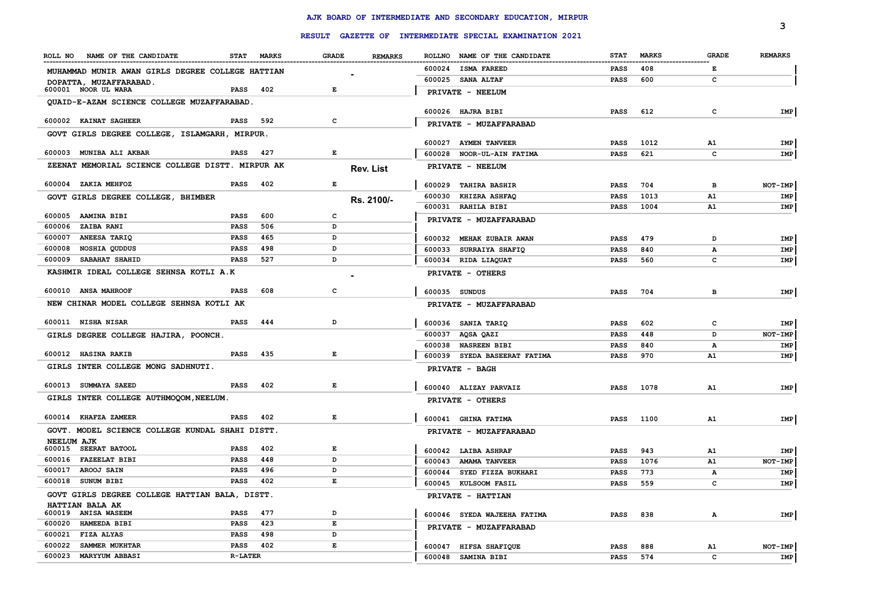|                                                  |                |              |                                |        |                                                         |                            |              |              | з              |
|--------------------------------------------------|----------------|--------------|--------------------------------|--------|---------------------------------------------------------|----------------------------|--------------|--------------|----------------|
|                                                  |                |              |                                |        | RESULT GAZETTE OF INTERMEDIATE SPECIAL EXAMINATION 2021 |                            |              |              |                |
| ROLL NO NAME OF THE CANDIDATE                    | <b>STAT</b>    | <b>MARKS</b> | <b>GRADE</b><br><b>REMARKS</b> |        | ROLLNO NAME OF THE CANDIDATE                            | <b>STAT</b>                | <b>MARKS</b> | <b>GRADE</b> | <b>REMARKS</b> |
| MUHAMMAD MUNIR AWAN GIRLS DEGREE COLLEGE HATTIAN |                |              |                                |        | 600024 ISMA FAREED                                      | <b>PASS</b>                | 408          | Е            |                |
| DOPATTA, MUZAFFARABAD.                           |                |              |                                |        | 600025 SANA ALTAF                                       | <b>PASS</b>                | 600          | $\mathbf{C}$ |                |
| 600001 NOOR UL WARA                              | PASS           | 402          | E                              |        | PRIVATE - NEELUM                                        |                            |              |              |                |
| QUAID-E-AZAM SCIENCE COLLEGE MUZAFFARABAD.       |                |              |                                |        |                                                         |                            |              |              |                |
| 600002 KAINAT SAGHEER                            | <b>PASS</b>    | 592          | c                              |        | 600026 HAJRA BIBI                                       | <b>PASS</b>                | 612          | c            | IMP            |
|                                                  |                |              |                                |        | PRIVATE - MUZAFFARABAD                                  |                            |              |              |                |
| GOVT GIRLS DEGREE COLLEGE, ISLAMGARH, MIRPUR.    |                |              |                                |        | 600027 AYMEN TANVEER                                    | <b>PASS</b>                | 1012         | A1           | IMP            |
| 600003   MUNIBA ALI AKBAR                        | PASS           | 427          | Е                              |        | 600028 NOOR-UL-AIN FATIMA                               | <b>PASS</b>                | 621          | c            | IMP            |
| ZEENAT MEMORIAL SCIENCE COLLEGE DISTT. MIRPUR AK |                |              | <b>Rev. List</b>               |        | PRIVATE - NEELUM                                        |                            |              |              |                |
| 600004 ZAKIA MEHFOZ                              | <b>PASS</b>    | 402          | Е                              |        |                                                         |                            |              |              |                |
|                                                  |                |              |                                | 600029 | <b>TAHIRA BASHIR</b><br>600030 KHIZRA ASHFAQ            | PASS                       | 704<br>1013  | в<br>A1      | NOT-IMP<br>IMP |
| GOVT GIRLS DEGREE COLLEGE, BHIMBER               |                |              | Rs. 2100/-                     |        | 600031 RAHILA BIBI                                      | PASS<br>PASS               | 1004         | A1           | IMP            |
| 600005 AAMINA BIBI                               | PASS           | 600          | c                              |        |                                                         |                            |              |              |                |
| <b>ZAIBA RANI</b><br>600006                      | <b>PASS</b>    | 506          | D                              |        | PRIVATE - MUZAFFARABAD                                  |                            |              |              |                |
| ANEESA TARIQ<br>600007                           | <b>PASS</b>    | 465          | D                              | 600032 | <b>MEHAK ZUBAIR AWAN</b>                                | <b>PASS</b>                | 479          | D            | IMP            |
| NOSHIA QUDDUS<br>600008                          | PASS           | 498          | D                              | 600033 | <b>SURRAIYA SHAFIQ</b>                                  | <b>PASS</b>                | 840          | А            | IMP            |
| <b>SABAHAT SHAHID</b><br>600009                  | <b>PASS</b>    | 527          | D                              |        | 600034 RIDA LIAQUAT                                     | <b>PASS</b>                | 560          | C            | IMP            |
| KASHMIR IDEAL COLLEGE SEHNSA KOTLI A.K           |                |              |                                |        | PRIVATE - OTHERS                                        |                            |              |              |                |
| 600010 ANSA MAHROOF                              | PASS           | 608          | c                              |        | 600035 SUNDUS                                           | PASS                       | 704          | в            | IMP            |
| NEW CHINAR MODEL COLLEGE SEHNSA KOTLI AK         |                |              |                                |        | PRIVATE - MUZAFFARABAD                                  |                            |              |              |                |
| 600011 NISHA NISAR                               | <b>PASS</b>    | 444          | D                              |        |                                                         |                            |              |              |                |
|                                                  |                |              |                                |        | 600036 SANIA TARIQ<br>600037 AQSA QAZI                  | <b>PASS</b>                | 602<br>448   | c<br>D       | IMP<br>NOT-IMP |
| GIRLS DEGREE COLLEGE HAJIRA, POONCH.             |                |              |                                |        | 600038 NASREEN BIBI                                     | <b>PASS</b><br><b>PASS</b> | 840          | А            | IMP            |
| 600012 HASINA RAKIB                              | <b>PASS</b>    | 435          | Е                              |        | 600039 SYEDA BASEERAT FATIMA                            | <b>PASS</b>                | 970          | A1           | IMP            |
| GIRLS INTER COLLEGE MONG SADHNUTI.               |                |              |                                |        | PRIVATE - BAGH                                          |                            |              |              |                |
|                                                  |                |              |                                |        |                                                         |                            |              |              |                |
| 600013 SUMMAYA SAEED                             | <b>PASS</b>    | 402          | E                              |        | 600040 ALIZAY PARVAIZ                                   | <b>PASS</b>                | 1078         | A1           | IMP            |
| GIRLS INTER COLLEGE AUTHMOQOM, NEELUM.           |                |              |                                |        | PRIVATE - OTHERS                                        |                            |              |              |                |
| 600014 KHAFZA ZAMEER                             | <b>PASS</b>    | 402          | E                              |        | 600041 GHINA FATIMA                                     | <b>PASS</b>                | 1100         | A1           | IMP            |
| GOVT. MODEL SCIENCE COLLEGE KUNDAL SHAHI DISTT.  |                |              |                                |        | PRIVATE - MUZAFFARABAD                                  |                            |              |              |                |
| <b>NEELUM AJK</b>                                |                |              |                                |        |                                                         |                            |              |              |                |
| 600015 SEERAT BATOOL                             | <b>PASS</b>    | 402          | Е                              |        | 600042 LAIBA ASHRAF                                     | <b>PASS</b>                | 943          | A1           | IMP            |
| 600016 FAZEELAT BIBI                             | <b>PASS</b>    | 448          | D                              |        | 600043 AMAMA TANVEER                                    | <b>PASS</b>                | 1076         | A1           | NOT-IMP        |
| 600017 AROOJ SAIN                                | <b>PASS</b>    | 496          | D                              |        | 600044 SYED FIZZA BUKHARI                               | <b>PASS</b>                | 773          | $\mathbf{A}$ | IMP            |
| 600018 SUNUM BIBI                                | <b>PASS</b>    | 402          | E                              |        | 600045 KULSOOM FASIL                                    | <b>PASS</b>                | 559          | c            | IMP            |
| GOVT GIRLS DEGREE COLLEGE HATTIAN BALA, DISTT.   |                |              |                                |        | PRIVATE - HATTIAN                                       |                            |              |              |                |
| HATTIAN BALA AK<br>600019 ANISA WASEEM           | <b>PASS</b>    | 477          | D                              |        | 600046 SYEDA WAJEEHA FATIMA                             | PASS                       | 838          | А            | IMP            |
| <b>HAMEEDA BIBI</b><br>600020                    | PASS           | 423          | E                              |        |                                                         |                            |              |              |                |
| <b>FIZA ALYAS</b><br>600021                      | PASS           | 498          | D                              |        | PRIVATE - MUZAFFARABAD                                  |                            |              |              |                |
| 600022<br>SAMMER MUKHTAR                         | PASS           | 402          | E                              |        | 600047 HIFSA SHAFIQUE                                   | <b>PASS</b>                | 888          | A1           | NOT-IMP        |
| 600023 MARYYUM ABBASI                            | <b>R-LATER</b> |              |                                |        | 600048 SAMINA BIBI                                      | <b>PASS</b>                | 574          | $\mathbf{C}$ | IMP            |
|                                                  |                |              |                                |        |                                                         |                            |              |              |                |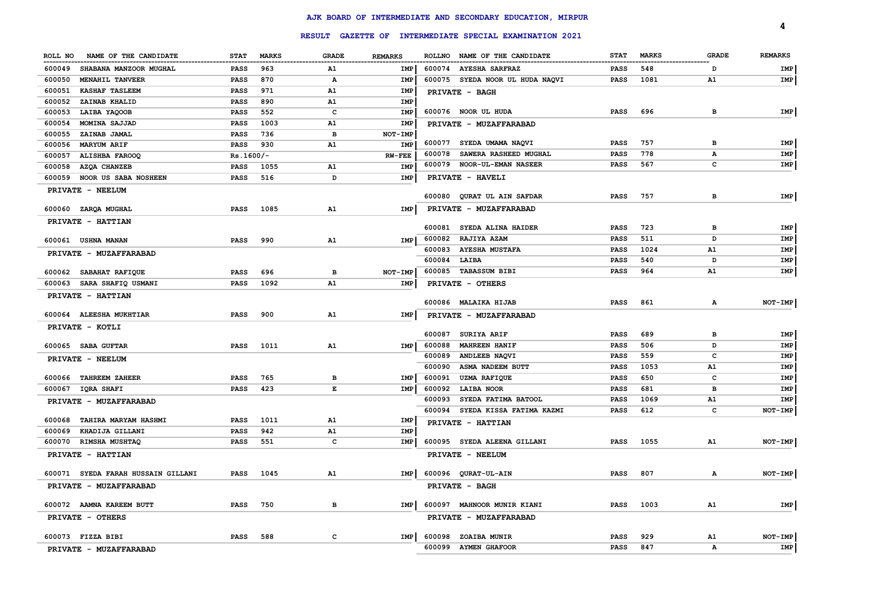|                                    |             |              |              |                |        | RESULT GAZETTE OF INTERMEDIATE SPECIAL EXAMINATION 2021 |             |              |              | 4              |
|------------------------------------|-------------|--------------|--------------|----------------|--------|---------------------------------------------------------|-------------|--------------|--------------|----------------|
| ROLL NO<br>NAME OF THE CANDIDATE   | <b>STAT</b> | <b>MARKS</b> | <b>GRADE</b> | <b>REMARKS</b> |        | ROLLNO NAME OF THE CANDIDATE                            | <b>STAT</b> | <b>MARKS</b> | <b>GRADE</b> | <b>REMARKS</b> |
| 600049<br>SHABANA MANZOOR MUGHAL   | <b>PASS</b> | 963          | A1           | IMP            | 600074 | <b>AYESHA SARFRAZ</b>                                   | <b>PASS</b> | 548          | D            | IMP            |
| 600050<br>MENAHIL TANVEER          | <b>PASS</b> | 870          | А            | IMP            |        | 600075 SYEDA NOOR UL HUDA NAQVI                         | <b>PASS</b> | 1081         | Α1           | IMP            |
| 600051<br><b>KASHAF TASLEEM</b>    | <b>PASS</b> | 971          | A1           | <b>IMP</b>     |        | PRIVATE - BAGH                                          |             |              |              |                |
| 600052<br>ZAINAB KHALID            | PASS        | 890          | A1           | IMP            |        |                                                         |             |              |              |                |
| 600053<br>LAIBA YAQOOB             | <b>PASS</b> | 552          | c            | IMP            |        | 600076 NOOR UL HUDA                                     | PASS        | 696          | в            | IMP            |
| 600054<br>MOMINA SAJJAD            | PASS        | 1003         | A1           | IMP            |        | PRIVATE - MUZAFFARABAD                                  |             |              |              |                |
| ZAINAB JAMAL<br>600055             | <b>PASS</b> | 736          | в            | NOT-IMP        |        |                                                         |             |              |              |                |
| 600056<br><b>MARYUM ARIF</b>       | <b>PASS</b> | 930          | A1           | IMP            |        | 600077 SYEDA UMAMA NAQVI                                | <b>PASS</b> | 757          | в            | IMP            |
| 600057<br>ALISHBA FAROOQ           | $Rs.1600/-$ |              |              | <b>RW-FEE</b>  | 600078 | SAWERA RASHEED MUGHAL                                   | <b>PASS</b> | 778          | А            | IMP            |
| 600058<br>AZQA CHANZEB             | <b>PASS</b> | 1055         | A1           | <b>IMP</b>     | 600079 | <b>NOOR-UL-EMAN NASEER</b>                              | <b>PASS</b> | 567          | c            | IMP            |
| 600059 NOOR US SABA NOSHEEN        | <b>PASS</b> | 516          | D            | <b>IMP</b>     |        | PRIVATE - HAVELI                                        |             |              |              |                |
| PRIVATE - NEELUM                   |             |              |              |                | 600080 | QURAT UL AIN SAFDAR                                     | <b>PASS</b> | 757          | в            | IMP            |
| 600060 ZARQA MUGHAL                | <b>PASS</b> | 1085         | A1           | IMP            |        | PRIVATE - MUZAFFARABAD                                  |             |              |              |                |
| <b>PRIVATE - HATTIAN</b>           |             |              |              |                |        |                                                         |             |              |              |                |
|                                    |             |              |              |                |        | 600081 SYEDA ALINA HAIDER                               | <b>PASS</b> | 723          | в            | <b>IMP</b>     |
| 600061 USHNA MANAN                 | PASS        | 990          | A1           | IMP            | 600082 | <b>RAJIYA AZAM</b>                                      | <b>PASS</b> | 511          | D            | IMP            |
| PRIVATE - MUZAFFARABAD             |             |              |              |                | 600083 | <b>AYESHA MUSTAFA</b>                                   | <b>PASS</b> | 1024         | Α1           | IMP            |
|                                    |             |              |              |                | 600084 | LAIBA                                                   | <b>PASS</b> | 540          | D            | IMP            |
| 600062 SABAHAT RAFIQUE             | <b>PASS</b> | 696          | в            | NOT-IMP        | 600085 | <b>TABASSUM BIBI</b>                                    | <b>PASS</b> | 964          | ${\tt A1}$   | IMP            |
| 600063 SARA SHAFIQ USMANI          | <b>PASS</b> | 1092         | A1           | <b>IMP</b>     |        | PRIVATE - OTHERS                                        |             |              |              |                |
| <b>PRIVATE - HATTIAN</b>           |             |              |              |                |        | 600086 MALAIKA HIJAB                                    | PASS        | 861          | А            | NOT-IMP        |
| 600064 ALEESHA MUKHTIAR            | <b>PASS</b> | 900          | A1           | <b>IMP</b>     |        | PRIVATE - MUZAFFARABAD                                  |             |              |              |                |
| PRIVATE - KOTLI                    |             |              |              |                |        |                                                         |             |              |              |                |
|                                    |             |              |              |                | 600087 | <b>SURIYA ARIF</b>                                      | <b>PASS</b> | 689          | в            | IMP            |
| 600065 SABA GUFTAR                 | <b>PASS</b> | 1011         | A1           | IMP            | 600088 | <b>MAHREEN HANIF</b>                                    | <b>PASS</b> | 506          | D            | IMP            |
| PRIVATE - NEELUM                   |             |              |              |                | 600089 | ANDLEEB NAQVI                                           | <b>PASS</b> | 559          | с            | IMP            |
|                                    |             |              |              |                | 600090 | ASMA NADEEM BUTT                                        | PASS        | 1053         | A1           | IMP            |
| 600066 TAHREEM ZAHEER              | <b>PASS</b> | 765          | в            | IMP            | 600091 | <b>UZMA RAFIQUE</b>                                     | <b>PASS</b> | 650          | c            | IMP            |
| 600067 IQRA SHAFI                  | <b>PASS</b> | 423          | E            | IMP            | 600092 | LAIBA NOOR                                              | <b>PASS</b> | 681          | в            | IMP            |
| PRIVATE - MUZAFFARABAD             |             |              |              |                | 600093 | SYEDA FATIMA BATOOL                                     | <b>PASS</b> | 1069         | A1           | IMP            |
|                                    |             |              |              |                | 600094 | SYEDA KISSA FATIMA KAZMI                                | <b>PASS</b> | 612          | c            | NOT-IMP        |
| 600068 TAHIRA MARYAM HASHMI        | <b>PASS</b> | 1011         | A1           | IMP            |        | PRIVATE - HATTIAN                                       |             |              |              |                |
| KHADIJA GILLANI<br>600069          | <b>PASS</b> | 942          | A1<br>C      | IMP            |        |                                                         |             |              |              |                |
| 600070 RIMSHA MUSHTAQ              | <b>PASS</b> | 551          |              | IMP            |        | 600095 SYEDA ALEENA GILLANI                             | <b>PASS</b> | 1055         | A1           | NOT-IMP        |
| PRIVATE - HATTIAN                  |             |              |              |                |        | PRIVATE - NEELUM                                        |             |              |              |                |
| 600071 SYEDA FARAH HUSSAIN GILLANI | <b>PASS</b> | 1045         | A1           | IMP            |        | 600096 QURAT-UL-AIN                                     | <b>PASS</b> | 807          | A            | NOT-IMP        |
| <b>PRIVATE - MUZAFFARABAD</b>      |             |              |              |                |        | <b>PRIVATE - BAGH</b>                                   |             |              |              |                |
| 600072 AAMNA KAREEM BUTT           | <b>PASS</b> | 750          | в            | <b>IMP</b>     | 600097 | <b>MAHNOOR MUNIR KIANI</b>                              | <b>PASS</b> | 1003         | A1           | IMP            |
| PRIVATE - OTHERS                   |             |              |              |                |        | PRIVATE - MUZAFFARABAD                                  |             |              |              |                |
| 600073 FIZZA BIBI                  | <b>PASS</b> | 588          | c            | IMP            | 600098 | <b>ZOAIBA MUNIR</b>                                     | <b>PASS</b> | 929          | A1           | <b>NOT-IMP</b> |
| PRIVATE - MUZAFFARABAD             |             |              |              |                |        | 600099 AYMEN GHAFOOR                                    | <b>PASS</b> | 847          | A            | IMP            |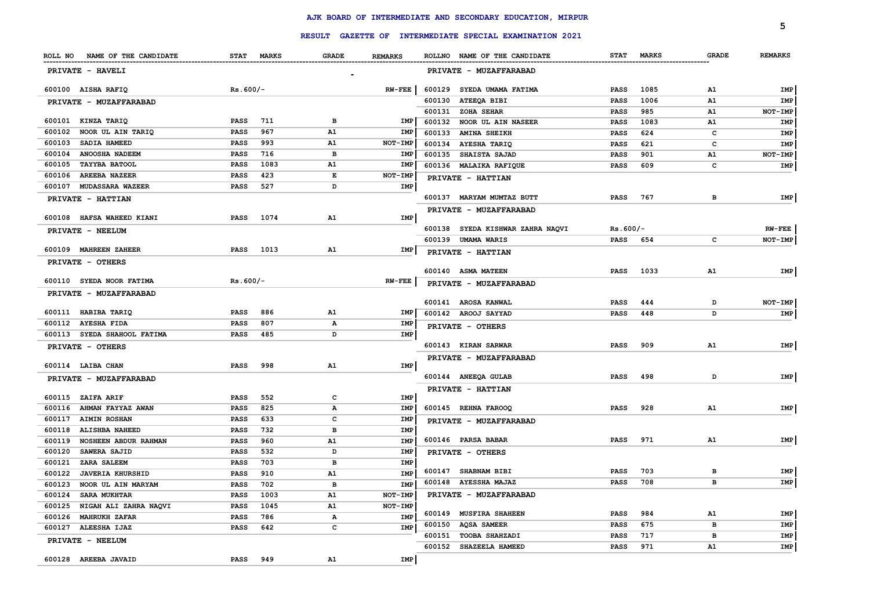|                                   |             |            |              |                |        | RESULT GAZETTE OF INTERMEDIATE SPECIAL EXAMINATION 2021 |             |            |              | 5              |
|-----------------------------------|-------------|------------|--------------|----------------|--------|---------------------------------------------------------|-------------|------------|--------------|----------------|
| ROLL NO NAME OF THE CANDIDATE     |             | STAT MARKS | <b>GRADE</b> | <b>REMARKS</b> |        | ROLLNO NAME OF THE CANDIDATE                            |             | STAT MARKS | <b>GRADE</b> | <b>REMARKS</b> |
| PRIVATE - HAVELI                  |             |            |              |                |        | PRIVATE - MUZAFFARABAD                                  |             |            |              |                |
| 600100 AISHA RAFIQ                |             | $Rs.600/-$ |              | $RN$ -FEE      |        | 600129 SYEDA UMAMA FATIMA                               | <b>PASS</b> | 1085       | A1           | IMP            |
| PRIVATE - MUZAFFARABAD            |             |            |              |                | 600130 | <b>ATEEQA BIBI</b>                                      | <b>PASS</b> | 1006       | A1           | IMP            |
|                                   |             |            |              |                | 600131 | ZOHA SEHAR                                              | <b>PASS</b> | 985        | A1           | NOT-IMP        |
| 600101 KINZA TARIQ                | <b>PASS</b> | 711        | в            | IMP            | 600132 | NOOR UL AIN NASEER                                      | <b>PASS</b> | 1083       | A1           | IMP            |
| 600102<br>NOOR UL AIN TARIQ       | <b>PASS</b> | 967        | <b>A1</b>    | IMP            | 600133 | <b>AMINA SHEIKH</b>                                     | <b>PASS</b> | 624        | c            | IMP            |
| SADIA HAMEED<br>600103            | <b>PASS</b> | 993        | A1           | NOT-IMP        |        | 600134 AYESHA TARIQ                                     | <b>PASS</b> | 621        | c            | IMP            |
| 600104<br><b>ANOOSHA NADEEM</b>   | <b>PASS</b> | 716        | $\mathbf{B}$ | IMP            | 600135 | <b>SHAISTA SAJAD</b>                                    | <b>PASS</b> | 901        | A1           | NOT-IMP        |
| 600105<br><b>TAYYBA BATOOL</b>    | <b>PASS</b> | 1083       | A1           | IMP            |        | 600136 MALAIKA RAFIQUE                                  | <b>PASS</b> | 609        | c            | IMP            |
| 600106<br><b>AREEBA NAZEER</b>    | <b>PASS</b> | 423        | $\mathbf E$  | NOT-IMP        |        | PRIVATE - HATTIAN                                       |             |            |              |                |
| 600107<br><b>MUDASSARA WAZEER</b> | PASS        | 527        | D            | IMP            |        |                                                         |             |            |              |                |
| PRIVATE - HATTIAN                 |             |            |              |                |        | 600137 MARYAM MUMTAZ BUTT                               | <b>PASS</b> | 767        | в            | IMP            |
| 600108 HAFSA WAHEED KIANI         | <b>PASS</b> | 1074       | A1           | <b>IMP</b>     |        | PRIVATE - MUZAFFARABAD                                  |             |            |              |                |
| PRIVATE - NEELUM                  |             |            |              |                |        | 600138 SYEDA KISHWAR ZAHRA NAQVI                        | $Rs.600/-$  |            |              | $RW-FEE$       |
|                                   |             |            |              |                |        | 600139 UMAMA WARIS                                      | <b>PASS</b> | 654        | c            | NOT-IMP        |
| 600109 MAHREEN ZAHEER             | <b>PASS</b> | 1013       | A1           | IMP            |        | PRIVATE - HATTIAN                                       |             |            |              |                |
| PRIVATE - OTHERS                  |             |            |              |                |        |                                                         |             |            |              |                |
|                                   |             |            |              |                |        | 600140 ASMA MATEEN                                      | <b>PASS</b> | 1033       | A1           | IMP            |
| 600110 SYEDA NOOR FATIMA          |             | $Rs.600/-$ |              | $RW-FEE$       |        | PRIVATE - MUZAFFARABAD                                  |             |            |              |                |
| PRIVATE - MUZAFFARABAD            |             |            |              |                |        | 600141 AROSA KANWAL                                     | <b>PASS</b> | 444        | D            | NOT-IMP        |
| 600111 HABIBA TARIQ               | PASS        | 886        | A1           | IMP            |        | 600142 AROOJ SAYYAD                                     | <b>PASS</b> | 448        | D            | IMP            |
| 600112 AYESHA FIDA                | <b>PASS</b> | 807        | $\mathbf A$  | IMP            |        |                                                         |             |            |              |                |
| 600113 SYEDA SHAHOOL FATIMA       | <b>PASS</b> | 485        | D            | IMP            |        | PRIVATE - OTHERS                                        |             |            |              |                |
| PRIVATE - OTHERS                  |             |            |              |                |        | 600143 KIRAN SARWAR                                     | <b>PASS</b> | 909        | A1           | IMP            |
|                                   |             |            |              |                |        | PRIVATE - MUZAFFARABAD                                  |             |            |              |                |
| 600114 LAIBA CHAN                 | <b>PASS</b> | 998        | ${\bf A1}$   | IMP            |        |                                                         |             |            |              |                |
| PRIVATE - MUZAFFARABAD            |             |            |              |                |        | 600144 ANEEQA GULAB                                     | <b>PASS</b> | 498        | D            | IMP            |
|                                   |             |            |              |                |        | PRIVATE - HATTIAN                                       |             |            |              |                |
| 600115 ZAIFA ARIF                 | <b>PASS</b> | 552        | $\mathbf{C}$ | <b>IMP</b>     |        |                                                         |             |            |              |                |
| 600116 AHMAN FAYYAZ AWAN          | <b>PASS</b> | 825        | $\mathbf A$  | <b>IMP</b>     |        | 600145 REHNA FAROOQ                                     | <b>PASS</b> | 928        | A1           | IMP            |
| 600117 AIMIN ROSHAN               | <b>PASS</b> | 633        | $\mathbf{C}$ | IMP            |        | PRIVATE - MUZAFFARABAD                                  |             |            |              |                |
| 600118 ALISHBA NAHEED             | PASS        | 732        | в            | <b>IMP</b>     |        |                                                         |             |            |              |                |
| 600119 NOSHEEN ABDUR RAHMAN       | <b>PASS</b> | 960        | A1           | <b>IMP</b>     |        | 600146 PARSA BABAR                                      | PASS        | 971        | A1           | IMP            |
| <b>SAWERA SAJID</b><br>600120     | <b>PASS</b> | 532        | D            | IMP            |        | PRIVATE - OTHERS                                        |             |            |              |                |
| 600121 ZARA SALEEM                | PASS        | 703        | в            | <b>IMP</b>     |        |                                                         |             |            |              |                |
| 600122 JAVERIA KHURSHID           | PASS        | 910        | A1           | <b>IMP</b>     | 600147 | SHABNAM BIBI                                            | <b>PASS</b> | 703        | в            | IMP            |
| 600123<br>NOOR UL AIN MARYAM      | PASS        | 702        | в            | <b>IMP</b>     |        | 600148 AYESSHA MAJAZ                                    | <b>PASS</b> | 708        | в            | IMP            |
| 600124<br><b>SARA MUKHTAR</b>     | <b>PASS</b> | 1003       | A1           | NOT-IMP        |        | PRIVATE - MUZAFFARABAD                                  |             |            |              |                |
| 600125 NIGAH ALI ZAHRA NAQVI      | <b>PASS</b> | 1045       | A1           | NOT-IMP        |        |                                                         |             |            |              |                |
| 600126 MAHRUKH ZAFAR              | <b>PASS</b> | 786        | А            | <b>IMP</b>     | 600149 | <b>MUSFIRA SHAHEEN</b>                                  | <b>PASS</b> | 984        | A1           | IMP            |
| 600127 ALEESHA IJAZ               | <b>PASS</b> | 642        | c            | <b>IMP</b>     | 600150 | AQSA SAMEER                                             | PASS        | 675        | в            | IMP            |
| PRIVATE - NEELUM                  |             |            |              |                | 600151 | <b>TOOBA SHAHZADI</b>                                   | <b>PASS</b> | 717        | в            | IMP            |
|                                   |             |            |              |                | 600152 | SHAZEELA HAMEED                                         | <b>PASS</b> | 971        | A1           | IMP            |
| 600128 AREEBA JAVAID              | <b>PASS</b> | 949        | A1           | IMP            |        |                                                         |             |            |              |                |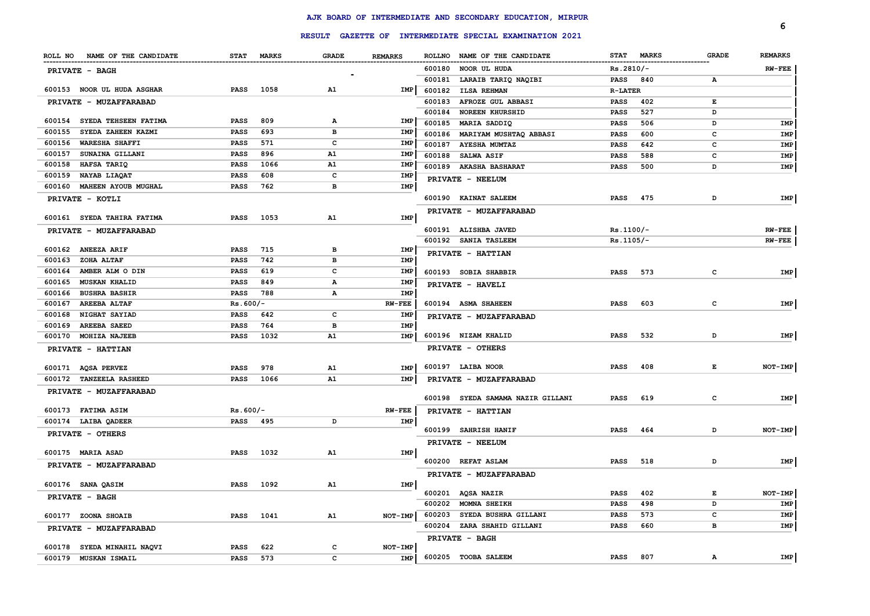|        |                               |             |            |              |                |        | RESULT GAZETTE OF INTERMEDIATE SPECIAL EXAMINATION 2021 |                |              |              | 6              |
|--------|-------------------------------|-------------|------------|--------------|----------------|--------|---------------------------------------------------------|----------------|--------------|--------------|----------------|
|        |                               |             |            |              |                |        |                                                         |                |              |              |                |
|        | ROLL NO NAME OF THE CANDIDATE |             | STAT MARKS | <b>GRADE</b> | <b>REMARKS</b> |        | ROLLNO NAME OF THE CANDIDATE                            | <b>STAT</b>    | <b>MARKS</b> | <b>GRADE</b> | <b>REMARKS</b> |
|        | PRIVATE - BAGH                |             |            |              |                | 600180 | NOOR UL HUDA                                            | $Rs.2810/-$    |              |              | <b>RW-FEE</b>  |
|        |                               |             |            |              |                | 600181 | LARAIB TARIQ NAQIBI                                     | PASS           | 840          | А            |                |
|        | 600153 NOOR UL HUDA ASGHAR    | <b>PASS</b> | 1058       | A1           | <b>IMP</b>     | 600182 | <b>ILSA REHMAN</b>                                      | <b>R-LATER</b> |              |              |                |
|        | <b>PRIVATE - MUZAFFARABAD</b> |             |            |              |                | 600183 | AFROZE GUL ABBASI                                       | PASS           | 402          | Е            |                |
|        |                               |             |            |              |                | 600184 | <b>NOREEN KHURSHID</b>                                  | PASS           | 527          | D            |                |
|        | 600154 SYEDA TEHSEEN FATIMA   | <b>PASS</b> | 809        | Α            | IMP            | 600185 | <b>MARIA SADDIQ</b>                                     | PASS           | 506          | D            | IMP            |
| 600155 | SYEDA ZAHEEN KAZMI            | <b>PASS</b> | 693        | в            | IMP            | 600186 | MARIYAM MUSHTAQ ABBASI                                  | PASS           | 600          | c            | IMP            |
| 600156 | <b>WARESHA SHAFFI</b>         | <b>PASS</b> | 571        | $\mathbf{C}$ | IMP            | 600187 | <b>AYESHA MUMTAZ</b>                                    | PASS           | 642          | c            | IMP            |
| 600157 | SUNAINA GILLANI               | <b>PASS</b> | 896        | A1           | IMP            | 600188 | <b>SALWA ASIF</b>                                       | <b>PASS</b>    | 588          | c            | IMP            |
| 600158 | HAFSA TARIQ                   | <b>PASS</b> | 1066       | A1           | IMP            |        | 600189 AKASHA BASHARAT                                  | <b>PASS</b>    | 500          | D            | IMP            |
| 600159 | <b>NAYAB LIAQAT</b>           | <b>PASS</b> | 608        | c            | IMP            |        | PRIVATE - NEELUM                                        |                |              |              |                |
| 600160 | <b>MAHEEN AYOUB MUGHAL</b>    | <b>PASS</b> | 762        | в            | IMP            |        |                                                         |                |              |              |                |
|        | PRIVATE - KOTLI               |             |            |              |                |        | 600190 KAINAT SALEEM                                    | <b>PASS</b>    | 475          | D            | IMP            |
|        | 600161 SYEDA TAHIRA FATIMA    | PASS        | 1053       | A1           | <b>IMP</b>     |        | PRIVATE - MUZAFFARABAD                                  |                |              |              |                |
|        | PRIVATE - MUZAFFARABAD        |             |            |              |                |        | 600191 ALISHBA JAVED                                    | $Rs.1100/-$    |              |              | $RW-FEE$       |
|        |                               |             |            |              |                |        | 600192 SANIA TASLEEM                                    | $Rs.1105/-$    |              |              | $RW-FEE$       |
|        | 600162 ANEEZA ARIF            | <b>PASS</b> | 715        | $\, {\bf B}$ | IMP            |        | PRIVATE - HATTIAN                                       |                |              |              |                |
| 600163 | <b>ZOHA ALTAF</b>             | <b>PASS</b> | 742        | в            | IMP            |        |                                                         |                |              |              |                |
| 600164 | AMBER ALM O DIN               | <b>PASS</b> | 619        | $\mathbf c$  | IMP            |        | 600193 SOBIA SHABBIR                                    | <b>PASS</b>    | 573          | $\mathbf{C}$ | IMP            |
| 600165 | <b>MUSKAN KHALID</b>          | <b>PASS</b> | 849        | А            | IMP            |        | PRIVATE - HAVELI                                        |                |              |              |                |
| 600166 | <b>BUSHRA BASHIR</b>          | <b>PASS</b> | 788        | А            | IMP            |        |                                                         |                |              |              |                |
| 600167 | <b>AREEBA ALTAF</b>           | $Rs.600/-$  |            |              | $RW-FEE$       |        | 600194 ASMA SHAHEEN                                     | <b>PASS</b>    | 603          | c            | IMP            |
| 600168 | <b>NIGHAT SAYIAD</b>          | PASS        | 642        | c            | IMP            |        | PRIVATE - MUZAFFARABAD                                  |                |              |              |                |
| 600169 | <b>AREEBA SAEED</b>           | PASS        | 764        | в            | IMP            |        |                                                         |                |              |              |                |
| 600170 | <b>MOHIZA NAJEEB</b>          | <b>PASS</b> | 1032       | A1           | IMP            |        | 600196 NIZAM KHALID                                     | <b>PASS</b>    | 532          | D            | IMP            |
|        | PRIVATE - HATTIAN             |             |            |              |                |        | PRIVATE - OTHERS                                        |                |              |              |                |
|        | 600171 AQSA PERVEZ            | <b>PASS</b> | 978        | A1           | <b>IMP</b>     |        | 600197 LAIBA NOOR                                       | PASS           | 408          | Е            | $NOT-IMP$      |
|        | 600172 TANZEELA RASHEED       | <b>PASS</b> | 1066       | A1           | IMP            |        | PRIVATE - MUZAFFARABAD                                  |                |              |              |                |
|        | PRIVATE - MUZAFFARABAD        |             |            |              |                |        |                                                         |                |              |              |                |
|        |                               |             |            |              |                |        | 600198 SYEDA SAMAMA NAZIR GILLANI                       | <b>PASS</b>    | 619          | с            | IMP            |
|        | 600173 FATIMA ASIM            | $Rs.600/-$  |            |              | $RW-FEE$       |        | PRIVATE - HATTIAN                                       |                |              |              |                |
|        | 600174 LAIBA QADEER           | <b>PASS</b> | 495        | D            | IMP            |        |                                                         |                |              |              |                |
|        | PRIVATE - OTHERS              |             |            |              |                |        | 600199 SAHRISH HANIF                                    | <b>PASS</b>    | 464          | D            | NOT-IMP        |
|        |                               |             |            |              |                |        | PRIVATE - NEELUM                                        |                |              |              |                |
|        | 600175 MARIA ASAD             | <b>PASS</b> | 1032       | A1           | IMP            |        | 600200 REFAT ASLAM                                      | <b>PASS</b>    | 518          | D            | IMP            |
|        | PRIVATE - MUZAFFARABAD        |             |            |              |                |        |                                                         |                |              |              |                |
|        |                               |             |            |              |                |        | PRIVATE - MUZAFFARABAD                                  |                |              |              |                |
|        | 600176 SANA QASIM             | <b>PASS</b> | 1092       | ${\bf A1}$   | IMP            |        | 600201 AQSA NAZIR                                       | <b>PASS</b>    | 402          | Е            | NOT-IMP        |
|        | PRIVATE - BAGH                |             |            |              |                | 600202 | <b>MOMNA SHEIKH</b>                                     | <b>PASS</b>    | 498          | D            | IMP            |
|        | 600177 ZOONA SHOAIB           | <b>PASS</b> | 1041       | A1           | NOT-IMP        | 600203 | SYEDA BUSHRA GILLANI                                    | <b>PASS</b>    | 573          | c            | IMP            |
|        |                               |             |            |              |                | 600204 | ZARA SHAHID GILLANI                                     | <b>PASS</b>    | 660          | в            | IMP            |
|        | PRIVATE - MUZAFFARABAD        |             |            |              |                |        | <b>PRIVATE - BAGH</b>                                   |                |              |              |                |
|        | 600178 SYEDA MINAHIL NAQVI    | <b>PASS</b> | 622        | c            | NOT-IMP        |        |                                                         |                |              |              |                |
| 600179 | <b>MUSKAN ISMAIL</b>          | PASS        | 573        | $\mathbf c$  | IMP            |        | 600205 TOOBA SALEEM                                     | <b>PASS</b>    | 807          | А            | IMP            |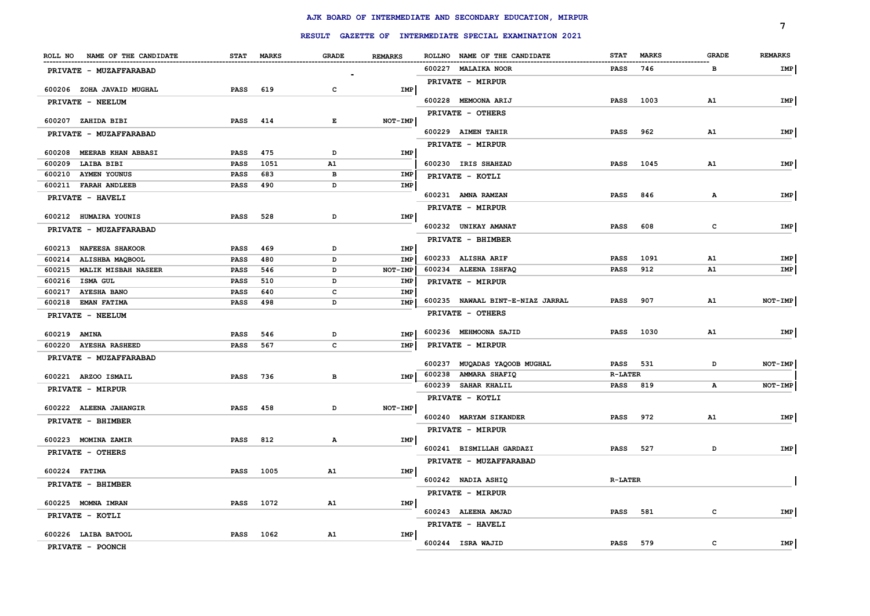|                               |             |              |              |                | RESULT GAZETTE OF INTERMEDIATE SPECIAL EXAMINATION 2021 |                             |              | 7              |
|-------------------------------|-------------|--------------|--------------|----------------|---------------------------------------------------------|-----------------------------|--------------|----------------|
| ROLL NO NAME OF THE CANDIDATE | <b>STAT</b> | <b>MARKS</b> | <b>GRADE</b> | <b>REMARKS</b> | ROLLNO NAME OF THE CANDIDATE                            | <b>STAT</b><br><b>MARKS</b> | <b>GRADE</b> | <b>REMARKS</b> |
| PRIVATE - MUZAFFARABAD        |             |              |              |                | 600227 MALAIKA NOOR                                     | 746<br><b>PASS</b>          | в            | IMP            |
|                               |             |              |              |                | PRIVATE - MIRPUR                                        |                             |              |                |
| 600206 ZOHA JAVAID MUGHAL     | <b>PASS</b> | 619          | c            | IMP            |                                                         |                             |              |                |
| PRIVATE - NEELUM              |             |              |              |                | 600228 MEMOONA ARIJ                                     | 1003<br><b>PASS</b>         | A1           | IMP            |
| 600207 ZAHIDA BIBI            | <b>PASS</b> | 414          | E            | NOT-IMP        | PRIVATE - OTHERS                                        |                             |              |                |
| PRIVATE - MUZAFFARABAD        |             |              |              |                | 600229 AIMEN TAHIR                                      | 962<br><b>PASS</b>          | A1           | IMP            |
|                               |             |              |              |                | PRIVATE - MIRPUR                                        |                             |              |                |
| 600208 MEERAB KHAN ABBASI     | <b>PASS</b> | 475          | D            | IMP            |                                                         |                             |              |                |
| 600209 LAIBA BIBI             | <b>PASS</b> | 1051         | A1           |                | 600230 IRIS SHAHZAD                                     | 1045<br><b>PASS</b>         | A1           | IMP            |
| 600210 AYMEN YOUNUS           | PASS        | 683          | в            | IMP            | PRIVATE - KOTLI                                         |                             |              |                |
| 600211 FARAH ANDLEEB          | PASS        | 490          | D            | IMP            |                                                         |                             |              |                |
| PRIVATE - HAVELI              |             |              |              |                | 600231 AMNA RAMZAN                                      | 846<br><b>PASS</b>          | $\mathbf{A}$ | IMP            |
| 600212 HUMAIRA YOUNIS         | <b>PASS</b> | 528          | D            | IMP            | PRIVATE - MIRPUR                                        |                             |              |                |
| PRIVATE - MUZAFFARABAD        |             |              |              |                | 600232 UNIKAY AMANAT                                    | 608<br><b>PASS</b>          | c            | IMP            |
|                               |             |              |              |                | PRIVATE - BHIMBER                                       |                             |              |                |
| 600213 NAFEESA SHAKOOR        | <b>PASS</b> | 469          | D            | IMP            |                                                         |                             |              |                |
| 600214 ALISHBA MAQBOOL        | <b>PASS</b> | 480          | D            | <b>IMP</b>     | 600233 ALISHA ARIF                                      | 1091<br><b>PASS</b>         | A1           | IMP            |
| 600215 MALIK MISBAH NASEER    | PASS        | 546          | D            | NOT-IMP        | 600234 ALEENA ISHFAQ                                    | <b>PASS</b><br>912          | A1           | IMP            |
| 600216 ISMA GUL               | <b>PASS</b> | 510          | D            | IMP            | PRIVATE - MIRPUR                                        |                             |              |                |
| 600217 AYESHA BANO            | PASS        | 640          | с            | IMP            | 600235 NAWAAL BINT-E-NIAZ JARRAL                        | 907<br><b>PASS</b>          | A1           | NOT-IMP        |
| 600218 EMAN FATIMA            | PASS        | 498          | D            | IMP            |                                                         |                             |              |                |
| PRIVATE - NEELUM              |             |              |              |                | PRIVATE - OTHERS                                        |                             |              |                |
| 600219 AMINA                  | <b>PASS</b> | 546          | D            | IMP            | 600236 MEHMOONA SAJID                                   | 1030<br>PASS                | A1           | IMP            |
| 600220 AYESHA RASHEED         | <b>PASS</b> | 567          | c            | IMP            | <b>PRIVATE - MIRPUR</b>                                 |                             |              |                |
| PRIVATE - MUZAFFARABAD        |             |              |              |                |                                                         |                             |              |                |
|                               |             |              |              |                | 600237 MUQADAS YAQOOB MUGHAL                            | 531<br><b>PASS</b>          | D            | NOT-IMP        |
| 600221 ARZOO ISMAIL           | <b>PASS</b> | 736          | в            | IMP            | 600238 AMMARA SHAFIQ                                    | <b>R-LATER</b>              |              |                |
| PRIVATE - MIRPUR              |             |              |              |                | 600239 SAHAR KHALIL                                     | 819<br>PASS                 | А            | NOT-IMP        |
|                               |             |              |              |                | PRIVATE - KOTLI                                         |                             |              |                |
| 600222 ALEENA JAHANGIR        | PASS        | 458          | D            | NOT-IMP        | 600240 MARYAM SIKANDER                                  | 972<br><b>PASS</b>          | A1           | IMP            |
| PRIVATE - BHIMBER             |             |              |              |                | <b>PRIVATE - MIRPUR</b>                                 |                             |              |                |
| 600223 MOMINA ZAMIR           | <b>PASS</b> | 812          | Α            | IMP            |                                                         |                             |              |                |
| <b>PRIVATE - OTHERS</b>       |             |              |              |                | 600241 BISMILLAH GARDAZI                                | 527<br><b>PASS</b>          | D            | IMP            |
|                               |             |              |              |                | PRIVATE - MUZAFFARABAD                                  |                             |              |                |
| 600224 FATIMA                 | <b>PASS</b> | 1005         | A1           | IMP            |                                                         |                             |              |                |
| PRIVATE - BHIMBER             |             |              |              |                | 600242 NADIA ASHIQ                                      | <b>R-LATER</b>              |              |                |
|                               |             |              |              |                | PRIVATE - MIRPUR                                        |                             |              |                |
| 600225 MOMNA IMRAN            | <b>PASS</b> | 1072         | A1           | IMP            | 600243 ALEENA AMJAD                                     | <b>PASS</b><br>581          | с            | IMP            |
| PRIVATE - KOTLI               |             |              |              |                | PRIVATE - HAVELI                                        |                             |              |                |
| 600226 LAIBA BATOOL           | <b>PASS</b> | 1062         | A1           | IMP            |                                                         |                             |              |                |
| PRIVATE - POONCH              |             |              |              |                | 600244 ISRA WAJID                                       | PASS<br>579                 | c            | IMP            |
|                               |             |              |              |                |                                                         |                             |              |                |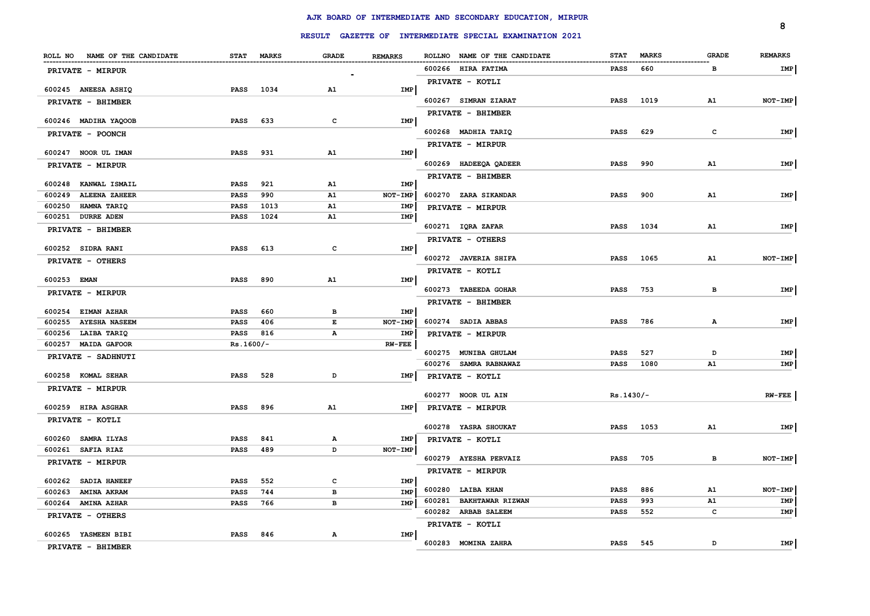|                               |             |            |              |                | RESULT GAZETTE OF INTERMEDIATE SPECIAL EXAMINATION 2021 |             |              |              | 8              |
|-------------------------------|-------------|------------|--------------|----------------|---------------------------------------------------------|-------------|--------------|--------------|----------------|
|                               |             |            |              |                |                                                         |             |              |              |                |
| ROLL NO NAME OF THE CANDIDATE |             | STAT MARKS | <b>GRADE</b> | <b>REMARKS</b> | ROLLNO NAME OF THE CANDIDATE                            | <b>STAT</b> | <b>MARKS</b> | <b>GRADE</b> | <b>REMARKS</b> |
| PRIVATE - MIRPUR              |             |            |              |                | 600266 HIRA FATIMA                                      | <b>PASS</b> | 660          | в            | IMP            |
| 600245 ANEESA ASHIQ           | <b>PASS</b> | 1034       | A1           | <b>IMP</b>     | PRIVATE - KOTLI                                         |             |              |              |                |
| PRIVATE - BHIMBER             |             |            |              |                | 600267 SIMRAN ZIARAT                                    | PASS        | 1019         | A1           | NOT-IMP        |
|                               |             |            |              |                | PRIVATE - BHIMBER                                       |             |              |              |                |
| 600246 MADIHA YAQOOB          | <b>PASS</b> | 633        | c            | IMP            |                                                         |             |              |              |                |
| PRIVATE - POONCH              |             |            |              |                | 600268 MADHIA TARIQ                                     | <b>PASS</b> | 629          | $\mathbf{C}$ | <b>IMP</b>     |
| 600247 NOOR UL IMAN           | <b>PASS</b> | 931        | A1           | IMP            | PRIVATE - MIRPUR                                        |             |              |              |                |
|                               |             |            |              |                | 600269 HADEEQA QADEER                                   | <b>PASS</b> | 990          | A1           | IMP            |
| PRIVATE - MIRPUR              |             |            |              |                |                                                         |             |              |              |                |
| 600248 KANWAL ISMAIL          | <b>PASS</b> | 921        | A1           | IMP            | PRIVATE - BHIMBER                                       |             |              |              |                |
| 600249 ALEENA ZAHEER          | <b>PASS</b> | 990        | A1           | NOT-IMP        | 600270 ZARA SIKANDAR                                    | <b>PASS</b> | 900          | A1           | IMP            |
| 600250 HAMNA TARIQ            | <b>PASS</b> | 1013       | A1           | IMP            | PRIVATE - MIRPUR                                        |             |              |              |                |
| 600251 DURRE ADEN             | <b>PASS</b> | 1024       | ${\bf A1}$   | IMP            |                                                         |             |              |              |                |
| PRIVATE - BHIMBER             |             |            |              |                | 600271 IQRA ZAFAR                                       | <b>PASS</b> | 1034         | A1           | <b>IMP</b>     |
|                               |             |            |              |                | PRIVATE - OTHERS                                        |             |              |              |                |
| 600252 SIDRA RANI             | <b>PASS</b> | 613        | $\mathbf c$  | IMP            |                                                         |             |              |              |                |
| PRIVATE - OTHERS              |             |            |              |                | 600272 JAVERIA SHIFA                                    | <b>PASS</b> | 1065         | A1           | NOT-IMP        |
| 600253 EMAN                   | <b>PASS</b> | 890        | A1           | IMP            | PRIVATE - KOTLI                                         |             |              |              |                |
|                               |             |            |              |                | 600273 TABEEDA GOHAR                                    | <b>PASS</b> | 753          | в            | IMP            |
| PRIVATE - MIRPUR              |             |            |              |                | PRIVATE - BHIMBER                                       |             |              |              |                |
| 600254 EIMAN AZHAR            | <b>PASS</b> | 660        | в            | IMP            |                                                         |             |              |              |                |
| 600255 AYESHA NASEEM          | PASS        | 406        | Е            | NOT-IMP        | 600274 SADIA ABBAS                                      | <b>PASS</b> | 786          | Α            | IMP            |
| 600256 LAIBA TARIQ            | PASS        | 816        | Α            | IMP            | PRIVATE - MIRPUR                                        |             |              |              |                |
| 600257 MAIDA GAFOOR           | $Rs.1600/-$ |            |              | $RW-FEE$       |                                                         |             |              |              |                |
| PRIVATE - SADHNUTI            |             |            |              |                | 600275 MUNIBA GHULAM                                    | <b>PASS</b> | 527          | D            | IMP            |
|                               |             |            |              |                | 600276 SAMRA RABNAWAZ                                   | PASS        | 1080         | A1           | IMP            |
| 600258 KOMAL SEHAR            | <b>PASS</b> | 528        | D            | IMP            | PRIVATE - KOTLI                                         |             |              |              |                |
| PRIVATE - MIRPUR              |             |            |              |                | 600277 NOOR UL AIN                                      | $Rs.1430/-$ |              |              | $RW-FEE$       |
| 600259 HIRA ASGHAR            | <b>PASS</b> | 896        | A1           | IMP            | PRIVATE - MIRPUR                                        |             |              |              |                |
| PRIVATE - KOTLI               |             |            |              |                |                                                         |             |              |              |                |
|                               |             |            |              |                | 600278 YASRA SHOUKAT                                    | PASS        | 1053         | A1           | IMP            |
| 600260 SAMRA ILYAS            | <b>PASS</b> | 841        | Α            | IMP            | PRIVATE - KOTLI                                         |             |              |              |                |
| 600261 SAFIA RIAZ             | <b>PASS</b> | 489        | D            | $NOT-IMP$      |                                                         |             |              |              |                |
| PRIVATE - MIRPUR              |             |            |              |                | 600279 AYESHA PERVAIZ                                   | <b>PASS</b> | 705          | в            | NOT-IMP        |
|                               |             |            |              |                | PRIVATE - MIRPUR                                        |             |              |              |                |
| 600262 SADIA HANEEF           | <b>PASS</b> | 552        | $\mathbf{C}$ | IMP            | 600280 LAIBA KHAN                                       | <b>PASS</b> | 886          | A1           | NOT-IMP        |
| 600263 AMINA AKRAM            | <b>PASS</b> | 744        | в            | IMP            | 600281 BAKHTAWAR RIZWAN                                 | <b>PASS</b> | 993          | A1           | IMP            |
| 600264 AMINA AZHAR            | <b>PASS</b> | 766        | $\, {\bf B}$ | IMP            | 600282 ARBAB SALEEM                                     | <b>PASS</b> | 552          | c            | IMP            |
| PRIVATE - OTHERS              |             |            |              |                | PRIVATE - KOTLI                                         |             |              |              |                |
| 600265 YASMEEN BIBI           | <b>PASS</b> | 846        | $\mathbf{A}$ | <b>IMP</b>     |                                                         |             |              |              |                |
| PRIVATE - BHIMBER             |             |            |              |                | 600283 MOMINA ZAHRA                                     | <b>PASS</b> | 545          | D            | IMP            |
|                               |             |            |              |                |                                                         |             |              |              |                |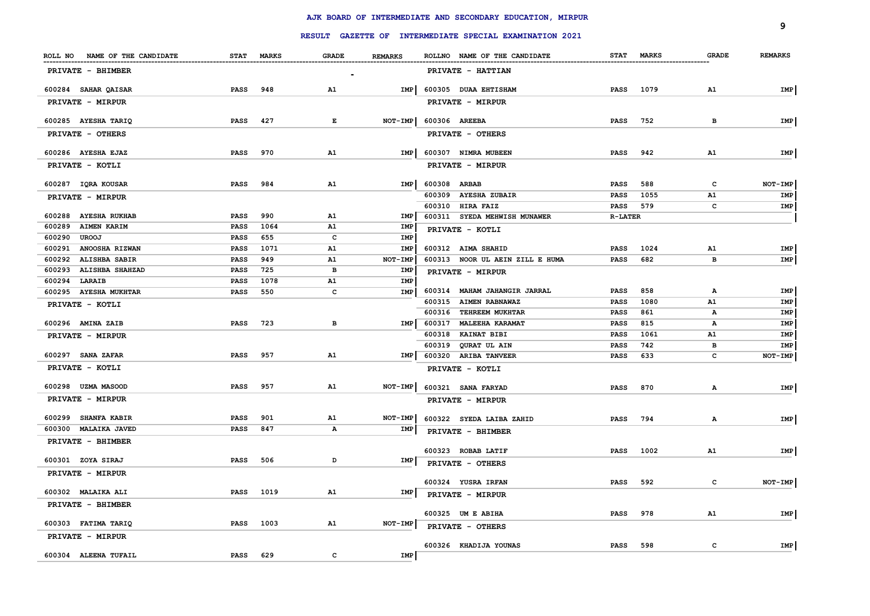|                                         |                            |             |              |                |              | RESULT GAZETTE OF INTERMEDIATE SPECIAL EXAMINATION 2021 |                |            |              | 9              |
|-----------------------------------------|----------------------------|-------------|--------------|----------------|--------------|---------------------------------------------------------|----------------|------------|--------------|----------------|
| ROLL NO NAME OF THE CANDIDATE           |                            | STAT MARKS  | <b>GRADE</b> | <b>REMARKS</b> |              | ROLLNO NAME OF THE CANDIDATE                            |                | STAT MARKS | <b>GRADE</b> | <b>REMARKS</b> |
| PRIVATE - BHIMBER                       |                            |             |              |                |              | PRIVATE - HATTIAN                                       |                |            |              |                |
| 600284 SAHAR QAISAR                     | <b>PASS</b>                | 948         | A1           | IMP            |              | 600305 DUAA EHTISHAM                                    | <b>PASS</b>    | 1079       | A1           | IMP            |
| PRIVATE - MIRPUR                        |                            |             |              |                |              | PRIVATE - MIRPUR                                        |                |            |              |                |
| 600285 AYESHA TARIQ                     | PASS                       | 427         | Е            | NOT-IMP        |              | 600306 AREEBA                                           | PASS           | 752        | в            | IMP            |
| PRIVATE - OTHERS                        |                            |             |              |                |              | PRIVATE - OTHERS                                        |                |            |              |                |
| 600286 AYESHA EJAZ                      | <b>PASS</b>                | 970         | A1           | <b>IMP</b>     |              | 600307 NIMRA MUBEEN                                     | <b>PASS</b>    | 942        | A1           | IMP            |
| PRIVATE - KOTLI                         |                            |             |              |                |              | PRIVATE - MIRPUR                                        |                |            |              |                |
| 600287 IQRA KOUSAR                      | <b>PASS</b>                | 984         | A1           | <b>IMP</b>     | 600308 ARBAB |                                                         | PASS           | 588        | c            | NOT-IMP        |
| PRIVATE - MIRPUR                        |                            |             |              |                |              | 600309 AYESHA ZUBAIR                                    | <b>PASS</b>    | 1055       | A1           | IMP            |
|                                         |                            |             |              |                |              | 600310 HIRA FAIZ                                        | <b>PASS</b>    | 579        | C            | IMP            |
| 600288 AYESHA RUKHAB                    | <b>PASS</b>                | 990         | ${\bf A1}$   | IMP            |              | 600311 SYEDA MEHWISH MUNAWER                            | <b>R-LATER</b> |            |              |                |
| 600289<br><b>AIMEN KARIM</b>            | PASS                       | 1064        | A1           | IMP            |              | PRIVATE - KOTLI                                         |                |            |              |                |
| 600290<br><b>UROOJ</b>                  | <b>PASS</b>                | 655         | $\mathbf c$  | IMP            |              |                                                         |                |            |              |                |
| 600291 ANOOSHA RIZWAN                   | <b>PASS</b>                | 1071        | A1           | IMP            |              | 600312 AIMA SHAHID                                      | <b>PASS</b>    | 1024       | A1           | IMP            |
| 600292 ALISHBA SABIR                    | <b>PASS</b>                | 949         | A1           | NOT-IMP        |              | 600313 NOOR UL AEIN ZILL E HUMA                         | <b>PASS</b>    | 682        | в            | IMP            |
| 600293 ALISHBA SHAHZAD<br>600294 LARAIB | <b>PASS</b><br><b>PASS</b> | 725<br>1078 | в<br>A1      | IMP<br>IMP     |              | PRIVATE - MIRPUR                                        |                |            |              |                |
| 600295 AYESHA MUKHTAR                   | PASS                       | 550         | c            | IMP            |              | 600314 MAHAM JAHANGIR JARRAL                            | PASS           | 858        | А            | IMP            |
|                                         |                            |             |              |                |              | 600315 AIMEN RABNAWAZ                                   | PASS           | 1080       | A1           | IMP            |
| PRIVATE - KOTLI                         |                            |             |              |                | 600316       | TEHREEM MUKHTAR                                         | PASS           | 861        | А            | IMP            |
| 600296 AMINA ZAIB                       | <b>PASS</b>                | 723         | в            | <b>IMP</b>     | 600317       | <b>MALEEHA KARAMAT</b>                                  | PASS           | 815        | А            | IMP            |
| PRIVATE - MIRPUR                        |                            |             |              |                | 600318       | <b>KAINAT BIBI</b>                                      | PASS           | 1061       | A1           | IMP            |
|                                         |                            |             |              |                | 600319       | <b>QURAT UL AIN</b>                                     | <b>PASS</b>    | 742        | в            | IMP            |
| 600297 SANA ZAFAR                       | <b>PASS</b>                | 957         | ${\bf A1}$   | <b>IMP</b>     |              | 600320 ARIBA TANVEER                                    | <b>PASS</b>    | 633        | c            | NOT-IMP        |
| PRIVATE - KOTLI                         |                            |             |              |                |              | PRIVATE - KOTLI                                         |                |            |              |                |
| 600298 UZMA MASOOD                      | <b>PASS</b>                | 957         | ${\bf A1}$   | NOT-IMP        |              | 600321 SANA FARYAD                                      | <b>PASS</b>    | 870        | $\mathbf{A}$ | IMP            |
| PRIVATE - MIRPUR                        |                            |             |              |                |              | PRIVATE - MIRPUR                                        |                |            |              |                |
| 600299 SHANFA KABIR                     | PASS                       | 901         | ${\bf A1}$   | NOT-IMP        |              | 600322 SYEDA LAIBA ZAHID                                | <b>PASS</b>    | 794        | $\mathbf{A}$ | IMP            |
| 600300 MALAIKA JAVED                    | PASS                       | 847         | $\mathbf{A}$ | IMP            |              | PRIVATE - BHIMBER                                       |                |            |              |                |
| PRIVATE - BHIMBER                       |                            |             |              |                |              |                                                         |                |            |              |                |
|                                         |                            |             |              |                |              | 600323 ROBAB LATIF                                      | PASS           | 1002       | A1           | IMP            |
| 600301 ZOYA SIRAJ                       | <b>PASS</b>                | 506         | D            | IMP            |              | PRIVATE - OTHERS                                        |                |            |              |                |
| PRIVATE - MIRPUR                        |                            |             |              |                |              | 600324 YUSRA IRFAN                                      | <b>PASS</b>    | 592        | c            | NOT-IMP        |
| 600302 MALAIKA ALI                      | PASS                       | 1019        | A1           | IMP            |              | PRIVATE - MIRPUR                                        |                |            |              |                |
| PRIVATE - BHIMBER                       |                            |             |              |                |              | 600325 UM E ABIHA                                       | <b>PASS</b>    | 978        | A1           | IMP            |
| 600303 FATIMA TARIQ                     | <b>PASS</b>                | 1003        | A1           | NOT-IMP        |              | PRIVATE - OTHERS                                        |                |            |              |                |
| <b>PRIVATE - MIRPUR</b>                 |                            |             |              |                |              | 600326 KHADIJA YOUNAS                                   | <b>PASS</b>    | 598        | c            | IMP            |
| 600304 ALEENA TUFAIL                    | <b>PASS</b>                | 629         | $\mathbf c$  | <b>IMP</b>     |              |                                                         |                |            |              |                |
|                                         |                            |             |              |                |              |                                                         |                |            |              |                |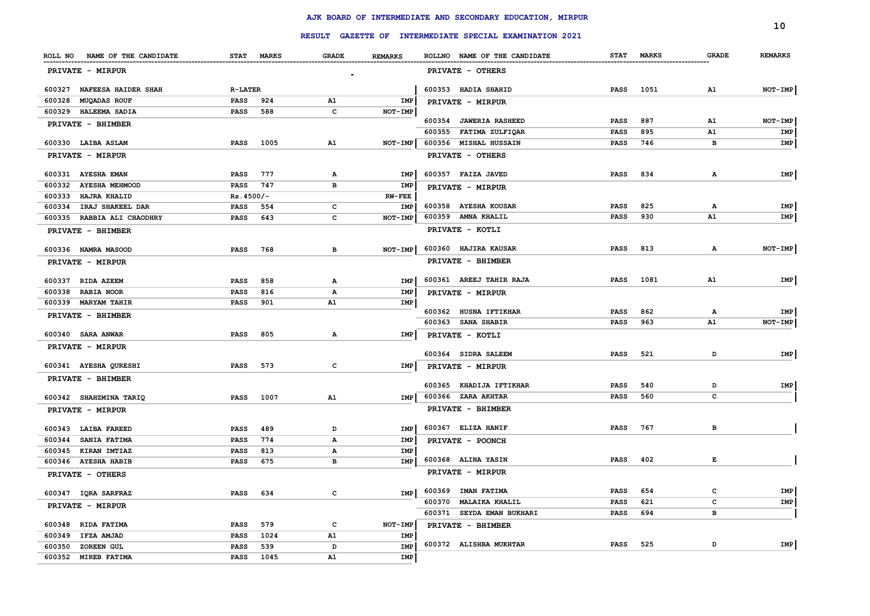|                                 |                |            |                |                |                                                         |             |            |              | 10             |
|---------------------------------|----------------|------------|----------------|----------------|---------------------------------------------------------|-------------|------------|--------------|----------------|
|                                 |                |            |                |                | RESULT GAZETTE OF INTERMEDIATE SPECIAL EXAMINATION 2021 |             |            |              |                |
| ROLL NO NAME OF THE CANDIDATE   |                | STAT MARKS | <b>GRADE</b>   | <b>REMARKS</b> | ROLLNO NAME OF THE CANDIDATE                            |             | STAT MARKS | <b>GRADE</b> | <b>REMARKS</b> |
| PRIVATE - MIRPUR                |                |            | $\blacksquare$ |                | PRIVATE - OTHERS                                        |             |            |              |                |
| 600327 NAFEESA HAIDER SHAH      | <b>R-LATER</b> |            |                |                | 600353 HADIA SHAHID                                     | <b>PASS</b> | 1051       | A1           | NOT-IMP        |
| 600328<br><b>MUQADAS ROUF</b>   | PASS           | 924        | A1             | IMP            | PRIVATE - MIRPUR                                        |             |            |              |                |
| 600329 HALEEMA SADIA            | PASS           | 588        | c              | NOT-IMP        |                                                         |             |            |              |                |
| PRIVATE - BHIMBER               |                |            |                |                | 600354 JAWERIA RASHEED                                  | <b>PASS</b> | 887        | A1           | NOT-IMP        |
|                                 |                |            |                |                | 600355 FATIMA ZULFIQAR                                  | <b>PASS</b> | 895        | A1           | IMP            |
| 600330 LAIBA ASLAM              | <b>PASS</b>    | 1005       | A1             | NOT-IMP        | 600356 MISHAL HUSSAIN                                   | <b>PASS</b> | 746        | в            | IMP            |
| PRIVATE - MIRPUR                |                |            |                |                | PRIVATE - OTHERS                                        |             |            |              |                |
| 600331 AYESHA EMAN              | PASS           | 777        | A              | IMP            | 600357 FAIZA JAVED                                      | <b>PASS</b> | 834        | Α            | IMP            |
| 600332<br><b>AYESHA MEHMOOD</b> | PASS           | 747        | в              | IMP            | PRIVATE - MIRPUR                                        |             |            |              |                |
| 600333<br><b>HAJRA KHALID</b>   | $Rs.4500/-$    |            |                | $RW-FEE$       |                                                         |             |            |              |                |
| 600334<br>IRAJ SHAKEEL DAR      | <b>PASS</b>    | 554        | c              | IMP            | 600358 AYESHA KOUSAR                                    | <b>PASS</b> | 825        | А            | IMP            |
| 600335 RABBIA ALI CHAODHRY      | <b>PASS</b>    | 643        | $\mathbf c$    | NOT-IMP        | 600359 AMNA KHALIL                                      | <b>PASS</b> | 930        | A1           | IMP            |
| PRIVATE - BHIMBER               |                |            |                |                | PRIVATE - KOTLI                                         |             |            |              |                |
| 600336 NAMRA MASOOD             | <b>PASS</b>    | 768        | в              | NOT-IMP        | 600360 HAJIRA KAUSAR                                    | <b>PASS</b> | 813        | $\mathbf{A}$ | NOT-IMP        |
| PRIVATE - MIRPUR                |                |            |                |                | PRIVATE - BHIMBER                                       |             |            |              |                |
| 600337 RIDA AZEEM               | <b>PASS</b>    | 858        | $\mathbf{A}$   | IMP            | 600361 AREEJ TAHIR RAJA                                 | PASS        | 1081       | A1           | IMP            |
| 600338<br><b>RABIA NOOR</b>     | PASS           | 816        | $\mathbf{A}$   | IMP            | PRIVATE - MIRPUR                                        |             |            |              |                |
| 600339 MARYAM TAHIR             | PASS           | 901        | A1             | IMP            |                                                         |             |            |              |                |
| PRIVATE - BHIMBER               |                |            |                |                | 600362 HUSNA IFTIKHAR                                   | <b>PASS</b> | 862        | А            | IMP            |
|                                 |                |            |                |                | 600363 SANA SHABIR                                      | <b>PASS</b> | 963        | ${\tt A1}$   | NOT-IMP        |
| 600340 SARA ANWAR               | <b>PASS</b>    | 805        | $\mathbf{A}$   | IMP            | PRIVATE - KOTLI                                         |             |            |              |                |
| PRIVATE - MIRPUR                |                |            |                |                | 600364 SIDRA SALEEM                                     | <b>PASS</b> | 521        | D            | IMP            |
| 600341 AYESHA QURESHI           | PASS           | 573        | c              | IMP            | PRIVATE - MIRPUR                                        |             |            |              |                |
| PRIVATE - BHIMBER               |                |            |                |                |                                                         |             |            |              |                |
|                                 |                |            |                |                | 600365 KHADIJA IFTIKHAR                                 | <b>PASS</b> | 540        | D            | IMP            |
| 600342 SHAHZMINA TARIQ          | <b>PASS</b>    | 1007       | A1             | IMP            | 600366 ZARA AKHTAR                                      | <b>PASS</b> | 560        | c            |                |
| PRIVATE - MIRPUR                |                |            |                |                | PRIVATE - BHIMBER                                       |             |            |              |                |
| 600343 LAIBA FAREED             | <b>PASS</b>    | 489        | D              | IMP            | 600367 ELIZA HANIF                                      | <b>PASS</b> | 767        | в            |                |
| 600344<br><b>SANIA FATIMA</b>   | <b>PASS</b>    | 774        | $\mathbf{A}$   | IMP            | PRIVATE - POONCH                                        |             |            |              |                |
| 600345<br>KIRAN IMTIAZ          | <b>PASS</b>    | 813        | $\mathbf{A}$   | IMP            |                                                         |             |            |              |                |
| 600346 AYESHA HABIB             | <b>PASS</b>    | 675        | в              | IMP            | 600368 ALINA YASIN                                      | <b>PASS</b> | 402        | $\mathbf{E}$ |                |
| PRIVATE - OTHERS                |                |            |                |                | PRIVATE - MIRPUR                                        |             |            |              |                |
| 600347 IQRA SARFRAZ             | <b>PASS</b>    | 634        | c              | IMP            | 600369 IMAN FATIMA                                      | <b>PASS</b> | 654        | $\mathbf{C}$ | IMP            |
| PRIVATE - MIRPUR                |                |            |                |                | 600370 MALAIKA KHALIL                                   | <b>PASS</b> | 621        | c            | IMP            |
|                                 |                |            |                |                | 600371 SEYDA EMAN BUKHARI                               | <b>PASS</b> | 694        | $\mathbf{B}$ |                |
| 600348<br><b>RIDA FATIMA</b>    | PASS           | 579        | c              | NOT-IMP        | PRIVATE - BHIMBER                                       |             |            |              |                |
| 600349<br>IFZA AMJAD            | <b>PASS</b>    | 1024       | A1             | IMP            | 600372 ALISHBA MUKHTAR                                  | PASS        | 525        | D            | IMP            |
| 600350<br>ZOREEN GUL            | <b>PASS</b>    | 539        | D              | IMP            |                                                         |             |            |              |                |
| 600352 MIREB FATIMA             | PASS           | 1045       | A1             | IMP            |                                                         |             |            |              |                |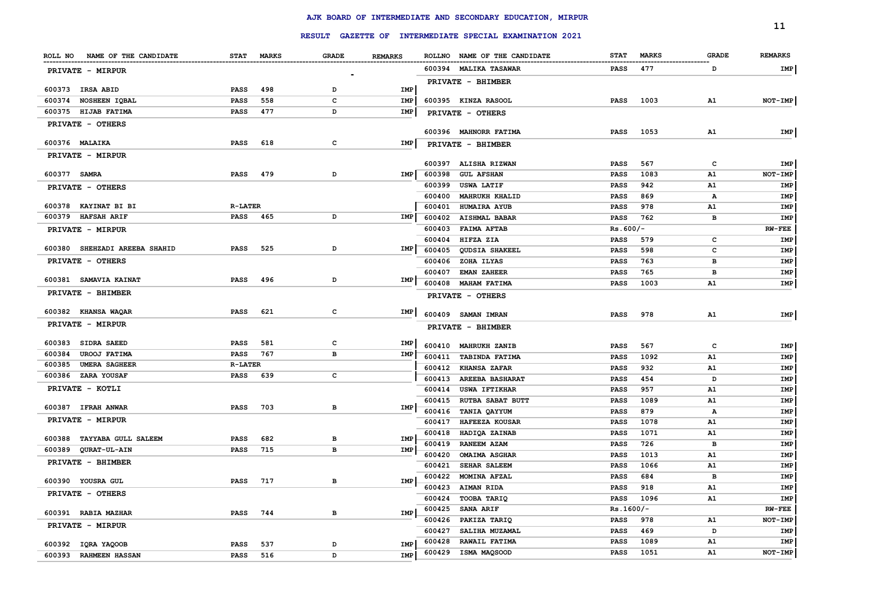|                                      |                |            |              |                |        | RESULT GAZETTE OF INTERMEDIATE SPECIAL EXAMINATION 2021 |             |              |              | 11             |
|--------------------------------------|----------------|------------|--------------|----------------|--------|---------------------------------------------------------|-------------|--------------|--------------|----------------|
|                                      |                |            | <b>GRADE</b> | <b>REMARKS</b> |        | ROLLNO NAME OF THE CANDIDATE                            | <b>STAT</b> | <b>MARKS</b> | <b>GRADE</b> | <b>REMARKS</b> |
| ROLL NO NAME OF THE CANDIDATE        |                | STAT MARKS |              |                |        |                                                         |             |              |              |                |
| PRIVATE - MIRPUR                     |                |            |              |                |        | 600394 MALIKA TASAWAR                                   | PASS        | 477          | D            | IMP            |
| 600373 IRSA ABID                     | <b>PASS</b>    | 498        | D            | IMP            |        | PRIVATE - BHIMBER                                       |             |              |              |                |
| 600374 NOSHEEN IQBAL                 | <b>PASS</b>    | 558        | c            | IMP            |        | 600395 KINZA RASOOL                                     | <b>PASS</b> | 1003         | A1           | NOT-IMP        |
| 600375 HIJAB FATIMA                  | PASS           | 477        | D            | <b>IMP</b>     |        | PRIVATE - OTHERS                                        |             |              |              |                |
| PRIVATE - OTHERS                     |                |            |              |                |        |                                                         |             |              |              |                |
| 600376 MALAIKA                       | <b>PASS</b>    | 618        | c            | IMP            |        | 600396 MAHNORR FATIMA<br>PRIVATE - BHIMBER              | PASS        | 1053         | A1           | IMP            |
| <b>PRIVATE - MIRPUR</b>              |                |            |              |                |        |                                                         |             |              |              |                |
|                                      |                |            |              |                | 600397 | <b>ALISHA RIZWAN</b>                                    | <b>PASS</b> | 567          | $\mathbf{C}$ | IMP            |
| 600377 SAMRA                         | <b>PASS</b>    | 479        | D            | IMP            | 600398 | <b>GUL AFSHAN</b>                                       | <b>PASS</b> | 1083         | <b>A1</b>    | NOT-IMP        |
| PRIVATE - OTHERS                     |                |            |              |                | 600399 | <b>USWA LATIF</b>                                       | <b>PASS</b> | 942          | A1           | IMP            |
|                                      |                |            |              |                | 600400 | MAHRUKH KHALID                                          | PASS        | 869          | А            | IMP            |
| 600378 KAYINAT BI BI                 | <b>R-LATER</b> |            |              |                | 600401 | <b>HUMAIRA AYUB</b>                                     | <b>PASS</b> | 978          | A1           | IMP            |
| 600379<br><b>HAFSAH ARIF</b>         | PASS           | 465        | D            | IMP            | 600402 | <b>AISHMAL BABAR</b>                                    | <b>PASS</b> | 762          | в            | IMP            |
| PRIVATE - MIRPUR                     |                |            |              |                | 600403 | <b>FAIMA AFTAB</b>                                      | $Rs.600/-$  |              |              | <b>RW-FEE</b>  |
|                                      |                |            |              |                | 600404 | HIFZA ZIA                                               | PASS        | 579          | c            | IMP            |
| 600380 SHEHZADI AREEBA SHAHID        | <b>PASS</b>    | 525        | D            | IMP            | 600405 | <b>QUDSIA SHAKEEL</b>                                   | PASS        | 598          | c            | IMP            |
| PRIVATE - OTHERS                     |                |            |              |                | 600406 | ZOHA ILYAS                                              | <b>PASS</b> | 763          | в            | IMP            |
| 600381 SAMAVIA KAINAT                | PASS           | 496        | D            | IMP            | 600407 | <b>EMAN ZAHEER</b>                                      | <b>PASS</b> | 765          | в            | IMP            |
| PRIVATE - BHIMBER                    |                |            |              |                | 600408 | <b>MAHAM FATIMA</b>                                     | <b>PASS</b> | 1003         | ${\tt A1}$   | IMP            |
|                                      |                |            |              |                |        | PRIVATE - OTHERS                                        |             |              |              |                |
| 600382 KHANSA WAQAR                  | PASS           | 621        | c            | IMP            |        | 600409 SAMAN IMRAN                                      | <b>PASS</b> | 978          | A1           | IMP            |
| PRIVATE - MIRPUR                     |                |            |              |                |        | PRIVATE - BHIMBER                                       |             |              |              |                |
| 600383<br><b>SIDRA SAEED</b>         | <b>PASS</b>    | 581        | c            | IMP            | 600410 | <b>MAHRUKH ZANIB</b>                                    | <b>PASS</b> | 567          | c            | IMP            |
| 600384<br><b>UROOJ FATIMA</b>        | PASS           | 767        | в            | IMP            | 600411 | <b>TABINDA FATIMA</b>                                   | <b>PASS</b> | 1092         | A1           | IMP            |
| <b>UMERA SAGHEER</b><br>600385       | <b>R-LATER</b> |            |              |                | 600412 | <b>KHANSA ZAFAR</b>                                     | <b>PASS</b> | 932          | A1           | IMP            |
| 600386<br><b>ZARA YOUSAF</b>         | <b>PASS</b>    | 639        | c            |                | 600413 | <b>AREEBA BASHARAT</b>                                  | <b>PASS</b> | 454          | D            | IMP            |
| PRIVATE - KOTLI                      |                |            |              |                | 600414 | <b>USWA IFTIKHAR</b>                                    | <b>PASS</b> | 957          | A1           | IMP            |
|                                      |                |            |              |                | 600415 | <b>RUTBA SABAT BUTT</b>                                 | <b>PASS</b> | 1089         | A1           | IMP            |
| 600387 IFRAH ANWAR                   | <b>PASS</b>    | 703        | в            | IMP            | 600416 | TANIA QAYYUM                                            | <b>PASS</b> | 879          | Α            | IMP            |
| PRIVATE - MIRPUR                     |                |            |              |                | 600417 | HAFEEZA KOUSAR                                          | <b>PASS</b> | 1078         | A1           | IMP            |
|                                      |                |            |              |                | 600418 | HADIQA ZAINAB                                           | PASS        | 1071         | ${\tt A1}$   | IMP            |
| 600388<br><b>TAYYABA GULL SALEEM</b> | <b>PASS</b>    | 682        | в            | IMP            | 600419 | <b>RANEEM AZAM</b>                                      | <b>PASS</b> | 726          | в            | IMP            |
| 600389<br><b>QURAT-UL-AIN</b>        | <b>PASS</b>    | 715        | в            | IMP            | 600420 | <b>OMAIMA ASGHAR</b>                                    | <b>PASS</b> | 1013         | A1           | IMP            |
| PRIVATE - BHIMBER                    |                |            |              |                | 600421 | <b>SEHAR SALEEM</b>                                     | PASS        | 1066         | A1           | IMP            |
|                                      |                |            |              |                | 600422 | MOMINA AFZAL                                            | <b>PASS</b> | 684          | в            | IMP            |
| 600390 YOUSRA GUL                    | <b>PASS</b>    | 717        | в            | IMP            | 600423 | AIMAN RIDA                                              | <b>PASS</b> | 918          | A1           | IMP            |
| PRIVATE - OTHERS                     |                |            |              |                | 600424 | TOOBA TARIQ                                             | <b>PASS</b> | 1096         | ${\tt A1}$   | IMP            |
| 600391 RABIA MAZHAR                  | <b>PASS</b>    | 744        | в            | <b>IMP</b>     | 600425 | SANA ARIF                                               | $Rs.1600/-$ |              |              | <b>RW-FEE</b>  |
| PRIVATE - MIRPUR                     |                |            |              |                | 600426 | PAKIZA TARIQ                                            | <b>PASS</b> | 978          | A1           | NOT-IMP        |
|                                      |                |            |              |                | 600427 | SALIHA MUZAMAL                                          | <b>PASS</b> | 469          | D            | IMP            |
| 600392 IQRA YAQOOB                   | <b>PASS</b>    | 537        | D            | <b>IMP</b>     | 600428 | RAWAIL FATIMA                                           | <b>PASS</b> | 1089         | A1           | IMP            |
| 600393 RAHMEEN HASSAN                | <b>PASS</b>    | 516        | D            | <b>IMP</b>     | 600429 | ISMA MAQSOOD                                            | <b>PASS</b> | 1051         | A1           | NOT-IMP        |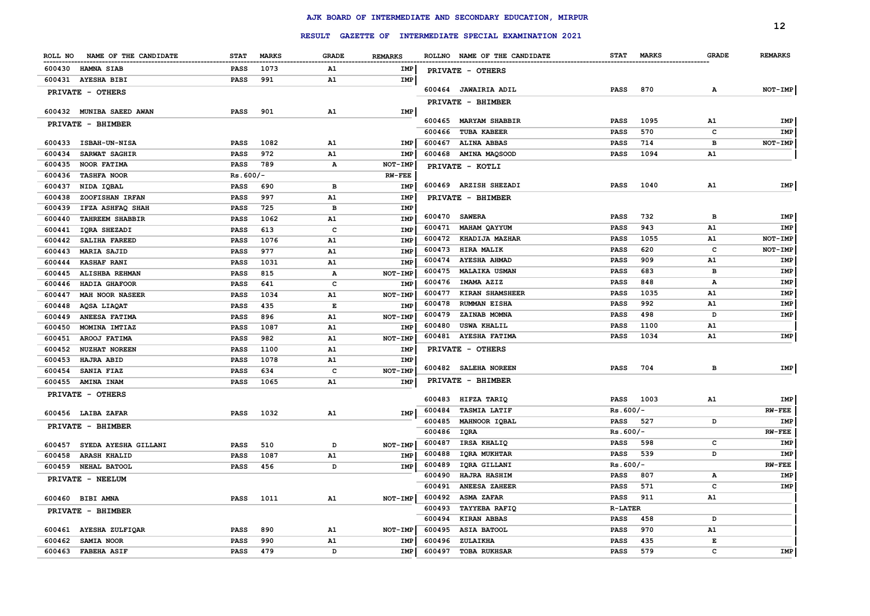|                                  |             |              |              |                |                  |                                                         |                            |              |              | 12             |
|----------------------------------|-------------|--------------|--------------|----------------|------------------|---------------------------------------------------------|----------------------------|--------------|--------------|----------------|
|                                  |             |              |              |                |                  | RESULT GAZETTE OF INTERMEDIATE SPECIAL EXAMINATION 2021 |                            |              |              |                |
| NAME OF THE CANDIDATE<br>ROLL NO | <b>STAT</b> | <b>MARKS</b> | <b>GRADE</b> | <b>REMARKS</b> |                  | ROLLNO NAME OF THE CANDIDATE                            | <b>STAT</b>                | <b>MARKS</b> | <b>GRADE</b> | <b>REMARKS</b> |
| 600430<br><b>HAMNA SIAB</b>      | <b>PASS</b> | 1073         | A1           | IMP            |                  | PRIVATE - OTHERS                                        |                            |              |              |                |
| 600431 AYESHA BIBI               | <b>PASS</b> | 991          | A1           | IMP            |                  |                                                         |                            |              |              |                |
| PRIVATE - OTHERS                 |             |              |              |                |                  | 600464 JAWAIRIA ADIL                                    | <b>PASS</b>                | 870          | А            | NOT-IMP        |
|                                  |             |              |              |                |                  | PRIVATE - BHIMBER                                       |                            |              |              |                |
| 600432 MUNIBA SAEED AWAN         | <b>PASS</b> | 901          | A1           | IMP            |                  |                                                         |                            |              |              |                |
| PRIVATE - BHIMBER                |             |              |              |                |                  | 600465 MARYAM SHABBIR                                   | <b>PASS</b>                | 1095         | A1           | IMP            |
| 600433<br><b>ISBAH-UN-NISA</b>   | <b>PASS</b> | 1082         | A1           | IMP            | 600466<br>600467 | <b>TUBA KABEER</b><br><b>ALINA ABBAS</b>                | <b>PASS</b><br><b>PASS</b> | 570<br>714   | c<br>в       | IMP<br>NOT-IMP |
| 600434<br>SARWAT SAGHIR          | PASS        | 972          | A1           | <b>IMP</b>     | 600468           | <b>AMINA MAQSOOD</b>                                    | PASS                       | 1094         | A1           |                |
| 600435<br><b>NOOR FATIMA</b>     | <b>PASS</b> | 789          | A            | NOT-IMP        |                  |                                                         |                            |              |              |                |
| 600436<br><b>TASHFA NOOR</b>     | $Rs.600/-$  |              |              | $RW-FEE$       |                  | PRIVATE - KOTLI                                         |                            |              |              |                |
| 600437<br>NIDA IQBAL             | PASS        | 690          | в            | IMP            |                  | 600469 ARZISH SHEZADI                                   | <b>PASS</b>                | 1040         | A1           | IMP            |
| 600438<br>ZOOFISHAN IRFAN        | PASS        | 997          | A1           | <b>IMP</b>     |                  | PRIVATE - BHIMBER                                       |                            |              |              |                |
| 600439<br>IFZA ASHFAQ SHAH       | PASS        | 725          | в            | IMP            |                  |                                                         |                            |              |              |                |
| 600440<br><b>TAHREEM SHABBIR</b> | <b>PASS</b> | 1062         | A1           | <b>IMP</b>     | 600470           | <b>SAWERA</b>                                           | PASS                       | 732          | в            | IMP            |
| 600441<br>IQRA SHEZADI           | <b>PASS</b> | 613          | $\mathbf c$  | <b>IMP</b>     | 600471           | <b>MAHAM QAYYUM</b>                                     | <b>PASS</b>                | 943          | A1           | IMP            |
| 600442<br>SALIHA FAREED          | <b>PASS</b> | 1076         | A1           | <b>IMP</b>     | 600472           | KHADIJA MAZHAR                                          | <b>PASS</b>                | 1055         | A1           | NOT-IMP        |
| 600443<br><b>MARIA SAJID</b>     | <b>PASS</b> | 977          | A1           | <b>IMP</b>     | 600473           | HIRA MALIK                                              | <b>PASS</b>                | 620          | c            | NOT-IMP        |
| 600444<br><b>KASHAF RANI</b>     | PASS        | 1031         | A1           | <b>IMP</b>     | 600474           | <b>AYESHA AHMAD</b>                                     | PASS                       | 909          | ${\tt A1}$   | IMP            |
| 600445<br>ALISHBA REHMAN         | PASS        | 815          | $\mathbf{A}$ | NOT-IMP        | 600475           | <b>MALAIKA USMAN</b>                                    | <b>PASS</b>                | 683          | в            | IMP            |
| HADIA GHAFOOR<br>600446          | PASS        | 641          | c            | <b>IMP</b>     | 600476           | IMAMA AZIZ                                              | <b>PASS</b>                | 848          | А            | IMP            |
| 600447<br><b>MAH NOOR NASEER</b> | <b>PASS</b> | 1034         | A1           | NOT-IMP        | 600477           | KIRAN SHAMSHEER                                         | <b>PASS</b>                | 1035         | A1           | IMP            |
| 600448<br>AQSA LIAQAT            | PASS        | 435          | $\mathbf E$  | <b>IMP</b>     | 600478           | <b>RUMMAN EISHA</b>                                     | <b>PASS</b>                | 992          | A1           | IMP            |
| ANEESA FATIMA<br>600449          | PASS        | 896          | A1           | NOT-IMP        | 600479           | ZAINAB MOMNA                                            | <b>PASS</b>                | 498          | D            | IMP            |
| MOMINA IMTIAZ<br>600450          | PASS        | 1087         | A1           | <b>IMP</b>     | 600480           | <b>USWA KHALIL</b>                                      | <b>PASS</b>                | 1100         | A1           |                |
| AROOJ FATIMA<br>600451           | PASS        | 982          | A1           | NOT-IMP        |                  | 600481 AYESHA FATIMA                                    | <b>PASS</b>                | 1034         | A1           | IMP            |
| <b>NUZHAT NOREEN</b><br>600452   | PASS        | 1100         | A1           | IMP            |                  | PRIVATE - OTHERS                                        |                            |              |              |                |
| 600453<br><b>HAJRA ABID</b>      | <b>PASS</b> | 1078         | A1           | IMP            |                  | 600482 SALEHA NOREEN                                    | <b>PASS</b>                | 704          | в            | IMP            |
| 600454<br><b>SANIA FIAZ</b>      | PASS        | 634          | $\mathbf c$  | NOT-IMP        |                  |                                                         |                            |              |              |                |
| 600455<br><b>AMINA INAM</b>      | <b>PASS</b> | 1065         | A1           | <b>IMP</b>     |                  | PRIVATE - BHIMBER                                       |                            |              |              |                |
| PRIVATE - OTHERS                 |             |              |              |                | 600483           | HIFZA TARIQ                                             | <b>PASS</b>                | 1003         | A1           | IMP            |
| 600456 LAIBA ZAFAR               | <b>PASS</b> | 1032         | A1           | <b>IMP</b>     | 600484           | <b>TASMIA LATIF</b>                                     | $Rs.600/-$                 |              |              | $RW-FEE$       |
| PRIVATE - BHIMBER                |             |              |              |                | 600485           | MAHNOOR IQBAL                                           | <b>PASS</b>                | 527          | D            | IMP            |
|                                  |             |              |              |                | 600486           | IQRA                                                    | $Rs.600/-$                 |              |              | $RW-FEE$       |
| 600457<br>SYEDA AYESHA GILLANI   | PASS        | 510          | D            | NOT-IMP        | 600487           | IRSA KHALIQ                                             | <b>PASS</b>                | 598          | c            | IMP            |
| 600458<br><b>ARASH KHALID</b>    | <b>PASS</b> | 1087         | A1           | <b>IMP</b>     | 600488           | <b>IORA MUKHTAR</b>                                     | <b>PASS</b>                | 539          | D            | IMP            |
| 600459<br>NEHAL BATOOL           | PASS        | 456          | D            | <b>IMP</b>     | 600489           | IQRA GILLANI                                            | $Rs.600/-$                 |              |              | $RW-FEE$       |
| PRIVATE - NEELUM                 |             |              |              |                | 600490           | <b>HAJRA HASHIM</b>                                     | <b>PASS</b>                | 807          | А            | IMP            |
|                                  |             |              |              |                | 600491           | <b>ANEESA ZAHEER</b>                                    | <b>PASS</b>                | 571          | c            | <b>IMP</b>     |
| 600460<br><b>BIBI AMNA</b>       | PASS        | 1011         | A1           | NOT-IMP        | 600492           | <b>ASMA ZAFAR</b>                                       | <b>PASS</b>                | 911          | A1           |                |
| PRIVATE - BHIMBER                |             |              |              |                | 600493           | <b>TAYYEBA RAFIQ</b>                                    | <b>R-LATER</b>             |              |              |                |
|                                  |             |              |              |                | 600494           | <b>KIRAN ABBAS</b>                                      | <b>PASS</b>                | 458          | D            |                |
| 600461 AYESHA ZULFIQAR           | <b>PASS</b> | 890          | A1           | NOT-IMP        | 600495           | ASIA BATOOL                                             | <b>PASS</b>                | 970          | ${\tt A1}$   |                |
| 600462<br><b>SAMIA NOOR</b>      | <b>PASS</b> | 990          | A1           | IMP            | 600496           | ZULAIKHA                                                | PASS                       | 435          | E            |                |
| 600463 FABEHA ASIF               | PASS        | 479          | D            | <b>IMP</b>     | 600497           | <b>TOBA RUKHSAR</b>                                     | <b>PASS</b>                | 579          | $\mathbf c$  | <b>IMP</b>     |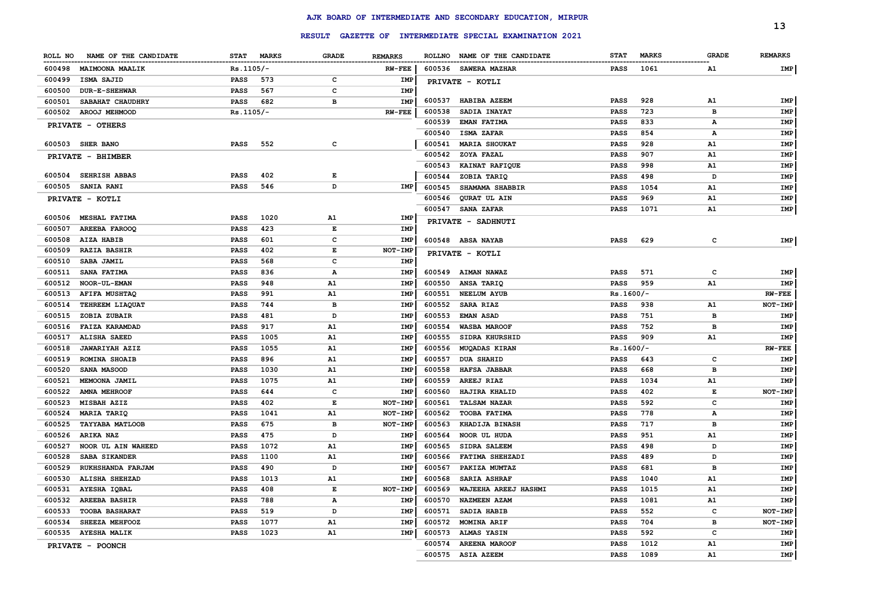|         |                        |             |              |                    |                   |        |                                       |             |                                 |              | 13             |
|---------|------------------------|-------------|--------------|--------------------|-------------------|--------|---------------------------------------|-------------|---------------------------------|--------------|----------------|
|         |                        |             |              | <b>RESULT</b>      | <b>GAZETTE OF</b> |        | INTERMEDIATE SPECIAL EXAMINATION 2021 |             |                                 |              |                |
| ROLL NO | NAME OF THE CANDIDATE  | <b>STAT</b> | <b>MARKS</b> | <b>GRADE</b>       | <b>REMARKS</b>    |        | ROLLNO NAME OF THE CANDIDATE          | <b>STAT</b> | <b>MARKS</b>                    | <b>GRADE</b> | <b>REMARKS</b> |
| 600498  | <b>MAIMOONA MAALIK</b> | $Rs.1105/-$ |              |                    | $RW-FEE$          |        | 600536 SAWERA MAZHAR                  | <b>PASS</b> | -----------------------<br>1061 | A1           | IMP            |
| 600499  | ISMA SAJID             | PASS        | 573          | $\mathbf{C}$       | IMP               |        | PRIVATE - KOTLI                       |             |                                 |              |                |
| 600500  | <b>DUR-E-SHEHWAR</b>   | PASS        | 567          | $\mathbf c$        | IMP               |        |                                       |             |                                 |              |                |
| 600501  | SABAHAT CHAUDHRY       | PASS        | 682          | в                  | IMP               | 600537 | <b>HABIBA AZEEM</b>                   | <b>PASS</b> | 928                             | A1           | IMP            |
| 600502  | AROOJ MEHMOOD          | $Rs.1105/-$ |              |                    | $RW-FEE$          | 600538 | SADIA INAYAT                          | <b>PASS</b> | 723                             | в            | IMP            |
|         | PRIVATE - OTHERS       |             |              |                    |                   | 600539 | <b>EMAN FATIMA</b>                    | <b>PASS</b> | 833                             | А            | IMP            |
|         |                        |             |              |                    |                   | 600540 | ISMA ZAFAR                            | <b>PASS</b> | 854                             | А            | IMP            |
|         | 600503 SHER BANO       | PASS        | 552          | c                  |                   | 600541 | <b>MARIA SHOUKAT</b>                  | <b>PASS</b> | 928                             | A1           | IMP            |
|         | PRIVATE - BHIMBER      |             |              |                    |                   | 600542 | ZOYA FAZAL                            | <b>PASS</b> | 907                             | A1           | <b>IMP</b>     |
|         |                        |             |              |                    |                   | 600543 | KAINAT RAFIQUE                        | <b>PASS</b> | 998                             | A1           | IMP            |
| 600504  | <b>SEHRISH ABBAS</b>   | PASS        | 402          | Е                  |                   | 600544 | ZOBIA TARIQ                           | <b>PASS</b> | 498                             | D            | IMP            |
| 600505  | <b>SANIA RANI</b>      | <b>PASS</b> | 546          | D                  | IMP               | 600545 | SHAMAMA SHABBIR                       | <b>PASS</b> | 1054                            | A1           | IMP            |
|         | PRIVATE - KOTLI        |             |              |                    |                   | 600546 | QURAT UL AIN                          | <b>PASS</b> | 969                             | ${\tt A1}$   | IMP            |
|         |                        |             |              |                    |                   | 600547 | <b>SANA ZAFAR</b>                     | <b>PASS</b> | 1071                            | ${\tt A1}$   | IMP            |
|         | 600506 MESHAL FATIMA   | <b>PASS</b> | 1020         | A1                 | IMP               |        | PRIVATE - SADHNUTI                    |             |                                 |              |                |
| 600507  | <b>AREEBA FAROOQ</b>   | <b>PASS</b> | 423          | E                  | IMP               |        |                                       |             |                                 |              |                |
| 600508  | <b>AIZA HABIB</b>      | PASS        | 601          | $\mathbf c$        | IMP               |        | 600548 ABSA NAYAB                     | <b>PASS</b> | 629                             | c            | IMP            |
| 600509  | <b>RAZIA BASHIR</b>    | PASS        | 402          | $\mathbf{E}% _{0}$ | NOT-IMP           |        | PRIVATE - KOTLI                       |             |                                 |              |                |
| 600510  | <b>SABA JAMIL</b>      | PASS        | 568          | $\mathbf c$        | IMP               |        |                                       |             |                                 |              |                |
| 600511  | <b>SANA FATIMA</b>     | <b>PASS</b> | 836          | Α                  | IMP               | 600549 | <b>AIMAN NAWAZ</b>                    | <b>PASS</b> | 571                             | c            | IMP            |
| 600512  | <b>NOOR-UL-EMAN</b>    | <b>PASS</b> | 948          | A1                 | IMP               | 600550 | ANSA TARIQ                            | PASS        | 959                             | ${\tt A1}$   | IMP            |
| 600513  | <b>AFIFA MUSHTAQ</b>   | PASS        | 991          | A1                 | IMP               | 600551 | <b>NEELUM AYUB</b>                    | $Rs.1600/-$ |                                 |              | <b>RW-FEE</b>  |
| 600514  | TEHREEM LIAQUAT        | PASS        | 744          | в                  | IMP               | 600552 | <b>SARA RIAZ</b>                      | <b>PASS</b> | 938                             | A1           | <b>NOT-IMP</b> |
| 600515  | ZOBIA ZUBAIR           | <b>PASS</b> | 481          | D                  | IMP               | 600553 | <b>EMAN ASAD</b>                      | <b>PASS</b> | 751                             | в            | <b>IMP</b>     |
| 600516  | <b>FAIZA KARAMDAD</b>  | PASS        | 917          | A1                 | IMP               | 600554 | <b>WASBA MAROOF</b>                   | <b>PASS</b> | 752                             | в            | IMP            |
| 600517  | <b>ALISHA SAEED</b>    | <b>PASS</b> | 1005         | A1                 | IMP               | 600555 | SIDRA KHURSHID                        | <b>PASS</b> | 909                             | ${\tt A1}$   | <b>IMP</b>     |
| 600518  | <b>JAWARIYAH AZIZ</b>  | PASS        | 1055         | A1                 | IMP               | 600556 | <b>MUQADAS KIRAN</b>                  | $Rs.1600/-$ |                                 |              | $RW-FEE$       |
| 600519  | <b>ROMINA SHOAIB</b>   | PASS        | 896          | A1                 | IMP               | 600557 | <b>DUA SHAHID</b>                     | <b>PASS</b> | 643                             | c            | <b>IMP</b>     |
| 600520  | SANA MASOOD            | <b>PASS</b> | 1030         | A1                 | <b>IMP</b>        | 600558 | HAFSA JABBAR                          | <b>PASS</b> | 668                             | в            | IMP            |
| 600521  | MEMOONA JAMIL          | <b>PASS</b> | 1075         | A1                 | IMP               | 600559 | AREEJ RIAZ                            | <b>PASS</b> | 1034                            | A1           | IMP            |
| 600522  | <b>AMNA MEHROOF</b>    | PASS        | 644          | C                  | IMP               | 600560 | HAJIRA KHALID                         | <b>PASS</b> | 402                             | E            | NOT-IMP        |
| 600523  | MISBAH AZIZ            | PASS        | 402          | $\mathbf E$        | NOT-IMP           | 600561 | <b>TALSAM NAZAR</b>                   | <b>PASS</b> | 592                             | c            | IMP            |
| 600524  | MARIA TARIQ            | <b>PASS</b> | 1041         | A1                 | <b>NOT-IMP</b>    | 600562 | TOOBA FATIMA                          | <b>PASS</b> | 778                             | А            | IMP            |
| 600525  | <b>TAYYABA MATLOOB</b> | <b>PASS</b> | 675          | в                  | NOT-IMP           | 600563 | KHADIJA BINASH                        | <b>PASS</b> | 717                             | в            | <b>IMP</b>     |
| 600526  | ARIKA NAZ              | <b>PASS</b> | 475          | D                  | <b>IMP</b>        | 600564 | NOOR UL HUDA                          | <b>PASS</b> | 951                             | A1           | <b>IMP</b>     |
| 600527  | NOOR UL AIN WAHEED     | <b>PASS</b> | 1072         | A1                 | <b>IMP</b>        | 600565 | <b>SIDRA SALEEM</b>                   | <b>PASS</b> | 498                             | D            | <b>IMP</b>     |
| 600528  | <b>SABA SIKANDER</b>   | <b>PASS</b> | 1100         | A1                 | <b>IMP</b>        | 600566 | FATIMA SHEHZADI                       | <b>PASS</b> | 489                             | D            | IMP            |
| 600529  | RUKHSHANDA FARJAM      | PASS        | 490          | D                  | IMP               | 600567 | PAKIZA MUMTAZ                         | <b>PASS</b> | 681                             | в            | IMP            |
| 600530  | ALISHA SHEHZAD         | <b>PASS</b> | 1013         | A1                 | IMP               | 600568 | <b>SARIA ASHRAF</b>                   | <b>PASS</b> | 1040                            | A1           | <b>IMP</b>     |
| 600531  | AYESHA IQBAL           | <b>PASS</b> | 408          | $\mathbf E$        | NOT-IMP           | 600569 | WAJEEHA AREEJ HASHMI                  | <b>PASS</b> | 1015                            | A1           | <b>IMP</b>     |
| 600532  | <b>AREEBA BASHIR</b>   | <b>PASS</b> | 788          | Α                  | IMP               | 600570 | NAZMEEN AZAM                          | <b>PASS</b> | 1081                            | ${\tt A1}$   | IMP            |
| 600533  | <b>TOOBA BASHARAT</b>  | <b>PASS</b> | 519          | D                  | IMP               | 600571 | SADIA HABIB                           | <b>PASS</b> | 552                             | c            | NOT-IMP        |
| 600534  | SHEEZA MEHFOOZ         | PASS        | 1077         | A1                 | IMP               | 600572 | MOMINA ARIF                           | PASS        | 704                             | в            | NOT-IMP        |
| 600535  | <b>AYESHA MALIK</b>    | PASS        | 1023         | A1                 | IMP               | 600573 | <b>ALMAS YASIN</b>                    | PASS        | 592                             | c            | IMP            |
|         | PRIVATE - POONCH       |             |              |                    |                   | 600574 | <b>AREENA MAROOF</b>                  | PASS        | 1012                            | A1           | IMP            |
|         |                        |             |              |                    |                   | 600575 | <b>ASIA AZEEM</b>                     | <b>PASS</b> | 1089                            | A1           | IMP            |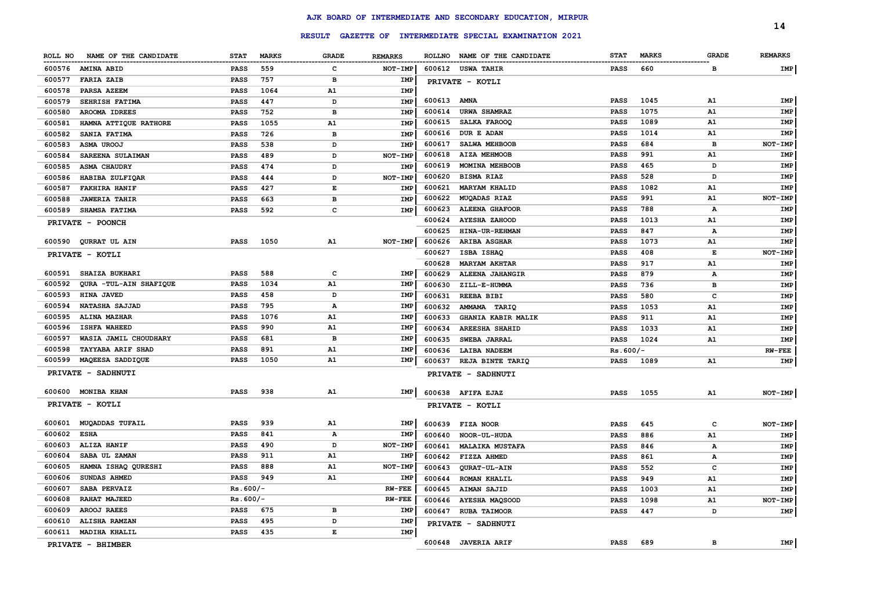|         |                          |             |              |              |                |             |                                                         |             |              |              | 14             |
|---------|--------------------------|-------------|--------------|--------------|----------------|-------------|---------------------------------------------------------|-------------|--------------|--------------|----------------|
|         |                          |             |              |              |                |             | RESULT GAZETTE OF INTERMEDIATE SPECIAL EXAMINATION 2021 |             |              |              |                |
| ROLL NO | NAME OF THE CANDIDATE    | <b>STAT</b> | <b>MARKS</b> | <b>GRADE</b> | <b>REMARKS</b> |             | ROLLNO NAME OF THE CANDIDATE                            | <b>STAT</b> | <b>MARKS</b> | <b>GRADE</b> | <b>REMARKS</b> |
|         | 600576 AMINA ABID        | <b>PASS</b> | 559          | c            | NOT-IMP        |             | 600612 USWA TAHIR                                       | <b>PASS</b> | 660          | в            | IMP            |
| 600577  | <b>FARIA ZAIB</b>        | <b>PASS</b> | 757          | в            | IMP            |             | PRIVATE - KOTLI                                         |             |              |              |                |
| 600578  | PARSA AZEEM              | <b>PASS</b> | 1064         | A1           | <b>IMP</b>     |             |                                                         |             |              |              |                |
| 600579  | SEHRISH FATIMA           | <b>PASS</b> | 447          | D            | IMP            | 600613 AMNA |                                                         | <b>PASS</b> | 1045         | A1           | <b>IMP</b>     |
| 600580  | AROOMA IDREES            | <b>PASS</b> | 752          | в            | IMP            | 600614      | <b>URWA SHAMRAZ</b>                                     | <b>PASS</b> | 1075         | A1           | IMP            |
| 600581  | HAMNA ATTIQUE RATHORE    | <b>PASS</b> | 1055         | A1           | IMP            | 600615      | SALKA FAROOQ                                            | <b>PASS</b> | 1089         | A1           | IMP            |
| 600582  | SANIA FATIMA             | <b>PASS</b> | 726          | в            | <b>IMP</b>     | 600616      | DUR E ADAN                                              | <b>PASS</b> | 1014         | A1           | IMP            |
| 600583  | ASMA UROOJ               | <b>PASS</b> | 538          | D            | IMP            | 600617      | SALWA MEHBOOB                                           | <b>PASS</b> | 684          | в            | NOT-IMP        |
| 600584  | SAREENA SULAIMAN         | <b>PASS</b> | 489          | D            | NOT-IMP        | 600618      | <b>AIZA MEHMOOB</b>                                     | <b>PASS</b> | 991          | A1           | IMP            |
| 600585  | <b>ASMA CHAUDRY</b>      | <b>PASS</b> | 474          | D            | IMP            | 600619      | MOMINA MEHBOOB                                          | <b>PASS</b> | 465          | D            | IMP            |
| 600586  | HABIBA ZULFIQAR          | <b>PASS</b> | 444          | D            | NOT-IMP        | 600620      | <b>BISMA RIAZ</b>                                       | <b>PASS</b> | 528          | D            | IMP            |
| 600587  | <b>FAKHIRA HANIF</b>     | <b>PASS</b> | 427          | E            | IMP            | 600621      | <b>MARYAM KHALID</b>                                    | <b>PASS</b> | 1082         | A1           | <b>IMP</b>     |
| 600588  | <b>JAWERIA TAHIR</b>     | <b>PASS</b> | 663          | в            | IMP            | 600622      | <b>MUQADAS RIAZ</b>                                     | <b>PASS</b> | 991          | A1           | NOT-IMP        |
| 600589  | SHAMSA FATIMA            | <b>PASS</b> | 592          | c            | IMP            | 600623      | <b>ALEENA GHAFOOR</b>                                   | <b>PASS</b> | 788          | А            | IMP            |
|         | PRIVATE - POONCH         |             |              |              |                | 600624      | <b>AYESHA ZAHOOD</b>                                    | <b>PASS</b> | 1013         | A1           | IMP            |
|         |                          |             |              |              |                | 600625      | HINA-UR-REHMAN                                          | <b>PASS</b> | 847          | А            | IMP            |
|         | 600590 QURRAT UL AIN     | <b>PASS</b> | 1050         | A1           | NOT-IMP        | 600626      | <b>ARIBA ASGHAR</b>                                     | <b>PASS</b> | 1073         | Α1           | IMP            |
|         | PRIVATE - KOTLI          |             |              |              |                | 600627      | ISBA ISHAQ                                              | <b>PASS</b> | 408          | Е            | NOT-IMP        |
|         |                          |             |              |              |                | 600628      | <b>MARYAM AKHTAR</b>                                    | <b>PASS</b> | 917          | A1           | IMP            |
|         | 600591 SHAIZA BUKHARI    | <b>PASS</b> | 588          | c            | IMP            | 600629      | ALEENA JAHANGIR                                         | <b>PASS</b> | 879          | $\mathbf{A}$ | IMP            |
| 600592  | QURA -TUL-AIN SHAFIQUE   | <b>PASS</b> | 1034         | A1           | IMP            | 600630      | ZILL-E-HUMMA                                            | <b>PASS</b> | 736          | в            | IMP            |
| 600593  | HINA JAVED               | <b>PASS</b> | 458          | D            | IMP            | 600631      | <b>REEBA BIBI</b>                                       | <b>PASS</b> | 580          | C            | IMP            |
| 600594  | NATASHA SAJJAD           | PASS        | 795          | А            | IMP            | 600632      | AMMAMA TARIQ                                            | <b>PASS</b> | 1053         | A1           | IMP            |
| 600595  | ALINA MAZHAR             | <b>PASS</b> | 1076         | A1           | IMP            | 600633      | <b>GHANIA KABIR MALIK</b>                               | <b>PASS</b> | 911          | A1           | IMP            |
| 600596  | <b>ISHFA WAHEED</b>      | <b>PASS</b> | 990          | ${\bf A1}$   | <b>IMP</b>     | 600634      | <b>AREESHA SHAHID</b>                                   | <b>PASS</b> | 1033         | A1           | <b>IMP</b>     |
| 600597  | WASIA JAMIL CHOUDHARY    | <b>PASS</b> | 681          | в            | IMP            | 600635      | SWEBA JARRAL                                            | <b>PASS</b> | 1024         | A1           | <b>IMP</b>     |
| 600598  | <b>TAYYABA ARIF SHAD</b> | <b>PASS</b> | 891          | A1           | IMP            | 600636      | <b>LAIBA NADEEM</b>                                     | $Rs.600/-$  |              |              | $RW-FEE$       |
| 600599  | MAQEESA SADDIQUE         | <b>PASS</b> | 1050         | <b>A1</b>    | IMP            | 600637      | <b>REJA BINTE TARIQ</b>                                 | <b>PASS</b> | 1089         | A1           | IMP            |
|         | PRIVATE - SADHNUTI       |             |              |              |                |             | PRIVATE - SADHNUTI                                      |             |              |              |                |
| 600600  | <b>MONIBA KHAN</b>       | PASS        | 938          | A1           | IMP            |             | 600638 AFIFA EJAZ                                       | <b>PASS</b> | 1055         | A1           | NOT-IMP        |
|         | PRIVATE - KOTLI          |             |              |              |                |             | PRIVATE - KOTLI                                         |             |              |              |                |
|         |                          |             |              |              |                |             |                                                         |             |              |              |                |
| 600601  | <b>MUQADDAS TUFAIL</b>   | <b>PASS</b> | 939          | ${\bf A1}$   | IMP            |             | 600639 FIZA NOOR                                        | <b>PASS</b> | 645          | $\mathbf{C}$ | NOT-IMP        |
| 600602  | <b>ESHA</b>              | <b>PASS</b> | 841          | А            | IMP            | 600640      | <b>NOOR-UL-HUDA</b>                                     | <b>PASS</b> | 886          | A1           | IMP            |
| 600603  | ALIZA HANIF              | <b>PASS</b> | 490          | D            | <b>NOT-IMP</b> | 600641      | <b>MALAIKA MUSTAFA</b>                                  | <b>PASS</b> | 846          | А            | IMP            |
| 600604  | SABA UL ZAMAN            | <b>PASS</b> | 911          | <b>A1</b>    | IMP            | 600642      | FIZZA AHMED                                             | <b>PASS</b> | 861          | А            | IMP            |
| 600605  | HAMNA ISHAQ QURESHI      | <b>PASS</b> | 888          | A1           | NOT-IMP        | 600643      | QURAT-UL-AIN                                            | <b>PASS</b> | 552          | C            | IMP            |
| 600606  | <b>SUNDAS AHMED</b>      | <b>PASS</b> | 949          | ${\bf A1}$   | IMP            | 600644      | <b>ROMAN KHALIL</b>                                     | <b>PASS</b> | 949          | A1           | <b>IMP</b>     |
| 600607  | SABA PERVAIZ             | $Rs.600/-$  |              |              | <b>RW-FEE</b>  | 600645      | AIMAN SAJID                                             | <b>PASS</b> | 1003         | A1           | IMP            |
| 600608  | RAHAT MAJEED             | $Rs.600/-$  |              |              | <b>RW-FEE</b>  | 600646      | AYESHA MAQSOOD                                          | <b>PASS</b> | 1098         | A1           | NOT-IMP        |
| 600609  | AROOJ RAEES              | <b>PASS</b> | 675          | в            | IMP            | 600647      | <b>RUBA TAIMOOR</b>                                     | <b>PASS</b> | 447          | D            | IMP            |
| 600610  | ALISHA RAMZAN            | <b>PASS</b> | 495          | D            | IMP            |             | <b>PRIVATE - SADHNUTI</b>                               |             |              |              |                |
| 600611  | <b>MADIHA KHALIL</b>     | <b>PASS</b> | 435          | E            | IMP            |             |                                                         |             |              |              |                |
|         | PRIVATE - BHIMBER        |             |              |              |                |             | 600648 JAVERIA ARIF                                     | <b>PASS</b> | 689          | в            | IMP            |
|         |                          |             |              |              |                |             |                                                         |             |              |              |                |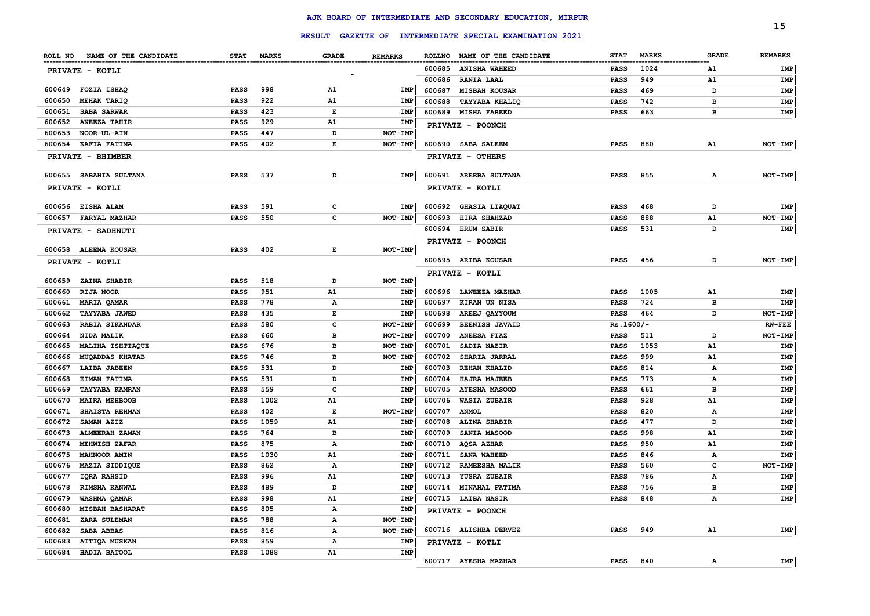|                                  |             |      |              |                |        |                                                         |                 |              |              | 15             |
|----------------------------------|-------------|------|--------------|----------------|--------|---------------------------------------------------------|-----------------|--------------|--------------|----------------|
|                                  |             |      |              |                |        | RESULT GAZETTE OF INTERMEDIATE SPECIAL EXAMINATION 2021 |                 |              |              |                |
| ROLL NO NAME OF THE CANDIDATE    | STAT MARKS  |      | GRADE        | <b>REMARKS</b> |        | ROLLNO NAME OF THE CANDIDATE                            | <b>STAT</b>     | <b>MARKS</b> | <b>GRADE</b> | <b>REMARKS</b> |
| PRIVATE - KOTLI                  |             |      |              |                | 600685 | <b>ANISHA WAHEED</b>                                    | PASS            | 1024         | A1           | IMP            |
|                                  |             |      |              |                | 600686 | <b>RANIA LAAL</b>                                       | PASS            | 949          | A1           | IMP            |
| FOZIA ISHAQ<br>600649            | <b>PASS</b> | 998  | A1           | IMP            | 600687 | <b>MISBAH KOUSAR</b>                                    | PASS            | 469          | D            | IMP            |
| 600650<br><b>MEHAK TARIQ</b>     | <b>PASS</b> | 922  | A1           | IMP            | 600688 | <b>TAYYABA KHALIQ</b>                                   | PASS            | 742          | в            | IMP            |
| 600651<br><b>SABA SARWAR</b>     | PASS        | 423  | Е            | IMP            | 600689 | <b>MISHA FAREED</b>                                     | PASS            | 663          | в            | IMP            |
| 600652<br><b>ANEEZA TAHIR</b>    | <b>PASS</b> | 929  | A1           | IMP            |        | PRIVATE - POONCH                                        |                 |              |              |                |
| 600653<br><b>NOOR-UL-AIN</b>     | <b>PASS</b> | 447  | D            | <b>NOT-IMP</b> |        |                                                         |                 |              |              |                |
| 600654 KAFIA FATIMA              | PASS        | 402  | Е            | NOT-IMP        |        | 600690 SABA SALEEM                                      | PASS            | 880          | A1           | NOT-IMP        |
| PRIVATE - BHIMBER                |             |      |              |                |        | PRIVATE - OTHERS                                        |                 |              |              |                |
| 600655 SABAHIA SULTANA           | <b>PASS</b> | 537  | D            | IMP            |        | 600691 AREEBA SULTANA                                   | PASS            | 855          | Α            | NOT-IMP        |
| PRIVATE - KOTLI                  |             |      |              |                |        | PRIVATE - KOTLI                                         |                 |              |              |                |
| 600656 EISHA ALAM                | PASS        | 591  | c            | IMP            | 600692 | <b>GHASIA LIAQUAT</b>                                   | PASS            | 468          | D            | IMP            |
| 600657<br><b>FARYAL MAZHAR</b>   | PASS        | 550  | c            | NOT-IMP        | 600693 | <b>HIRA SHAHZAD</b>                                     | PASS            | 888          | A1           | NOT-IMP        |
| <b>PRIVATE - SADHNUTI</b>        |             |      |              |                |        | 600694 ERUM SABIR                                       | PASS            | 531          | D            | IMP            |
|                                  |             |      |              |                |        | PRIVATE - POONCH                                        |                 |              |              |                |
| 600658 ALEENA KOUSAR             | <b>PASS</b> | 402  | E            | NOT-IMP        |        |                                                         |                 |              |              |                |
| PRIVATE - KOTLI                  |             |      |              |                |        | 600695 ARIBA KOUSAR                                     | PASS            | 456          | D            | NOT-IMP        |
|                                  |             |      |              |                |        | PRIVATE - KOTLI                                         |                 |              |              |                |
| ZAINA SHABIR<br>600659           | <b>PASS</b> | 518  | D            | NOT-IMP        |        |                                                         |                 |              |              |                |
| RIJA NOOR<br>600660              | <b>PASS</b> | 951  | A1           | IMP            |        | 600696 LAWEEZA MAZHAR                                   | PASS            | 1005         | A1           | IMP            |
| MARIA QAMAR<br>600661            | PASS        | 778  | Α            | <b>IMP</b>     | 600697 | <b>KIRAN UN NISA</b>                                    | PASS            | 724          | в            | IMP            |
| TAYYABA JAWED<br>600662          | PASS        | 435  | Е            | IMP            | 600698 | AREEJ QAYYOUM                                           | PASS            | 464          | D            | NOT-IMP        |
| <b>RABIA SIKANDAR</b><br>600663  | <b>PASS</b> | 580  | c            | NOT-IMP        | 600699 | <b>BEENISH JAVAID</b>                                   | $Rs.1600/-$     |              |              | <b>RW-FEE</b>  |
| NIDA MALIK<br>600664             | <b>PASS</b> | 660  | в            | NOT-IMP        | 600700 | ANEESA FIAZ                                             | PASS            | 511          | D            | NOT-IMP        |
| MALIHA ISHTIAQUE<br>600665       | <b>PASS</b> | 676  | в            | NOT-IMP        | 600701 | SADIA NAZIR                                             | PASS            | 1053         | A1           | IMP            |
| <b>MUQADDAS KHATAB</b><br>600666 | PASS        | 746  | в            | NOT-IMP        | 600702 | SHARIA JARRAL                                           | <b>PASS</b>     | 999          | A1           | IMP            |
| LAIBA JABEEN<br>600667           | PASS        | 531  | D            | <b>IMP</b>     | 600703 | <b>REHAN KHALID</b>                                     | PASS            | 814          | А            | IMP            |
| EIMAN FATIMA<br>600668           | <b>PASS</b> | 531  | D            | <b>IMP</b>     | 600704 | <b>HAJRA MAJEEB</b>                                     | PASS            | 773          | А            | IMP            |
| <b>TAYYABA KAMRAN</b><br>600669  | PASS        | 559  | c            | <b>IMP</b>     | 600705 | <b>AYESHA MASOOD</b>                                    | PASS            | 661          | в            | IMP            |
| 600670<br><b>MAIRA MEHBOOB</b>   | PASS        | 1002 | A1           | IMP            | 600706 | <b>WASIA ZUBAIR</b>                                     | PASS            | 928          | A1           | IMP            |
| 600671<br><b>SHAISTA REHMAN</b>  | PASS        | 402  | Е            | NOT-IMP        | 600707 | <b>ANMOL</b>                                            | PASS            | 820          | А            | IMP            |
| 600672<br>SAMAN AZIZ             | <b>PASS</b> | 1059 | A1           | <b>IMP</b>     | 600708 | ALINA SHABIR                                            | <b>PASS</b>     | 477          | D            | IMP            |
| 600673<br>ALMEERAH ZAMAN         | PASS        | 764  | в            | <b>IMP</b>     | 600709 | SANIA MASOOD                                            | PASS            | 998          | A1           | IMP            |
| 600674<br><b>MEHWISH ZAFAR</b>   | PASS        | 875  | Α            | IMP            | 600710 | <b>AQSA AZHAR</b>                                       | PASS            | 950          | A1           | IMP            |
| 600675<br><b>MAHNOOR AMIN</b>    | PASS        | 1030 | A1           | <b>IMP</b>     | 600711 | <b>SANA WAHEED</b>                                      | PASS            | 846          | А            | IMP            |
| MAZIA SIDDIQUE<br>600676         | PASS        | 862  | Α            | <b>IMP</b>     | 600712 | <b>RAMEESHA MALIK</b>                                   | PASS            | 560          | с            | NOT-IMP        |
| 600677 IQRA RAHSID               | PASS        | 996  | A1           | IMP            |        | 600713 YUSRA ZUBAIR                                     | PASS            | 786          | А            | IMP            |
| 600678 RIMSHA KANWAL             | PASS        | 489  |              | <b>IMP</b>     |        | 600714 MINAHAL FATIMA                                   | <b>PASS</b>     | 756          |              | IMP            |
| 600679 WASHMA QAMAR              | PASS        | 998  | A1           | IMP            |        | 600715 LAIBA NASIR                                      | PASS            | 848          | А            | IMP            |
| 600680 MISBAH BASHARAT           | PASS        | 805  | A            | IMP            |        | PRIVATE - POONCH                                        |                 |              |              |                |
| ZARA SULEMAN<br>600681           | PASS        | 788  | $\mathbf{A}$ | NOT-IMP        |        |                                                         |                 |              |              |                |
| 600682 SABA ABBAS                | <b>PASS</b> | 816  | A            | NOT-IMP        |        | 600716 ALISHBA PERVEZ                                   | <b>PASS</b>     | 949          | A1           | <b>IMP</b>     |
| 600683 ATTIQA MUSKAN             | PASS        | 859  | A            | IMP            |        | PRIVATE - KOTLI                                         |                 |              |              |                |
| 600684 HADIA BATOOL              | PASS        | 1088 | A1           | IMP            |        |                                                         |                 |              |              |                |
|                                  |             |      |              |                |        | 600717 AYESHA MAZHAR                                    | <b>PASS</b> 840 |              | А            | IMP            |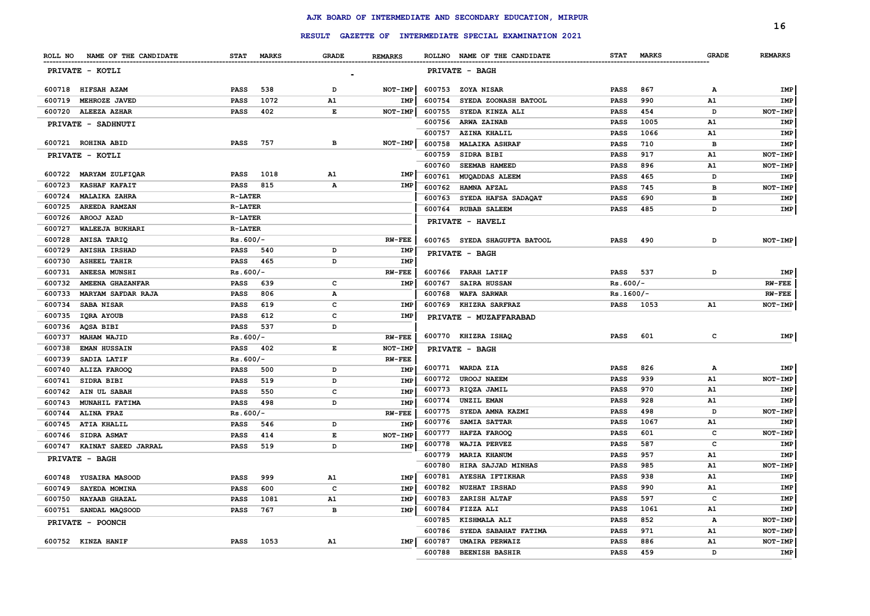|                                |                             |                          |                |                  |                                                         |                            |              |              | 16             |
|--------------------------------|-----------------------------|--------------------------|----------------|------------------|---------------------------------------------------------|----------------------------|--------------|--------------|----------------|
|                                |                             |                          |                |                  | RESULT GAZETTE OF INTERMEDIATE SPECIAL EXAMINATION 2021 |                            |              |              |                |
| ROLL NO NAME OF THE CANDIDATE  | <b>STAT</b><br><b>MARKS</b> | <b>GRADE</b>             | <b>REMARKS</b> |                  | ROLLNO NAME OF THE CANDIDATE                            | <b>STAT</b>                | <b>MARKS</b> | <b>GRADE</b> | <b>REMARKS</b> |
| PRIVATE - KOTLI                |                             | $\overline{\phantom{0}}$ |                |                  | PRIVATE - BAGH                                          |                            |              |              |                |
| 600718 HIFSAH AZAM             | <b>PASS</b><br>538          | D                        | NOT-IMP        |                  | 600753 ZOYA NISAR                                       | <b>PASS</b>                | 867          | A            | IMP            |
| 600719<br>MEHROZE JAVED        | 1072<br><b>PASS</b>         | A1                       | IMP            | 600754           | SYEDA ZOONASH BATOOL                                    | <b>PASS</b>                | 990          | A1           | IMP            |
| 600720<br>ALEEZA AZHAR         | <b>PASS</b><br>402          | Е                        | NOT-IMP        | 600755           | SYEDA KINZA ALI                                         | <b>PASS</b>                | 454          | D            | NOT-IMP        |
| PRIVATE - SADHNUTI             |                             |                          |                | 600756           | ARWA ZAINAB                                             | <b>PASS</b>                | 1005         | A1           | IMP            |
|                                |                             |                          |                | 600757           | <b>AZINA KHALIL</b>                                     | <b>PASS</b>                | 1066         | A1           | IMP            |
| 600721 ROHINA ABID             | 757<br><b>PASS</b>          | в                        | NOT-IMP        | 600758           | <b>MALAIKA ASHRAF</b>                                   | <b>PASS</b>                | 710          | в            | IMP            |
| PRIVATE - KOTLI                |                             |                          |                | 600759           | SIDRA BIBI                                              | <b>PASS</b>                | 917          | A1           | NOT-IMP        |
|                                |                             |                          |                | 600760           | SEEMAB HAMEED                                           | <b>PASS</b>                | 896          | ${\tt A1}$   | NOT-IMP        |
| 600722 MARYAM ZULFIQAR         | 1018<br><b>PASS</b>         | A1                       | IMP            | 600761           | <b>MUQADDAS ALEEM</b>                                   | PASS                       | 465          | D            | IMP            |
| 600723<br><b>KASHAF KAFAIT</b> | PASS<br>815                 | А                        | IMP            | 600762           | HAMNA AFZAL                                             | PASS                       | 745          | в            | NOT-IMP        |
| 600724<br><b>MALAIKA ZAHRA</b> | <b>R-LATER</b>              |                          |                | 600763           | SYEDA HAFSA SADAQAT                                     | <b>PASS</b>                | 690          | в            | IMP            |
| 600725<br>AREEDA RAMZAN        | <b>R-LATER</b>              |                          |                | 600764           | <b>RUBAB SALEEM</b>                                     | <b>PASS</b>                | 485          | D            | IMP            |
| 600726<br>AROOJ AZAD           | <b>R-LATER</b>              |                          |                |                  | PRIVATE - HAVELI                                        |                            |              |              |                |
| 600727<br>WALEEJA BUKHARI      | <b>R-LATER</b>              |                          |                |                  |                                                         |                            |              |              |                |
| 600728<br>ANISA TARIQ          | $Rs.600/-$                  |                          | <b>RW-FEE</b>  |                  | 600765 SYEDA SHAGUFTA BATOOL                            | <b>PASS</b>                | 490          | D            | NOT-IMP        |
| 600729<br>ANISHA IRSHAD        | <b>PASS</b><br>540          | D                        | IMP            |                  | PRIVATE - BAGH                                          |                            |              |              |                |
| 600730<br><b>ASHEEL TAHIR</b>  | <b>PASS</b><br>465          | D                        | IMP            |                  |                                                         |                            |              |              |                |
| 600731<br>ANEESA MUNSHI        | $Rs.600/-$                  |                          | $RW-FEE$       |                  | 600766 FARAH LATIF                                      | <b>PASS</b>                | 537          | D            | IMP            |
| 600732<br>AMEENA GHAZANFAR     | <b>PASS</b><br>639          | $\mathbf{C}$             | IMP            | 600767           | <b>SAIRA HUSSAN</b>                                     | $Rs.600/-$                 |              |              | $RV-FEE$       |
| 600733<br>MARYAM SAFDAR RAJA   | <b>PASS</b><br>806          | $\mathbf{A}$             |                | 600768           | <b>WAFA SARWAR</b>                                      | $Rs.1600/-$                |              |              | <b>RW-FEE</b>  |
| 600734<br><b>SABA NISAR</b>    | <b>PASS</b><br>619          | $\mathbf{C}$             | <b>IME</b>     | 600769           | KHIZRA SARFRAZ                                          | <b>PASS</b>                | 1053         | A1           | NOT-IMP        |
| 600735<br>IQRA AYOUB           | <b>PASS</b><br>612          | c                        | <b>IMP</b>     |                  | PRIVATE - MUZAFFARABAD                                  |                            |              |              |                |
| 600736<br>AQSA BIBI            | <b>PASS</b><br>537          | D                        |                |                  |                                                         |                            |              |              |                |
| 600737<br><b>MAHAM WAJID</b>   | $Rs.600/-$                  |                          | <b>RW-FEE</b>  |                  | 600770 KHIZRA ISHAQ                                     | <b>PASS</b>                | 601          | c            | IMP            |
| 600738<br><b>EMAN HUSSAIN</b>  | <b>PASS</b><br>402          | $\mathbf E$              | NOT-IMP        |                  | PRIVATE - BAGH                                          |                            |              |              |                |
| 600739<br>SADIA LATIF          | $Rs.600/-$                  |                          | <b>RW-FEE</b>  |                  |                                                         |                            | 826          |              |                |
| 600740<br>ALIZA FAROOQ         | <b>PASS</b><br>500          | D                        | <b>IMP</b>     | 600771           | WARDA ZIA                                               | <b>PASS</b>                | 939          | Α            | IMP            |
| 600741<br>SIDRA BIBI           | 519<br><b>PASS</b>          | D                        | IMP            | 600772           | <b>UROOJ NAEEM</b><br>RIQZA JAMIL                       | PASS                       | 970          | A1<br>A1     | NOT-IMP        |
| 600742<br>AIN UL SABAH         | 550<br><b>PASS</b>          | c                        | IMP            | 600773<br>600774 | UNZIL EMAN                                              | <b>PASS</b><br><b>PASS</b> | 928          | A1           | IMP<br>IMP     |
| 600743<br>MUNAHIL FATIMA       | 498<br><b>PASS</b>          | D                        | IMP            | 600775           | SYEDA AMNA KAZMI                                        | <b>PASS</b>                | 498          | D            | NOT-IMP        |
| 600744<br><b>ALINA FRAZ</b>    | $Rs.600/-$                  |                          | <b>RW-FEE</b>  | 600776           | SAMIA SATTAR                                            | <b>PASS</b>                | 1067         | A1           | IMP            |
| 600745<br><b>ATIA KHALIL</b>   | <b>PASS</b><br>546          | D                        | IMP            | 600777           | HAFZA FAROOO                                            | <b>PASS</b>                | 601          | c            | NOT-IMP        |
| 600746<br>SIDRA ASMAT          | <b>PASS</b><br>414          | E                        | NOT-IMP        | 600778           | <b>WAJIA PERVEZ</b>                                     | <b>PASS</b>                | 587          | c            | IMP            |
| 600747<br>KAINAT SAEED JARRAL  | <b>PASS</b><br>519          | D                        | IMP            | 600779           | <b>MARIA KHANUM</b>                                     | <b>PASS</b>                | 957          | A1           | IMP            |
| PRIVATE - BAGH                 |                             |                          |                | 600780           | HIRA SAJJAD MINHAS                                      | <b>PASS</b>                | 985          | A1           | NOT-IMP        |
| 600748 YUSAIRA MASOOD          | 999<br><b>PASS</b>          | A1                       | IMP            | 600781           | <b>AYESHA IFTIKHAR</b>                                  | <b>PASS</b>                | 938          | A1           | <b>IMP</b>     |
| 600749<br>SAYEDA MOMINA        | 600<br><b>PASS</b>          | $\mathbf c$              | IMP            | 600782           | <b>NUZHAT IRSHAD</b>                                    | <b>PASS</b>                | 990          | A1           | IMP            |
| 600750<br>NAYAAB GHAZAL        | <b>PASS</b><br>1081         | A1                       | IMP            | 600783           | ZARISH ALTAF                                            | <b>PASS</b>                | 597          | c            | IMP            |
| 600751<br>SANDAL MAQSOOD       | 767<br><b>PASS</b>          | $\overline{B}$           | IMP            | 600784           | FIZZA ALI                                               | <b>PASS</b>                | 1061         | A1           | <b>IMP</b>     |
|                                |                             |                          |                | 600785           | KISHMALA ALI                                            | <b>PASS</b>                | 852          | Α            | NOT-IMP        |
| PRIVATE - POONCH               |                             |                          |                | 600786           | SYEDA SABAHAT FATIMA                                    | <b>PASS</b>                | 971          | ${\tt A1}$   | NOT-IMP        |
| 600752 KINZA HANIF             | <b>PASS</b><br>1053         | A1                       | IMP            | 600787           | <b>UMAIRA PERWAIZ</b>                                   | PASS                       | 886          | ${\tt A1}$   | NOT-IMP        |
|                                |                             |                          |                | 600788           | <b>BEENISH BASHIR</b>                                   | <b>PASS</b>                | 459          | D            | IMP            |
|                                |                             |                          |                |                  |                                                         |                            |              |              |                |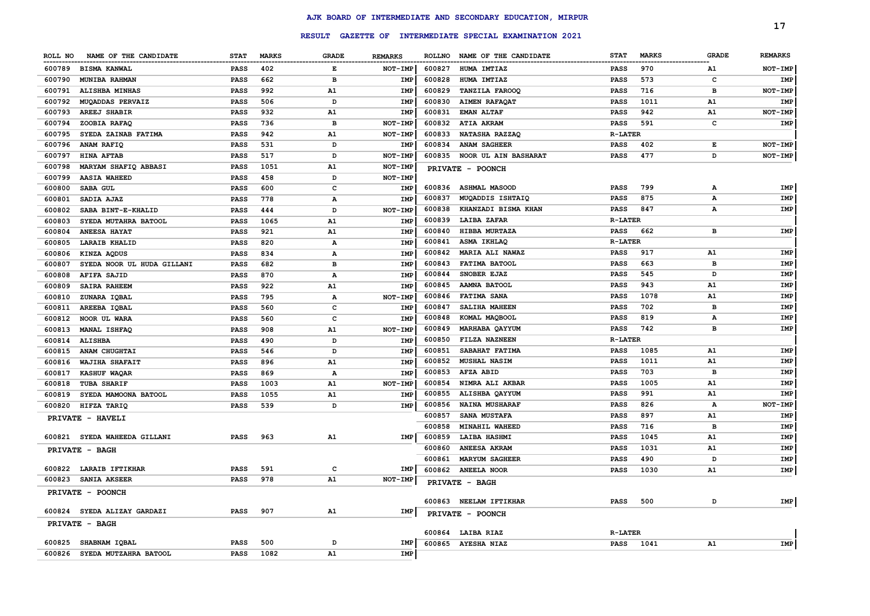|         |                              |             |              |                |                |               | RESULT GAZETTE OF INTERMEDIATE SPECIAL EXAMINATION 2021 |                |              |              | 17             |
|---------|------------------------------|-------------|--------------|----------------|----------------|---------------|---------------------------------------------------------|----------------|--------------|--------------|----------------|
|         |                              |             |              |                |                |               |                                                         |                |              |              |                |
| ROLL NO | NAME OF THE CANDIDATE        | <b>STAT</b> | <b>MARKS</b> | <b>GRADE</b>   | <b>REMARKS</b> | <b>ROLLNO</b> | NAME OF THE CANDIDATE                                   | <b>STAT</b>    | <b>MARKS</b> | <b>GRADE</b> | <b>REMARKS</b> |
| 600789  | <b>BISMA KANWAL</b>          | PASS        | 402          | E              | NOT-IMP        | 600827        | <b>HUMA IMTIAZ</b>                                      | PASS           | 970          | A1           | NOT-IMP        |
| 600790  | <b>MUNIBA RAHMAN</b>         | <b>PASS</b> | 662          | в              | <b>IMP</b>     | 600828        | HUMA IMTIAZ                                             | <b>PASS</b>    | 573          | c            | IMP            |
| 600791  | ALISHBA MINHAS               | <b>PASS</b> | 992          | A1             | <b>IMP</b>     | 600829        | <b>TANZILA FAROOQ</b>                                   | <b>PASS</b>    | 716          | в            | NOT-IMP        |
| 600792  | MUQADDAS PERVAIZ             | <b>PASS</b> | 506          | D              | <b>IMP</b>     | 600830        | <b>AIMEN RAFAQAT</b>                                    | <b>PASS</b>    | 1011         | ${\tt A1}$   | IMP            |
| 600793  | <b>AREEJ SHABIR</b>          | <b>PASS</b> | 932          | A1             | <b>IMP</b>     | 600831        | <b>EMAN ALTAF</b>                                       | <b>PASS</b>    | 942          | A1           | NOT-IMP        |
| 600794  | ZOOBIA RAFAQ                 | <b>PASS</b> | 736          | в              | NOT-IMP        | 600832        | <b>ATIA AKRAM</b>                                       | <b>PASS</b>    | 591          | c            | IMP            |
| 600795  | SYEDA ZAINAB FATIMA          | <b>PASS</b> | 942          | A1             | NOT-IMP        | 600833        | NATASHA RAZZAQ                                          | <b>R-LATER</b> |              |              |                |
| 600796  | ANAM RAFIQ                   | <b>PASS</b> | 531          | D              | <b>IMP</b>     | 600834        | <b>ANAM SAGHEER</b>                                     | <b>PASS</b>    | 402          | Е            | NOT-IMP        |
| 600797  | <b>HINA AFTAB</b>            | <b>PASS</b> | 517          | D              | NOT-IMP        | 600835        | NOOR UL AIN BASHARAT                                    | PASS           | 477          | D            | NOT-IMP        |
| 600798  | MARYAM SHAFIQ ABBASI         | <b>PASS</b> | 1051         | A1             | NOT-IMP        |               | PRIVATE - POONCH                                        |                |              |              |                |
| 600799  | <b>AASIA WAHEED</b>          | <b>PASS</b> | 458          | D              | NOT-IMP        |               |                                                         |                |              |              |                |
| 600800  | SABA GUL                     | <b>PASS</b> | 600          | $\mathbf c$    | <b>IMP</b>     |               | 600836 ASHMAL MASOOD                                    | <b>PASS</b>    | 799          | Α            | IMP            |
| 600801  | SADIA AJAZ                   | <b>PASS</b> | 778          | A              | <b>IMP</b>     | 600837        | MUQADDIS ISHTAIQ                                        | <b>PASS</b>    | 875          | А            | IMP            |
| 600802  | SABA BINT-E-KHALID           | <b>PASS</b> | 444          | D              | NOT-IMP        | 600838        | KHANZADI BISMA KHAN                                     | <b>PASS</b>    | 847          | A            | IMP            |
| 600803  | SYEDA MUTAHRA BATOOL         | <b>PASS</b> | 1065         | A1             | <b>IMP</b>     | 600839        | LAIBA ZAFAR                                             | <b>R-LATER</b> |              |              |                |
| 600804  | <b>ANEESA HAYAT</b>          | <b>PASS</b> | 921          | A1             | <b>IMP</b>     | 600840        | HIBBA MURTAZA                                           | PASS           | 662          | в            | IMP            |
| 600805  | <b>LARAIB KHALID</b>         | PASS        | 820          | $\mathbf{A}$   | <b>IMP</b>     | 600841        | ASMA IKHLAQ                                             | <b>R-LATER</b> |              |              |                |
| 600806  | KINZA AQDUS                  | <b>PASS</b> | 834          | $\mathbf{A}$   | <b>IMP</b>     | 600842        | MARIA ALI NAWAZ                                         | <b>PASS</b>    | 917          | A1           | IMP            |
| 600807  | SYEDA NOOR UL HUDA GILLANI   | <b>PASS</b> | 682          | $\overline{B}$ | <b>IMP</b>     | 600843        | FATIMA BATOOL                                           | <b>PASS</b>    | 663          | в            | IMP            |
| 600808  | AFIFA SAJID                  | <b>PASS</b> | 870          | A              | IMP            | 600844        | SNOBER EJAZ                                             | PASS           | 545          | D            | IMP            |
| 600809  | <b>SAIRA RAHEEM</b>          | <b>PASS</b> | 922          | A1             | <b>IMP</b>     | 600845        | AAMNA BATOOL                                            | <b>PASS</b>    | 943          | ${\tt A1}$   | IMP            |
| 600810  | ZUNARA IQBAL                 | <b>PASS</b> | 795          | $\mathbf{A}$   | NOT-IMP        | 600846        | <b>FATIMA SANA</b>                                      | PASS           | 1078         | ${\tt A1}$   | IMP            |
| 600811  | AREEBA IQBAL                 | <b>PASS</b> | 560          | $\mathbf{C}$   | <b>IMP</b>     | 600847        | <b>SALIHA MAHEEN</b>                                    | <b>PASS</b>    | 702          | в            | IMP            |
| 600812  | NOOR UL WARA                 | <b>PASS</b> | 560          | $\mathbf{C}$   | <b>IMP</b>     | 600848        | KOMAL MAQBOOL                                           | <b>PASS</b>    | 819          | Α            | IMP            |
| 600813  | MANAL ISHFAQ                 | <b>PASS</b> | 908          | A1             | NOT-IMP        | 600849        | MARHABA QAYYUM                                          | <b>PASS</b>    | 742          | в            | IMP            |
| 600814  | <b>ALISHBA</b>               | <b>PASS</b> | 490          | D              | IMP            | 600850        | FILZA NAZNEEN                                           | <b>R-LATER</b> |              |              |                |
| 600815  | ANAM CHUGHTAI                | <b>PASS</b> | 546          | D              | <b>IMP</b>     | 600851        | SABAHAT FATIMA                                          | <b>PASS</b>    | 1085         | A1           | IMP            |
| 600816  | WAJIHA SHAFAIT               | <b>PASS</b> | 896          | A1             | <b>IMP</b>     | 600852        | <b>MUSHAL NASIM</b>                                     | <b>PASS</b>    | 1011         | A1           | IMP            |
| 600817  | <b>KASHUF WAQAR</b>          | <b>PASS</b> | 869          | Α              | <b>IMP</b>     | 600853        | <b>AFZA ABID</b>                                        | <b>PASS</b>    | 703          | в            | <b>IMP</b>     |
| 600818  | <b>TUBA SHARIF</b>           | <b>PASS</b> | 1003         | A1             | NOT-IMP        | 600854        | NIMRA ALI AKBAR                                         | <b>PASS</b>    | 1005         | A1           | <b>IMP</b>     |
| 600819  | SYEDA MAMOONA BATOOL         | PASS        | 1055         | A1             | <b>IMP</b>     | 600855        | ALISHBA QAYYUM                                          | <b>PASS</b>    | 991          | A1           | IMP            |
| 600820  | HIFZA TARIQ                  | PASS        | 539          | D              | <b>IMP</b>     | 600856        | <b>NAINA MUSHARAF</b>                                   | <b>PASS</b>    | 826          | Α            | NOT-IMP        |
|         |                              |             |              |                |                | 600857        | <b>SANA MUSTAFA</b>                                     | <b>PASS</b>    | 897          | A1           | <b>IMP</b>     |
|         | PRIVATE - HAVELI             |             |              |                |                | 600858        | MINAHIL WAHEED                                          | <b>PASS</b>    | 716          | в            | IMP            |
|         | 600821 SYEDA WAHEEDA GILLANI | <b>PASS</b> | 963          | A1             | <b>IMP</b>     | 600859        | <b>LAIBA HASHMI</b>                                     | <b>PASS</b>    | 1045         | A1           | IMP            |
|         | PRIVATE - BAGH               |             |              |                |                | 600860        | ANEESA AKRAM                                            | <b>PASS</b>    | 1031         | A1           | IMP            |
|         |                              |             |              |                |                | 600861        | <b>MARYUM SAGHEER</b>                                   | <b>PASS</b>    | 490          | D            | IMP            |
|         | 600822 LARAIB IFTIKHAR       | <b>PASS</b> | 591          | $\mathbf c$    | IMP            |               | 600862 ANEELA NOOR                                      | <b>PASS</b>    | 1030         | A1           | IMP            |
| 600823  | SANIA AKSEER                 | <b>PASS</b> | 978          | A1             | NOT-IMP        |               | PRIVATE - BAGH                                          |                |              |              |                |
|         | PRIVATE - POONCH             |             |              |                |                |               |                                                         |                |              |              |                |
|         |                              |             |              |                |                |               | 600863 NEELAM IFTIKHAR                                  | PASS           | 500          | D            | IMP            |
|         | 600824 SYEDA ALIZAY GARDAZI  | <b>PASS</b> | 907          | A1             | IMP            |               | PRIVATE - POONCH                                        |                |              |              |                |
|         | PRIVATE - BAGH               |             |              |                |                |               |                                                         |                |              |              |                |
|         |                              |             |              |                |                |               | 600864 LAIBA RIAZ                                       | <b>R-LATER</b> |              |              |                |
| 600825  | SHABNAM IQBAL                | <b>PASS</b> | 500          | D              | <b>IMP</b>     |               | 600865 AYESHA NIAZ                                      | PASS 1041      |              | A1           | IMP            |
| 600826  | SYEDA MUTZAHRA BATOOL        | <b>PASS</b> | 1082         | A1             | <b>IMP</b>     |               |                                                         |                |              |              |                |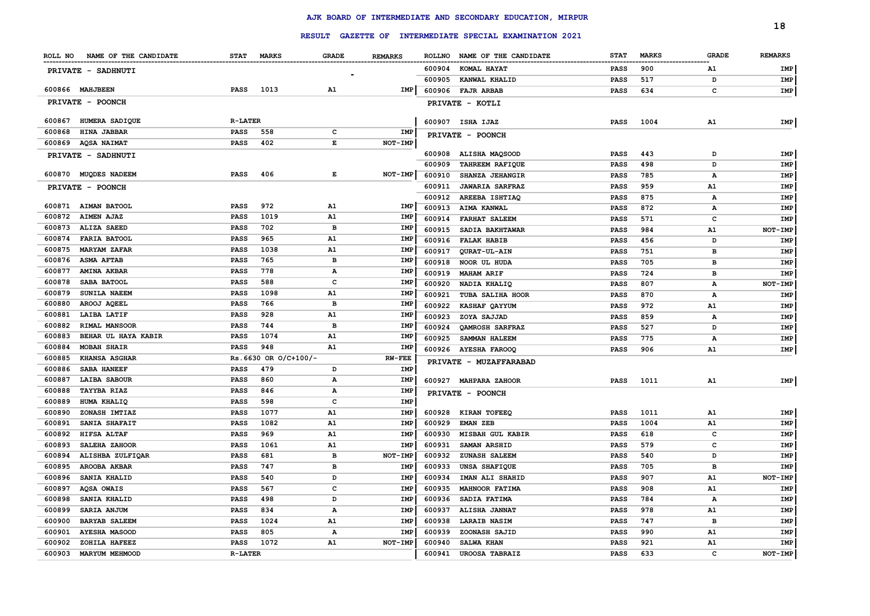|                  |                               |                | <b>RESULT</b>        |                   |                |        | GAZETTE OF INTERMEDIATE SPECIAL EXAMINATION 2021      |             |                        |              | 18             |
|------------------|-------------------------------|----------------|----------------------|-------------------|----------------|--------|-------------------------------------------------------|-------------|------------------------|--------------|----------------|
|                  | ROLL NO NAME OF THE CANDIDATE | <b>STAT</b>    | <b>MARKS</b>         | <b>GRADE</b>      | <b>REMARKS</b> |        | ROLLNO NAME OF THE CANDIDATE                          | <b>STAT</b> | <b>MARKS</b>           | <b>GRADE</b> | <b>REMARKS</b> |
|                  | PRIVATE - SADHNUTI            |                |                      |                   |                | 600904 | --------------------------------------<br>KOMAL HAYAT | PASS        | ---------------<br>900 | A1           | IMP            |
|                  |                               |                |                      |                   |                | 600905 | KANWAL KHALID                                         | <b>PASS</b> | 517                    | D            | IMP            |
|                  | 600866 MAHJBEEN               | <b>PASS</b>    | 1013                 | A1                | IMP            | 600906 | <b>FAJR ARBAB</b>                                     | <b>PASS</b> | 634                    | c            | IMP            |
|                  | PRIVATE - POONCH              |                |                      |                   |                |        | PRIVATE - KOTLI                                       |             |                        |              |                |
| 600867           | HUMERA SADIQUE                | <b>R-LATER</b> |                      |                   |                |        | 600907 ISHA IJAZ                                      | <b>PASS</b> | 1004                   | A1           | IMP            |
| 600868           | <b>HINA JABBAR</b>            | <b>PASS</b>    | 558                  | c                 | IMP            |        | PRIVATE - POONCH                                      |             |                        |              |                |
| 600869           | <b>AQSA NAIMAT</b>            | <b>PASS</b>    | 402                  | Е                 | NOT-IMP        |        |                                                       |             |                        |              |                |
|                  | PRIVATE - SADHNUTI            |                |                      |                   |                | 600908 | ALISHA MAQSOOD                                        | PASS        | 443                    | D            | IMP            |
|                  |                               |                |                      |                   |                | 600909 | <b>TAHREEM RAFIQUE</b>                                | <b>PASS</b> | 498                    | D            | IMP            |
|                  | 600870 MUQDES NADEEM          | PASS           | 406                  | Е                 | NOT-IMP        | 600910 | SHANZA JEHANGIR                                       | <b>PASS</b> | 785                    | А            | IMP            |
|                  | PRIVATE - POONCH              |                |                      |                   |                | 600911 | <b>JAWARIA SARFRAZ</b>                                | <b>PASS</b> | 959                    | A1           | IMP            |
|                  |                               |                |                      |                   |                | 600912 | AREEBA ISHTIAQ                                        | <b>PASS</b> | 875                    | А            | IMP            |
|                  | 600871 AIMAN BATOOL           | <b>PASS</b>    | 972                  | A1                | <b>IMP</b>     | 600913 | AIMA KANWAL                                           | <b>PASS</b> | 872                    | A            | IMP            |
| 600872           | <b>AIMEN AJAZ</b>             | <b>PASS</b>    | 1019                 | A1                | <b>IMP</b>     | 600914 | <b>FARHAT SALEEM</b>                                  | <b>PASS</b> | 571                    | c            | <b>IMP</b>     |
| 600873           | ALIZA SAEED                   | <b>PASS</b>    | 702                  | $\overline{B}$    | <b>IMP</b>     | 600915 | SADIA BAKHTAWAR                                       | <b>PASS</b> | 984                    | A1           | NOT-IMP        |
| 600874           | <b>FARIA BATOOL</b>           | PASS           | 965                  | A1                | <b>IMP</b>     | 600916 | <b>FALAK HABIB</b>                                    | <b>PASS</b> | 456                    | D            | IMP            |
| 600875           | <b>MARYAM ZAFAR</b>           | PASS           | 1038                 | A1                | <b>IMP</b>     | 600917 | QURAT-UL-AIN                                          | <b>PASS</b> | 751                    | в            | <b>IMP</b>     |
| 600876           | <b>ASMA AFTAB</b>             | PASS           | 765                  | в                 | <b>IMP</b>     | 600918 | NOOR UL HUDA                                          | <b>PASS</b> | 705                    | <b>B</b>     | IMP            |
| 600877           | <b>AMINA AKBAR</b>            | <b>PASS</b>    | 778<br>588           | А<br>$\mathbf{C}$ | IMP            | 600919 | <b>MAHAM ARIF</b>                                     | <b>PASS</b> | 724                    | <b>B</b>     | <b>IMP</b>     |
| 600878<br>600879 | SABA BATOOL<br>SUNILA NAEEM   | PASS<br>PASS   | 1098                 | A1                | IMP<br>IMP     | 600920 | NADIA KHALIQ                                          | <b>PASS</b> | 807                    | А            | NOT-IMP        |
| 600880           | AROOJ AQEEL                   | PASS           | 766                  | в                 | IMP            | 600921 | TUBA SALIHA HOOR                                      | <b>PASS</b> | 870                    | Α            | IMP            |
| 600881           | LAIBA LATIF                   | PASS           | 928                  | A1                | IMP            | 600922 | <b>KASHAF QAYYUM</b>                                  | <b>PASS</b> | 972                    | ${\tt A1}$   | IMP            |
| 600882           | RIMAL MANSOOR                 | PASS           | 744                  | в                 | IMP            | 600923 | ZOYA SAJJAD                                           | <b>PASS</b> | 859                    | Α            | IMP            |
| 600883           | BEHAR UL HAYA KABIR           | PASS           | 1074                 | A1                | IMP            | 600924 | <b>OAMROSH SARFRAZ</b>                                | <b>PASS</b> | 527                    | D            | IMP            |
| 600884           | <b>MOBAH SHAIR</b>            | PASS           | 948                  | A1                | IMP            | 600925 | SAMMAN HALEEM                                         | <b>PASS</b> | 775                    | А            | IMP            |
| 600885           | <b>KHANSA ASGHAR</b>          |                | Rs.6630 OR O/C+100/- |                   | <b>RW-FEE</b>  | 600926 | <b>AYESHA FAROOQ</b>                                  | <b>PASS</b> | 906                    | A1           | IMP            |
| 600886           | SABA HANEEF                   | <b>PASS</b>    | 479                  | D                 | <b>IMP</b>     |        | PRIVATE - MUZAFFARABAD                                |             |                        |              |                |
| 600887           | LAIBA SABOUR                  | PASS           | 860                  | Α                 | <b>IMP</b>     |        | 600927 MAHPARA ZAHOOR                                 | <b>PASS</b> | 1011                   | A1           | IMP            |
| 600888           | <b>TAYYBA RIAZ</b>            | <b>PASS</b>    | 846                  | А                 | IMP            |        | PRIVATE - POONCH                                      |             |                        |              |                |
| 600889           | HUMA KHALIQ                   | <b>PASS</b>    | 598                  | c                 | IMP            |        |                                                       |             |                        |              |                |
| 600890           | ZONASH IMTIAZ                 | <b>PASS</b>    | 1077                 | A1                | IMP            | 600928 | KIRAN TOFEEQ                                          | <b>PASS</b> | 1011                   | A1           | IMP            |
| 600891           | SANIA SHAFAIT                 | <b>PASS</b>    | 1082                 | A1                | <b>IMP</b>     | 600929 | EMAN ZEB                                              | <b>PASS</b> | 1004                   | A1           | IMP            |
| 600892           | HIFSA ALTAF                   | <b>PASS</b>    | 969                  | A1                | <b>IMP</b>     | 600930 | MISBAH GUL KABIR                                      | PASS        | 618                    | c            | IMP            |
| 600893           | SALEHA ZAHOOR                 | PASS           | 1061                 | A1                | <b>IMP</b>     | 600931 | <b>SAMAN ARSHID</b>                                   | <b>PASS</b> | 579                    | c            | IMP            |
| 600894           | ALISHBA ZULFIQAR              | <b>PASS</b>    | 681                  | в                 | NOT-IMP        | 600932 | <b>ZUNASH SALEEM</b>                                  | <b>PASS</b> | 540                    | D            | IMP            |
| 600895           | AROOBA AKBAR                  | <b>PASS</b>    | 747                  | в                 | IMP            | 600933 | UNSA SHAFIQUE                                         | <b>PASS</b> | 705                    | в            | IMP            |
| 600896           | <b>SANIA KHALID</b>           | <b>PASS</b>    | 540                  | D                 | <b>IMP</b>     | 600934 | IMAN ALI SHAHID                                       | <b>PASS</b> | 907                    | A1           | NOT-IMP        |
| 600897           | AQSA OWAIS                    | <b>PASS</b>    | 567                  | c                 | <b>IMP</b>     | 600935 | <b>MAHNOOR FATIMA</b>                                 | <b>PASS</b> | 908                    | A1           | IMP            |
| 600898           | SANIA KHALID                  | <b>PASS</b>    | 498                  | D                 | <b>IMP</b>     | 600936 | SADIA FATIMA                                          | <b>PASS</b> | 784                    | $\mathbf{A}$ | <b>IMP</b>     |
| 600899           | SARIA ANJUM                   | PASS           | 834                  | A                 | <b>IMP</b>     | 600937 | ALISHA JANNAT                                         | <b>PASS</b> | 978                    | A1           | <b>IMP</b>     |
| 600900           | <b>BARYAB SALEEM</b>          | <b>PASS</b>    | 1024                 | A1                | <b>IMP</b>     | 600938 | LARAIB NASIM                                          | <b>PASS</b> | 747                    | в            | IMP            |
| 600901           | <b>AYESHA MASOOD</b>          | <b>PASS</b>    | 805                  | А                 | <b>IMP</b>     | 600939 | ZOONASH SAJID                                         | <b>PASS</b> | 990                    | A1           | IMP            |
| 600902           | ZOHILA HAFEEZ                 | <b>PASS</b>    | 1072                 | A1                | NOT-IMP        | 600940 | <b>SALWA KHAN</b>                                     | <b>PASS</b> | 921                    | A1           | <b>IMP</b>     |
| 600903           | <b>MARYUM MEHMOOD</b>         | <b>R-LATER</b> |                      |                   |                | 600941 | <b>UROOSA TABRAIZ</b>                                 | <b>PASS</b> | 633                    | $\mathbf{C}$ | NOT-IMP        |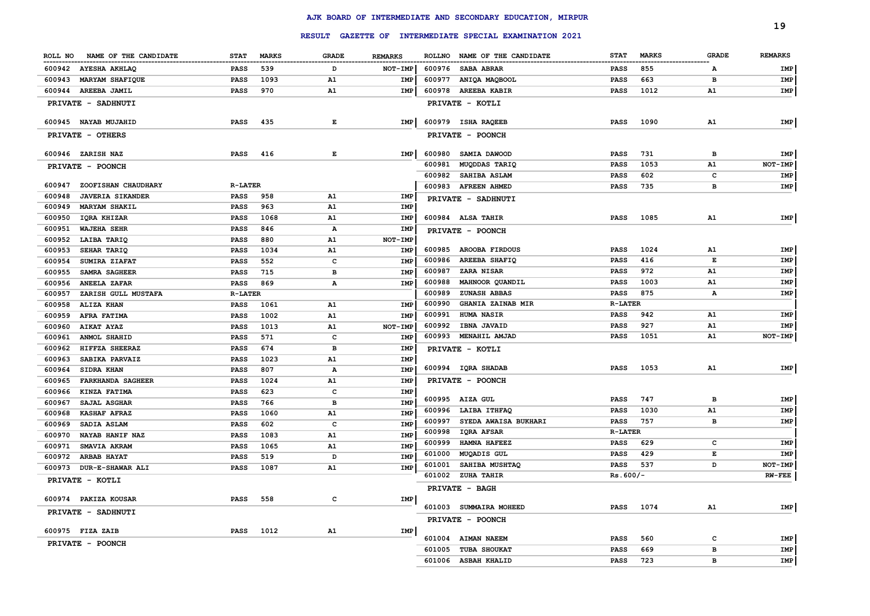|        |                               |                 |              |              |                |        |                                                         |                |              |              | 19             |
|--------|-------------------------------|-----------------|--------------|--------------|----------------|--------|---------------------------------------------------------|----------------|--------------|--------------|----------------|
|        |                               |                 |              |              |                |        | RESULT GAZETTE OF INTERMEDIATE SPECIAL EXAMINATION 2021 |                |              |              |                |
|        | ROLL NO NAME OF THE CANDIDATE | <b>STAT</b>     | <b>MARKS</b> | <b>GRADE</b> | <b>REMARKS</b> |        | ROLLNO NAME OF THE CANDIDATE                            | <b>STAT</b>    | <b>MARKS</b> | <b>GRADE</b> | <b>REMARKS</b> |
|        | 600942 AYESHA AKHLAQ          | PASS            | 539          | D            | NOT-IMP        |        | 600976 SABA ABRAR                                       | PASS           | 855          | A            | IMP            |
| 600943 | MARYAM SHAFIQUE               | <b>PASS</b>     | 1093         | <b>A1</b>    | IMP            | 600977 | ANIQA MAQBOOL                                           | <b>PASS</b>    | 663          | в            | IMP            |
|        | 600944 AREEBA JAMIL           | PASS            | 970          | A1           | IMP            |        | 600978 AREEBA KABIR                                     | PASS           | 1012         | A1           | IMP            |
|        | <b>PRIVATE - SADHNUTI</b>     |                 |              |              |                |        | PRIVATE - KOTLI                                         |                |              |              |                |
|        | 600945 NAYAB MUJAHID          | <b>PASS</b>     | 435          | Е            | IMP            |        | 600979 ISHA RAQEEB                                      | <b>PASS</b>    | 1090         | A1           | IMP            |
|        | <b>PRIVATE - OTHERS</b>       |                 |              |              |                |        | PRIVATE - POONCH                                        |                |              |              |                |
|        | 600946 ZARISH NAZ             | <b>PASS</b>     | 416          | Е            | IMP            | 600980 | <b>SAMIA DAWOOD</b>                                     | <b>PASS</b>    | 731          | в            | IMP            |
|        | PRIVATE - POONCH              |                 |              |              |                | 600981 | MUQDDAS TARIQ                                           | <b>PASS</b>    | 1053         | A1           | NOT-IMP        |
|        |                               |                 |              |              |                | 600982 | <b>SAHIBA ASLAM</b>                                     | <b>PASS</b>    | 602          | c            | IMP            |
| 600947 | ZOOFISHAN CHAUDHARY           | <b>R-LATER</b>  |              |              |                |        | 600983 AFREEN AHMED                                     | <b>PASS</b>    | 735          | в            | IMP            |
| 600948 | <b>JAVERIA SIKANDER</b>       | PASS            | 958          | A1           | IMP            |        | PRIVATE - SADHNUTI                                      |                |              |              |                |
| 600949 | <b>MARYAM SHAKIL</b>          | PASS            | 963          | A1           | IMP            |        |                                                         |                |              |              |                |
| 600950 | IQRA KHIZAR                   | PASS            | 1068         | A1           | IMP            |        | 600984 ALSA TAHIR                                       | PASS           | 1085         | A1           | IMP            |
| 600951 | WAJEHA SEHR                   | PASS            | 846          | Α            | IMP            |        | PRIVATE - POONCH                                        |                |              |              |                |
| 600952 | LAIBA TARIQ                   | PASS            | 880          | A1           | NOT-IMP        |        |                                                         |                |              |              |                |
| 600953 | SEHAR TARIQ                   | PASS            | 1034         | A1           | IMP            | 600985 | <b>AROOBA FIRDOUS</b>                                   | <b>PASS</b>    | 1024         | A1           | IMP            |
| 600954 | SUMIRA ZIAFAT                 | PASS            | 552          | c            | <b>IMP</b>     | 600986 | <b>AREEBA SHAFIQ</b>                                    | PASS           | 416          | Е            | IMP            |
| 600955 | SAMRA SAGHEER                 | PASS            | 715          | в            | IMP            | 600987 | <b>ZARA NISAR</b>                                       | <b>PASS</b>    | 972          | A1           | IMP            |
| 600956 | <b>ANEELA ZAFAR</b>           | PASS            | 869          | А            | IMP            | 600988 | MAHNOOR QUANDIL                                         | <b>PASS</b>    | 1003         | Α1           | IMP            |
| 600957 | ZARISH GULL MUSTAFA           | <b>R-LATER</b>  |              |              |                | 600989 | <b>ZUNASH ABBAS</b>                                     | PASS           | 875          | A            | IMP            |
| 600958 | <b>ALIZA KHAN</b>             | PASS            | 1061         | A1           | IMP            | 600990 | <b>GHANIA ZAINAB MIR</b>                                | <b>R-LATER</b> |              |              |                |
| 600959 | <b>AFRA FATIMA</b>            | <b>PASS</b>     | 1002         | A1           | IMP            | 600991 | <b>HUMA NASIR</b>                                       | <b>PASS</b>    | 942          | A1           | IMP            |
| 600960 | <b>AIKAT AYAZ</b>             | PASS            | 1013         | A1           | NOT-IMP        | 600992 | <b>IBNA JAVAID</b>                                      | <b>PASS</b>    | 927          | Α1           | IMP            |
| 600961 | ANMOL SHAHID                  | PASS            | 571          | c            | <b>IMP</b>     | 600993 | <b>MENAHIL AMJAD</b>                                    | <b>PASS</b>    | 1051         | A1           | NOT-IMP        |
| 600962 | HIFFZA SHEERAZ                | PASS            | 674          | в            | <b>IMP</b>     |        | PRIVATE - KOTLI                                         |                |              |              |                |
| 600963 | SABIKA PARVAIZ                | <b>PASS</b>     | 1023         | A1           | <b>IMP</b>     |        |                                                         |                |              |              |                |
| 600964 | <b>SIDRA KHAN</b>             | PASS            | 807          | А            | <b>IMP</b>     |        | 600994 IQRA SHADAB                                      | <b>PASS</b>    | 1053         | A1           | IMP            |
| 600965 | <b>FARKHANDA SAGHEER</b>      | <b>PASS</b>     | 1024         | A1           | IMP            |        | <b>PRIVATE - POONCH</b>                                 |                |              |              |                |
| 600966 | KINZA FATIMA                  | PASS            | 623          | c            | IMP            |        |                                                         |                |              |              |                |
| 600967 | SAJAL ASGHAR                  | <b>PASS</b>     | 766          | в            | <b>IMP</b>     |        | 600995 AIZA GUL                                         | <b>PASS</b>    | 747          | в            | IMP            |
| 600968 | <b>KASHAF AFRAZ</b>           | PASS            | 1060         | A1           | <b>IMP</b>     | 600996 | <b>LAIBA ITHFAQ</b>                                     | <b>PASS</b>    | 1030         | A1           | IMP            |
| 600969 | SADIA ASLAM                   | PASS            | 602          | c            | <b>IMP</b>     | 600997 | SYEDA AWAISA BUKHARI                                    | <b>PASS</b>    | 757          | в            | IMP            |
| 600970 | <b>NAYAB HANIF NAZ</b>        | PASS            | 1083         | A1           | <b>IMP</b>     | 600998 | <b>IQRA AFSAR</b>                                       | $R-LATER$      |              |              |                |
| 600971 | <b>SMAVIA AKRAM</b>           | <b>PASS</b>     | 1065         | A1           | <b>IMP</b>     | 600999 | <b>HAMNA HAFEEZ</b>                                     | PASS           | 629          | c            | IMP            |
| 600972 | <b>ARBAB HAYAT</b>            | <b>PASS</b>     | 519          | D            | <b>IMP</b>     | 601000 | MUQADIS GUL                                             | PASS           | 429          | Е            | IMP            |
| 600973 | <b>DUR-E-SHAWAR ALI</b>       | <b>PASS</b>     | 1087         | A1           | <b>IMP</b>     | 601001 | SAHIBA MUSHTAQ                                          | <b>PASS</b>    | 537          | D            | NOT-IMP        |
|        | PRIVATE - KOTLI               |                 |              |              |                |        | 601002 ZUHA TAHIR                                       | $Rs.600/-$     |              |              | <b>RW-FEE</b>  |
|        |                               |                 |              | c            |                |        | <b>PRIVATE - BAGH</b>                                   |                |              |              |                |
|        | 600974 PAKIZA KOUSAR          | <b>PASS</b> 558 |              |              | IMP            |        | 601003 SUMMAIRA MOHEED                                  |                | PASS 1074    | A1           | IMP            |
|        | PRIVATE - SADHNUTI            |                 |              |              |                |        | PRIVATE - POONCH                                        |                |              |              |                |
|        | 600975 FIZA ZAIB              |                 | PASS 1012    | A1           | IMP            |        |                                                         |                |              |              |                |
|        | <b>PRIVATE - POONCH</b>       |                 |              |              |                |        | 601004 AIMAN NAEEM                                      | PASS           | 560          | c            | IMP            |
|        |                               |                 |              |              |                |        | 601005 TUBA SHOUKAT                                     | PASS           | 669          | в            | IMP            |
|        |                               |                 |              |              |                |        | 601006 ASBAH KHALID                                     | PASS           | 723          | в            | IMP            |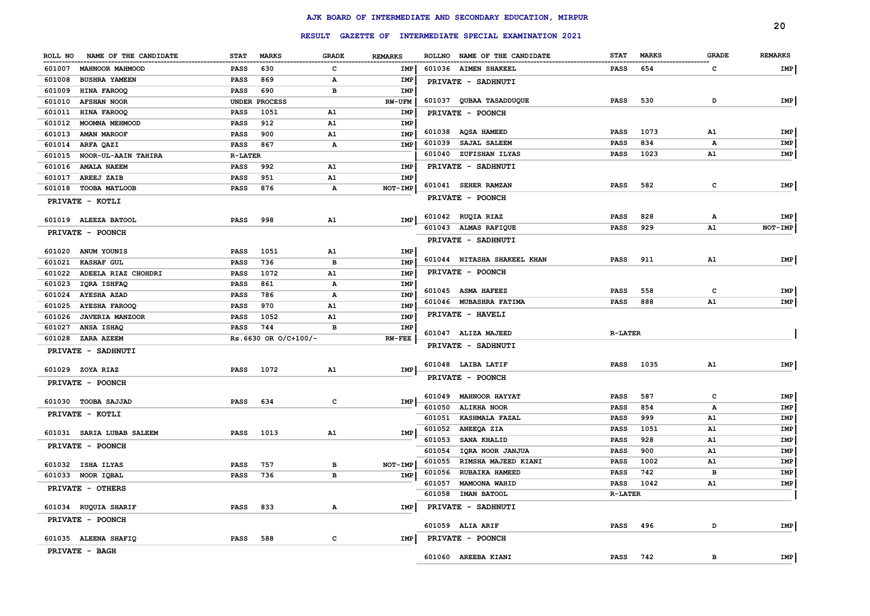|                                  |                             |              |                |                                                                 |                             |                             | 20                |
|----------------------------------|-----------------------------|--------------|----------------|-----------------------------------------------------------------|-----------------------------|-----------------------------|-------------------|
|                                  |                             |              |                | RESULT GAZETTE OF INTERMEDIATE SPECIAL EXAMINATION 2021         |                             |                             |                   |
| NAME OF THE CANDIDATE<br>ROLL NO | <b>STAT</b><br><b>MARKS</b> | <b>GRADE</b> | <b>REMARKS</b> | ROLLNO NAME OF THE CANDIDATE                                    | <b>STAT</b><br><b>MARKS</b> | <b>GRADE</b>                | <b>REMARKS</b>    |
| 601007<br><b>MAHNOOR MAHMOOD</b> | 630<br>PASS                 | $\mathbf c$  | IMP            | 601036 AIMEN SHAKEEL                                            | 654<br>PASS                 | $\mathbf{C}$                | IMP               |
| 601008<br><b>BUSHRA YAMEEN</b>   | <b>PASS</b><br>869          | Α            | IMP            | PRIVATE - SADHNUTI                                              |                             |                             |                   |
| 601009<br>HINA FAROOQ            | 690<br>PASS                 | в            | IMP            |                                                                 |                             |                             |                   |
| 601010<br><b>AFSHAN NOOR</b>     | UNDER PROCESS               |              | RW-UFM         | 601037 QUBAA TASADDUQUE                                         | 530<br><b>PASS</b>          | D                           | IMP               |
| 601011<br>HINA FAROOQ            | 1051<br>PASS                | A1           | <b>IMP</b>     | PRIVATE - POONCH                                                |                             |                             |                   |
| 601012<br>MOOMNA MEHMOOD         | 912<br>PASS                 | A1           | IMP            |                                                                 |                             |                             |                   |
| 601013<br><b>AMAN MAROOF</b>     | PASS<br>900                 | A1           | IMP            | 601038 AQSA HAMEED                                              | <b>PASS</b><br>1073         | A1                          | IMP               |
| 601014<br>ARFA QAZI              | 867<br>PASS                 | Α            | IMP            | <b>SAJAL SALEEM</b><br>601039                                   | 834<br><b>PASS</b>          | А                           | IMP               |
| NOOR-UL-AAIN TAHIRA<br>601015    | <b>R-LATER</b>              |              |                | ZUFISHAN ILYAS<br>601040                                        | 1023<br><b>PASS</b>         | A1                          | IMP               |
| <b>AMALA NAEEM</b><br>601016     | 992<br>PASS                 | A1           | <b>IMP</b>     | PRIVATE - SADHNUTI                                              |                             |                             |                   |
| AREEJ ZAIB<br>601017             | 951<br>PASS                 | A1           | <b>IMP</b>     |                                                                 |                             |                             |                   |
| 601018<br><b>TOOBA MATLOOB</b>   | 876<br><b>PASS</b>          | A            | NOT-IMP        | 601041 SEHER RAMZAN                                             | <b>PASS</b><br>582          | $\mathbf{C}$                | IMP               |
| PRIVATE - KOTLI                  |                             |              |                | PRIVATE - POONCH                                                |                             |                             |                   |
| 601019 ALEEZA BATOOL             | 998<br><b>PASS</b>          | A1           | IMP            | 601042 RUQIA RIAZ                                               | 828<br><b>PASS</b>          | Α                           | IMP               |
| PRIVATE - POONCH                 |                             |              |                | 601043 ALMAS RAFIQUE                                            | 929<br>PASS                 | A1                          | $NOT-IMP$         |
|                                  |                             |              |                | PRIVATE - SADHNUTI                                              |                             |                             |                   |
| 601020<br>ANUM YOUNIS            | 1051<br><b>PASS</b>         | A1           | IMP            |                                                                 |                             |                             |                   |
| 601021<br><b>KASHAF GUL</b>      | <b>PASS</b><br>736          | в            | <b>IMP</b>     | 601044 NITASHA SHAKEEL KHAN                                     | 911<br><b>PASS</b>          | A1                          | IMP               |
| 601022<br>ADEELA RIAZ CHOHDRI    | <b>PASS</b><br>1072         | A1           | <b>IMP</b>     | PRIVATE - POONCH                                                |                             |                             |                   |
| 601023<br>IQRA ISHFAQ            | <b>PASS</b><br>861          | A            | <b>IMP</b>     |                                                                 |                             |                             |                   |
| 601024<br><b>AYESHA AZAD</b>     | <b>PASS</b><br>786          | A            | <b>IMP</b>     | 601045 ASMA HAFEEZ                                              | 558<br>PASS                 | c                           | IMP               |
| 601025<br><b>AYESHA FAROOQ</b>   | <b>PASS</b><br>970          | A1           | <b>IMP</b>     | 601046 MUBASHRA FATIMA                                          | 888<br>PASS                 | ${\tt A1}$                  | IMP               |
| 601026<br><b>JAVERIA MANZOOR</b> | <b>PASS</b><br>1052         | A1           | <b>IMP</b>     | PRIVATE - HAVELI                                                |                             |                             |                   |
| 601027<br>ANSA ISHAQ             | 744<br><b>PASS</b>          | в            | IMP            | 601047 ALIZA MAJEED                                             | <b>R-LATER</b>              |                             |                   |
| 601028<br><b>ZARA AZEEM</b>      | Rs.6630 OR O/C+100/-        |              | $RW-FEE$       | PRIVATE - SADHNUTI                                              |                             |                             |                   |
| PRIVATE - SADHNUTI               |                             |              |                |                                                                 |                             |                             |                   |
| 601029 ZOYA RIAZ                 | 1072<br><b>PASS</b>         | A1           | IMP            | 601048 LAIBA LATIF                                              | 1035<br>PASS                | A1                          | IMP               |
| PRIVATE - POONCH                 |                             |              |                | PRIVATE - POONCH                                                |                             |                             |                   |
|                                  |                             |              |                |                                                                 |                             |                             |                   |
| 601030 TOOBA SAJJAD              | <b>PASS</b><br>634          | c            | IMP            | 601049 MAHNOOR HAYYAT                                           | 587<br><b>PASS</b><br>854   | $\mathbf c$<br>$\mathbf{A}$ | IMP<br><b>IMP</b> |
| PRIVATE - KOTLI                  |                             |              |                | 601050<br><b>ALIKHA NOOR</b><br>601051<br><b>KASHMALA FAZAL</b> | PASS<br><b>PASS</b><br>999  | A1                          | IMP               |
|                                  |                             |              |                | 601052<br>ANEEQA ZIA                                            | 1051<br>PASS                | A1                          | IMP               |
| 601031 SARIA LUBAB SALEEM        | 1013<br>PASS                | A1           | IMP            | 601053<br>SANA KHALID                                           | <b>PASS</b><br>928          | A1                          | IMP               |
| PRIVATE - POONCH                 |                             |              |                | 601054<br>IQRA NOOR JANJUA                                      | 900<br>PASS                 | ${\tt A1}$                  | IMP               |
|                                  |                             |              |                | 601055<br>RIMSHA MAJEED KIANI                                   | <b>PASS</b><br>1002         | ${\tt A1}$                  | IMP               |
| 601032 ISHA ILYAS                | 757<br><b>PASS</b>          | в            | NOT-IMP        | 601056<br><b>RUBAIKA HAMEED</b>                                 | 742<br>PASS                 | в                           | IMP               |
| 601033 NOOR IQBAL                | 736<br><b>PASS</b>          | в            | IMP            | 601057<br>MAMOONA WAHID                                         | 1042<br>PASS                | A1                          | <b>IMP</b>        |
| PRIVATE - OTHERS                 |                             |              |                | 601058<br>IMAN BATOOL                                           | <b>R-LATER</b>              |                             |                   |
| 601034 RUQUIA SHARIF             | 833<br><b>PASS</b>          | Α            | IMP            | PRIVATE - SADHNUTI                                              |                             |                             |                   |
| PRIVATE - POONCH                 |                             |              |                |                                                                 |                             |                             |                   |
|                                  |                             |              |                | 601059 ALIA ARIF                                                | PASS<br>496                 | D                           | IMP               |
| 601035 ALEENA SHAFIQ             | <b>PASS</b><br>588          | $\mathbf c$  | IMP            | PRIVATE - POONCH                                                |                             |                             |                   |
| <b>PRIVATE - BAGH</b>            |                             |              |                |                                                                 |                             |                             |                   |
|                                  |                             |              |                | 601060 AREEBA KIANI                                             | 742<br><b>PASS</b>          | в                           | IMP               |

# **AJK BOARD OF INTERMEDIATE AND SECONDARY EDUCATION, MIRPUR RESULT GAZETTE OF INTERMEDIATE SPECIAL EXAMINATION 2021**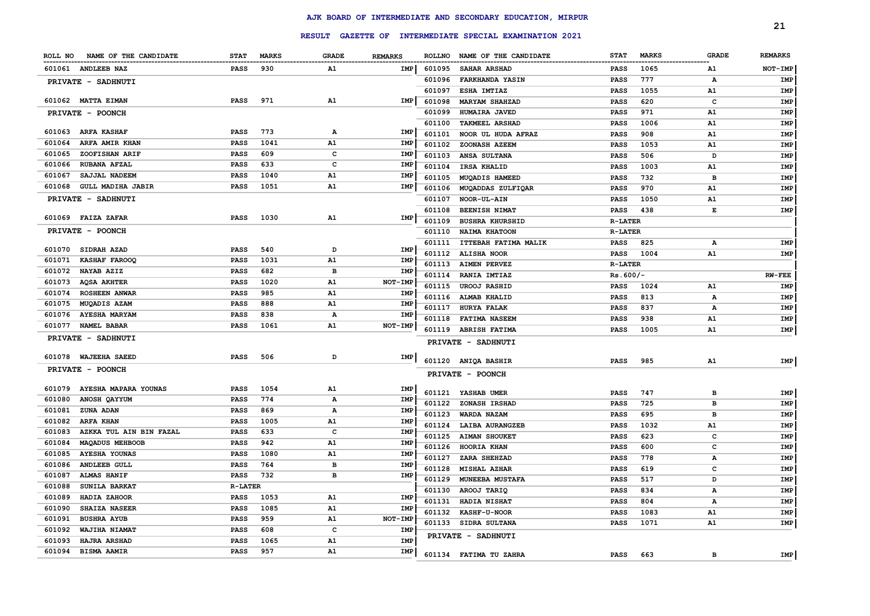| RESULT GAZETTE OF INTERMEDIATE SPECIAL EXAMINATION 2021<br><b>MARKS</b><br><b>GRADE</b><br><b>REMARKS</b><br>NAME OF THE CANDIDATE<br><b>MARKS</b><br><b>GRADE</b><br><b>REMARKS</b><br><b>ROLLNO</b><br>NAME OF THE CANDIDATE<br><b>STAT</b><br>ROLL NO<br><b>STAT</b><br>930<br>1065<br>NOT-IMP<br>601061 ANDLEEB NAZ<br><b>PASS</b><br>A1<br>IMP<br>601095<br><b>SAHAR ARSHAD</b><br><b>PASS</b><br>A1<br>777<br>601096<br><b>FARKHANDA YASIN</b><br><b>PASS</b><br>IMP<br>А<br>PRIVATE - SADHNUTI<br>601097<br>1055<br><b>ESHA IMTIAZ</b><br><b>PASS</b><br>A1<br>IMP<br>601062 MATTA EIMAN<br><b>PASS</b><br>971<br>A1<br>IMP<br>601098<br>620<br><b>MARYAM SHAHZAD</b><br><b>PASS</b><br>c<br>IMP<br>601099<br>HUMAIRA JAVED<br><b>PASS</b><br>971<br>A1<br>IMP<br>PRIVATE - POONCH<br>601100<br><b>TAKMEEL ARSHAD</b><br><b>PASS</b><br>1006<br>A1<br>IMP<br>773<br>601063 ARFA KASHAF<br>Α<br><b>PASS</b><br>IMP<br>601101<br>NOOR UL HUDA AFRAZ<br><b>PASS</b><br>908<br>A1<br><b>IMP</b><br>A1<br><b>IMP</b><br>601064<br>ARFA AMIR KHAN<br><b>PASS</b><br>1041<br>601102<br>ZOONASH AZEEM<br>1053<br>A1<br>IMP<br><b>PASS</b><br>c<br>601065<br>ZOOFISHAN ARIF<br><b>PASS</b><br>609<br><b>IMP</b><br>601103<br>ANSA SULTANA<br>506<br>IMP<br><b>PASS</b><br>D<br>601066<br><b>RUBANA AFZAL</b><br><b>PASS</b><br>633<br>C<br><b>IMP</b><br>601104<br>1003<br>IRSA KHALID<br><b>PASS</b><br>A1<br>IMP |
|------------------------------------------------------------------------------------------------------------------------------------------------------------------------------------------------------------------------------------------------------------------------------------------------------------------------------------------------------------------------------------------------------------------------------------------------------------------------------------------------------------------------------------------------------------------------------------------------------------------------------------------------------------------------------------------------------------------------------------------------------------------------------------------------------------------------------------------------------------------------------------------------------------------------------------------------------------------------------------------------------------------------------------------------------------------------------------------------------------------------------------------------------------------------------------------------------------------------------------------------------------------------------------------------------------------------------------------------------------------------------------------------------------------|
|                                                                                                                                                                                                                                                                                                                                                                                                                                                                                                                                                                                                                                                                                                                                                                                                                                                                                                                                                                                                                                                                                                                                                                                                                                                                                                                                                                                                                  |
|                                                                                                                                                                                                                                                                                                                                                                                                                                                                                                                                                                                                                                                                                                                                                                                                                                                                                                                                                                                                                                                                                                                                                                                                                                                                                                                                                                                                                  |
|                                                                                                                                                                                                                                                                                                                                                                                                                                                                                                                                                                                                                                                                                                                                                                                                                                                                                                                                                                                                                                                                                                                                                                                                                                                                                                                                                                                                                  |
|                                                                                                                                                                                                                                                                                                                                                                                                                                                                                                                                                                                                                                                                                                                                                                                                                                                                                                                                                                                                                                                                                                                                                                                                                                                                                                                                                                                                                  |
|                                                                                                                                                                                                                                                                                                                                                                                                                                                                                                                                                                                                                                                                                                                                                                                                                                                                                                                                                                                                                                                                                                                                                                                                                                                                                                                                                                                                                  |
|                                                                                                                                                                                                                                                                                                                                                                                                                                                                                                                                                                                                                                                                                                                                                                                                                                                                                                                                                                                                                                                                                                                                                                                                                                                                                                                                                                                                                  |
|                                                                                                                                                                                                                                                                                                                                                                                                                                                                                                                                                                                                                                                                                                                                                                                                                                                                                                                                                                                                                                                                                                                                                                                                                                                                                                                                                                                                                  |
|                                                                                                                                                                                                                                                                                                                                                                                                                                                                                                                                                                                                                                                                                                                                                                                                                                                                                                                                                                                                                                                                                                                                                                                                                                                                                                                                                                                                                  |
|                                                                                                                                                                                                                                                                                                                                                                                                                                                                                                                                                                                                                                                                                                                                                                                                                                                                                                                                                                                                                                                                                                                                                                                                                                                                                                                                                                                                                  |
|                                                                                                                                                                                                                                                                                                                                                                                                                                                                                                                                                                                                                                                                                                                                                                                                                                                                                                                                                                                                                                                                                                                                                                                                                                                                                                                                                                                                                  |
|                                                                                                                                                                                                                                                                                                                                                                                                                                                                                                                                                                                                                                                                                                                                                                                                                                                                                                                                                                                                                                                                                                                                                                                                                                                                                                                                                                                                                  |
|                                                                                                                                                                                                                                                                                                                                                                                                                                                                                                                                                                                                                                                                                                                                                                                                                                                                                                                                                                                                                                                                                                                                                                                                                                                                                                                                                                                                                  |
| 601067<br>SAJJAL NADEEM<br><b>PASS</b><br>1040<br>A1<br>IMP<br>732<br>601105<br><b>MUQADIS HAMEED</b><br><b>PASS</b><br>в<br>IMP                                                                                                                                                                                                                                                                                                                                                                                                                                                                                                                                                                                                                                                                                                                                                                                                                                                                                                                                                                                                                                                                                                                                                                                                                                                                                 |
| 601068<br><b>GULL MADIHA JABIR</b><br><b>PASS</b><br>1051<br>A1<br>IMP<br>601106<br>MUQADDAS ZULFIQAR<br>970<br>A1<br>IMP<br><b>PASS</b>                                                                                                                                                                                                                                                                                                                                                                                                                                                                                                                                                                                                                                                                                                                                                                                                                                                                                                                                                                                                                                                                                                                                                                                                                                                                         |
| PRIVATE - SADHNUTI<br>601107<br>NOOR-UL-AIN<br>1050<br>${\tt A1}$<br>IMP<br><b>PASS</b>                                                                                                                                                                                                                                                                                                                                                                                                                                                                                                                                                                                                                                                                                                                                                                                                                                                                                                                                                                                                                                                                                                                                                                                                                                                                                                                          |
| 601108<br>438<br>E<br>IMP<br>BEENISH NIMAT<br><b>PASS</b>                                                                                                                                                                                                                                                                                                                                                                                                                                                                                                                                                                                                                                                                                                                                                                                                                                                                                                                                                                                                                                                                                                                                                                                                                                                                                                                                                        |
| 1030<br>A1<br>IMP<br>601069 FAIZA ZAFAR<br><b>PASS</b><br>601109<br><b>BUSHRA KHURSHID</b><br><b>R-LATER</b>                                                                                                                                                                                                                                                                                                                                                                                                                                                                                                                                                                                                                                                                                                                                                                                                                                                                                                                                                                                                                                                                                                                                                                                                                                                                                                     |
| <b>PRIVATE - POONCH</b><br>601110<br>NAIMA KHATOON<br><b>R-LATER</b>                                                                                                                                                                                                                                                                                                                                                                                                                                                                                                                                                                                                                                                                                                                                                                                                                                                                                                                                                                                                                                                                                                                                                                                                                                                                                                                                             |
| 601111<br>825<br>А<br><b>IMP</b><br><b>ITTEBAH FATIMA MALIK</b><br><b>PASS</b>                                                                                                                                                                                                                                                                                                                                                                                                                                                                                                                                                                                                                                                                                                                                                                                                                                                                                                                                                                                                                                                                                                                                                                                                                                                                                                                                   |
| 601070 SIDRAH AZAD<br><b>PASS</b><br>540<br>D<br>IMP<br>601112<br>A1<br>1004<br><b>ALISHA NOOR</b><br><b>PASS</b><br>IMP                                                                                                                                                                                                                                                                                                                                                                                                                                                                                                                                                                                                                                                                                                                                                                                                                                                                                                                                                                                                                                                                                                                                                                                                                                                                                         |
| 601071<br>1031<br>A1<br>IMP<br><b>KASHAF FAROOQ</b><br><b>PASS</b><br>601113<br><b>AIMEN PERVEZ</b><br><b>R-LATER</b>                                                                                                                                                                                                                                                                                                                                                                                                                                                                                                                                                                                                                                                                                                                                                                                                                                                                                                                                                                                                                                                                                                                                                                                                                                                                                            |
| NAYAB AZIZ<br>682<br>601072<br><b>PASS</b><br>в<br>IMP<br>601114<br>RANIA IMTIAZ<br>$Rs.600/-$<br><b>RW-FEE</b>                                                                                                                                                                                                                                                                                                                                                                                                                                                                                                                                                                                                                                                                                                                                                                                                                                                                                                                                                                                                                                                                                                                                                                                                                                                                                                  |
| 1020<br>601073<br>A1<br>NOT-IMP<br><b>AQSA AKHTER</b><br><b>PASS</b><br>601115<br><b>UROOJ RASHID</b><br><b>PASS</b><br>1024<br>A1<br><b>IMP</b>                                                                                                                                                                                                                                                                                                                                                                                                                                                                                                                                                                                                                                                                                                                                                                                                                                                                                                                                                                                                                                                                                                                                                                                                                                                                 |
| 985<br>A1<br>IMP<br>601074<br><b>ROSHEEN ANWAR</b><br><b>PASS</b><br>601116<br><b>ALMAB KHALID</b><br>813<br>А<br>IMP<br><b>PASS</b>                                                                                                                                                                                                                                                                                                                                                                                                                                                                                                                                                                                                                                                                                                                                                                                                                                                                                                                                                                                                                                                                                                                                                                                                                                                                             |
| 601075<br>888<br>A1<br>MUQADIS AZAM<br><b>PASS</b><br>IMP<br>601117<br><b>HURYA FALAK</b><br>837<br><b>IMP</b><br><b>PASS</b><br>А                                                                                                                                                                                                                                                                                                                                                                                                                                                                                                                                                                                                                                                                                                                                                                                                                                                                                                                                                                                                                                                                                                                                                                                                                                                                               |
| 838<br>601076<br><b>AYESHA MARYAM</b><br><b>PASS</b><br>А<br>IMP<br>A1<br>IMP<br>601118<br><b>FATIMA NASEEM</b><br><b>PASS</b><br>938                                                                                                                                                                                                                                                                                                                                                                                                                                                                                                                                                                                                                                                                                                                                                                                                                                                                                                                                                                                                                                                                                                                                                                                                                                                                            |
| A1<br>601077<br>NAMEL BABAR<br><b>PASS</b><br>1061<br>NOT-IMP<br>IMP<br>601119<br><b>ABRISH FATIMA</b><br><b>PASS</b><br>1005<br>A1                                                                                                                                                                                                                                                                                                                                                                                                                                                                                                                                                                                                                                                                                                                                                                                                                                                                                                                                                                                                                                                                                                                                                                                                                                                                              |
| <b>PRIVATE - SADHNUTI</b><br>PRIVATE - SADHNUTI                                                                                                                                                                                                                                                                                                                                                                                                                                                                                                                                                                                                                                                                                                                                                                                                                                                                                                                                                                                                                                                                                                                                                                                                                                                                                                                                                                  |
| 506<br>601078 WAJEEHA SAEED<br><b>PASS</b><br>D<br>IMP<br>601120 ANIQA BASHIR<br>A1<br>IMP<br>985<br><b>PASS</b>                                                                                                                                                                                                                                                                                                                                                                                                                                                                                                                                                                                                                                                                                                                                                                                                                                                                                                                                                                                                                                                                                                                                                                                                                                                                                                 |
| <b>PRIVATE - POONCH</b>                                                                                                                                                                                                                                                                                                                                                                                                                                                                                                                                                                                                                                                                                                                                                                                                                                                                                                                                                                                                                                                                                                                                                                                                                                                                                                                                                                                          |
| PRIVATE - POONCH                                                                                                                                                                                                                                                                                                                                                                                                                                                                                                                                                                                                                                                                                                                                                                                                                                                                                                                                                                                                                                                                                                                                                                                                                                                                                                                                                                                                 |
| AYESHA MAPARA YOUNAS<br>PASS<br>1054<br>A1<br>IMP<br>601079<br>601121 YASHAB UMER<br>747<br>IMP<br>в<br><b>PASS</b>                                                                                                                                                                                                                                                                                                                                                                                                                                                                                                                                                                                                                                                                                                                                                                                                                                                                                                                                                                                                                                                                                                                                                                                                                                                                                              |
| 774<br>IMP<br>601080<br><b>ANOSH QAYYUM</b><br><b>PASS</b><br>А<br>601122<br>725<br>ZONASH IRSHAD<br>в<br>IMP<br><b>PASS</b>                                                                                                                                                                                                                                                                                                                                                                                                                                                                                                                                                                                                                                                                                                                                                                                                                                                                                                                                                                                                                                                                                                                                                                                                                                                                                     |
| 869<br>601081<br>ZUNA ADAN<br>PASS<br>$\mathbf{A}$<br>IMP<br>601123<br>695<br>WARDA NAZAM<br>в<br>IMP<br><b>PASS</b>                                                                                                                                                                                                                                                                                                                                                                                                                                                                                                                                                                                                                                                                                                                                                                                                                                                                                                                                                                                                                                                                                                                                                                                                                                                                                             |
| 601082<br><b>ARFA KHAN</b><br><b>PASS</b><br>1005<br>A1<br>IMP<br>601124<br>1032<br>${\tt A1}$<br><b>LAIBA AURANGZEB</b><br>IMP<br><b>PASS</b>                                                                                                                                                                                                                                                                                                                                                                                                                                                                                                                                                                                                                                                                                                                                                                                                                                                                                                                                                                                                                                                                                                                                                                                                                                                                   |
| 601083<br>AZKKA TUL AIN BIN FAZAL<br><b>PASS</b><br>633<br>c<br>IMP<br>623<br>601125<br><b>AIMAN SHOUKET</b><br>c<br><b>PASS</b><br>IMP                                                                                                                                                                                                                                                                                                                                                                                                                                                                                                                                                                                                                                                                                                                                                                                                                                                                                                                                                                                                                                                                                                                                                                                                                                                                          |
| MAQADUS MEHBOOB<br>PASS<br>942<br>A1<br>IMP<br>601084<br>601126<br>HOORIA KHAN<br><b>PASS</b><br>600<br>c<br>IMP                                                                                                                                                                                                                                                                                                                                                                                                                                                                                                                                                                                                                                                                                                                                                                                                                                                                                                                                                                                                                                                                                                                                                                                                                                                                                                 |
| 1080<br>A1<br>601085<br><b>AYESHA YOUNAS</b><br><b>PASS</b><br><b>IMP</b><br>778<br>601127<br>ZARA SHEHZAD<br><b>PASS</b><br>А<br>IMP                                                                                                                                                                                                                                                                                                                                                                                                                                                                                                                                                                                                                                                                                                                                                                                                                                                                                                                                                                                                                                                                                                                                                                                                                                                                            |
| 764<br>IMP<br><b>ANDLEEB GULL</b><br><b>PASS</b><br>в<br>601086<br>601128<br><b>MISHAL AZHAR</b><br><b>PASS</b><br>619<br>C<br>IMP                                                                                                                                                                                                                                                                                                                                                                                                                                                                                                                                                                                                                                                                                                                                                                                                                                                                                                                                                                                                                                                                                                                                                                                                                                                                               |
| 732<br>в<br>601087<br>ALMAS HANIF<br><b>PASS</b><br>IMP<br>601129<br>MUNEEBA MUSTAFA<br><b>PASS</b><br>517<br>D<br><b>IMP</b>                                                                                                                                                                                                                                                                                                                                                                                                                                                                                                                                                                                                                                                                                                                                                                                                                                                                                                                                                                                                                                                                                                                                                                                                                                                                                    |
| <b>R-LATER</b><br>601088<br>SUNILA BARKAT<br>601130<br>AROOJ TARIQ<br>834<br><b>IMP</b><br><b>PASS</b><br>А                                                                                                                                                                                                                                                                                                                                                                                                                                                                                                                                                                                                                                                                                                                                                                                                                                                                                                                                                                                                                                                                                                                                                                                                                                                                                                      |
| 1053<br><b>IMP</b><br>601089<br>HADIA ZAHOOR<br><b>PASS</b><br>A1<br>HADIA NISHAT<br>804<br><b>IMP</b><br>601131<br><b>PASS</b><br>А                                                                                                                                                                                                                                                                                                                                                                                                                                                                                                                                                                                                                                                                                                                                                                                                                                                                                                                                                                                                                                                                                                                                                                                                                                                                             |
| A1<br><b>IMP</b><br>601090<br><b>SHAIZA NASEER</b><br><b>PASS</b><br>1085<br>601132<br><b>KASHF-U-NOOR</b><br><b>PASS</b><br>1083<br>A1<br>IMP                                                                                                                                                                                                                                                                                                                                                                                                                                                                                                                                                                                                                                                                                                                                                                                                                                                                                                                                                                                                                                                                                                                                                                                                                                                                   |
| A1<br>601091<br><b>BUSHRA AYUB</b><br><b>PASS</b><br>959<br>NOT-IMP<br>601133 SIDRA SULTANA<br><b>PASS</b><br>1071<br>A1<br>IMP                                                                                                                                                                                                                                                                                                                                                                                                                                                                                                                                                                                                                                                                                                                                                                                                                                                                                                                                                                                                                                                                                                                                                                                                                                                                                  |
| 601092<br>WAJIHA NIAMAT<br><b>PASS</b><br>608<br>C<br><b>IMP</b>                                                                                                                                                                                                                                                                                                                                                                                                                                                                                                                                                                                                                                                                                                                                                                                                                                                                                                                                                                                                                                                                                                                                                                                                                                                                                                                                                 |
| PRIVATE - SADHNUTI<br>601093<br><b>HAJRA ARSHAD</b><br>PASS<br>1065<br>A1<br><b>IMP</b>                                                                                                                                                                                                                                                                                                                                                                                                                                                                                                                                                                                                                                                                                                                                                                                                                                                                                                                                                                                                                                                                                                                                                                                                                                                                                                                          |
| 601094<br><b>BISMA AAMIR</b><br><b>PASS</b><br>957<br>A1<br>IMP<br>601134 FATIMA TU ZAHRA<br>IMP<br><b>PASS</b><br>663<br>в                                                                                                                                                                                                                                                                                                                                                                                                                                                                                                                                                                                                                                                                                                                                                                                                                                                                                                                                                                                                                                                                                                                                                                                                                                                                                      |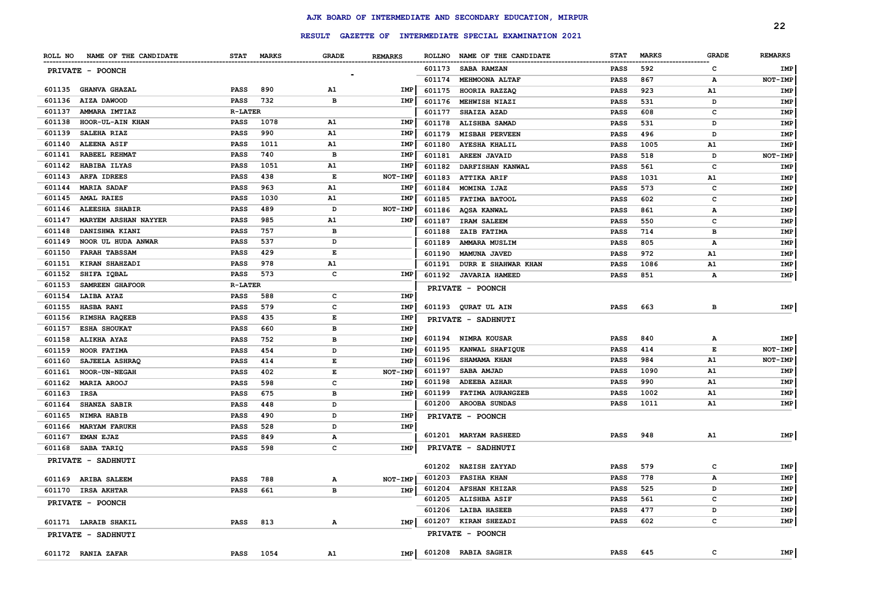|        |                               |                |              |              |                |               | RESULT GAZETTE OF INTERMEDIATE SPECIAL EXAMINATION 2021 |             |              |              | 22             |
|--------|-------------------------------|----------------|--------------|--------------|----------------|---------------|---------------------------------------------------------|-------------|--------------|--------------|----------------|
|        | ROLL NO NAME OF THE CANDIDATE | <b>STAT</b>    | <b>MARKS</b> | <b>GRADE</b> | <b>REMARKS</b> | <b>ROLLNO</b> | NAME OF THE CANDIDATE                                   | <b>STAT</b> | <b>MARKS</b> | <b>GRADE</b> | <b>REMARKS</b> |
|        |                               |                |              |              |                | 601173        | <b>SABA RAMZAN</b>                                      | PASS        | 592          | C            | IMP            |
|        | PRIVATE - POONCH              |                |              |              |                | 601174        | <b>MEHMOONA ALTAF</b>                                   | <b>PASS</b> | 867          | А            | NOT-IMP        |
|        | 601135 GHANVA GHAZAL          | <b>PASS</b>    | 890          | A1           | IMP            | 601175        | HOORIA RAZZAQ                                           | <b>PASS</b> | 923          | A1           | IMP            |
| 601136 | AIZA DAWOOD                   | <b>PASS</b>    | 732          | в            | IMP            | 601176        | MEHWISH NIAZI                                           | <b>PASS</b> | 531          | D            | IMP            |
| 601137 | AMMARA IMTIAZ                 | <b>R-LATER</b> |              |              |                | 601177        | <b>SHAIZA AZAD</b>                                      | <b>PASS</b> | 608          | C            | IMP            |
| 601138 | HOOR-UL-AIN KHAN              | <b>PASS</b>    | 1078         | A1           | IMP            | 601178        | ALISHBA SAMAD                                           | <b>PASS</b> | 531          | D            | IMP            |
| 601139 | SALEHA RIAZ                   | <b>PASS</b>    | 990          | A1           | <b>IMP</b>     | 601179        | <b>MISBAH PERVEEN</b>                                   | <b>PASS</b> | 496          | D            | IMP            |
| 601140 | <b>ALEENA ASIF</b>            | PASS           | 1011         | <b>A1</b>    | IMP            | 601180        | <b>AYESHA KHALIL</b>                                    | <b>PASS</b> | 1005         | A1           | IMP            |
| 601141 | RABEEL REHMAT                 | <b>PASS</b>    | 740          | в            | IMP            | 601181        | <b>AREEN JAVAID</b>                                     | <b>PASS</b> | 518          | D            | NOT-IMP        |
| 601142 | HABIBA ILYAS                  | <b>PASS</b>    | 1051         | A1           | IMP            | 601182        | <b>DARFISHAN KANWAL</b>                                 | <b>PASS</b> | 561          | $\mathbf{C}$ | IMP            |
| 601143 | ARFA IDREES                   | <b>PASS</b>    | 438          | E            | <b>NOT-IMP</b> | 601183        | <b>ATTIKA ARIF</b>                                      | <b>PASS</b> | 1031         | A1           | IMP            |
| 601144 | <b>MARIA SADAF</b>            | <b>PASS</b>    | 963          | <b>A1</b>    | IMP            | 601184        | MOMINA IJAZ                                             | <b>PASS</b> | 573          | c            | IMP            |
| 601145 | <b>AMAL RAIES</b>             | <b>PASS</b>    | 1030         | A1           | IMP            | 601185        | <b>FATIMA BATOOL</b>                                    | PASS        | 602          | с            | IMP            |
| 601146 | <b>ALEESHA SHABIR</b>         | PASS           | 489          | D            | NOT-IMP        | 601186        | AQSA KANWAL                                             | PASS        | 861          | А            | IMP            |
| 601147 | MARYEM ARSHAN NAYYER          | PASS           | 985          | <b>A1</b>    | IMP            | 601187        | <b>IRAM SALEEM</b>                                      | <b>PASS</b> | 550          | c            | IMP            |
| 601148 | DANISHWA KIANI                | <b>PASS</b>    | 757          | в            |                | 601188        | ZAIB FATIMA                                             | <b>PASS</b> | 714          | в            | IMP            |
| 601149 | NOOR UL HUDA ANWAR            | PASS           | 537          | D            |                | 601189        | AMMARA MUSLIM                                           | <b>PASS</b> | 805          | А            | IMP            |
| 601150 | <b>FARAH TABSSAM</b>          | PASS           | 429          | E            |                | 601190        | MAMUNA JAVED                                            | <b>PASS</b> | 972          | A1           | <b>IMP</b>     |
| 601151 | KIRAN SHAHZADI                | <b>PASS</b>    | 978          | A1           |                | 601191        | DURR E SHAHWAR KHAN                                     | <b>PASS</b> | 1086         | A1           | <b>IMP</b>     |
| 601152 | SHIFA IQBAL                   | PASS           | 573          | c            | IMP            |               | 601192 JAVARIA HAMEED                                   | <b>PASS</b> | 851          | А            | IMP            |
| 601153 | SAMREEN GHAFOOR               | <b>R-LATER</b> |              |              |                |               |                                                         |             |              |              |                |
| 601154 | LAIBA AYAZ                    | <b>PASS</b>    | 588          | с            | IMP            |               | PRIVATE - POONCH                                        |             |              |              |                |
| 601155 | <b>HASBA RANI</b>             | <b>PASS</b>    | 579          | c            | IMP            | 601193        | QURAT UL AIN                                            | <b>PASS</b> | 663          | в            | IMP            |
| 601156 | RIMSHA RAQEEB                 | <b>PASS</b>    | 435          | E            | IMP            |               | PRIVATE - SADHNUTI                                      |             |              |              |                |
| 601157 | <b>ESHA SHOUKAT</b>           | <b>PASS</b>    | 660          | в            | IMP            |               |                                                         |             |              |              |                |
| 601158 | <b>ALIKHA AYAZ</b>            | <b>PASS</b>    | 752          | в            | IMP            | 601194        | NIMRA KOUSAR                                            | <b>PASS</b> | 840          | А            | IMP            |
| 601159 | <b>NOOR FATIMA</b>            | PASS           | 454          | D            | IMP            | 601195        | KANWAL SHAFIQUE                                         | <b>PASS</b> | 414          | Е            | NOT-IMP        |
| 601160 | SAJEELA ASHRAQ                | <b>PASS</b>    | 414          | Е            | IMP            | 601196        | <b>SHAMAMA KHAN</b>                                     | <b>PASS</b> | 984          | A1           | NOT-IMP        |
| 601161 | <b>NOOR-UN-NEGAH</b>          | <b>PASS</b>    | 402          | Е            | NOT-IMP        | 601197        | SABA AMJAD                                              | <b>PASS</b> | 1090         | A1           | IMP            |
| 601162 | <b>MARIA AROOJ</b>            | PASS           | 598          | c            | <b>IMP</b>     | 601198        | <b>ADEEBA AZHAR</b>                                     | <b>PASS</b> | 990          | A1           | IMP            |
| 601163 | IRSA                          | PASS           | 675          | в            | IMP            | 601199        | FATIMA AURANGZEB                                        | <b>PASS</b> | 1002         | A1           | IMP            |
| 601164 | <b>SHANZA SABIR</b>           | <b>PASS</b>    | 448          | D            |                | 601200        | <b>AROOBA SUNDAS</b>                                    | <b>PASS</b> | 1011         | A1           | IMP            |
| 601165 | NIMRA HABIB                   | PASS           | 490          | D            | IMP            |               | PRIVATE - POONCH                                        |             |              |              |                |
| 601166 | <b>MARYAM FARUKH</b>          | <b>PASS</b>    | 528          | D            | IMP            |               |                                                         |             |              |              |                |
| 601167 | <b>EMAN EJAZ</b>              | PASS           | 849          | А            |                | 601201        | <b>MARYAM RASHEED</b>                                   | <b>PASS</b> | 948          | A1           | IMP            |
| 601168 | SABA TARIQ                    | <b>PASS</b>    | 598          | c            | IMP            |               | PRIVATE - SADHNUTI                                      |             |              |              |                |
|        | PRIVATE - SADHNUTI            |                |              |              |                |               |                                                         |             |              |              |                |
|        |                               |                |              |              |                | 601202        | <b>NAZISH ZAYYAD</b>                                    | <b>PASS</b> | 579          | c            | IMP            |
| 601169 | <b>ARIBA SALEEM</b>           | <b>PASS</b>    | 788          | А            | NOT-IMP        | 601203        | <b>FASIHA KHAN</b>                                      | <b>PASS</b> | 778          | $\mathbf{A}$ | <b>IMP</b>     |
| 601170 | <b>IRSA AKHTAR</b>            | <b>PASS</b>    | 661          | в            | IMP            | 601204        | <b>AFSHAN KHIZAR</b>                                    | <b>PASS</b> | 525          | D            | IMP            |
|        | PRIVATE - POONCH              |                |              |              |                | 601205        | <b>ALISHBA ASIF</b>                                     | <b>PASS</b> | 561          | $\mathbf{C}$ | IMP            |
|        |                               |                |              |              |                | 601206        | <b>LAIBA HASEEB</b>                                     | <b>PASS</b> | 477          | D            | IMP            |
|        | 601171 LARAIB SHAKIL          | <b>PASS</b>    | 813          | А            | IMP            | 601207        | KIRAN SHEZADI                                           | PASS        | 602          | с            | IMP            |
|        | PRIVATE - SADHNUTI            |                |              |              |                |               | <b>PRIVATE - POONCH</b>                                 |             |              |              |                |
|        | 601172 RANIA ZAFAR            | <b>PASS</b>    | 1054         | <b>A1</b>    | IMP            |               | 601208 RABIA SAGHIR                                     | <b>PASS</b> | 645          | $\mathbf{C}$ | IMP            |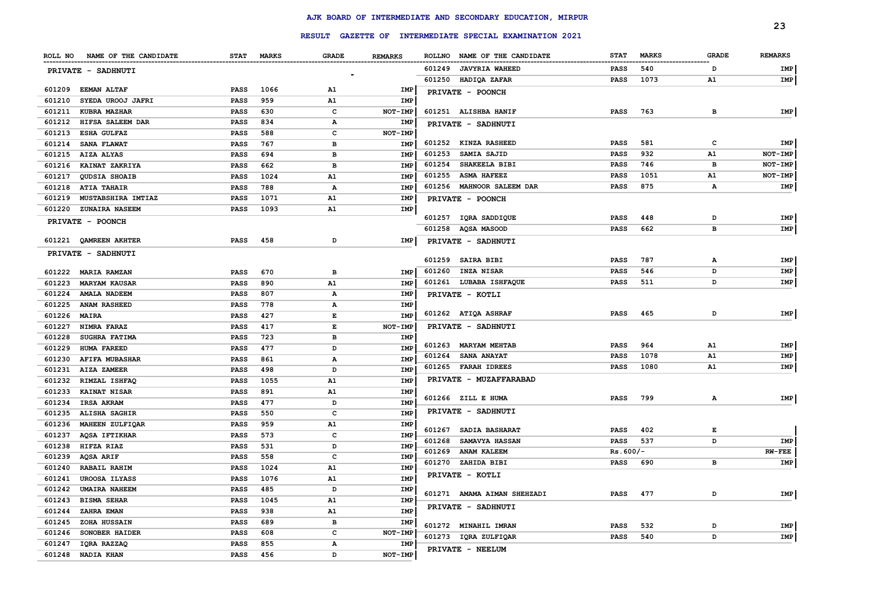|        |                               |             |              |              |                |                              |                                                         |                            |              |              | 23                     |
|--------|-------------------------------|-------------|--------------|--------------|----------------|------------------------------|---------------------------------------------------------|----------------------------|--------------|--------------|------------------------|
|        |                               |             |              |              |                |                              | RESULT GAZETTE OF INTERMEDIATE SPECIAL EXAMINATION 2021 |                            |              |              |                        |
|        | ROLL NO NAME OF THE CANDIDATE | <b>STAT</b> | <b>MARKS</b> | <b>GRADE</b> | <b>REMARKS</b> |                              | ROLLNO NAME OF THE CANDIDATE                            | <b>STAT</b>                | <b>MARKS</b> | <b>GRADE</b> | <b>REMARKS</b>         |
|        | PRIVATE - SADHNUTI            |             |              |              |                | 601249                       | <b>JAVYRIA WAHEED</b>                                   | PASS                       | 540          | D            | IMP                    |
|        |                               |             |              |              |                | 601250                       | HADIQA ZAFAR                                            | <b>PASS</b>                | 1073         | A1           | IMP                    |
| 601209 | <b>EEMAN ALTAF</b>            | <b>PASS</b> | 1066         | A1           | IMP            | PRIVATE - POONCH             |                                                         |                            |              |              |                        |
| 601210 | SYEDA UROOJ JAFRI             | <b>PASS</b> | 959          | A1           | IMP            |                              |                                                         |                            |              |              |                        |
| 601211 | <b>KUBRA MAZHAR</b>           | PASS        | 630          | $\mathbf{C}$ | NOT-IMP        | 601251 ALISHBA HANIF         |                                                         | <b>PASS</b>                | 763          | в            | <b>IMP</b>             |
|        | 601212 HIFSA SALEEM DAR       | <b>PASS</b> | 834          | $\mathbf A$  | IMP            | <b>PRIVATE - SADHNUTI</b>    |                                                         |                            |              |              |                        |
| 601213 | <b>ESHA GULFAZ</b>            | <b>PASS</b> | 588          | c            | NOT-IMP        |                              |                                                         |                            |              |              |                        |
|        | 601214 SANA FLAWAT            | <b>PASS</b> | 767          | в            | IMP            | 601252                       | <b>KINZA RASHEED</b>                                    | <b>PASS</b>                | 581          | c            | <b>IMP</b>             |
| 601215 | AIZA ALYAS                    | <b>PASS</b> | 694          | $\mathbf{B}$ | <b>IMP</b>     | 601253                       | SAMIA SAJID                                             | <b>PASS</b>                | 932          | ${\tt A1}$   | NOT-IMP                |
| 601216 | KAINAT ZAKRIYA                | <b>PASS</b> | 662          | в            | <b>IMP</b>     | 601254                       | SHAKEELA BIBI                                           | <b>PASS</b>                | 746          | B            | NOT-IMP                |
| 601217 | QUDSIA SHOAIB                 | <b>PASS</b> | 1024         | A1           | IMP            | 601255                       | <b>ASMA HAFEEZ</b>                                      | <b>PASS</b>                | 1051         | Α1           | NOT-IMP                |
| 601218 | <b>ATIA TAHAIR</b>            | <b>PASS</b> | 788          | А            | IMP            |                              | 601256 MAHNOOR SALEEM DAR                               | <b>PASS</b>                | 875          | $\mathbf{A}$ | IMP                    |
| 601219 | MUSTABSHIRA IMTIAZ            | <b>PASS</b> | 1071         | A1           | IMP            | PRIVATE - POONCH             |                                                         |                            |              |              |                        |
| 601220 | <b>ZUNAIRA NASEEM</b>         | <b>PASS</b> | 1093         | A1           | IMP            |                              |                                                         |                            |              |              |                        |
|        | PRIVATE - POONCH              |             |              |              |                | 601257<br>601258             | IQRA SADDIQUE<br>AQSA MASOOD                            | <b>PASS</b><br><b>PASS</b> | 448<br>662   | D<br>в       | IMP<br>IMP             |
|        |                               |             |              |              |                |                              |                                                         |                            |              |              |                        |
|        | 601221 QAMREEN AKHTER         | PASS        | 458          | D            | IMP            | PRIVATE - SADHNUTI           |                                                         |                            |              |              |                        |
|        | PRIVATE - SADHNUTI            |             |              |              |                | 601259                       | <b>SAIRA BIBI</b>                                       | <b>PASS</b>                | 787          | А            | IMP                    |
|        | 601222 MARIA RAMZAN           | PASS        | 670          | в            | IMP            | 601260                       | <b>INZA NISAR</b>                                       | <b>PASS</b>                | 546          | D            | IMP                    |
| 601223 | <b>MARYAM KAUSAR</b>          | PASS        | 890          | A1           | <b>IMP</b>     |                              | 601261 LUBABA ISHFAQUE                                  | <b>PASS</b>                | 511          | D            | IMP                    |
| 601224 | <b>AMALA NADEEM</b>           | PASS        | 807          | $\mathbf A$  | IMP            | PRIVATE - KOTLI              |                                                         |                            |              |              |                        |
| 601225 | <b>ANAM RASHEED</b>           | <b>PASS</b> | 778          | Α            | IMP            |                              |                                                         |                            |              |              |                        |
| 601226 | <b>MAIRA</b>                  | PASS        | 427          | E            | IMP            | 601262 ATIQA ASHRAF          |                                                         | <b>PASS</b>                | 465          | D            | IMP                    |
| 601227 | NIMRA FARAZ                   | <b>PASS</b> | 417          | E            | NOT-IMP        | PRIVATE - SADHNUTI           |                                                         |                            |              |              |                        |
| 601228 | SUGHRA FATIMA                 | PASS        | 723          | $\, {\bf B}$ | <b>IMP</b>     |                              |                                                         |                            |              |              |                        |
| 601229 | <b>HUMA FAREED</b>            | <b>PASS</b> | 477          | D            | <b>IMP</b>     | 601263 MARYAM MEHTAB         |                                                         | <b>PASS</b>                | 964          | A1           | IMP                    |
| 601230 | <b>AFIFA MUBASHAR</b>         | <b>PASS</b> | 861          | А            | IMP            | 601264                       | <b>SANA ANAYAT</b>                                      | <b>PASS</b>                | 1078         | A1           | IMP                    |
| 601231 | AIZA ZAMEER                   | PASS        | 498          | D            | IMP            | 601265 FARAH IDREES          |                                                         | <b>PASS</b>                | 1080         | A1           | IMP                    |
| 601232 | RIMZAL ISHFAQ                 | <b>PASS</b> | 1055         | A1           | <b>IMP</b>     |                              | PRIVATE - MUZAFFARABAD                                  |                            |              |              |                        |
| 601233 | <b>KAINAT NISAR</b>           | <b>PASS</b> | 891          | A1           | IMP            |                              |                                                         |                            |              |              |                        |
| 601234 | IRSA AKRAM                    | <b>PASS</b> | 477          | D            | IMP            | 601266 ZILL E HUMA           |                                                         | <b>PASS</b>                | 799          | А            | IMP                    |
| 601235 | ALISHA SAGHIR                 | <b>PASS</b> | 550          | $\mathbf{C}$ | IMP            | PRIVATE - SADHNUTI           |                                                         |                            |              |              |                        |
| 601236 | MAHEEN ZULFIQAR               | PASS        | 959          | A1           | IMP            |                              |                                                         |                            |              | E            |                        |
| 601237 | <b>AQSA IFTIKHAR</b>          | PASS        | 573          | c            | IMP            | 601267                       | <b>SADIA BASHARAT</b>                                   | <b>PASS</b>                | 402          | D            |                        |
| 601238 | HIFZA RIAZ                    | <b>PASS</b> | 531          | D            | IMP            | 601268                       | <b>SAMAVYA HASSAN</b><br><b>ANAM KALEEM</b>             | <b>PASS</b>                | 537          |              | <b>IMP</b><br>$RW-FEE$ |
| 601239 | <b>AQSA ARIF</b>              | <b>PASS</b> | 558          | $\mathbf{C}$ | <b>IMP</b>     | 601269<br>601270 ZAHIDA BIBI |                                                         | $Rs.600/-$                 |              | в            |                        |
| 601240 | RABAIL RAHIM                  | PASS        | 1024         | <b>A1</b>    | IMP            |                              |                                                         | <b>PASS</b>                | 690          |              | IMP                    |
| 601241 | <b>UROOSA ILYASS</b>          | PASS        | 1076         | A1           | <b>IMP</b>     | PRIVATE - KOTLI              |                                                         |                            |              |              |                        |
| 601242 | <b>UMAIRA NAHEEM</b>          | <b>PASS</b> | 485          | D            | IMP            |                              | 601271 AMAMA AIMAN SHEHZADI                             | <b>PASS</b>                | 477          | D            | IMP                    |
| 601243 | <b>BISMA SEHAR</b>            | <b>PASS</b> | 1045         | A1           | <b>IMP</b>     |                              |                                                         |                            |              |              |                        |
| 601244 | ZAHRA EMAN                    | <b>PASS</b> | 938          | A1           | IMP            | PRIVATE - SADHNUTI           |                                                         |                            |              |              |                        |
| 601245 | ZOHA HUSSAIN                  | <b>PASS</b> | 689          | в            | IMP            | 601272 MINAHIL IMRAN         |                                                         | <b>PASS</b>                | 532          | D            | IMP                    |
| 601246 | SONOBER HAIDER                | PASS        | 608          | $\mathbf c$  | NOT-IMP        | 601273 IQRA ZULFIQAR         |                                                         | <b>PASS</b>                | 540          | D            | IMP                    |
| 601247 | IQRA RAZZAQ                   | PASS        | 855          | $\mathbf A$  | IMP            | PRIVATE - NEELUM             |                                                         |                            |              |              |                        |
| 601248 | <b>NADIA KHAN</b>             | PASS        | 456          | D            | NOT-IMP        |                              |                                                         |                            |              |              |                        |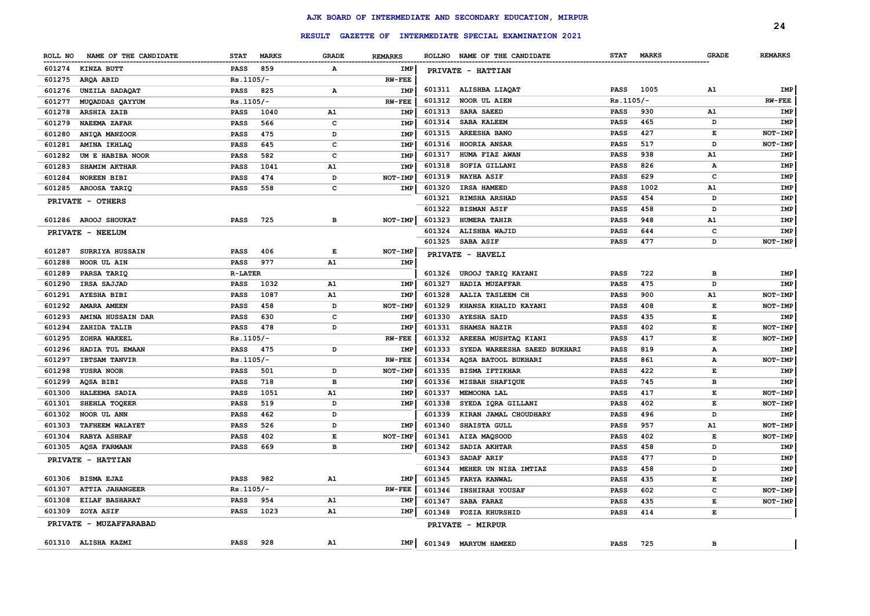|         |                        |                |              |              |                |        |                                                         |             |              |              | 24             |
|---------|------------------------|----------------|--------------|--------------|----------------|--------|---------------------------------------------------------|-------------|--------------|--------------|----------------|
|         |                        |                |              |              |                |        | RESULT GAZETTE OF INTERMEDIATE SPECIAL EXAMINATION 2021 |             |              |              |                |
| ROLL NO | NAME OF THE CANDIDATE  | <b>STAT</b>    | <b>MARKS</b> | <b>GRADE</b> | <b>REMARKS</b> |        | ROLLNO NAME OF THE CANDIDATE                            | <b>STAT</b> | <b>MARKS</b> | <b>GRADE</b> | <b>REMARKS</b> |
| 601274  | KINZA BUTT             | <b>PASS</b>    | 859          | А            | IMP            |        | PRIVATE - HATTIAN                                       |             |              |              |                |
| 601275  | ARQA ABID              | Rs.1105/-      |              |              | <b>RW-FEE</b>  |        |                                                         |             |              |              |                |
| 601276  | UNZILA SADAQAT         | <b>PASS</b>    | 825          | Α            | <b>IMP</b>     |        | 601311 ALISHBA LIAQAT                                   | <b>PASS</b> | 1005         | A1           | IMP            |
| 601277  | MUQADDAS QAYYUM        | $Rs.1105/-$    |              |              | $RW-FEE$       | 601312 | NOOR UL AIEN                                            | $Rs.1105/-$ |              |              | $RW-FEE$       |
| 601278  | <b>ARSHIA ZAIB</b>     | <b>PASS</b>    | 1040         | A1           | <b>IMP</b>     | 601313 | <b>SARA SAEED</b>                                       | PASS        | 930          | A1           | IMP            |
| 601279  | NAEEMA ZAFAR           | <b>PASS</b>    | 566          | c            | <b>IMP</b>     | 601314 | <b>SABA KALEEM</b>                                      | <b>PASS</b> | 465          | D            | IMP            |
| 601280  | ANIQA MANZOOR          | <b>PASS</b>    | 475          | D            | <b>IMP</b>     | 601315 | <b>AREESHA BANO</b>                                     | PASS        | 427          | Е            | NOT-IMP        |
| 601281  | AMINA IKHLAQ           | <b>PASS</b>    | 645          | $\mathbf c$  | <b>IMP</b>     | 601316 | HOORIA ANSAR                                            | <b>PASS</b> | 517          | D            | NOT-IMP        |
| 601282  | UM E HABIBA NOOR       | <b>PASS</b>    | 582          | c            | IMP            | 601317 | HUMA FIAZ AWAN                                          | <b>PASS</b> | 938          | A1           | IMP            |
| 601283  | <b>SHAMIM AKTHAR</b>   | <b>PASS</b>    | 1041         | A1           | <b>IMP</b>     | 601318 | SOFIA GILLANI                                           | <b>PASS</b> | 826          | A            | IMP            |
| 601284  | <b>NOREEN BIBI</b>     | PASS           | 474          | D            | NOT-IMP        | 601319 | <b>NAYHA ASIF</b>                                       | <b>PASS</b> | 629          | $\mathbf{C}$ | IMP            |
| 601285  | AROOSA TARIQ           | <b>PASS</b>    | 558          | c            | <b>IMP</b>     | 601320 | IRSA HAMEED                                             | <b>PASS</b> | 1002         | A1           | IMP            |
|         | PRIVATE - OTHERS       |                |              |              |                | 601321 | <b>RIMSHA ARSHAD</b>                                    | <b>PASS</b> | 454          | D            | IMP            |
|         |                        |                |              |              |                | 601322 | <b>BISMAN ASIF</b>                                      | <b>PASS</b> | 458          | D            | IMP            |
| 601286  | AROOJ SHOUKAT          | <b>PASS</b>    | 725          | B            | NOT-IMP        | 601323 | <b>HUMERA TAHIR</b>                                     | <b>PASS</b> | 948          | A1           | IMP            |
|         | PRIVATE - NEELUM       |                |              |              |                | 601324 | ALISHBA WAJID                                           | <b>PASS</b> | 644          | c            | IMP            |
|         |                        |                |              |              |                | 601325 | SABA ASIF                                               | PASS        | 477          | D            | NOT-IMP        |
| 601287  | SURRIYA HUSSAIN        | <b>PASS</b>    | 406          | Е            | NOT-IMP        |        | PRIVATE - HAVELI                                        |             |              |              |                |
| 601288  | NOOR UL AIN            | <b>PASS</b>    | 977          | A1           | IMP            |        |                                                         |             |              |              |                |
| 601289  | PARSA TARIQ            | <b>R-LATER</b> |              |              |                | 601326 | UROOJ TARIQ KAYANI                                      | PASS        | 722          | в            | IMP            |
| 601290  | IRSA SAJJAD            | <b>PASS</b>    | 1032         | A1           | IMP            | 601327 | HADIA MUZAFFAR                                          | <b>PASS</b> | 475          | D            | IMP            |
| 601291  | <b>AYESHA BIBI</b>     | <b>PASS</b>    | 1087         | A1           | <b>IMP</b>     | 601328 | AALIA TASLEEM CH                                        | <b>PASS</b> | 900          | A1           | NOT-IMP        |
| 601292  | <b>AMARA AMEEN</b>     | <b>PASS</b>    | 458          | D            | NOT-IMP        | 601329 | KHANSA KHALID KAYANI                                    | <b>PASS</b> | 408          | Е            | NOT-IMP        |
| 601293  | AMINA HUSSAIN DAR      | <b>PASS</b>    | 630          | c            | <b>IMP</b>     | 601330 | <b>AYESHA SAID</b>                                      | <b>PASS</b> | 435          | E            | IMP            |
| 601294  | ZAHIDA TALIB           | PASS           | 478          | D            | <b>IMP</b>     | 601331 | SHAMSA NAZIR                                            | PASS        | 402          | E            | NOT-IMP        |
| 601295  | ZOHRA WAKEEL           | $Rs.1105/-$    |              |              | $RW-FEE$       | 601332 | AREEBA MUSHTAQ KIANI                                    | <b>PASS</b> | 417          | E            | NOT-IMP        |
| 601296  | HADIA TUL EMAAN        | PASS           | 475          | D            | IMP            | 601333 | SYEDA WAREESHA SAEED BUKHARI                            | <b>PASS</b> | 819          | А            | IMP            |
| 601297  | <b>IBTSAM TANVIR</b>   | $Rs.1105/-$    |              |              | <b>RW-FEE</b>  | 601334 | AQSA BATOOL BUKHARI                                     | <b>PASS</b> | 861          | $\mathbf{A}$ | NOT-IMP        |
| 601298  | YUSRA NOOR             | PASS           | 501          | D            | NOT-IMP        | 601335 | <b>BISMA IFTIKHAR</b>                                   | <b>PASS</b> | 422          | E            | IMP            |
| 601299  | AQSA BIBI              | PASS           | 718          | в            | IMP            | 601336 | MISBAH SHAFIQUE                                         | <b>PASS</b> | 745          | в            | IMP            |
| 601300  | <b>HALEEMA SADIA</b>   | <b>PASS</b>    | 1051         | A1           | <b>IMP</b>     | 601337 | <b>MEMOONA LAL</b>                                      | <b>PASS</b> | 417          | Е            | NOT-IMP        |
| 601301  | SHEHLA TOQEER          | <b>PASS</b>    | 519          | D            | <b>IMP</b>     | 601338 | SYEDA IORA GILLANI                                      | <b>PASS</b> | 402          | Е            | NOT-IMP        |
| 601302  | NOOR UL ANN            | <b>PASS</b>    | 462          | D            |                | 601339 | KIRAN JAMAL CHOUDHARY                                   | <b>PASS</b> | 496          | D            | IMP            |
| 601303  | <b>TAFHEEM WALAYET</b> | <b>PASS</b>    | 526          | D            | <b>IMP</b>     | 601340 | SHAISTA GULL                                            | <b>PASS</b> | 957          | A1           | NOT-IMP        |
| 601304  | <b>RABYA ASHRAF</b>    | <b>PASS</b>    | 402          | $\mathbf E$  | NOT-IMP        | 601341 | AIZA MAQSOOD                                            | <b>PASS</b> | 402          | E            | NOT-IMP        |
| 601305  | <b>AQSA FARMAAN</b>    | PASS           | 669          | в            | <b>IMP</b>     | 601342 | SADIA AKHTAR                                            | <b>PASS</b> | 458          | D            | IMP            |
|         | PRIVATE - HATTIAN      |                |              |              |                | 601343 | <b>SADAF ARIF</b>                                       | <b>PASS</b> | 477          | D            | IMP            |
|         |                        |                |              |              |                | 601344 | MEHER UN NISA IMTIAZ                                    | <b>PASS</b> | 458          | D            | IMP            |
| 601306  | BISMA EJAZ             | PASS           | 982          | A1           | IMP            | 601345 | <b>FARYA KANWAL</b>                                     | PASS        | 435          | E            | <b>IMP</b>     |
| 601307  | <b>ATTIA JAHANGEER</b> | $Rs.1105/-$    |              |              | $RW-FEE$       | 601346 | <b>INSHIRAH YOUSAF</b>                                  | <b>PASS</b> | 602          | $\mathbf{C}$ | NOT-IMP        |
| 601308  | <b>EILAF BASHARAT</b>  | <b>PASS</b>    | 954          | A1           | IMP            | 601347 | SABA FARAZ                                              | PASS        | 435          | E            | NOT-IMP        |
| 601309  | ZOYA ASIF              | <b>PASS</b>    | 1023         | A1           | IMP            | 601348 | <b>FOZIA KHURSHID</b>                                   | <b>PASS</b> | 414          | E            |                |
|         | PRIVATE - MUZAFFARABAD |                |              |              |                |        | PRIVATE - MIRPUR                                        |             |              |              |                |
|         | 601310 ALISHA KAZMI    | <b>PASS</b>    | 928          | A1           | IMP            |        | 601349 MARYUM HAMEED                                    | <b>PASS</b> | 725          | в            |                |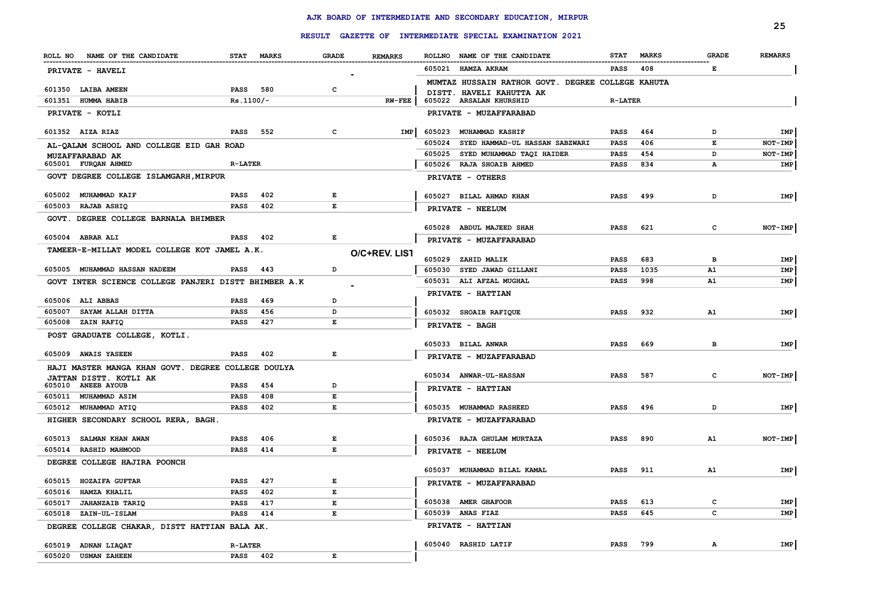|                                                                              |                     |            |                    |                |        | RESULT GAZETTE OF INTERMEDIATE SPECIAL EXAMINATION 2021 |                |              |                | 25             |
|------------------------------------------------------------------------------|---------------------|------------|--------------------|----------------|--------|---------------------------------------------------------|----------------|--------------|----------------|----------------|
|                                                                              |                     |            |                    |                |        |                                                         |                |              |                |                |
| ROLL NO NAME OF THE CANDIDATE                                                |                     | STAT MARKS | <b>GRADE</b>       | <b>REMARKS</b> |        | ROLLNO NAME OF THE CANDIDATE                            | <b>STAT</b>    | <b>MARKS</b> | <b>GRADE</b>   | <b>REMARKS</b> |
| PRIVATE - HAVELI                                                             |                     |            |                    |                |        | 605021 HAMZA AKRAM                                      | <b>PASS</b>    | 408          | E.             |                |
|                                                                              |                     |            |                    |                |        | MUMTAZ HUSSAIN RATHOR GOVT. DEGREE COLLEGE KAHUTA       |                |              |                |                |
| 601350 LAIBA AMEEN<br>601351 HUMMA HABIB                                     | PASS<br>$Rs.1100/-$ | 580        | c                  | $RW-FEE$       |        | DISTT. HAVELI KAHUTTA AK<br>605022 ARSALAN KHURSHID     | <b>R-LATER</b> |              |                |                |
|                                                                              |                     |            |                    |                |        |                                                         |                |              |                |                |
| PRIVATE - KOTLI                                                              |                     |            |                    |                |        | PRIVATE - MUZAFFARABAD                                  |                |              |                |                |
| 601352 AIZA RIAZ                                                             | <b>PASS</b>         | 552        | C                  | <b>IMP</b>     | 605023 | <b>MUHAMMAD KASHIF</b>                                  | <b>PASS</b>    | 464          | D              | IMP            |
| AL-QALAM SCHOOL AND COLLEGE EID GAH ROAD                                     |                     |            |                    |                | 605024 | SYED HAMMAD-UL HASSAN SABZWARI                          | <b>PASS</b>    | 406          | E              | NOT-IMP        |
| <b>MUZAFFARABAD AK</b>                                                       |                     |            |                    |                | 605025 | SYED MUHAMMAD TAQI HAIDER                               | <b>PASS</b>    | 454          | D              | NOT-IMP        |
| 605001 FURQAN AHMED                                                          | <b>R-LATER</b>      |            |                    |                |        | 605026 RAJA SHOAIB AHMED                                | <b>PASS</b>    | 834          | А              | IMP            |
| GOVT DEGREE COLLEGE ISLAMGARH, MIRPUR                                        |                     |            |                    |                |        | PRIVATE - OTHERS                                        |                |              |                |                |
| 605002 MUHAMMAD KAIF                                                         | <b>PASS</b>         | 402        | Е                  |                |        | 605027 BILAL AHMAD KHAN                                 | <b>PASS</b>    | 499          | D              | IMP            |
| 605003 RAJAB ASHIQ                                                           | <b>PASS</b>         | 402        | E                  |                |        | PRIVATE - NEELUM                                        |                |              |                |                |
| GOVT. DEGREE COLLEGE BARNALA BHIMBER                                         |                     |            |                    |                |        |                                                         |                |              |                |                |
|                                                                              |                     |            |                    |                |        | 605028 ABDUL MAJEED SHAH                                | <b>PASS</b>    | 621          | c              | NOT-IMP        |
| 605004 ABRAR ALI                                                             | <b>PASS</b>         | 402        | Е                  |                |        | PRIVATE - MUZAFFARABAD                                  |                |              |                |                |
| TAMEER-E-MILLAT MODEL COLLEGE KOT JAMEL A.K.                                 |                     |            |                    | O/C+REV. LIST  |        | 605029 ZAHID MALIK                                      | <b>PASS</b>    | 683          | $\overline{B}$ | IMP            |
| 605005 MUHAMMAD HASSAN NADEEM                                                | PASS                | 443        | D                  |                |        | 605030 SYED JAWAD GILLANI                               | <b>PASS</b>    | 1035         | A1             | IMP            |
| GOVT INTER SCIENCE COLLEGE PANJERI DISTT BHIMBER A.K                         |                     |            |                    |                |        | 605031 ALI AFZAL MUGHAL                                 | <b>PASS</b>    | 998          | A1             | IMP            |
|                                                                              |                     |            |                    |                |        | PRIVATE - HATTIAN                                       |                |              |                |                |
| 605006 ALI ABBAS                                                             | <b>PASS</b>         | 469        | D                  |                |        |                                                         |                |              |                |                |
| 605007<br>SAYAM ALLAH DITTA                                                  | <b>PASS</b>         | 456        | D                  |                |        | 605032 SHOAIB RAFIQUE                                   | <b>PASS</b>    | 932          | A1             | IMP            |
| 605008 ZAIN RAFIQ                                                            | <b>PASS</b>         | 427        | E                  |                |        | <b>PRIVATE - BAGH</b>                                   |                |              |                |                |
| POST GRADUATE COLLEGE, KOTLI.                                                |                     |            |                    |                |        |                                                         |                |              |                |                |
| 605009 AWAIS YASEEN                                                          | <b>PASS</b>         | 402        | $\mathbf E$        |                |        | 605033 BILAL ANWAR                                      | <b>PASS</b>    | 669          | в              | IMP            |
|                                                                              |                     |            |                    |                |        | PRIVATE - MUZAFFARABAD                                  |                |              |                |                |
| HAJI MASTER MANGA KHAN GOVT. DEGREE COLLEGE DOULYA<br>JATTAN DISTT. KOTLI AK |                     |            |                    |                |        | 605034 ANWAR-UL-HASSAN                                  | <b>PASS</b>    | 587          | c              | NOT-IMP        |
| 605010 ANEEB AYOUB                                                           | <b>PASS</b>         | 454        | D                  |                |        | PRIVATE - HATTIAN                                       |                |              |                |                |
| 605011 MUHAMMAD ASIM                                                         | <b>PASS</b>         | 408        | E                  |                |        |                                                         |                |              |                |                |
| 605012 MUHAMMAD ATIQ                                                         | <b>PASS</b>         | 402        | $\mathbf{E}% _{t}$ |                |        | 605035 MUHAMMAD RASHEED                                 | <b>PASS</b>    | 496          | D              | IMP            |
| HIGHER SECONDARY SCHOOL RERA, BAGH.                                          |                     |            |                    |                |        | PRIVATE - MUZAFFARABAD                                  |                |              |                |                |
| 605013 SALMAN KHAN AWAN                                                      | <b>PASS</b>         | 406        | Е                  |                |        | 605036 RAJA GHULAM MURTAZA                              | <b>PASS</b>    | 890          | A1             | NOT-IMP        |
| 605014 RASHID MAHMOOD                                                        | <b>PASS</b>         | 414        | F.                 |                |        |                                                         |                |              |                |                |
| DEGREE COLLEGE HAJIRA POONCH                                                 |                     |            |                    |                |        | PRIVATE - NEELUM                                        |                |              |                |                |
|                                                                              |                     |            |                    |                |        | 605037 MUHAMMAD BILAL KAMAL                             | <b>PASS</b>    | 911          | A1             | IMP            |
| 605015 HOZAIFA GUFTAR                                                        | <b>PASS</b>         | 427        | Е                  |                |        | PRIVATE - MUZAFFARABAD                                  |                |              |                |                |
| 605016 HAMZA KHALIL                                                          | <b>PASS</b>         | 402        | E                  |                |        |                                                         |                |              |                |                |
| 605017<br><b>JAHANZAIB TARIQ</b>                                             | <b>PASS</b>         | 417        | E                  |                |        | 605038 AMER GHAFOOR                                     | <b>PASS</b>    | 613          | c              | IMP            |
| 605018<br><b>ZAIN-UL-ISLAM</b>                                               | <b>PASS</b>         | 414        | E                  |                |        | 605039 ANAS FIAZ                                        | <b>PASS</b>    | 645          | c              | IMP            |
| DEGREE COLLEGE CHAKAR, DISTT HATTIAN BALA AK.                                |                     |            |                    |                |        | PRIVATE - HATTIAN                                       |                |              |                |                |
| 605019 ADNAN LIAQAT                                                          | <b>R-LATER</b>      |            |                    |                |        | 605040 RASHID LATIF                                     | <b>PASS</b>    | 799          | А              | IMP            |
| 605020 USMAN ZAHEEN                                                          |                     | PASS 402   | E                  |                |        |                                                         |                |              |                |                |
|                                                                              |                     |            |                    |                |        |                                                         |                |              |                |                |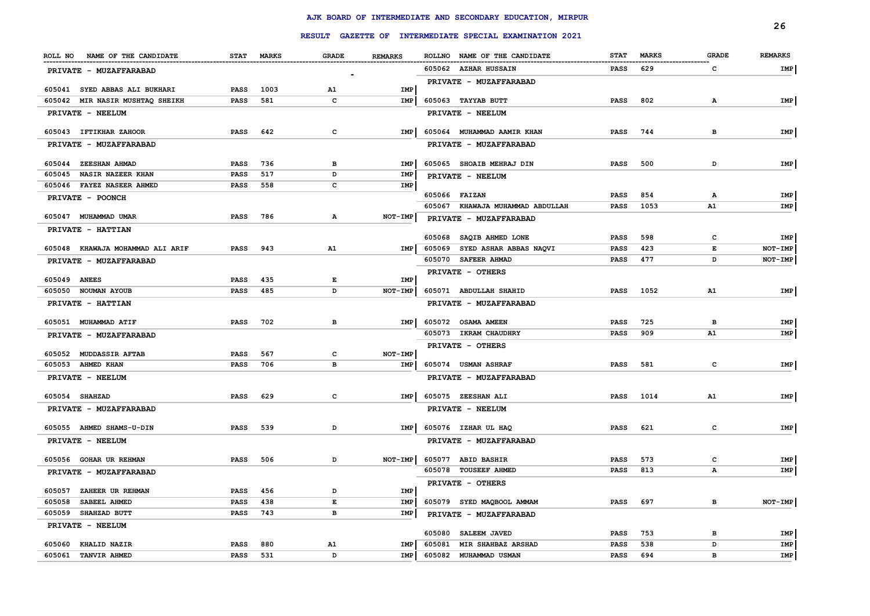|                                                                  |                            |             |                                 |                |        |                                                                      |             |              |              | 26             |
|------------------------------------------------------------------|----------------------------|-------------|---------------------------------|----------------|--------|----------------------------------------------------------------------|-------------|--------------|--------------|----------------|
|                                                                  |                            |             |                                 |                |        | RESULT GAZETTE OF INTERMEDIATE SPECIAL EXAMINATION 2021              |             |              |              |                |
| ROLL NO NAME OF THE CANDIDATE                                    |                            | STAT MARKS  | <b>GRADE</b><br>--------------- | <b>REMARKS</b> |        | ROLLNO NAME OF THE CANDIDATE<br>.___________________________________ | <b>STAT</b> | <b>MARKS</b> | <b>GRADE</b> | <b>REMARKS</b> |
| PRIVATE - MUZAFFARABAD                                           |                            |             |                                 |                |        | 605062 AZHAR HUSSAIN                                                 | PASS        | 629          | C            | IMP            |
|                                                                  |                            |             |                                 |                |        | PRIVATE - MUZAFFARABAD                                               |             |              |              |                |
| 605041 SYED ABBAS ALI BUKHARI<br>605042 MIR NASIR MUSHTAQ SHEIKH | <b>PASS</b><br><b>PASS</b> | 1003<br>581 | A1<br>C                         | IMP<br>IMP     |        | 605063 TAYYAB BUTT                                                   | <b>PASS</b> | 802          | $\mathbf{A}$ | IMP            |
|                                                                  |                            |             |                                 |                |        |                                                                      |             |              |              |                |
| PRIVATE - NEELUM                                                 |                            |             |                                 |                |        | PRIVATE - NEELUM                                                     |             |              |              |                |
| 605043 IFTIKHAR ZAHOOR                                           | PASS                       | 642         | c                               | IMP            |        | 605064 MUHAMMAD AAMIR KHAN                                           | <b>PASS</b> | 744          | в            | IMP            |
| <b>PRIVATE - MUZAFFARABAD</b>                                    |                            |             |                                 |                |        | PRIVATE - MUZAFFARABAD                                               |             |              |              |                |
| 605044 ZEESHAN AHMAD                                             | <b>PASS</b>                | 736         | в                               | <b>IMP</b>     |        | 605065 SHOAIB MEHRAJ DIN                                             | <b>PASS</b> | 500          | D            | IMP            |
| 605045<br><b>NASIR NAZEER KHAN</b>                               | <b>PASS</b>                | 517         | D                               | IMP            |        | PRIVATE - NEELUM                                                     |             |              |              |                |
| 605046 FAYEZ NASEER AHMED                                        | <b>PASS</b>                | 558         | c                               | IMP            |        |                                                                      |             |              |              |                |
| PRIVATE - POONCH                                                 |                            |             |                                 |                |        | 605066 FAIZAN                                                        | PASS        | 854          | А            | IMP            |
|                                                                  |                            |             |                                 |                | 605067 | KHAWAJA MUHAMMAD ABDULLAH                                            | PASS        | 1053         | ${\tt A1}$   | IMP            |
| 605047 MUHAMMAD UMAR                                             | <b>PASS</b>                | 786         | А                               | <b>NOT-IMP</b> |        | PRIVATE - MUZAFFARABAD                                               |             |              |              |                |
| PRIVATE - HATTIAN                                                |                            |             |                                 |                | 605068 | <b>SAQIB AHMED LONE</b>                                              | <b>PASS</b> | 598          | $\mathbf{C}$ | IMP            |
| 605048 KHAWAJA MOHAMMAD ALI ARIF                                 | <b>PASS</b>                | 943         | A1                              | <b>IMP</b>     |        | 605069 SYED ASHAR ABBAS NAQVI                                        | <b>PASS</b> | 423          | E            | NOT-IMP        |
| PRIVATE - MUZAFFARABAD                                           |                            |             |                                 |                |        | 605070 SAFEER AHMAD                                                  | <b>PASS</b> | 477          | D            | NOT-IMP        |
|                                                                  |                            |             |                                 |                |        | PRIVATE - OTHERS                                                     |             |              |              |                |
| 605049 ANEES                                                     | <b>PASS</b>                | 435         | Е                               | IMP            |        |                                                                      |             |              |              |                |
| 605050 NOUMAN AYOUB                                              | <b>PASS</b>                | 485         | D                               | NOT-IMP        |        | 605071 ABDULLAH SHAHID                                               | <b>PASS</b> | 1052         | A1           | IMP            |
| PRIVATE - HATTIAN                                                |                            |             |                                 |                |        | PRIVATE - MUZAFFARABAD                                               |             |              |              |                |
| 605051 MUHAMMAD ATIF                                             | PASS                       | 702         | $\, {\bf B}$                    | IMP            |        | 605072 OSAMA AMEEN                                                   | PASS        | 725          | в            | IMP            |
| PRIVATE - MUZAFFARABAD                                           |                            |             |                                 |                |        | 605073 IKRAM CHAUDHRY                                                | <b>PASS</b> | 909          | A1           | IMP            |
|                                                                  |                            |             |                                 |                |        | PRIVATE - OTHERS                                                     |             |              |              |                |
| 605052 MUDDASSIR AFTAB                                           | <b>PASS</b>                | 567         | c                               | NOT-IMP        |        |                                                                      |             |              |              |                |
| 605053 AHMED KHAN                                                | <b>PASS</b>                | 706         | B                               | <b>IMP</b>     |        | 605074 USMAN ASHRAF                                                  | <b>PASS</b> | 581          | C            | IMP            |
| PRIVATE - NEELUM                                                 |                            |             |                                 |                |        | PRIVATE - MUZAFFARABAD                                               |             |              |              |                |
| 605054 SHAHZAD                                                   | <b>PASS</b>                | 629         | c                               | IMP            |        | 605075 ZEESHAN ALI                                                   | PASS        | 1014         | A1           | IMP            |
| PRIVATE - MUZAFFARABAD                                           |                            |             |                                 |                |        | PRIVATE - NEELUM                                                     |             |              |              |                |
|                                                                  |                            |             |                                 |                |        |                                                                      |             |              |              |                |
| 605055 AHMED SHAMS-U-DIN                                         | <b>PASS</b>                | 539         | D                               | IMP            |        | 605076 IZHAR UL HAQ                                                  | <b>PASS</b> | 621          | c            | IMP            |
| PRIVATE - NEELUM                                                 |                            |             |                                 |                |        | PRIVATE - MUZAFFARABAD                                               |             |              |              |                |
| 605056 GOHAR UR REHMAN                                           | <b>PASS</b>                | 506         | D                               | NOT-IMP        |        | 605077 ABID BASHIR                                                   | <b>PASS</b> | 573          | c            | IMP            |
| <b>PRIVATE - MUZAFFARABAD</b>                                    |                            |             |                                 |                |        | 605078 TOUSEEF AHMED                                                 | <b>PASS</b> | 813          | А            | IMP            |
|                                                                  |                            |             |                                 |                |        | PRIVATE - OTHERS                                                     |             |              |              |                |
| 605057 ZAHEER UR REHMAN<br>SABEEL AHMED<br>605058                | <b>PASS</b>                | 456<br>438  | D<br>Е                          | IMP<br>IMP     |        | 605079 SYED MAQBOOL AMMAM                                            | <b>PASS</b> | 697          | в            | NOT-IMP        |
| 605059<br><b>SHAHZAD BUTT</b>                                    | <b>PASS</b><br><b>PASS</b> | 743         | в                               | <b>IMP</b>     |        |                                                                      |             |              |              |                |
| PRIVATE - NEELUM                                                 |                            |             |                                 |                |        | PRIVATE - MUZAFFARABAD                                               |             |              |              |                |
|                                                                  |                            |             |                                 |                | 605080 | <b>SALEEM JAVED</b>                                                  | <b>PASS</b> | 753          | в            | IMP            |
| 605060 KHALID NAZIR                                              | <b>PASS</b>                | 880         | A1                              | IMP            | 605081 | MIR SHAHBAZ ARSHAD                                                   | <b>PASS</b> | 538          | D            | IMP            |
| 605061 TANVIR AHMED                                              | <b>PASS</b>                | 531         | D                               | IMP            |        | 605082 MUHAMMAD USMAN                                                | <b>PASS</b> | 694          | B            | IMP            |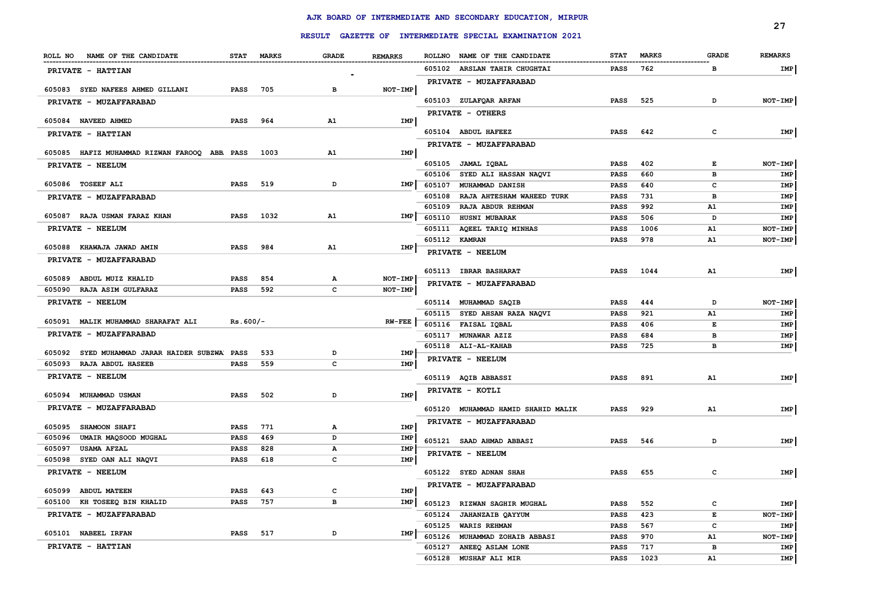|                                                    |                     |            |        |                |                  |                                                         |                     |              |              | 27             |
|----------------------------------------------------|---------------------|------------|--------|----------------|------------------|---------------------------------------------------------|---------------------|--------------|--------------|----------------|
|                                                    |                     |            |        |                |                  | RESULT GAZETTE OF INTERMEDIATE SPECIAL EXAMINATION 2021 |                     |              |              |                |
| ROLL NO NAME OF THE CANDIDATE                      |                     | STAT MARKS | GRADE  | <b>REMARKS</b> |                  | ROLLNO NAME OF THE CANDIDATE                            | <b>STAT</b>         | <b>MARKS</b> | <b>GRADE</b> | <b>REMARKS</b> |
| <b>PRIVATE - HATTIAN</b>                           |                     |            |        |                |                  | 605102 ARSLAN TAHIR CHUGHTAI                            | PASS                | 762          | в            | IMP            |
|                                                    |                     |            |        |                |                  | PRIVATE - MUZAFFARABAD                                  |                     |              |              |                |
| 605083 SYED NAFEES AHMED GILLANI                   | PASS                | 705        | в      | NOT-IMP        |                  |                                                         |                     | 525          | D            |                |
| PRIVATE - MUZAFFARABAD                             |                     |            |        |                |                  | 605103 ZULAFQAR ARFAN                                   | <b>PASS</b>         |              |              | NOT-IMP        |
| 605084 NAVEED AHMED                                | PASS                | 964        | A1     | IMP            |                  | <b>PRIVATE - OTHERS</b>                                 |                     |              |              |                |
| <b>PRIVATE - HATTIAN</b>                           |                     |            |        |                |                  | 605104 ABDUL HAFEEZ                                     | PASS                | 642          | c            | IMP            |
|                                                    |                     |            |        |                |                  | <b>PRIVATE - MUZAFFARABAD</b>                           |                     |              |              |                |
| 605085 HAFIZ MUHAMMAD RIZWAN FAROOQ ABB. PASS      |                     | 1003       | A1     | IMP            |                  |                                                         |                     |              |              |                |
| PRIVATE - NEELUM                                   |                     |            |        |                |                  | 605105 JAMAL IQBAL                                      | PASS                | 402          | Е            | NOT-IMP        |
| 605086 TOSEEF ALI                                  | PASS                | 519        | D      | IMP            | 605106<br>605107 | SYED ALI HASSAN NAQVI<br><b>MUHAMMAD DANISH</b>         | PASS<br>PASS        | 660<br>640   | в<br>c       | IMP<br>IMP     |
| PRIVATE - MUZAFFARABAD                             |                     |            |        |                |                  | 605108 RAJA AHTESHAM WAHEED TURK                        | PASS                | 731          | в            | IMP            |
|                                                    |                     |            |        |                | 605109           | RAJA ABDUR REHMAN                                       | PASS                | 992          | A1           | IMP            |
| 605087 RAJA USMAN FARAZ KHAN                       | <b>PASS</b>         | 1032       | A1     | IMP            | 605110           | HUSNI MUBARAK                                           | PASS                | 506          | D            | IMP            |
| PRIVATE - NEELUM                                   |                     |            |        |                | 605111           | AQEEL TARIQ MINHAS                                      | PASS                | 1006         | <b>A1</b>    | NOT-IMP        |
|                                                    |                     |            |        |                |                  | 605112 KAMRAN                                           | PASS                | 978          | Α1           | NOT-IMP        |
| 605088 KHAWAJA JAWAD AMIN                          | <b>PASS</b>         | 984        | A1     | IMP            |                  | PRIVATE - NEELUM                                        |                     |              |              |                |
| <b>PRIVATE - MUZAFFARABAD</b>                      |                     |            |        |                |                  |                                                         |                     |              |              |                |
| 605089 ABDUL MUIZ KHALID                           | PASS                | 854        | А      | NOT-IMP        |                  | 605113 IBRAR BASHARAT                                   | <b>PASS</b>         | 1044         | A1           | IMP            |
| 605090 RAJA ASIM GULFARAZ                          | PASS                | 592        | c      | NOT-IMP        |                  | <b>PRIVATE - MUZAFFARABAD</b>                           |                     |              |              |                |
| PRIVATE - NEELUM                                   |                     |            |        |                |                  | 605114 MUHAMMAD SAQIB                                   | PASS                | 444          | D            | NOT-IMP        |
|                                                    |                     |            |        |                |                  | 605115 SYED AHSAN RAZA NAQVI                            | PASS                | 921          | A1           | IMP            |
| 605091 MALIK MUHAMMAD SHARAFAT ALI                 | $Rs.600/-$          |            |        | <b>RW-FEE</b>  |                  | 605116 FAISAL IQBAL                                     | PASS                | 406          | Е            | IMP            |
| PRIVATE - MUZAFFARABAD                             |                     |            |        |                |                  | 605117 MUNAWAR AZIZ                                     | PASS                | 684          | в            | IMP            |
| 605092 SYED MUHAMMAD JARAR HAIDER SUBZWA PASS      |                     | 533        | D      | IMP            |                  | 605118 ALI-AL-KAHAB                                     | PASS                | 725          | в            | IMP            |
| 605093 RAJA ABDUL HASEEB                           | PASS                | 559        | c      | IMP            |                  | PRIVATE - NEELUM                                        |                     |              |              |                |
| <b>PRIVATE - NEELUM</b>                            |                     |            |        |                |                  | 605119 AQIB ABBASSI                                     | PASS                | 891          | A1           | IMP            |
|                                                    |                     |            |        |                |                  | PRIVATE - KOTLI                                         |                     |              |              |                |
| 605094 MUHAMMAD USMAN                              | <b>PASS</b>         | 502        | D      | IMP            |                  |                                                         |                     |              |              |                |
| PRIVATE - MUZAFFARABAD                             |                     |            |        |                |                  | 605120 MUHAMMAD HAMID SHAHID MALIK                      | PASS                | 929          | A1           | IMP            |
| 605095 SHAMOON SHAFI                               | <b>PASS</b>         | 771        | А      | IMP            |                  | <b>PRIVATE - MUZAFFARABAD</b>                           |                     |              |              |                |
| 605096 UMAIR MAQSOOD MUGHAL                        | PASS                | 469        | D      | IMP            |                  | 605121 SAAD AHMAD ABBASI                                | PASS                | 546          | D            | <b>IMP</b>     |
| <b>USAMA AFZAL</b><br>605097                       | PASS                | 828        | А      | IMP            |                  |                                                         |                     |              |              |                |
| 605098 SYED OAN ALI NAQVI                          | <b>PASS</b>         | 618        | c      | IMP            |                  | PRIVATE - NEELUM                                        |                     |              |              |                |
| PRIVATE - NEELUM                                   |                     |            |        |                |                  | 605122 SYED ADNAN SHAH                                  | PASS                | 655          | c            | IMP            |
|                                                    |                     |            |        |                |                  | PRIVATE - MUZAFFARABAD                                  |                     |              |              |                |
| 605099 ABDUL MATEEN<br>605100 KH TOSEEQ BIN KHALID | <b>PASS</b><br>PASS | 643<br>757 | c<br>в | IMP<br>IMP     |                  |                                                         |                     |              |              |                |
|                                                    |                     |            |        |                |                  | 605123 RIZWAN SAGHIR MUGHAL                             | <b>PASS</b>         | 552          | c            | IMP            |
| PRIVATE - MUZAFFARABAD                             |                     |            |        |                |                  | 605124 JAHANZAIB QAYYUM<br>605125 WARIS REHMAN          | <b>PASS</b><br>PASS | 423<br>567   | E<br>c       | NOT-IMP<br>IMP |
| 605101 NABEEL IRFAN                                | PASS                | 517        | D      | IMP            | 605126           | MUHAMMAD ZOHAIB ABBASI                                  | <b>PASS</b>         | 970          | A1           | NOT-IMP        |
| PRIVATE - HATTIAN                                  |                     |            |        |                | 605127           | ANEEQ ASLAM LONE                                        | <b>PASS</b>         | 717          | в            | IMP            |
|                                                    |                     |            |        |                | 605128           | MUSHAF ALI MIR                                          | <b>PASS</b>         | 1023         | ${\tt A1}$   | IMP            |
|                                                    |                     |            |        |                |                  |                                                         |                     |              |              |                |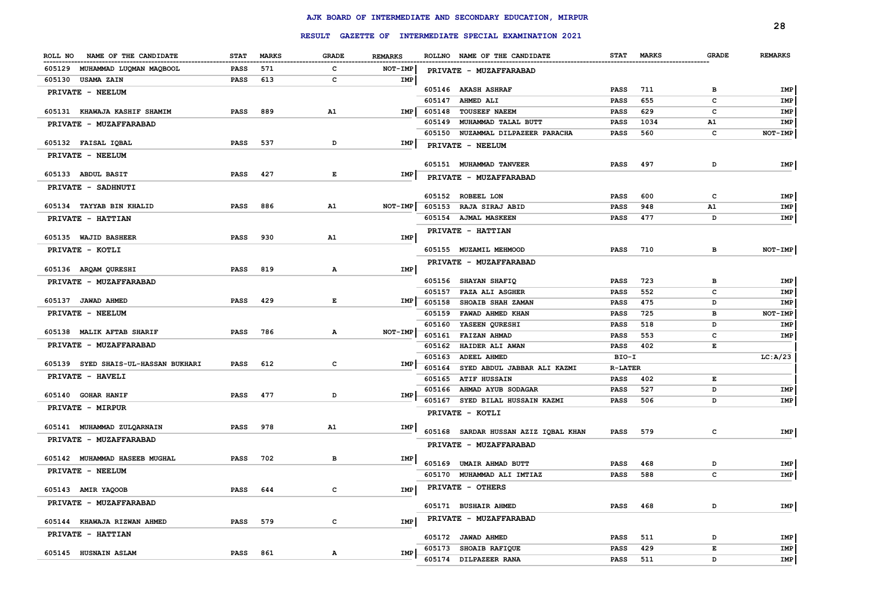|                                     |             |              |                                                                                                |                |        |                                                         |                |              |              | 28             |
|-------------------------------------|-------------|--------------|------------------------------------------------------------------------------------------------|----------------|--------|---------------------------------------------------------|----------------|--------------|--------------|----------------|
|                                     |             |              |                                                                                                |                |        | RESULT GAZETTE OF INTERMEDIATE SPECIAL EXAMINATION 2021 |                |              |              |                |
| ROLL NO<br>NAME OF THE CANDIDATE    | <b>STAT</b> | <b>MARKS</b> | <b>GRADE</b>                                                                                   | <b>REMARKS</b> |        | ROLLNO NAME OF THE CANDIDATE                            | <b>STAT</b>    | <b>MARKS</b> | <b>GRADE</b> | <b>REMARKS</b> |
| 605129 MUHAMMAD LUQMAN MAQBOOL      | <b>PASS</b> | 571          | c                                                                                              | NOT-IMP        |        | PRIVATE - MUZAFFARABAD                                  |                |              |              |                |
| 605130 USAMA ZAIN                   | <b>PASS</b> | 613          | c                                                                                              | IMP            |        |                                                         |                |              |              |                |
| PRIVATE - NEELUM                    |             |              |                                                                                                |                |        | 605146 AKASH ASHRAF                                     | PASS           | 711          | в            | IMP            |
|                                     |             |              |                                                                                                |                | 605147 | <b>AHMED ALI</b>                                        | <b>PASS</b>    | 655          | c            | IMP            |
| 605131 KHAWAJA KASHIF SHAMIM        | <b>PASS</b> | 889          | A1                                                                                             | IMP            | 605148 | <b>TOUSEEF NAEEM</b>                                    | PASS           | 629          | c            | IMP            |
| PRIVATE - MUZAFFARABAD              |             |              |                                                                                                |                | 605149 | MUHAMMAD TALAL BUTT                                     | <b>PASS</b>    | 1034         | A1           | IMP            |
| 605132 FAISAL IQBAL                 | <b>PASS</b> | 537          | D                                                                                              |                | 605150 | NUZAMMAL DILPAZEER PARACHA                              | <b>PASS</b>    | 560          | c            | NOT-IMP        |
|                                     |             |              |                                                                                                | IMP            |        | PRIVATE - NEELUM                                        |                |              |              |                |
| PRIVATE - NEELUM                    |             |              |                                                                                                |                |        | 605151 MUHAMMAD TANVEER                                 | <b>PASS</b>    | 497          | D            | IMP            |
| 605133 ABDUL BASIT                  | <b>PASS</b> | 427          | E                                                                                              | <b>IMP</b>     |        | PRIVATE - MUZAFFARABAD                                  |                |              |              |                |
| PRIVATE - SADHNUTI                  |             |              |                                                                                                |                |        |                                                         |                |              |              |                |
|                                     |             |              |                                                                                                |                |        | 605152 ROBEEL LON                                       | PASS           | 600          | c            | IMP            |
| 605134 TAYYAB BIN KHALID            | <b>PASS</b> | 886          | A1                                                                                             | $NOT-IMP$      |        | 605153 RAJA SIRAJ ABID                                  | <b>PASS</b>    | 948          | A1           | IMP            |
| PRIVATE - HATTIAN                   |             |              |                                                                                                |                |        | 605154 AJMAL MASKEEN                                    | <b>PASS</b>    | 477          | D            | IMP            |
|                                     |             |              |                                                                                                |                |        | PRIVATE - HATTIAN                                       |                |              |              |                |
| 605135 WAJID BASHEER                | PASS        | 930          | A1                                                                                             | IMP            |        |                                                         |                |              |              |                |
| PRIVATE - KOTLI                     |             |              |                                                                                                |                |        | 605155 MUZAMIL MEHMOOD                                  | <b>PASS</b>    | 710          | в            | NOT-IMP        |
| 605136 ARQAM QURESHI                | <b>PASS</b> | 819          | A                                                                                              | IMP            |        | PRIVATE - MUZAFFARABAD                                  |                |              |              |                |
| PRIVATE - MUZAFFARABAD              |             |              |                                                                                                |                |        | 605156 SHAYAN SHAFIQ                                    | PASS           | 723          | в            | IMP            |
|                                     |             |              |                                                                                                |                | 605157 | <b>FAZA ALI ASGHER</b>                                  | PASS           | 552          | c            | IMP            |
| 605137 JAWAD AHMED                  | <b>PASS</b> | 429          | $\mathbf{E}% _{t}\left  \mathbf{1}\right\rangle =\mathbf{1}_{t}\left  \mathbf{1}\right\rangle$ | IMP            | 605158 | SHOAIB SHAH ZAMAN                                       | <b>PASS</b>    | 475          | D            | IMP            |
| PRIVATE - NEELUM                    |             |              |                                                                                                |                | 605159 | FAWAD AHMED KHAN                                        | <b>PASS</b>    | 725          | в            | NOT-IMP        |
|                                     |             |              |                                                                                                |                | 605160 | YASEEN QURESHI                                          | <b>PASS</b>    | 518          | D            | IMP            |
| 605138 MALIK AFTAB SHARIF           | <b>PASS</b> | 786          | $\mathbf{A}$                                                                                   | NOT-IMP        | 605161 | <b>FAIZAN AHMAD</b>                                     | <b>PASS</b>    | 553          | c            | IMP            |
| PRIVATE - MUZAFFARABAD              |             |              |                                                                                                |                | 605162 | HAIDER ALI AWAN                                         | <b>PASS</b>    | 402          | E            |                |
| 605139 SYED SHAIS-UL-HASSAN BUKHARI | PASS        | 612          | $\mathbf{C}$                                                                                   | IMP            | 605163 | <b>ADEEL AHMED</b>                                      | BIO-I          |              |              | LC: A/23       |
| PRIVATE - HAVELI                    |             |              |                                                                                                |                | 605164 | SYED ABDUL JABBAR ALI KAZMI                             | <b>R-LATER</b> |              |              |                |
|                                     |             |              |                                                                                                |                | 605165 | <b>ATIF HUSSAIN</b>                                     | <b>PASS</b>    | 402          | Е            |                |
| 605140 GOHAR HANIF                  | PASS        | 477          | D                                                                                              | IMP            |        | 605166 AHMAD AYUB SODAGAR                               | <b>PASS</b>    | 527          | D            | IMP            |
| PRIVATE - MIRPUR                    |             |              |                                                                                                |                | 605167 | SYED BILAL HUSSAIN KAZMI                                | <b>PASS</b>    | 506          | D            | IMP            |
|                                     |             |              |                                                                                                |                |        | PRIVATE - KOTLI                                         |                |              |              |                |
| 605141 MUHAMMAD ZULQARNAIN          | <b>PASS</b> | 978          | A1                                                                                             | IMP            |        | 605168 SARDAR HUSSAN AZIZ IQBAL KHAN                    | <b>PASS</b>    | 579          | $\mathbf{c}$ | IMP            |
| PRIVATE - MUZAFFARABAD              |             |              |                                                                                                |                |        | PRIVATE - MUZAFFARABAD                                  |                |              |              |                |
| 605142 MUHAMMAD HASEEB MUGHAL       | PASS        | 702          | в                                                                                              | IMP            |        |                                                         |                |              |              |                |
| PRIVATE - NEELUM                    |             |              |                                                                                                |                |        | 605169 UMAIR AHMAD BUTT                                 | <b>PASS</b>    | 468          | D            | IMP            |
|                                     |             |              |                                                                                                |                |        | 605170 MUHAMMAD ALI IMTIAZ                              | PASS           | 588          | c            | IMP            |
| 605143 AMIR YAQOOB                  | <b>PASS</b> | 644          | $\mathbf{C}$                                                                                   | IMP            |        | PRIVATE - OTHERS                                        |                |              |              |                |
| PRIVATE - MUZAFFARABAD              |             |              |                                                                                                |                |        | 605171 BUSHAIR AHMED                                    | <b>PASS</b>    | 468          | D            | IMP            |
| 605144 KHAWAJA RIZWAN AHMED         | PASS        | 579          | c                                                                                              | IMP            |        | PRIVATE - MUZAFFARABAD                                  |                |              |              |                |
| PRIVATE - HATTIAN                   |             |              |                                                                                                |                |        |                                                         |                |              |              |                |
|                                     |             |              |                                                                                                |                |        | 605172 JAWAD AHMED                                      | <b>PASS</b>    | 511          | D            | IMP            |
| 605145 HUSNAIN ASLAM                | PASS        | 861          | А                                                                                              | IMP            | 605173 | <b>SHOAIB RAFIQUE</b>                                   | <b>PASS</b>    | 429          | E            | IMP            |
|                                     |             |              |                                                                                                |                |        | 605174 DILPAZEER RANA                                   | <b>PASS</b>    | 511          | D            | IMP            |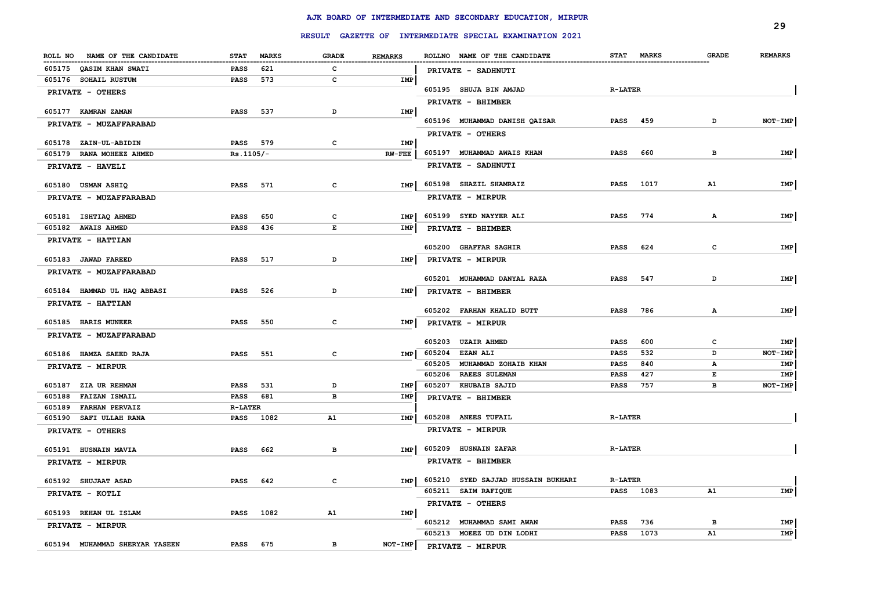|                                                      |                                   |                   |                |                                                         |                            |              | 29             |
|------------------------------------------------------|-----------------------------------|-------------------|----------------|---------------------------------------------------------|----------------------------|--------------|----------------|
|                                                      |                                   |                   |                | RESULT GAZETTE OF INTERMEDIATE SPECIAL EXAMINATION 2021 |                            |              |                |
| NAME OF THE CANDIDATE<br>ROLL NO                     | <b>STAT</b><br><b>MARKS</b>       | <b>GRADE</b>      | <b>REMARKS</b> | ROLLNO NAME OF THE CANDIDATE                            | STAT MARKS                 | <b>GRADE</b> | <b>REMARKS</b> |
| 605175 OASIM KHAN SWATI                              | <b>PASS</b><br>621                | c                 |                | PRIVATE - SADHNUTI                                      |                            |              |                |
| 605176 SOHAIL RUSTUM                                 | <b>PASS</b><br>573                | c                 | IMP            |                                                         |                            |              |                |
| PRIVATE - OTHERS                                     |                                   |                   |                | 605195 SHUJA BIN AMJAD                                  | <b>R-LATER</b>             |              |                |
| 605177 KAMRAN ZAMAN                                  | PASS<br>537                       | D                 | IMP            | PRIVATE - BHIMBER                                       |                            |              |                |
| PRIVATE - MUZAFFARABAD                               |                                   |                   |                | 605196 MUHAMMAD DANISH QAISAR                           | <b>PASS</b><br>459         | D            | NOT-IMP        |
|                                                      |                                   |                   |                | PRIVATE - OTHERS                                        |                            |              |                |
| 605178 ZAIN-UL-ABIDIN                                | PASS 579                          | c                 | IMP            |                                                         |                            |              |                |
| 605179<br>RANA MOHEEZ AHMED                          | $Rs.1105/-$                       |                   | $RW-FEE$       | 605197 MUHAMMAD AWAIS KHAN                              | 660<br><b>PASS</b>         | в            | IMP            |
| PRIVATE - HAVELI                                     |                                   |                   |                | PRIVATE - SADHNUTI                                      |                            |              |                |
| 605180 USMAN ASHIQ                                   | <b>PASS</b><br>571                | c                 | IMP            | 605198 SHAZIL SHAMRAIZ                                  | <b>PASS</b><br>1017        | A1           | IMP            |
| PRIVATE - MUZAFFARABAD                               |                                   |                   |                | PRIVATE - MIRPUR                                        |                            |              |                |
|                                                      |                                   |                   |                |                                                         |                            |              |                |
| 605181 ISHTIAQ AHMED<br>605182 AWAIS AHMED           | <b>PASS</b><br>650<br>PASS<br>436 | $\mathbf{C}$<br>E | IMP<br>IMP     | 605199 SYED NAYYER ALI                                  | <b>PASS</b><br>774         | A            | IMP            |
| PRIVATE - HATTIAN                                    |                                   |                   |                | PRIVATE - BHIMBER                                       |                            |              |                |
|                                                      |                                   |                   |                | 605200 GHAFFAR SAGHIR                                   | 624<br><b>PASS</b>         | $\mathbf{C}$ | IMP            |
| 605183 JAWAD FAREED                                  | <b>PASS</b><br>517                | D                 | <b>IMP</b>     | PRIVATE - MIRPUR                                        |                            |              |                |
| PRIVATE - MUZAFFARABAD                               |                                   |                   |                |                                                         |                            |              |                |
| 605184 HAMMAD UL HAQ ABBASI                          | PASS<br>526                       | D                 | IMP            | 605201 MUHAMMAD DANYAL RAZA                             | <b>PASS</b><br>547         | D            | IMP            |
| PRIVATE - HATTIAN                                    |                                   |                   |                | PRIVATE - BHIMBER                                       |                            |              |                |
|                                                      |                                   |                   |                | 605202 FARHAN KHALID BUTT                               | <b>PASS</b><br>786         | $\mathbf{A}$ | IMP            |
| 605185 HARIS MUNEER                                  | <b>PASS</b><br>550                | $\mathbf{c}$      | IMP            | PRIVATE - MIRPUR                                        |                            |              |                |
| PRIVATE - MUZAFFARABAD                               |                                   |                   |                | 605203 UZAIR AHMED                                      | 600                        | c            |                |
| 605186 HAMZA SAEED RAJA                              | 551<br>PASS                       | $\mathtt{C}$      | <b>IMP</b>     | 605204<br><b>EZAN ALI</b>                               | PASS<br><b>PASS</b><br>532 | D            | IMP<br>NOT-IMP |
| PRIVATE - MIRPUR                                     |                                   |                   |                | 605205<br>MUHAMMAD ZOHAIB KHAN                          | PASS<br>840                | Α            | IMP            |
|                                                      |                                   |                   |                | 605206<br><b>RAEES SULEMAN</b>                          | <b>PASS</b><br>427         | E            | IMP            |
| 605187 ZIA UR REHMAN                                 | 531<br>PASS                       | D                 | IMP            | 605207 KHUBAIB SAJID                                    | 757<br>PASS                | в            | NOT-IMP        |
| 605188<br><b>FAIZAN ISMAIL</b>                       | 681<br>PASS                       | в                 | IMP            | PRIVATE - BHIMBER                                       |                            |              |                |
| 605189<br><b>FARHAN PERVAIZ</b>                      | <b>R-LATER</b>                    |                   |                | 605208 ANEES TUFAIL                                     | <b>R-LATER</b>             |              |                |
| 605190<br><b>SAFI ULLAH RANA</b><br>PRIVATE - OTHERS | PASS<br>1082                      | A1                | IMP            | PRIVATE - MIRPUR                                        |                            |              |                |
|                                                      |                                   |                   |                |                                                         |                            |              |                |
| 605191 HUSNAIN MAVIA                                 | 662<br>PASS                       | в                 | <b>IMP</b>     | 605209 HUSNAIN ZAFAR                                    | <b>R-LATER</b>             |              |                |
| PRIVATE - MIRPUR                                     |                                   |                   |                | PRIVATE - BHIMBER                                       |                            |              |                |
|                                                      |                                   |                   |                | 605210 SYED SAJJAD HUSSAIN BUKHARI                      | <b>R-LATER</b>             |              |                |
| 605192 SHUJAAT ASAD                                  | 642<br><b>PASS</b>                | c                 | <b>IMP</b>     | 605211 SAIM RAFIQUE                                     | <b>PASS</b><br>1083        | A1           | IMP            |
| PRIVATE - KOTLI                                      |                                   |                   |                | PRIVATE - OTHERS                                        |                            |              |                |
| 605193 REHAN UL ISLAM                                | 1082<br>PASS                      | A1                | IMP            |                                                         |                            |              |                |
| PRIVATE - MIRPUR                                     |                                   |                   |                | 605212 MUHAMMAD SAMI AWAN                               | 736<br><b>PASS</b>         | в            | IMP            |
|                                                      |                                   |                   |                | 605213 MOEEZ UD DIN LODHI                               | <b>PASS</b><br>1073        | A1           | IMP            |
| 605194 MUHAMMAD SHERYAR YASEEN                       | <b>PASS</b><br>675                | $\overline{B}$    | NOT-IMP        | PRIVATE - MIRPUR                                        |                            |              |                |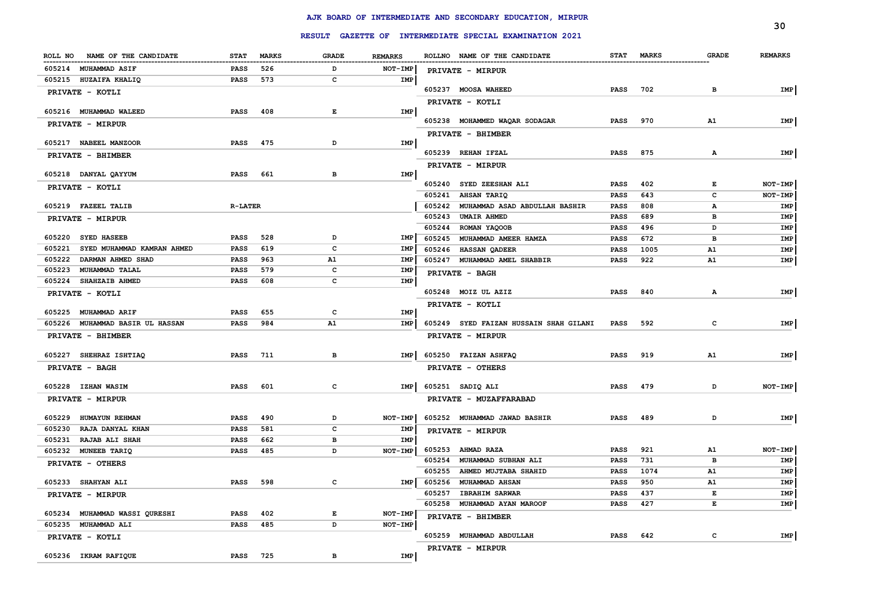|                                      |                |              |              |                |                  |                                                         |                            |             |                  | 30                 |
|--------------------------------------|----------------|--------------|--------------|----------------|------------------|---------------------------------------------------------|----------------------------|-------------|------------------|--------------------|
|                                      |                |              |              |                |                  | RESULT GAZETTE OF INTERMEDIATE SPECIAL EXAMINATION 2021 |                            |             |                  |                    |
| ROLL NO NAME OF THE CANDIDATE        | <b>STAT</b>    | <b>MARKS</b> | <b>GRADE</b> | <b>REMARKS</b> |                  | ROLLNO NAME OF THE CANDIDATE                            |                            | STAT MARKS  | <b>GRADE</b>     | <b>REMARKS</b>     |
| 605214 MUHAMMAD ASIF                 | <b>PASS</b>    | 526          | D            | NOT-IMP        |                  | PRIVATE - MIRPUR                                        |                            |             |                  |                    |
| 605215 HUZAIFA KHALIQ                | PASS           | 573          | c            | IMP            |                  |                                                         |                            |             |                  |                    |
| PRIVATE - KOTLI                      |                |              |              |                |                  | 605237 MOOSA WAHEED                                     | <b>PASS</b>                | 702         | в                | IMP                |
| 605216 MUHAMMAD WALEED               | <b>PASS</b>    | 408          | E            | IMP            |                  | PRIVATE - KOTLI                                         |                            |             |                  |                    |
|                                      |                |              |              |                |                  | 605238 MOHAMMED WAQAR SODAGAR                           | <b>PASS</b>                | 970         | A1               | <b>IMP</b>         |
| PRIVATE - MIRPUR                     |                |              |              |                |                  | PRIVATE - BHIMBER                                       |                            |             |                  |                    |
| 605217 NABEEL MANZOOR                | <b>PASS</b>    | 475          | D            | IMP            |                  |                                                         |                            |             |                  |                    |
| PRIVATE - BHIMBER                    |                |              |              |                |                  | 605239 REHAN IFZAL                                      | <b>PASS</b>                | 875         | Α                | IMP                |
|                                      |                |              |              |                |                  | PRIVATE - MIRPUR                                        |                            |             |                  |                    |
| 605218 DANYAL QAYYUM                 | <b>PASS</b>    | 661          | в            | IMP            |                  |                                                         |                            |             |                  |                    |
| PRIVATE - KOTLI                      |                |              |              |                | 605241           | 605240 SYED ZEESHAN ALI                                 | PASS<br>PASS               | 402<br>643  | E<br>$\mathbf c$ | NOT-IMP<br>NOT-IMP |
| 605219 FAZEEL TALIB                  | <b>R-LATER</b> |              |              |                | 605242           | <b>AHSAN TARIQ</b><br>MUHAMMAD ASAD ABDULLAH BASHIR     | <b>PASS</b>                | 808         | А                | IMP                |
|                                      |                |              |              |                | 605243           | <b>UMAIR AHMED</b>                                      | <b>PASS</b>                | 689         | в                | IMP                |
| PRIVATE - MIRPUR                     |                |              |              |                | 605244           | ROMAN YAQOOB                                            | <b>PASS</b>                | 496         | D                | IMP                |
| 605220 SYED HASEEB                   | <b>PASS</b>    | 528          | D            | <b>IMP</b>     | 605245           | MUHAMMAD AMEER HAMZA                                    | <b>PASS</b>                | 672         | в                | IMP                |
| SYED MUHAMMAD KAMRAN AHMED<br>605221 | <b>PASS</b>    | 619          | $\mathbf{C}$ | IMP            | 605246           | <b>HASSAN QADEER</b>                                    | <b>PASS</b>                | 1005        | A1               | IMP                |
| 605222<br>DARMAN AHMED SHAD          | PASS           | 963          | A1           | IMP            |                  | 605247 MUHAMMAD AMEL SHABBIR                            | PASS                       | 922         | A1               | IMP                |
| 605223<br><b>MUHAMMAD TALAL</b>      | <b>PASS</b>    | 579          | $\mathbf c$  | IMP            |                  | PRIVATE - BAGH                                          |                            |             |                  |                    |
| 605224<br><b>SHAHZAIB AHMED</b>      | <b>PASS</b>    | 608          | $\mathbf{C}$ | IMP            |                  |                                                         |                            |             |                  |                    |
| PRIVATE - KOTLI                      |                |              |              |                |                  | 605248 MOIZ UL AZIZ                                     | PASS                       | 840         | A                | <b>IMP</b>         |
| 605225 MUHAMMAD ARIF                 | <b>PASS</b>    | 655          | $\mathbf c$  | IMP            |                  | PRIVATE - KOTLI                                         |                            |             |                  |                    |
| 605226 MUHAMMAD BASIR UL HASSAN      | <b>PASS</b>    | 984          | A1           | IMP            |                  | 605249 SYED FAIZAN HUSSAIN SHAH GILANI                  | <b>PASS</b>                | 592         | c                | IMP                |
| PRIVATE - BHIMBER                    |                |              |              |                |                  | PRIVATE - MIRPUR                                        |                            |             |                  |                    |
|                                      |                |              |              |                |                  |                                                         |                            |             |                  |                    |
| 605227 SHEHRAZ ISHTIAQ               | <b>PASS</b>    | 711          | в            | IMP            |                  | 605250 FAIZAN ASHFAQ                                    | PASS                       | 919         | A1               | IMP                |
| PRIVATE - BAGH                       |                |              |              |                |                  | PRIVATE - OTHERS                                        |                            |             |                  |                    |
| 605228 IZHAN WASIM                   | <b>PASS</b>    | 601          | $\mathbf{C}$ | <b>IMP</b>     |                  | 605251 SADIQ ALI                                        | <b>PASS</b>                | 479         | D                | NOT-IMP            |
| PRIVATE - MIRPUR                     |                |              |              |                |                  | PRIVATE - MUZAFFARABAD                                  |                            |             |                  |                    |
|                                      |                |              |              |                |                  |                                                         |                            |             |                  |                    |
| 605229 HUMAYUN REHMAN                | <b>PASS</b>    | 490          | D            | NOT-IMP        |                  | 605252 MUHAMMAD JAWAD BASHIR                            | <b>PASS</b>                | 489         | D                | IMP                |
| 605230<br>RAJA DANYAL KHAN           | <b>PASS</b>    | 581          | $\mathbf{C}$ | IMP            |                  | PRIVATE - MIRPUR                                        |                            |             |                  |                    |
| 605231<br>RAJAB ALI SHAH             | <b>PASS</b>    | 662          | в            | IMP            |                  |                                                         |                            |             |                  |                    |
| 605232 MUNEEB TARIQ                  | <b>PASS</b>    | 485          | D            | NOT-IMP        |                  | 605253 AHMAD RAZA                                       | <b>PASS</b>                | 921         | A1               | NOT-IMP            |
| PRIVATE - OTHERS                     |                |              |              |                | 605254           | MUHAMMAD SUBHAN ALI                                     | <b>PASS</b>                | 731<br>1074 | в                | IMP                |
| 605233 SHAHYAN ALI                   | <b>PASS</b>    | 598          | $\mathbf c$  | IMP            | 605255<br>605256 | AHMED MUJTABA SHAHID<br><b>MUHAMMAD AHSAN</b>           | <b>PASS</b><br><b>PASS</b> | 950         | A1<br>A1         | IMP<br>IMP         |
|                                      |                |              |              |                | 605257           | <b>IBRAHIM SARWAR</b>                                   | PASS                       | 437         | Е                | IMP                |
| PRIVATE - MIRPUR                     |                |              |              |                |                  | 605258 MUHAMMAD AYAN MAROOF                             | <b>PASS</b>                | 427         | E                | IMP                |
| 605234 MUHAMMAD WASSI QURESHI        | <b>PASS</b>    | 402          | E            | NOT-IMP        |                  | PRIVATE - BHIMBER                                       |                            |             |                  |                    |
| 605235 MUHAMMAD ALI                  | <b>PASS</b>    | 485          | D            | NOT-IMP        |                  |                                                         |                            |             |                  |                    |
| PRIVATE - KOTLI                      |                |              |              |                |                  | 605259 MUHAMMAD ABDULLAH                                | <b>PASS</b>                | 642         | c                | IMP                |
|                                      |                |              |              |                |                  | PRIVATE - MIRPUR                                        |                            |             |                  |                    |
| 605236 IKRAM RAFIQUE                 | <b>PASS</b>    | 725          | в            | IMP            |                  |                                                         |                            |             |                  |                    |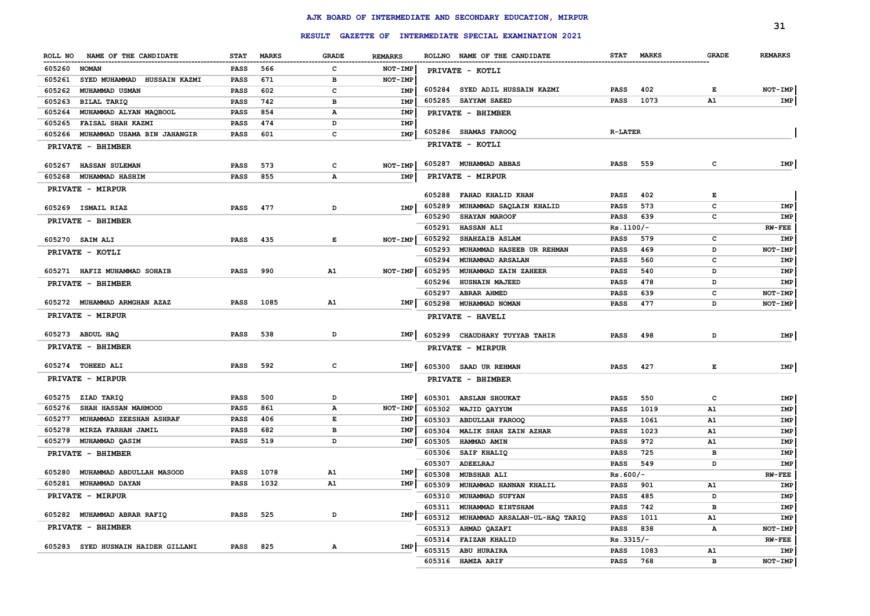|                                          |             |              |              |                |        |                                                         |                |            |              | 31             |
|------------------------------------------|-------------|--------------|--------------|----------------|--------|---------------------------------------------------------|----------------|------------|--------------|----------------|
|                                          |             |              |              |                |        | RESULT GAZETTE OF INTERMEDIATE SPECIAL EXAMINATION 2021 |                |            |              |                |
| ROLL NO NAME OF THE CANDIDATE            | <b>STAT</b> | <b>MARKS</b> | <b>GRADE</b> | <b>REMARKS</b> |        | ROLLNO NAME OF THE CANDIDATE                            |                | STAT MARKS | <b>GRADE</b> | <b>REMARKS</b> |
| 605260<br><b>NOMAN</b>                   | PASS        | 566          | c            | NOT-IMP        |        | PRIVATE - KOTLI                                         |                |            |              |                |
| 605261<br>SYED MUHAMMAD HUSSAIN KAZMI    | PASS        | 671          | в            | NOT-IMP        |        |                                                         |                |            |              |                |
| 605262<br>MUHAMMAD USMAN                 | PASS        | 602          | c            | IMP            |        | 605284 SYED ADIL HUSSAIN KAZMI                          | <b>PASS</b>    | 402        | Е            | NOT-IMP        |
| 605263<br>BILAL TARIQ                    | PASS        | 742          | в            | IMP            |        | 605285 SAYYAM SAEED                                     | <b>PASS</b>    | 1073       | A1           | IMP            |
| MUHAMMAD ALYAN MAQBOOL<br>605264         | PASS        | 854          | Α            | IMP            |        | PRIVATE - BHIMBER                                       |                |            |              |                |
| 605265<br><b>FAISAL SHAH KAZMI</b>       | PASS        | 474          | D            | IMP            |        |                                                         |                |            |              |                |
| 605266<br>MUHAMMAD USAMA BIN JAHANGIR    | PASS        | 601          | c            | IMP            |        | 605286 SHAMAS FAROOQ                                    | <b>R-LATER</b> |            |              |                |
| PRIVATE - BHIMBER                        |             |              |              |                |        | PRIVATE - KOTLI                                         |                |            |              |                |
| 605267<br><b>HASSAN SULEMAN</b>          | PASS        | 573          | c            | NOT-IMP        |        | 605287 MUHAMMAD ABBAS                                   | PASS           | 559        | c            | IMP            |
| 605268<br>MUHAMMAD HASHIM                | PASS        | 855          | А            | IMP            |        | PRIVATE - MIRPUR                                        |                |            |              |                |
| <b>PRIVATE - MIRPUR</b>                  |             |              |              |                |        |                                                         |                |            |              |                |
|                                          |             |              |              |                | 605288 | FAHAD KHALID KHAN                                       | PASS           | 402        | Е            |                |
| 605269 ISMAIL RIAZ                       | PASS        | 477          | D            | IMP            | 605289 | MUHAMMAD SAQLAIN KHALID                                 | PASS           | 573        | c            | IMP            |
| <b>PRIVATE - BHIMBER</b>                 |             |              |              |                | 605290 | <b>SHAYAN MAROOF</b>                                    | PASS           | 639        | c            | IMP            |
|                                          |             |              |              |                | 605291 | HASSAN ALI                                              | $Rs.1100/-$    |            |              | $RW-FEE$       |
| 605270 SAIMALI                           | PASS        | 435          | Е            | $NOT-IMP$      | 605292 | <b>SHAHZAIB ASLAM</b>                                   | PASS           | 579        | c            | IMP            |
| PRIVATE - KOTLI                          |             |              |              |                | 605293 | MUHAMMAD HASEEB UR REHMAN                               | PASS           | 469        | D            | NOT-IMP        |
|                                          |             |              |              |                | 605294 | <b>MUHAMMAD ARSALAN</b>                                 | PASS           | 560        | c            | IMP            |
| 605271 HAFIZ MUHAMMAD SOHAIB             | PASS        | 990          | A1           | $NOT-IMP$      | 605295 | MUHAMMAD ZAIN ZAHEER                                    | PASS           | 540        | D            | IMP            |
| <b>PRIVATE - BHIMBER</b>                 |             |              |              |                | 605296 | <b>HUSNAIN MAJEED</b>                                   | PASS           | 478        | D            | IMP            |
|                                          |             |              |              |                | 605297 | <b>ABRAR AHMED</b>                                      | PASS           | 639        | c            | NOT-IMP        |
| 605272 MUHAMMAD ARMGHAN AZAZ             | PASS        | 1085         | A1           | IMP            |        | 605298 MUHAMMAD NOMAN                                   | <b>PASS</b>    | 477        | D            | <b>NOT-IMP</b> |
| PRIVATE - MIRPUR                         |             |              |              |                |        | PRIVATE - HAVELI                                        |                |            |              |                |
| 605273 ABDUL HAQ                         | PASS        | 538          | D            | IMP            |        | 605299 CHAUDHARY TUYYAB TAHIR                           | PASS           | 498        | D            | IMP            |
| <b>PRIVATE - BHIMBER</b>                 |             |              |              |                |        | PRIVATE - MIRPUR                                        |                |            |              |                |
| 605274 TOHEED ALI                        | PASS        | 592          | c            | IMP            |        | 605300 SAAD UR REHMAN                                   | PASS           | 427        | Е            | IMP            |
| <b>PRIVATE - MIRPUR</b>                  |             |              |              |                |        | PRIVATE - BHIMBER                                       |                |            |              |                |
| 605275<br>ZIAD TARIQ                     | PASS        | 500          | D            | IMP            | 605301 | <b>ARSLAN SHOUKAT</b>                                   | PASS           | 550        | c            | IMP            |
| 605276<br><b>SHAH HASSAN MAHMOOD</b>     | PASS        | 861          | А            | <b>NOT-IMP</b> | 605302 | WAJID QAYYUM                                            | PASS           | 1019       | A1           | IMP            |
| 605277<br><b>MUHAMMAD ZEESHAN ASHRAF</b> | PASS        | 406          | Е            | IMP            | 605303 | <b>ABDULLAH FAROOQ</b>                                  | PASS           | 1061       | A1           | IMP            |
| 605278<br><b>MIRZA FARHAN JAMIL</b>      | PASS        | 682          | в            | IMP            | 605304 | MALIK SHAH ZAIN AZHAR                                   | PASS           | 1023       | A1           | IMP            |
| 605279<br>MUHAMMAD QASIM                 | PASS        | 519          | D            | IMP            | 605305 | <b>HAMMAD AMIN</b>                                      | PASS           | 972        | A1           | IMP            |
| PRIVATE - BHIMBER                        |             |              |              |                | 605306 | <b>SAIF KHALIQ</b>                                      | PASS           | 725        | в            | IMP            |
|                                          |             |              |              |                | 605307 | ADEELRAJ                                                | PASS           | 549        | D            | IMP            |
| 605280<br>MUHAMMAD ABDULLAH MASOOD       | PASS        | 1078         | A1           | IMP            |        | 605308 MUBSHAR ALI                                      | $Rs.600/-$     |            |              | $RW-FEE$       |
| 605281 MUHAMMAD DAYAN                    | PASS        | 1032         | A1           | IMP            |        | 605309 MUHAMMAD HANNAN KHALIL                           | PASS 901       |            | A1           | IMP            |
| PRIVATE - MIRPUR                         |             |              |              |                |        | 605310 MUHAMMAD SUFYAN                                  | PASS           | 485        | D            | IMP            |
|                                          |             |              |              |                |        | 605311 MUHAMMAD EIHTSHAM                                | PASS           | 742        | в            | IMP            |
| 605282 MUHAMMAD ABRAR RAFIQ              | PASS 525    |              | D            | IMP            |        | 605312 MUHAMMAD ARSALAN-UL-HAQ TARIQ                    | PASS           | 1011       | A1           | IMP            |
| PRIVATE - BHIMBER                        |             |              |              |                |        | 605313 AHMAD QAZAFI                                     | PASS           | 838        | А            | NOT-IMP        |
|                                          |             |              |              |                |        | 605314 FAIZAN KHALID                                    | Rs.3315/-      |            |              | $RW-FEE$       |
| 605283 SYED HUSNAIN HAIDER GILLANI       | PASS 825    |              | A            | IMP            |        | 605315 ABU HURAIRA                                      | PASS           | 1083       | ${\bf A1}$   | IMP            |
|                                          |             |              |              |                |        | 605316 HAMZA ARIF                                       | PASS           | 768        | в            | NOT-IMP        |

 $\sim$ 

## **AJK BOARD OF INTERMEDIATE AND SECONDARY EDUCATION, MIRPUR**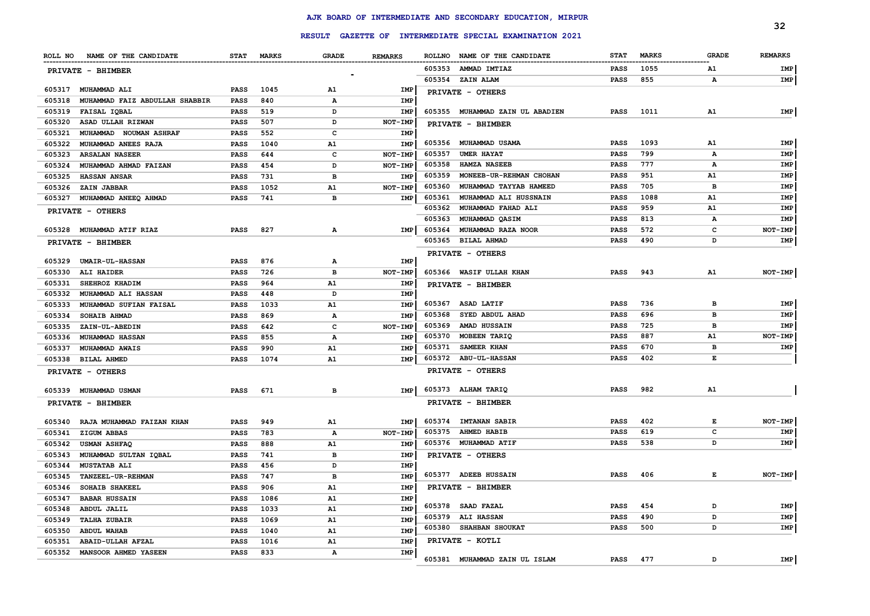|        |                                  |             |            |              |                |        |                                                         |             |              |              | 32             |
|--------|----------------------------------|-------------|------------|--------------|----------------|--------|---------------------------------------------------------|-------------|--------------|--------------|----------------|
|        |                                  |             |            |              |                |        | RESULT GAZETTE OF INTERMEDIATE SPECIAL EXAMINATION 2021 |             |              |              |                |
|        | ROLL NO NAME OF THE CANDIDATE    |             | STAT MARKS | <b>GRADE</b> | <b>REMARKS</b> |        | ROLLNO NAME OF THE CANDIDATE                            | <b>STAT</b> | <b>MARKS</b> | <b>GRADE</b> | <b>REMARKS</b> |
|        | <b>PRIVATE - BHIMBER</b>         |             |            |              |                | 605353 | <b>AMMAD IMTIAZ</b>                                     | PASS        | 1055         | <b>A1</b>    | IMP            |
|        |                                  |             |            |              |                |        | 605354 ZAIN ALAM                                        | <b>PASS</b> | 855          | А            | IMP            |
| 605317 | <b>MUHAMMAD ALI</b>              | <b>PASS</b> | 1045       | A1           | IMP            |        | PRIVATE - OTHERS                                        |             |              |              |                |
| 605318 | MUHAMMAD FAIZ ABDULLAH SHABBIR   | <b>PASS</b> | 840        | А            | IMP            |        |                                                         |             |              |              |                |
| 605319 | FAISAL IQBAL                     | <b>PASS</b> | 519        | D            | IMP            |        | 605355 MUHAMMAD ZAIN UL ABADIEN                         | <b>PASS</b> | 1011         | A1           | IMP            |
| 605320 | ASAD ULLAH RIZWAN                | <b>PASS</b> | 507        | D            | <b>NOT-IMP</b> |        | PRIVATE - BHIMBER                                       |             |              |              |                |
| 605321 | MUHAMMAD NOUMAN ASHRAF           | <b>PASS</b> | 552        | c            | IMP            |        |                                                         |             |              |              |                |
| 605322 | MUHAMMAD ANEES RAJA              | <b>PASS</b> | 1040       | A1           | IMP            |        | 605356 MUHAMMAD USAMA                                   | PASS        | 1093         | A1           | IMP            |
| 605323 | <b>ARSALAN NASEER</b>            | <b>PASS</b> | 644        | c            | NOT-IMP        | 605357 | <b>UMER HAYAT</b>                                       | <b>PASS</b> | 799          | А            | IMP            |
| 605324 | MUHAMMAD AHMAD FAIZAN            | <b>PASS</b> | 454        | D            | <b>NOT-IMP</b> | 605358 | <b>HAMZA NASEEB</b>                                     | <b>PASS</b> | 777          | А            | IMP            |
| 605325 | <b>HASSAN ANSAR</b>              | <b>PASS</b> | 731        | в            | IMP            | 605359 | MONEEB-UR-REHMAN CHOHAN                                 | <b>PASS</b> | 951          | A1           | IMP            |
| 605326 | <b>ZAIN JABBAR</b>               | <b>PASS</b> | 1052       | A1           | NOT-IMP        | 605360 | MUHAMMAD TAYYAB HAMEED                                  | <b>PASS</b> | 705          | в            | IMP            |
|        | 605327 MUHAMMAD ANEEQ AHMAD      | <b>PASS</b> | 741        | в            | <b>IMP</b>     | 605361 | MUHAMMAD ALI HUSSNAIN                                   | <b>PASS</b> | 1088         | A1           | IMP            |
|        | PRIVATE - OTHERS                 |             |            |              |                | 605362 | MUHAMMAD FAHAD ALI                                      | <b>PASS</b> | 959          | A1           | IMP            |
|        |                                  |             |            |              |                | 605363 | MUHAMMAD QASIM                                          | <b>PASS</b> | 813          | А            | IMP            |
|        | 605328 MUHAMMAD ATIF RIAZ        | PASS        | 827        | А            | IMP            | 605364 | MUHAMMAD RAZA NOOR                                      | <b>PASS</b> | 572          | c            | NOT-IMP        |
|        | PRIVATE - BHIMBER                |             |            |              |                |        | 605365 BILAL AHMAD                                      | <b>PASS</b> | 490          | D            | IMP            |
| 605329 | UMAIR-UL-HASSAN                  | PASS        | 876        | А            | IMP            |        | PRIVATE - OTHERS                                        |             |              |              |                |
| 605330 | ALI HAIDER                       | <b>PASS</b> | 726        | в            | NOT-IMP        |        | 605366 WASIF ULLAH KHAN                                 | PASS        | 943          | A1           | NOT-IMP        |
| 605331 | SHEHROZ KHADIM                   | PASS        | 964        | A1           | IMP            |        | PRIVATE - BHIMBER                                       |             |              |              |                |
| 605332 | <b>MUHAMMAD ALI HASSAN</b>       | PASS        | 448        | D            | IMP            |        |                                                         |             |              |              |                |
| 605333 | MUHAMMAD SUFIAN FAISAL           | PASS        | 1033       | A1           | IMP            |        | 605367 ASAD LATIF                                       | <b>PASS</b> | 736          | в            | IMP            |
| 605334 | <b>SOHAIB AHMAD</b>              | <b>PASS</b> | 869        | А            | IMP            | 605368 | SYED ABDUL AHAD                                         | <b>PASS</b> | 696          | в            | IMP            |
| 605335 | <b>ZAIN-UL-ABEDIN</b>            | PASS        | 642        | с            | NOT-IMP        | 605369 | <b>AMAD HUSSAIN</b>                                     | <b>PASS</b> | 725          | в            | IMP            |
| 605336 | <b>MUHAMMAD HASSAN</b>           | PASS        | 855        | А            | <b>IMP</b>     | 605370 | MOBEEN TARIQ                                            | PASS        | 887          | Α1           | NOT-IMP        |
| 605337 | <b>MUHAMMAD AWAIS</b>            | <b>PASS</b> | 990        | A1           | IMP            | 605371 | SAMEER KHAN                                             | <b>PASS</b> | 670          | в            | IMP            |
|        | 605338 BILAL AHMED               | PASS        | 1074       | A1           | IMP            |        | 605372 ABU-UL-HASSAN                                    | <b>PASS</b> | 402          | Е            |                |
|        | PRIVATE - OTHERS                 |             |            |              |                |        | PRIVATE - OTHERS                                        |             |              |              |                |
|        | 605339 MUHAMMAD USMAN            | <b>PASS</b> | 671        | в            | IMP            |        | 605373 ALHAM TARIQ                                      | <b>PASS</b> | 982          | A1           |                |
|        |                                  |             |            |              |                |        | PRIVATE - BHIMBER                                       |             |              |              |                |
|        | PRIVATE - BHIMBER                |             |            |              |                |        |                                                         |             |              |              |                |
|        | 605340 RAJA MUHAMMAD FAIZAN KHAN | PASS        | 949        | A1           | IMP            | 605374 | <b>IMTANAN SABIR</b>                                    | <b>PASS</b> | 402          | Е            | NOT-IMP        |
| 605341 | <b>ZIGUM ABBAS</b>               | <b>PASS</b> | 783        | Α            | <b>NOT-IMP</b> | 605375 | <b>AHMED HABIB</b>                                      | PASS        | 619          | c            | IMP            |
| 605342 | <b>USMAN ASHFAQ</b>              | PASS        | 888        | A1           | IMP            |        | 605376 MUHAMMAD ATIF                                    | <b>PASS</b> | 538          | D            | IMP            |
| 605343 | MUHAMMAD SULTAN IQBAL            | PASS        | 741        | в            | IMP            |        | PRIVATE - OTHERS                                        |             |              |              |                |
| 605344 | <b>MUSTATAB ALI</b>              | <b>PASS</b> | 456        | D            | IMP            |        |                                                         |             |              |              |                |
|        | 605345 TANZEEL-UR-REHMAN         | <b>PASS</b> | 747        | в            | IMP            |        | 605377 ADEEB HUSSAIN                                    | PASS        | 406          | Е            | NOT-IMP        |
|        | 605346 SOHAIB SHAKEEL            | <b>PASS</b> | 906        | A1           | <b>IMP</b>     |        | PRIVATE - BHIMBER                                       |             |              |              |                |
|        | 605347 BABAR HUSSAIN             | PASS        | 1086       | A1           | IMP            |        |                                                         |             |              |              |                |
|        | 605348 ABDUL JALIL               | <b>PASS</b> | 1033       | A1           | IMP            |        | 605378 SAAD FAZAL                                       | PASS        | 454          | D            | IMP            |
|        | 605349 TALHA ZUBAIR              | <b>PASS</b> | 1069       | A1           | IMP            |        | 605379 ALI HASSAN                                       | PASS        | 490          | D            | IMP            |
|        | 605350 ABDUL WAHAB               | <b>PASS</b> | 1040       | A1           | IMP            |        | 605380 SHAHBAN SHOUKAT                                  | PASS        | 500          | D            | IMP            |
|        | 605351 ABAID-ULLAH AFZAL         | <b>PASS</b> | 1016       | A1           | IMP            |        | PRIVATE - KOTLI                                         |             |              |              |                |
|        | 605352 MANSOOR AHMED YASEEN      | <b>PASS</b> | 833        | Α            | IMP            |        |                                                         |             |              |              |                |
|        |                                  |             |            |              |                |        | 605381 MUHAMMAD ZAIN UL ISLAM                           | PASS 477    |              | D            | IMP            |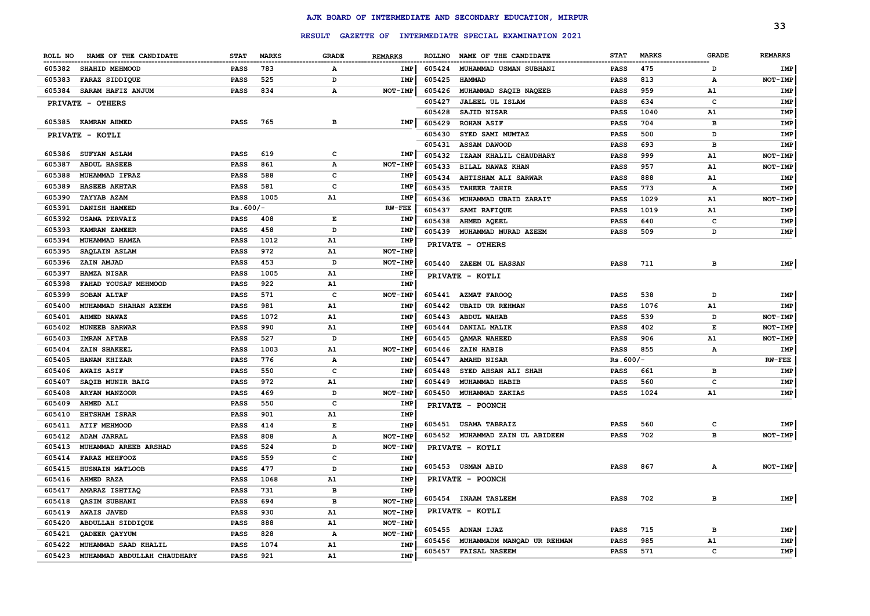|                     |                             |             |              |                |                |               |                                                  |             |              |                  | 33             |
|---------------------|-----------------------------|-------------|--------------|----------------|----------------|---------------|--------------------------------------------------|-------------|--------------|------------------|----------------|
|                     |                             |             |              | <b>RESULT</b>  |                |               | GAZETTE OF INTERMEDIATE SPECIAL EXAMINATION 2021 |             |              |                  |                |
| ROLL NO             | NAME OF THE CANDIDATE       | <b>STAT</b> | <b>MARKS</b> | <b>GRADE</b>   | <b>REMARKS</b> | <b>ROLLNO</b> | NAME OF THE CANDIDATE                            | <b>STAT</b> | <b>MARKS</b> | <b>GRADE</b>     | <b>REMARKS</b> |
| 605382              | SHAHID MEHMOOD              | <b>PASS</b> | 783          | A              | <b>IMP</b>     | 605424        | MUHAMMAD USMAN SUBHANI                           | <b>PASS</b> | 475          | -----------<br>D | IMP            |
| 605383              | <b>FARAZ SIDDIQUE</b>       | <b>PASS</b> | 525          | D              | IMP            | 605425        | <b>HAMMAD</b>                                    | <b>PASS</b> | 813          | А                | NOT-IMP        |
| 605384              | SARAM HAFIZ ANJUM           | <b>PASS</b> | 834          | Α              | NOT-IMP        | 605426        | MUHAMMAD SAQIB NAQEEB                            | PASS        | 959          | A1               | IMP            |
| PRIVATE - OTHERS    |                             |             |              |                |                | 605427        | <b>JALEEL UL ISLAM</b>                           | PASS        | 634          | c                | IMP            |
|                     |                             |             |              |                |                | 605428        | SAJID NISAR                                      | <b>PASS</b> | 1040         | A1               | IMP            |
| 605385 KAMRAN AHMED |                             | <b>PASS</b> | 765          | в              | IMP            | 605429        | <b>ROHAN ASIF</b>                                | <b>PASS</b> | 704          | в                | IMP            |
| PRIVATE - KOTLI     |                             |             |              |                |                | 605430        | SYED SAMI MUMTAZ                                 | <b>PASS</b> | 500          | D                | IMP            |
|                     |                             |             |              |                |                | 605431        | <b>ASSAM DAWOOD</b>                              | <b>PASS</b> | 693          | в                | IMP            |
| 605386              | <b>SUFYAN ASLAM</b>         | <b>PASS</b> | 619          | c              | IMP            | 605432        | IZAAN KHALIL CHAUDHARY                           | <b>PASS</b> | 999          | A1               | NOT-IMP        |
| 605387              | <b>ABDUL HASEEB</b>         | <b>PASS</b> | 861          | Α              | NOT-IMP        | 605433        | BILAL NAWAZ KHAN                                 | <b>PASS</b> | 957          | A1               | NOT-IMP        |
| 605388              | MUHAMMAD IFRAZ              | <b>PASS</b> | 588          | C              | <b>IMP</b>     | 605434        | AHTISHAM ALI SARWAR                              | <b>PASS</b> | 888          | A1               | IMP            |
| 605389              | <b>HASEEB AKHTAR</b>        | <b>PASS</b> | 581          | C              | IMP            | 605435        | <b>TAHEER TAHIR</b>                              | <b>PASS</b> | 773          | A                | IMP            |
| 605390              | <b>TAYYAB AZAM</b>          | <b>PASS</b> | 1005         | A1             | IMP            | 605436        | MUHAMMAD UBAID ZARAIT                            | <b>PASS</b> | 1029         | A1               | NOT-IMP        |
| 605391              | DANISH HAMEED               | $Rs.600/-$  |              |                | $RW-FEE$       | 605437        | SAMI RAFIQUE                                     | <b>PASS</b> | 1019         | A1               | IMP            |
| 605392              | <b>USAMA PERVAIZ</b>        | <b>PASS</b> | 408          | Е              | <b>IMP</b>     | 605438        | AHMED AQEEL                                      | <b>PASS</b> | 640          | c                | IMP            |
| 605393              | KAMRAN ZAMEER               | <b>PASS</b> | 458          | D              | IMP            | 605439        | MUHAMMAD MURAD AZEEM                             | PASS        | 509          | D                | IMP            |
| 605394              | MUHAMMAD HAMZA              | <b>PASS</b> | 1012         | A1             | <b>IMP</b>     |               | PRIVATE - OTHERS                                 |             |              |                  |                |
| 605395              | SAQLAIN ASLAM               | PASS        | 972          | A1             | NOT-IMP        |               |                                                  |             |              |                  |                |
| 605396              | ZAIN AMJAD                  | <b>PASS</b> | 453          | D              | NOT-IMP        |               | 605440 ZAEEM UL HASSAN                           | <b>PASS</b> | 711          | в                | IMP            |
| 605397              | HAMZA NISAR                 | <b>PASS</b> | 1005         | A1             | <b>IMP</b>     |               | PRIVATE - KOTLI                                  |             |              |                  |                |
| 605398              | FAHAD YOUSAF MEHMOOD        | <b>PASS</b> | 922          | A1             | IMP            |               |                                                  |             |              |                  |                |
| 605399              | <b>SOBAN ALTAF</b>          | <b>PASS</b> | 571          | $\mathbf{C}$   | NOT-IMP        | 605441        | <b>AZMAT FAROOQ</b>                              | <b>PASS</b> | 538          | D                | IMP            |
| 605400              | MUHAMMAD SHAHAN AZEEM       | <b>PASS</b> | 981          | A1             | <b>IMP</b>     | 605442        | <b>UBAID UR REHMAN</b>                           | <b>PASS</b> | 1076         | A1               | IMP            |
| 605401              | AHMED NAWAZ                 | <b>PASS</b> | 1072         | A1             | IMP            | 605443        | <b>ABDUL WAHAB</b>                               | <b>PASS</b> | 539          | D                | NOT-IMP        |
| 605402              | <b>MUNEEB SARWAR</b>        | <b>PASS</b> | 990          | ${\tt A1}$     | <b>IMP</b>     | 605444        | DANIAL MALIK                                     | PASS        | 402          | Е                | NOT-IMP        |
| 605403              | <b>IMRAN AFTAB</b>          | <b>PASS</b> | 527          | D              | IMP            | 605445        | <b>QAMAR WAHEED</b>                              | <b>PASS</b> | 906          | ${\tt A1}$       | NOT-IMP        |
| 605404              | ZAIN SHAKEEL                | <b>PASS</b> | 1003         | ${\tt A1}$     | NOT-IMP        | 605446        | ZAIN HABIB                                       | PASS        | 855          | Α                | IMP            |
| 605405              | HANAN KHIZAR                | <b>PASS</b> | 776          | A              | <b>IMP</b>     | 605447        | <b>AMAHD NISAR</b>                               | $Rs.600/-$  |              |                  | $RW-FEE$       |
| 605406              | <b>AWAIS ASIF</b>           | <b>PASS</b> | 550          | C              | <b>IMP</b>     | 605448        | SYED AHSAN ALI SHAH                              | <b>PASS</b> | 661          | в                | IMP            |
| 605407              | SAQIB MUNIR BAIG            | <b>PASS</b> | 972          | A1             | <b>IMP</b>     | 605449        | MUHAMMAD HABIB                                   | <b>PASS</b> | 560          | c                | IMP            |
| 605408              | <b>ARYAN MANZOOR</b>        | <b>PASS</b> | 469          | D              | NOT-IMP        | 605450        | MUHAMMAD ZAKIAS                                  | <b>PASS</b> | 1024         | A1               | IMP            |
| 605409              | <b>AHMED ALI</b>            | <b>PASS</b> | 550          | C              | <b>IMP</b>     |               | PRIVATE - POONCH                                 |             |              |                  |                |
| 605410              | <b>EHTSHAM ISRAR</b>        | <b>PASS</b> | 901          | A1             | <b>IMP</b>     |               |                                                  |             |              |                  |                |
| 605411              | <b>ATIF MEHMOOD</b>         | <b>PASS</b> | 414          | E              | <b>IMP</b>     | 605451        | <b>USAMA TABRAIZ</b>                             | <b>PASS</b> | 560          | c                | IMP            |
| 605412              | ADAM JARRAL                 | <b>PASS</b> | 808          | А              | NOT-IMP        |               | 605452 MUHAMMAD ZAIN UL ABIDEEN                  | <b>PASS</b> | 702          | в                | NOT-IMP        |
| 605413              | MUHAMMAD AREEB ARSHAD       | <b>PASS</b> | 524          | D              | NOT-IMP        |               | PRIVATE - KOTLI                                  |             |              |                  |                |
| 605414              | <b>FARAZ MEHFOOZ</b>        | <b>PASS</b> | 559          | C              | IMP            |               |                                                  |             |              |                  |                |
| 605415              | HUSNAIN MATLOOB             | <b>PASS</b> | 477          | D              | IMP            |               | 605453 USMAN ABID                                | <b>PASS</b> | 867          | А                | NOT-IMP        |
| 605416              | AHMED RAZA                  | PASS        | 1068         | A1             | <b>IMP</b>     |               | PRIVATE - POONCH                                 |             |              |                  |                |
| 605417              | AMARAZ ISHTIAQ              | PASS        | 731          | $\overline{B}$ | <b>IMP</b>     |               |                                                  |             |              |                  |                |
| 605418              | QASIM SUBHANI               | <b>PASS</b> | 694          | B              | NOT-IMP        |               | 605454 INAAM TASLEEM                             | <b>PASS</b> | 702          | в                | IMP            |
| 605419              | <b>AWAIS JAVED</b>          | <b>PASS</b> | 930          | A1             | NOT-IMP        |               | PRIVATE - KOTLI                                  |             |              |                  |                |
| 605420              | ABDULLAH SIDDIQUE           | <b>PASS</b> | 888          | A1             | NOT-IMP        |               | 605455 ADNAN IJAZ                                | <b>PASS</b> | 715          | в                | IMP            |
| 605421              | QADEER QAYYUM               | PASS        | 828          | A              | NOT-IMP        | 605456        | MUHAMMADM MANQAD UR REHMAN                       | <b>PASS</b> | 985          | A1               | IMP            |
| 605422              | MUHAMMAD SAAD KHALIL        | PASS        | 1074         | A1             | <b>IME</b>     | 605457        | <b>FAISAL NASEEM</b>                             | <b>PASS</b> | 571          | c                | IMP            |
| 605423              | MUHAMMAD ABDULLAH CHAUDHARY | <b>PASS</b> | 921          | A1             | <b>IME</b>     |               |                                                  |             |              |                  |                |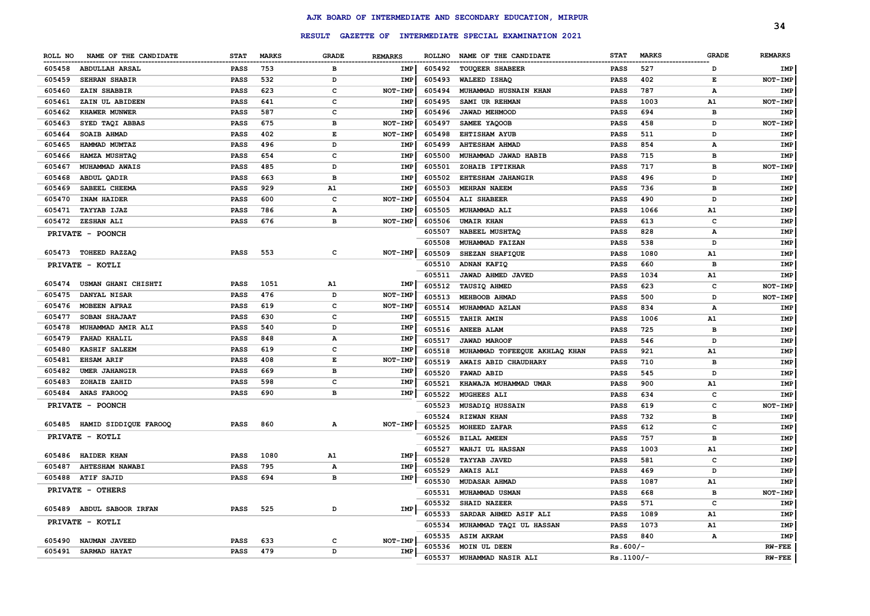|         |                           |             |              |               |                |               |                                                  |             |              |              | 34             |
|---------|---------------------------|-------------|--------------|---------------|----------------|---------------|--------------------------------------------------|-------------|--------------|--------------|----------------|
|         |                           |             |              | <b>RESULT</b> |                |               | GAZETTE OF INTERMEDIATE SPECIAL EXAMINATION 2021 |             |              |              |                |
| ROLL NO | NAME OF THE CANDIDATE     | <b>STAT</b> | <b>MARKS</b> | <b>GRADE</b>  | <b>REMARKS</b> | <b>ROLLNO</b> | NAME OF THE CANDIDATE                            | <b>STAT</b> | <b>MARKS</b> | <b>GRADE</b> | <b>REMARKS</b> |
| 605458  | <b>ABDULLAH ARSAL</b>     | PASS        | 753          | в             | IMP            | 605492        | TOUQEER SHABEER                                  | <b>PASS</b> | 527          | D            | <b>IMP</b>     |
| 605459  | <b>SEHRAN SHABIR</b>      | <b>PASS</b> | 532          | D             | <b>IMP</b>     | 605493        | <b>WALEED ISHAQ</b>                              | <b>PASS</b> | 402          | E            | NOT-IMP        |
| 605460  | ZAIN SHABBIR              | <b>PASS</b> | 623          | $\mathbf c$   | NOT-IMP        | 605494        | MUHAMMAD HUSNAIN KHAN                            | <b>PASS</b> | 787          | А            | IMP            |
| 605461  | ZAIN UL ABIDEEN           | <b>PASS</b> | 641          | $\mathbf c$   | IMP            | 605495        | SAMI UR REHMAN                                   | <b>PASS</b> | 1003         | A1           | NOT-IMP        |
| 605462  | KHAWER MUNWER             | <b>PASS</b> | 587          | $\mathbf c$   | IMP            | 605496        | JAWAD MEHMOOD                                    | <b>PASS</b> | 694          | в            | IMP            |
| 605463  | SYED TAQI ABBAS           | <b>PASS</b> | 675          | в             | NOT-IMP        | 605497        | SAMEE YAQOOB                                     | <b>PASS</b> | 458          | D            | NOT-IMP        |
| 605464  | SOAIB AHMAD               | <b>PASS</b> | 402          | E             | NOT-IMP        | 605498        | <b>EHTISHAM AYUB</b>                             | <b>PASS</b> | 511          | D            | <b>IMP</b>     |
| 605465  | HAMMAD MUMTAZ             | <b>PASS</b> | 496          | D             | IMP            | 605499        | <b>AHTESHAM AHMAD</b>                            | <b>PASS</b> | 854          | А            | IMP            |
| 605466  | HAMZA MUSHTAQ             | PASS        | 654          | $\mathbf c$   | IMP            | 605500        | MUHAMMAD JAWAD HABIB                             | <b>PASS</b> | 715          | в            | <b>IMP</b>     |
| 605467  | MUHAMMAD AWAIS            | PASS        | 485          | D             | IMP            | 605501        | ZOHAIB IFTIKHAR                                  | <b>PASS</b> | 717          | в            | NOT-IMP        |
| 605468  | ABDUL QADIR               | PASS        | 663          | в             | IMP            | 605502        | <b>EHTESHAM JAHANGIR</b>                         | <b>PASS</b> | 496          | D            | IMP            |
| 605469  | SABEEL CHEEMA             | <b>PASS</b> | 929          | A1            | IMP            | 605503        | <b>MEHRAN NAEEM</b>                              | <b>PASS</b> | 736          | в            | IMP            |
| 605470  | INAM HAIDER               | <b>PASS</b> | 600          | $\mathbf c$   | NOT-IMP        | 605504        | ALI SHABEER                                      | <b>PASS</b> | 490          | D            | IMP            |
| 605471  | <b>TAYYAB IJAZ</b>        | <b>PASS</b> | 786          | А             | IMP            | 605505        | MUHAMMAD ALI                                     | <b>PASS</b> | 1066         | A1           | IMP            |
| 605472  | <b>ZESHAN ALI</b>         | <b>PASS</b> | 676          | в             | <b>NOT-IMP</b> | 605506        | <b>UMAIR KHAN</b>                                | <b>PASS</b> | 613          | c            | IMP            |
|         | PRIVATE - POONCH          |             |              |               |                | 605507        | NABEEL MUSHTAQ                                   | <b>PASS</b> | 828          | A            | IMP            |
|         |                           |             |              |               |                | 605508        | MUHAMMAD FAIZAN                                  | <b>PASS</b> | 538          | D            | IMP            |
| 605473  | TOHEED RAZZAQ             | <b>PASS</b> | 553          | $\mathbf{C}$  | NOT-IMP        | 605509        | SHEZAN SHAFIQUE                                  | <b>PASS</b> | 1080         | Α1           | IMP            |
|         | PRIVATE - KOTLI           |             |              |               |                | 605510        | ADNAN KAFIQ                                      | <b>PASS</b> | 660          | B            | IMP            |
|         |                           |             |              |               |                | 605511        | JAWAD AHMED JAVED                                | PASS        | 1034         | A1           | IMP            |
| 605474  | USMAN GHANI CHISHTI       | <b>PASS</b> | 1051         | A1            | IMP            | 605512        | <b>TAUSIQ AHMED</b>                              | <b>PASS</b> | 623          | C            | NOT-IMP        |
| 605475  | DANYAL NISAR              | <b>PASS</b> | 476          | D             | <b>NOT-IMP</b> | 605513        | MEHBOOB AHMAD                                    | <b>PASS</b> | 500          | D            | NOT-IMP        |
| 605476  | MOBEEN AFRAZ              | PASS        | 619          | $\mathbf{C}$  | NOT-IMP        | 605514        | MUHAMMAD AZLAN                                   | <b>PASS</b> | 834          | А            | <b>IMP</b>     |
| 605477  | SOBAN SHAJAAT             | <b>PASS</b> | 630          | $\mathbf{C}$  | IMP            | 605515        | <b>TAHIR AMIN</b>                                | <b>PASS</b> | 1006         | A1           | <b>IMP</b>     |
| 605478  | MUHAMMAD AMIR ALI         | PASS        | 540          | D             | IMP            | 605516        | ANEEB ALAM                                       | <b>PASS</b> | 725          | в            | IMP            |
| 605479  | FAHAD KHALIL              | PASS        | 848          | $\mathbf A$   | IMP            | 605517        | <b>JAWAD MAROOF</b>                              | <b>PASS</b> | 546          | D            | IMP            |
| 605480  | <b>KASHIF SALEEM</b>      | <b>PASS</b> | 619          | c             | IMP            | 605518        | MUHAMMAD TOFEEQUE AKHLAQ KHAN                    | <b>PASS</b> | 921          | A1           | IMP            |
| 605481  | <b>EHSAM ARIF</b>         | <b>PASS</b> | 408          | E             | NOT-IMP        | 605519        | AWAIS ABID CHAUDHARY                             | <b>PASS</b> | 710          | в            | IMP            |
| 605482  | <b>UMER JAHANGIR</b>      | <b>PASS</b> | 669          | в             | IMP            | 605520        | FAWAD ABID                                       | <b>PASS</b> | 545          | D            | IMP            |
| 605483  | ZOHAIB ZAHID              | <b>PASS</b> | 598          | c             | IMP            | 605521        | KHAWAJA MUHAMMAD UMAR                            | <b>PASS</b> | 900          | A1           | IMP            |
| 605484  | <b>ANAS FAROOQ</b>        | <b>PASS</b> | 690          | в             | IMP            | 605522        | MUGHEES ALI                                      | <b>PASS</b> | 634          | c            | IMP            |
|         | PRIVATE - POONCH          |             |              |               |                | 605523        | MUSADIQ HUSSAIN                                  | PASS        | 619          | $\mathbf{C}$ | NOT-IMP        |
|         |                           |             |              |               |                | 605524        | <b>RIZWAN KHAN</b>                               | PASS        | 732          | в            | IMP            |
| 605485  | HAMID SIDDIQUE FAROOQ     | <b>PASS</b> | 860          | Α             | NOT-IMP        | 605525        | MOHEED ZAFAR                                     | <b>PASS</b> | 612          | c            | IMP            |
|         | PRIVATE - KOTLI           |             |              |               |                | 605526        | <b>BILAL AMEEN</b>                               | PASS        | 757          | в            | IMP            |
| 605486  | <b>HAIDER KHAN</b>        | <b>PASS</b> | 1080         | A1            | IMP            | 605527        | WAHJI UL HASSAN                                  | <b>PASS</b> | 1003         | A1           | IMP            |
| 605487  | <b>AHTESHAM NAWABI</b>    | <b>PASS</b> | 795          | $\mathbf A$   | IMP            | 605528        | <b>TAYYAB JAVED</b>                              | <b>PASS</b> | 581          | $\mathbf{C}$ | IMP            |
| 605488  | <b>ATIF SAJID</b>         | PASS        | 694          | в             | IMP            | 605529        | <b>AWAIS ALI</b>                                 | <b>PASS</b> | 469          | D            | IMP            |
|         |                           |             |              |               |                | 605530        | MUDASAR AHMAD                                    | <b>PASS</b> | 1087         | A1           | IMP            |
|         | PRIVATE - OTHERS          |             |              |               |                | 605531        | MUHAMMAD USMAN                                   | <b>PASS</b> | 668          | B            | NOT-IMP        |
|         | 605489 ABDUL SABOOR IRFAN | <b>PASS</b> | 525          | D             | IMP            | 605532        | <b>SHAID NAZEER</b>                              | <b>PASS</b> | 571          | $\mathbf{C}$ | IMP            |
|         | PRIVATE - KOTLI           |             |              |               |                | 605533        | SARDAR AHMED ASIF ALI                            | <b>PASS</b> | 1089         | A1           | IMP            |
|         |                           |             |              |               |                | 605534        | MUHAMMAD TAQI UL HASSAN                          | <b>PASS</b> | 1073         | A1           | IMP            |
| 605490  | NAUMAN JAVEED             | <b>PASS</b> | 633          | c             | NOT-IMP        | 605535        | <b>ASIM AKRAM</b>                                | <b>PASS</b> | 840          | А            | IMP            |
| 605491  | <b>SARMAD HAYAT</b>       | <b>PASS</b> | 479          | D             | IMP            | 605536        | MOIN UL DEEN                                     | $Rs.600/-$  |              |              | <b>RW-FEE</b>  |
|         |                           |             |              |               |                | 605537        | MUHAMMAD NASIR ALI                               | Rs.1100/-   |              |              | <b>RW-FEE</b>  |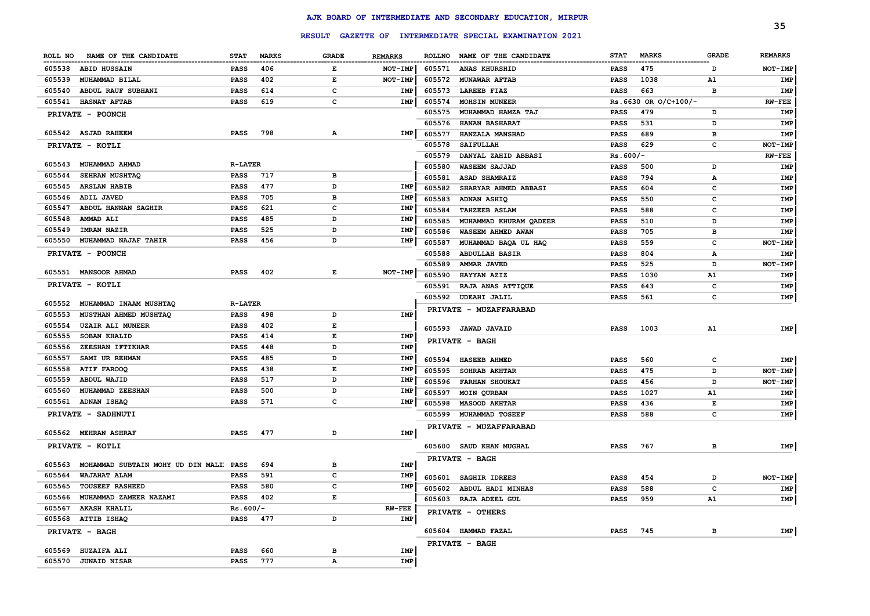|                                                  |                 |              |              |                |        |                                                         |                 |                          |              | 35             |
|--------------------------------------------------|-----------------|--------------|--------------|----------------|--------|---------------------------------------------------------|-----------------|--------------------------|--------------|----------------|
|                                                  |                 |              |              |                |        | RESULT GAZETTE OF INTERMEDIATE SPECIAL EXAMINATION 2021 |                 |                          |              |                |
| ROLL NO NAME OF THE CANDIDATE                    | <b>STAT</b>     | <b>MARKS</b> | GRADE        | <b>REMARKS</b> |        | ROLLNO NAME OF THE CANDIDATE                            | <b>STAT</b>     | <b>MARKS</b>             | <b>GRADE</b> | <b>REMARKS</b> |
| 605538 ABID HUSSAIN                              | PASS            | 406          | Е            | NOT-IMP        | 605571 | <b>ANAS KHURSHID</b>                                    | PASS            | 475                      | D            | $NOT$ -IMP     |
| 605539<br>MUHAMMAD BILAL                         | PASS            | 402          | E            | NOT-IMP        | 605572 | <b>MUNAWAR AFTAB</b>                                    | PASS            | 1038                     | A1           | IMP            |
| 605540<br>ABDUL RAUF SUBHANI                     | PASS            | 614          | c            | IMP            | 605573 | <b>LAREEB FIAZ</b>                                      | PASS            | 663                      | в            | IMP            |
| <b>HASNAT AFTAB</b><br>605541                    | PASS            | 619          | c            | IMP            | 605574 | <b>MOHSIN MUNEER</b>                                    |                 | $Rs.6630$ OR $O/C+100/-$ |              | <b>RW-FEE</b>  |
| PRIVATE - POONCH                                 |                 |              |              |                | 605575 | MUHAMMAD HAMZA TAJ                                      | PASS            | 479                      | D            | IMP            |
|                                                  |                 |              |              |                | 605576 | <b>HANAN BASHARAT</b>                                   | PASS            | 531                      | D            | IMP            |
| 605542 ASJAD RAHEEM                              | PASS            | 798          | А            | IMP            | 605577 | HANZALA MANSHAD                                         | PASS            | 689                      | в            | IMP            |
| PRIVATE - KOTLI                                  |                 |              |              |                | 605578 | <b>SAIFULLAH</b>                                        | PASS            | 629                      | с            | NOT-IMP        |
|                                                  |                 |              |              |                | 605579 | DANYAL ZAHID ABBASI                                     | $Rs.600/-$      |                          |              | <b>RW-FEE</b>  |
| 605543 MUHAMMAD AHMAD                            | <b>R-LATER</b>  |              |              |                | 605580 | <b>WASEEM SAJJAD</b>                                    | PASS            | 500                      | D            | IMP            |
| SEHRAN MUSHTAQ<br>605544                         | <b>PASS</b>     | 717          | в            |                | 605581 | ASAD SHAMRAIZ                                           | PASS            | 794                      | А            | IMP            |
| 605545<br><b>ARSLAN HABIB</b>                    | <b>PASS</b>     | 477          | D            | IMP            | 605582 | SHARYAR AHMED ABBASI                                    | PASS            | 604                      | с            | IMP            |
| 605546<br>ADIL JAVED                             | <b>PASS</b>     | 705          | в            | <b>IMP</b>     | 605583 | ADNAN ASHIQ                                             | PASS            | 550                      | с            | IMP            |
| 605547<br><b>ABDUL HANNAN SAGHIR</b>             | PASS            | 621          | c            | IMP            | 605584 | <b>TAHZEEB ASLAM</b>                                    | PASS            | 588                      | с            | IMP            |
| 605548<br><b>AMMAD ALI</b>                       | PASS            | 485          | D            | IMP            | 605585 | MUHAMMAD KHURAM QADEER                                  | PASS            | 510                      | D            | IMP            |
| 605549<br><b>IMRAN NAZIR</b>                     | PASS            | 525          | D            | <b>IMP</b>     | 605586 | WASEEM AHMED AWAN                                       | <b>PASS</b>     | 705                      | в            | IMP            |
| 605550<br>MUHAMMAD NAJAF TAHIR                   | PASS            | 456          | D            | IMP            | 605587 | MUHAMMAD BAQA UL HAQ                                    | PASS            | 559                      | с            | NOT-IMP        |
| PRIVATE - POONCH                                 |                 |              |              |                | 605588 | <b>ABDULLAH BASIR</b>                                   | PASS            | 804                      | А            | IMP            |
|                                                  |                 |              |              |                | 605589 | AMMAR JAVED                                             | PASS            | 525                      | D            | NOT-IMP        |
| 605551 MANSOOR AHMAD                             | <b>PASS</b>     | 402          | Е            | NOT-IMP        | 605590 | HAYYAN AZIZ                                             | <b>PASS</b>     | 1030                     | A1           | IMP            |
| PRIVATE - KOTLI                                  |                 |              |              |                | 605591 | <b>RAJA ANAS ATTIQUE</b>                                | PASS            | 643                      | с            | IMP            |
|                                                  |                 |              |              |                | 605592 | UDEAHI JALIL                                            | <b>PASS</b>     | 561                      | c            | IMP            |
| 605552<br>MUHAMMAD INAAM MUSHTAQ                 | <b>R-LATER</b>  |              |              |                |        | PRIVATE - MUZAFFARABAD                                  |                 |                          |              |                |
| 605553<br>MUSTHAN AHMED MUSHTAQ                  | PASS            | 498          | D            | IMP            |        |                                                         |                 |                          |              |                |
| <b>UZAIR ALI MUNEER</b><br>605554                | PASS            | 402          | E            |                |        | 605593 JAWAD JAVAID                                     | PASS            | 1003                     | A1           | IMP            |
| 605555<br><b>SOBAN KHALID</b>                    | PASS            | 414          | E            | IMP            |        | <b>PRIVATE - BAGH</b>                                   |                 |                          |              |                |
| 605556<br>ZEESHAN IFTIKHAR                       | <b>PASS</b>     | 448          | D            | IMP            |        |                                                         |                 |                          |              |                |
| 605557<br>SAMI UR REHMAN                         | <b>PASS</b>     | 485          | D            | IMP            | 605594 | <b>HASEEB AHMED</b>                                     | PASS            | 560                      | с            | IMP            |
| 605558<br>ATIF FAROOQ                            | <b>PASS</b>     | 438          | Е            | IMP            | 605595 | <b>SOHRAB AKHTAR</b>                                    | PASS            | 475                      | D            | NOT-IMP        |
| ABDUL WAJID<br>605559                            | <b>PASS</b>     | 517          | D            | IMP            | 605596 | <b>FARHAN SHOUKAT</b>                                   | PASS            | 456                      | D            | NOT-IMP        |
| 605560<br><b>MUHAMMAD ZEESHAN</b>                | <b>PASS</b>     | 500          | D            | IMP            | 605597 | <b>MOIN QURBAN</b>                                      | PASS            | 1027                     | A1           | IMP            |
| 605561 ADNAN ISHAQ                               | <b>PASS</b>     | 571          | c            | IMP            | 605598 | <b>MASOOD AKHTAR</b>                                    | PASS            | 436                      | Е            | IMP            |
| PRIVATE - SADHNUTI                               |                 |              |              |                | 605599 | <b>MUHAMMAD TOSEEF</b>                                  | <b>PASS</b>     | 588                      | с            | IMP            |
|                                                  |                 |              |              |                |        | PRIVATE - MUZAFFARABAD                                  |                 |                          |              |                |
| 605562 MEHRAN ASHRAF                             | <b>PASS</b>     | 477          | D            | IMP            |        |                                                         |                 |                          |              |                |
| PRIVATE - KOTLI                                  |                 |              |              |                |        | 605600 SAUD KHAN MUGHAL                                 | PASS            | 767                      | в            | IMP            |
|                                                  |                 |              |              |                |        | PRIVATE - BAGH                                          |                 |                          |              |                |
| MOHAMMAD SUBTAIN MOHY UD DIN MALI PASS<br>605563 |                 | 694          | в            | IMP            |        |                                                         |                 |                          |              |                |
| 605564 WAJAHAT ALAM                              | <b>PASS</b>     | 591          | c            | IMP            |        | 605601 SAGHIR IDREES                                    | PASS            | 454                      | D            | NOT-IMP        |
| 605565 TOUSEEF RASHEED                           | <b>PASS</b> 580 |              | $\mathbf{C}$ | IMP            |        | 605602 ABDUL HADI MINHAS                                | PASS            | 588                      | C            | IMP            |
| 605566 MUHAMMAD ZAMEER NAZAMI                    | <b>PASS</b> 402 |              | Е            |                |        | 605603 RAJA ADEEL GUL                                   | <b>PASS</b>     | 959                      | A1           | IMP            |
| 605567 AKASH KHALIL                              | Rs.600/-        |              |              | $RW-FEE$       |        | PRIVATE - OTHERS                                        |                 |                          |              |                |
| 605568 ATTIB ISHAQ                               | PASS 477        |              | D            | IMP            |        |                                                         |                 |                          |              |                |
| <b>PRIVATE - BAGH</b>                            |                 |              |              |                |        | 605604 HAMMAD FAZAL                                     | <b>PASS</b> 745 |                          | в            | <b>IMP</b>     |
|                                                  |                 |              |              |                |        | PRIVATE - BAGH                                          |                 |                          |              |                |
| 605569 HUZAIFA ALI                               | PASS 660        |              | в            | IMP            |        |                                                         |                 |                          |              |                |
| 605570 JUNAID NISAR                              | PASS 777        |              | $\mathbf{A}$ | IMP            |        |                                                         |                 |                          |              |                |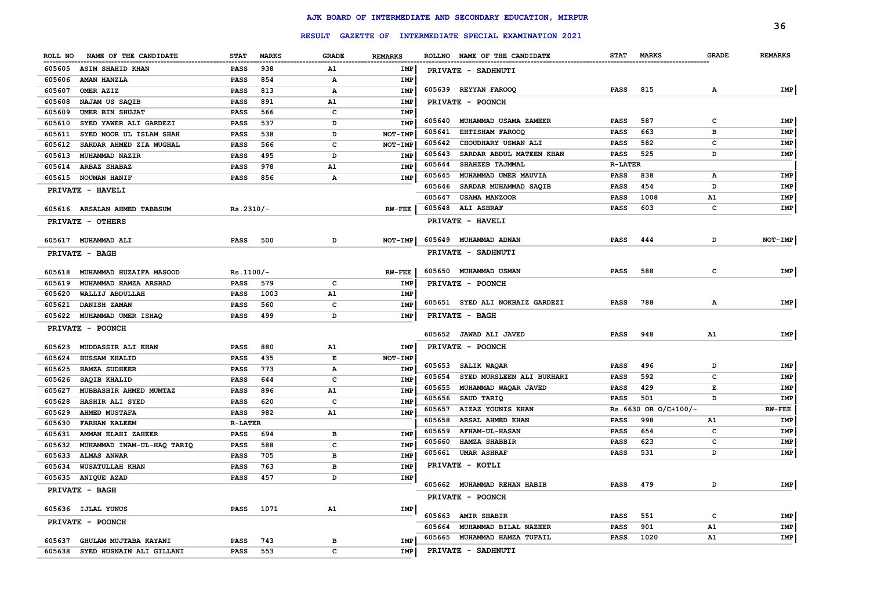|         |                              |                |              |              |                |        | RESULT GAZETTE OF INTERMEDIATE SPECIAL EXAMINATION 2021 |                            |                      |              | 36             |
|---------|------------------------------|----------------|--------------|--------------|----------------|--------|---------------------------------------------------------|----------------------------|----------------------|--------------|----------------|
|         |                              |                |              |              |                |        |                                                         |                            |                      |              |                |
| ROLL NO | NAME OF THE CANDIDATE        | <b>STAT</b>    | <b>MARKS</b> | <b>GRADE</b> | <b>REMARKS</b> |        | ROLLNO NAME OF THE CANDIDATE                            | <b>STAT</b>                | <b>MARKS</b>         | <b>GRADE</b> | <b>REMARKS</b> |
| 605605  | <b>ASIM SHAHID KHAN</b>      | <b>PASS</b>    | 938          | A1           | IMP            |        | PRIVATE - SADHNUTI                                      |                            |                      |              |                |
| 605606  | AMAN HANZLA                  | <b>PASS</b>    | 854          | А            | IMP            |        |                                                         |                            |                      |              |                |
| 605607  | OMER AZIZ                    | <b>PASS</b>    | 813          | А            | IMP            |        | 605639 REYYAN FAROOQ                                    | <b>PASS</b>                | 815                  | $\mathbf{A}$ | IMP            |
| 605608  | NAJAM US SAQIB               | <b>PASS</b>    | 891          | A1           | IMP            |        | PRIVATE - POONCH                                        |                            |                      |              |                |
| 605609  | <b>UMER BIN SHUJAT</b>       | PASS           | 566          | $\mathbf{C}$ | <b>IMP</b>     |        |                                                         |                            |                      |              |                |
| 605610  | SYED YAWER ALI GARDEZI       | PASS           | 537          | D            | IMP            | 605640 | MUHAMMAD USAMA ZAMEER                                   | <b>PASS</b>                | 587                  | C            | IMP            |
| 605611  | SYED NOOR UL ISLAM SHAH      | PASS           | 538          | D            | NOT-IMP        | 605641 | <b>EHTISHAM FAROOQ</b>                                  | <b>PASS</b>                | 663                  | в            | <b>IMP</b>     |
| 605612  | SARDAR AHMED ZIA MUGHAL      | <b>PASS</b>    | 566          | $\mathbf c$  | NOT-IMP        | 605642 | CHOUDHARY USMAN ALI                                     | <b>PASS</b>                | 582                  | C            | IMP            |
| 605613  | <b>MUHAMMAD NAZIR</b>        | <b>PASS</b>    | 495          | D            | IMP            | 605643 | SARDAR ABDUL MATEEN KHAN                                | <b>PASS</b>                | 525                  | D            | <b>IMP</b>     |
| 605614  | <b>ARBAZ SHABAZ</b>          | <b>PASS</b>    | 978          | A1           | IMP            | 605644 | SHAHZEB TAJMMAL                                         | <b>R-LATER</b>             |                      |              |                |
| 605615  | <b>NOUMAN HANIF</b>          | <b>PASS</b>    | 856          | А            | IMP            | 605645 | MUHAMMAD UMER MAUVIA                                    | <b>PASS</b>                | 838                  | А            | IMP            |
|         | <b>PRIVATE - HAVELI</b>      |                |              |              |                | 605646 | SARDAR MUHAMMAD SAQIB                                   | <b>PASS</b>                | 454                  | D            | IMP            |
|         |                              |                |              |              |                | 605647 | USAMA MANZOOR                                           | <b>PASS</b>                | 1008                 | Α1           | IMP            |
|         | 605616 ARSALAN AHMED TABBSUM | $Rs.2310/-$    |              |              | $RW-FEE$       |        | 605648 ALI ASHRAF                                       | <b>PASS</b>                | 603                  | C            | IMP            |
|         | PRIVATE - OTHERS             |                |              |              |                |        | PRIVATE - HAVELI                                        |                            |                      |              |                |
|         | 605617 MUHAMMAD ALI          | <b>PASS</b>    | 500          | D            | NOT-IMP        | 605649 | <b>MUHAMMAD ADNAN</b>                                   | <b>PASS</b>                | 444                  | D            | NOT-IMP        |
|         | PRIVATE - BAGH               |                |              |              |                |        | PRIVATE - SADHNUTI                                      |                            |                      |              |                |
|         |                              |                |              |              |                |        |                                                         |                            |                      |              |                |
| 605618  | MUHAMMAD HUZAIFA MASOOD      | $Rs.1100/-$    |              |              | <b>RW-FEE</b>  |        | 605650 MUHAMMAD USMAN                                   | <b>PASS</b>                | 588                  | $\mathbf{C}$ | IMP            |
| 605619  | MUHAMMAD HAMZA ARSHAD        | PASS           | 579          | c            | IMP            |        | PRIVATE - POONCH                                        |                            |                      |              |                |
| 605620  | WALLIJ ABDULLAH              | <b>PASS</b>    | 1003         | A1           | IMP            |        |                                                         |                            |                      |              |                |
| 605621  | DANISH ZAMAN                 | PASS           | 560          | $\mathbf{C}$ | <b>IMP</b>     |        | 605651 SYED ALI NOKHAIZ GARDEZI                         | <b>PASS</b>                | 788                  | A            | IMP            |
| 605622  | MUHAMMAD UMER ISHAQ          | PASS           | 499          | D            | IMP            |        | PRIVATE - BAGH                                          |                            |                      |              |                |
|         | PRIVATE - POONCH             |                |              |              |                |        |                                                         |                            |                      |              |                |
|         |                              |                |              |              |                | 605652 | <b>JAWAD ALI JAVED</b>                                  | <b>PASS</b>                | 948                  | A1           | IMP            |
| 605623  | <b>MUDDASSIR ALI KHAN</b>    | <b>PASS</b>    | 880          | A1           | IMP            |        | <b>PRIVATE - POONCH</b>                                 |                            |                      |              |                |
| 605624  | HUSSAM KHALID                | PASS           | 435          | E            | NOT-IMP        |        |                                                         |                            |                      |              |                |
| 605625  | <b>HAMZA SUDHEER</b>         | <b>PASS</b>    | 773          | $\mathbf{A}$ | IMP            | 605653 | SALIK WAQAR                                             | <b>PASS</b>                | 496                  | D            | IMP            |
| 605626  | SAQIB KHALID                 | PASS           | 644          | $\mathbf{C}$ | <b>IMP</b>     | 605654 | SYED MURSLEEN ALI BUKHARI                               | <b>PASS</b>                | 592                  | C            | IMP            |
| 605627  | MUBBASHIR AHMED MUMTAZ       | PASS           | 896          | A1           | IMP            | 605655 | MUHAMMAD WAQAR JAVED                                    | <b>PASS</b>                | 429                  | Е            | IMP            |
| 605628  | HASHIR ALI SYED              | <b>PASS</b>    | 620          | $\mathbf{C}$ | <b>IMP</b>     | 605656 | SAUD TARIQ                                              | <b>PASS</b>                | 501                  | D            | IMP            |
| 605629  | <b>AHMED MUSTAFA</b>         | <b>PASS</b>    | 982          | A1           | <b>IMP</b>     | 605657 | AIZAZ YOUNIS KHAN                                       |                            | Rs.6630 OR O/C+100/- |              | <b>RW-FEE</b>  |
| 605630  | <b>FARHAN KALEEM</b>         | <b>R-LATER</b> |              |              |                | 605658 | ARSAL AHMED KHAN                                        | <b>PASS</b>                | 998                  | A1           | IMP            |
| 605631  | AMMAN ELAHI ZAHEER           | <b>PASS</b>    | 694          | в            | IMP            | 605659 | <b>AFHAM-UL-HASAN</b>                                   | <b>PASS</b>                | 654                  | C            | <b>IMP</b>     |
| 605632  | MUHAMMAD INAM-UL-HAQ TARIQ   | <b>PASS</b>    | 588          | c            | IMP            | 605660 | HAMZA SHABBIR                                           | <b>PASS</b>                | 623                  | C            | IMP            |
| 605633  | <b>ALMAS ANWAR</b>           | <b>PASS</b>    | 705          | в            | IMP            |        | 605661 UMAR ASHRAF                                      | <b>PASS</b>                | 531                  | D            | IMP            |
| 605634  | <b>WUSATULLAH KHAN</b>       | <b>PASS</b>    | 763          | в            | IMP            |        | PRIVATE - KOTLI                                         |                            |                      |              |                |
| 605635  | <b>ANIQUE AZAD</b>           | PASS           | 457          | D            | <b>IMP</b>     |        |                                                         |                            |                      |              |                |
|         | PRIVATE - BAGH               |                |              |              |                |        | 605662 MUHAMMAD REHAN HABIB                             | <b>PASS</b>                | 479                  | D            | IMP            |
|         |                              |                |              |              |                |        | PRIVATE - POONCH                                        |                            |                      |              |                |
|         | 605636 IJLAL YUNUS           | <b>PASS</b>    | 1071         | A1           | IMP            |        | 605663 AMIR SHABIR                                      |                            | 551                  | c            | IMP            |
|         | <b>PRIVATE - POONCH</b>      |                |              |              |                | 605664 | MUHAMMAD BILAL NAZEER                                   | <b>PASS</b><br><b>PASS</b> | 901                  | Α1           |                |
|         |                              |                |              |              |                |        |                                                         | <b>PASS</b>                | 1020                 | A1           | IMP            |
| 605637  | GHULAM MUJTABA KAYANI        | <b>PASS</b>    | 743          | в            | <b>IMP</b>     | 605665 | MUHAMMAD HAMZA TUFAIL                                   |                            |                      |              | IMP            |
| 605638  | SYED HUSNAIN ALI GILLANI     | PASS           | 553          | C            | <b>IMP</b>     |        | PRIVATE - SADHNUTI                                      |                            |                      |              |                |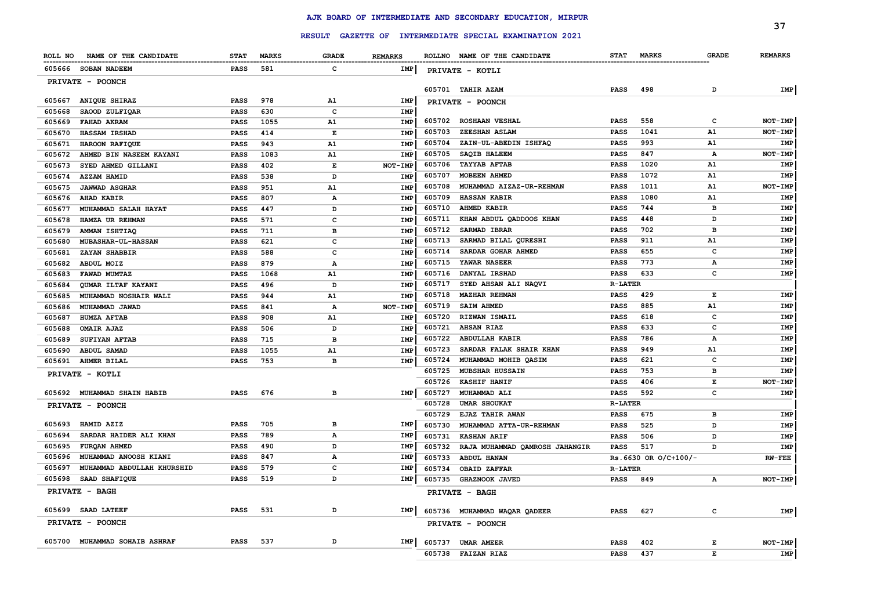|                                      |             |              |               |                |        |                                                         |                |                      |              | 37             |
|--------------------------------------|-------------|--------------|---------------|----------------|--------|---------------------------------------------------------|----------------|----------------------|--------------|----------------|
|                                      |             |              | <b>RESULT</b> |                |        | <b>GAZETTE OF INTERMEDIATE SPECIAL EXAMINATION 2021</b> |                |                      |              |                |
| NAME OF THE CANDIDATE<br>ROLL NO     | <b>STAT</b> | <b>MARKS</b> | <b>GRADE</b>  | <b>REMARKS</b> |        | ROLLNO NAME OF THE CANDIDATE                            | <b>STAT</b>    | <b>MARKS</b>         | <b>GRADE</b> | <b>REMARKS</b> |
| 605666 SOBAN NADEEM                  | <b>PASS</b> | 581          | c             | IMP            |        | .___________________________________<br>PRIVATE - KOTLI |                |                      |              |                |
| PRIVATE - POONCH                     |             |              |               |                |        |                                                         |                |                      |              |                |
|                                      |             |              |               |                |        | 605701 TAHIR AZAM                                       | <b>PASS</b>    | 498                  | D            | IMP            |
| 605667<br>ANIQUE SHIRAZ              | <b>PASS</b> | 978          | A1            | IMP            |        | PRIVATE - POONCH                                        |                |                      |              |                |
| 605668<br>SAOOD ZULFIQAR             | <b>PASS</b> | 630          | c             | IMP            |        |                                                         |                |                      |              |                |
| 605669<br>FAHAD AKRAM                | <b>PASS</b> | 1055         | A1            | <b>IMP</b>     | 605702 | ROSHAAN VESHAL                                          | <b>PASS</b>    | 558                  | c            | $NOT$ -IMP     |
| 605670<br>HASSAM IRSHAD              | <b>PASS</b> | 414          | $\mathbf E$   | <b>IMP</b>     | 605703 | ZEESHAN ASLAM                                           | <b>PASS</b>    | 1041                 | ${\tt A1}$   | NOT-IMP        |
| 605671<br>HAROON RAFIQUE             | <b>PASS</b> | 943          | A1            | <b>IMP</b>     | 605704 | ZAIN-UL-ABEDIN ISHFAQ                                   | PASS           | 993                  | A1           | IMP            |
| 605672<br>AHMED BIN NASEEM KAYANI    | <b>PASS</b> | 1083         | A1            | <b>IMP</b>     | 605705 | <b>SAQIB HALEEM</b>                                     | <b>PASS</b>    | 847                  | А            | NOT-IMP        |
| 605673<br>SYED AHMED GILLANI         | PASS        | 402          | E             | NOT-IMP        | 605706 | <b>TAYYAB AFTAB</b>                                     | <b>PASS</b>    | 1020                 | A1           | IMP            |
| 605674<br>AZZAM HAMID                | <b>PASS</b> | 538          | D             | <b>IMP</b>     | 605707 | MOBEEN AHMED                                            | <b>PASS</b>    | 1072                 | Α1           | IMP            |
| 605675<br><b>JAWWAD ASGHAR</b>       | <b>PASS</b> | 951          | A1            | <b>IMP</b>     | 605708 | MUHAMMAD AIZAZ-UR-REHMAN                                | <b>PASS</b>    | 1011                 | A1           | NOT-IMP        |
| 605676<br><b>AHAD KABIR</b>          | <b>PASS</b> | 807          | A             | <b>IMP</b>     | 605709 | <b>HASSAN KABIR</b>                                     | <b>PASS</b>    | 1080                 | A1           | IMP            |
| 605677<br>MUHAMMAD SALAH HAYAT       | <b>PASS</b> | 447          | D             | IMP            | 605710 | AHMED KABIR                                             | <b>PASS</b>    | 744                  | в            | IMP            |
| 605678<br>HAMZA UR REHMAN            | <b>PASS</b> | 571          | c             | <b>IMP</b>     | 605711 | KHAN ABDUL QADDOOS KHAN                                 | <b>PASS</b>    | 448                  | D            | IMP            |
| 605679<br>AMMAN ISHTIAQ              | <b>PASS</b> | 711          | B             | IMP            | 605712 | SARMAD IBRAR                                            | <b>PASS</b>    | 702                  | в            | IMP            |
| 605680<br>MUBASHAR-UL-HASSAN         | <b>PASS</b> | 621          | C             | <b>IMP</b>     | 605713 | SARMAD BILAL QURESHI                                    | <b>PASS</b>    | 911                  | A1           | IMP            |
| 605681<br>ZAYAN SHABBIR              | <b>PASS</b> | 588          | C             | IMP            | 605714 | SARDAR GOHAR AHMED                                      | <b>PASS</b>    | 655                  | C            | IMP            |
| 605682<br>ABDUL MOIZ                 | <b>PASS</b> | 879          | A             | <b>IMP</b>     | 605715 | YAWAR NASEER                                            | <b>PASS</b>    | 773                  | А            | IMP            |
| 605683<br>FAWAD MUMTAZ               | PASS        | 1068         | A1            | <b>IMP</b>     | 605716 | DANYAL IRSHAD                                           | <b>PASS</b>    | 633                  | $\mathbf c$  | IMP            |
| 605684<br>QUMAR ILTAF KAYANI         | PASS        | 496          | D             | <b>IMP</b>     | 605717 | SYED AHSAN ALI NAQVI                                    | <b>R-LATER</b> |                      |              |                |
| 605685<br>MUHAMMAD NOSHAIR WALI      | <b>PASS</b> | 944          | A1            | <b>IMP</b>     | 605718 | <b>MAZHAR REHMAN</b>                                    | <b>PASS</b>    | 429                  | E            | IMP            |
| 605686<br>MUHAMMAD JAWAD             | <b>PASS</b> | 841          | A             | NOT-IMP        | 605719 | <b>SAIM AHMED</b>                                       | <b>PASS</b>    | 885                  | Α1           | IMP            |
| 605687<br>HUMZA AFTAB                | PASS        | 908          | A1            | IMP            | 605720 | RIZWAN ISMAIL                                           | <b>PASS</b>    | 618                  | c            | IMP            |
| 605688<br><b>OMAIR AJAZ</b>          | PASS        | 506          | D             | <b>IMP</b>     | 605721 | <b>AHSAN RIAZ</b>                                       | <b>PASS</b>    | 633                  | c            | IMP            |
| 605689<br>SUFIYAN AFTAB              | PASS        | 715          | $\mathbf{B}$  | <b>IMP</b>     | 605722 | <b>ABDULLAH KABIR</b>                                   | <b>PASS</b>    | 786                  | A            | IMP            |
| 605690<br>ABDUL SAMAD                | PASS        | 1055         | A1            | <b>IMP</b>     | 605723 | SARDAR FALAK SHAIR KHAN                                 | <b>PASS</b>    | 949                  | A1           | IMP            |
| <b>AHMER BILAL</b><br>605691         | PASS        | 753          | $\mathbf{B}$  | <b>IMP</b>     | 605724 | MUHAMMAD MOHIB QASIM                                    | <b>PASS</b>    | 621                  | C            | IMP            |
| PRIVATE - KOTLI                      |             |              |               |                | 605725 | MUBSHAR HUSSAIN                                         | <b>PASS</b>    | 753                  | B            | IMP            |
|                                      |             |              |               |                | 605726 | <b>KASHIF HANIF</b>                                     | <b>PASS</b>    | 406                  | Е            | NOT-IMP        |
| MUHAMMAD SHAIN HABIB<br>605692       | <b>PASS</b> | 676          | $\mathbf{B}$  | <b>IMP</b>     | 605727 | MUHAMMAD ALI                                            | <b>PASS</b>    | 592                  | c            | IMP            |
| PRIVATE - POONCH                     |             |              |               |                | 605728 | <b>UMAR SHOUKAT</b>                                     | <b>R-LATER</b> |                      |              |                |
|                                      |             |              |               |                | 605729 | EJAZ TAHIR AWAN                                         | <b>PASS</b>    | 675                  | в            | IMP            |
| 605693<br>HAMID AZIZ                 | PASS        | 705          | в             | <b>IMP</b>     | 605730 | MUHAMMAD ATTA-UR-REHMAN                                 | <b>PASS</b>    | 525                  | D            | IMP            |
| 605694<br>SARDAR HAIDER ALI KHAN     | <b>PASS</b> | 789          | A             | <b>IMP</b>     | 605731 | <b>KASHAN ARIF</b>                                      | <b>PASS</b>    | 506                  | D            | IMP            |
| 605695<br>FUROAN AHMED               | <b>PASS</b> | 490          | D             | IMP            | 605732 | RAJA MUHAMMAD QAMROSH JAHANGIR                          | <b>PASS</b>    | 517                  | D            | IMP            |
| 605696<br>MUHAMMAD ANOOSH KIANI      | <b>PASS</b> | 847          | A             | IMP            | 605733 | <b>ABDUL HANAN</b>                                      |                | Rs.6630 OR O/C+100/- |              | <b>RW-FEE</b>  |
| 605697<br>MUHAMMAD ABDULLAH KHURSHID | <b>PASS</b> | 579          | C             | IMP            | 605734 | <b>OBAID ZAFFAR</b>                                     | <b>R-LATER</b> |                      |              |                |
| 605698<br>SAAD SHAFIQUE              | <b>PASS</b> | 519          | D             | IMP            | 605735 | GHAZNOOK JAVED                                          | <b>PASS</b>    | 849                  | Α            | NOT-IMP        |
| PRIVATE - BAGH                       |             |              |               |                |        | PRIVATE - BAGH                                          |                |                      |              |                |
| 605699 SAAD LATEEF                   | PASS        | 531          | D             | IMP            | 605736 | MUHAMMAD WAQAR QADEER                                   | <b>PASS</b>    | 627                  | c            | IMP            |
| PRIVATE - POONCH                     |             |              |               |                |        | PRIVATE - POONCH                                        |                |                      |              |                |
| 605700 MUHAMMAD SOHAIB ASHRAF        | <b>PASS</b> | 537          | D             | <b>IMP</b>     | 605737 | <b>UMAR AMEER</b>                                       | PASS           | 402                  | Е            | NOT-IMP        |
|                                      |             |              |               |                |        | 605738 FAIZAN RIAZ                                      | <b>PASS</b>    | 437                  | $\mathbf E$  | IMP            |
|                                      |             |              |               |                |        |                                                         |                |                      |              |                |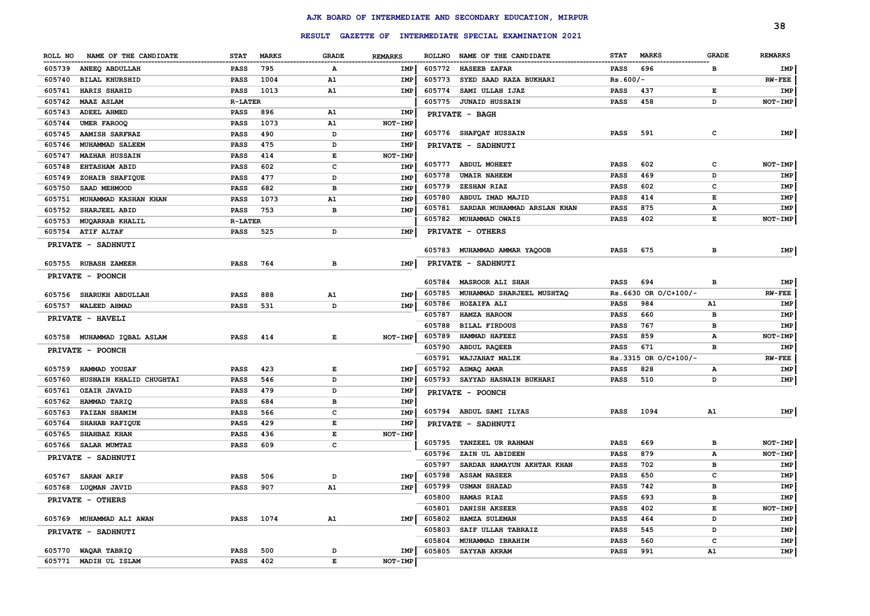|                                   |                 |              |       |                |        |                                                         |             |                          |              | 38             |
|-----------------------------------|-----------------|--------------|-------|----------------|--------|---------------------------------------------------------|-------------|--------------------------|--------------|----------------|
|                                   |                 |              |       |                |        | RESULT GAZETTE OF INTERMEDIATE SPECIAL EXAMINATION 2021 |             |                          |              |                |
| ROLL NO NAME OF THE CANDIDATE     | <b>STAT</b>     | <b>MARKS</b> | GRADE | <b>REMARKS</b> |        | ROLLNO NAME OF THE CANDIDATE                            | <b>STAT</b> | <b>MARKS</b>             | <b>GRADE</b> | <b>REMARKS</b> |
| 605739<br>ANEEQ ABDULLAH          | PASS            | 795          | Α     | IMP            | 605772 | <b>HASEEB ZAFAR</b>                                     | PASS        | 696                      | в            | IMP            |
| <b>BILAL KHURSHID</b><br>605740   | PASS            | 1004         | A1    | IMP            | 605773 | SYED SAAD RAZA BUKHARI                                  | $Rs.600/-$  |                          |              | $RW-FEE$       |
| 605741<br>HARIS SHAHID            | PASS            | 1013         | A1    | IMP            | 605774 | SAMI ULLAH IJAZ                                         | PASS        | 437                      | Е            | IMP            |
| 605742<br><b>MAAZ ASLAM</b>       | <b>R-LATER</b>  |              |       |                | 605775 | <b>JUNAID HUSSAIN</b>                                   | PASS        | 458                      | D            | NOT-IMP        |
| 605743<br><b>ADEEL AHMED</b>      | <b>PASS</b>     | 896          | A1    | <b>IMP</b>     |        | PRIVATE - BAGH                                          |             |                          |              |                |
| 605744<br>UMER FAROOQ             | PASS            | 1073         | A1    | NOT-IMP        |        |                                                         |             |                          |              |                |
| 605745<br><b>AAMISH SARFRAZ</b>   | PASS            | 490          | D     | IMP            |        | 605776 SHAFQAT HUSSAIN                                  | <b>PASS</b> | 591                      | с            | IMP            |
| MUHAMMAD SALEEM<br>605746         | PASS            | 475          | D     | IMP            |        | PRIVATE - SADHNUTI                                      |             |                          |              |                |
| 605747<br><b>MAZHAR HUSSAIN</b>   | PASS            | 414          | Е     | NOT-IMP        |        |                                                         |             |                          |              |                |
| 605748<br><b>EHTASHAM ABID</b>    | PASS            | 602          | c     | <b>IMP</b>     |        | 605777 ABDUL MOHEET                                     | PASS        | 602                      | c            | NOT-IMP        |
| ZOHAIB SHAFIQUE<br>605749         | PASS            | 477          | D     | IMP            | 605778 | <b>UMAIR NAHEEM</b>                                     | PASS        | 469                      | D            | IMP            |
| SAAD MEHMOOD<br>605750            | PASS            | 682          | в     | IMP            | 605779 | ZESHAN RIAZ                                             | PASS        | 602                      | с            | IMP            |
| 605751<br>MUHAMMAD KASHAN KHAN    | PASS            | 1073         | A1    | <b>IMP</b>     | 605780 | ABDUL IMAD MAJID                                        | PASS        | 414                      | Е            | IMP            |
| SHARJEEL ABID<br>605752           | PASS            | 753          | в     | IMP            | 605781 | SARDAR MUHAMMAD ARSLAN KHAN                             | PASS        | 875                      | А            | IMP            |
| <b>MUQARRAB KHALIL</b><br>605753  | <b>R-LATER</b>  |              |       |                | 605782 | <b>MUHAMMAD OWAIS</b>                                   | PASS        | 402                      | Е            | NOT-IMP        |
| 605754 ATIF ALTAF                 | <b>PASS</b>     | 525          | D     | IMP            |        | PRIVATE - OTHERS                                        |             |                          |              |                |
| PRIVATE - SADHNUTI                |                 |              |       |                |        |                                                         |             |                          |              |                |
|                                   |                 |              |       |                |        | 605783 MUHAMMAD AMMAR YAQOOB                            | <b>PASS</b> | 675                      | в            | IMP            |
| 605755 RUBASH ZAMEER              | <b>PASS</b>     | 764          | в     | IMP            |        | PRIVATE - SADHNUTI                                      |             |                          |              |                |
| PRIVATE - POONCH                  |                 |              |       |                |        |                                                         |             |                          |              |                |
|                                   |                 |              |       |                | 605784 | <b>MASROOR ALI SHAH</b>                                 | <b>PASS</b> | 694                      | в            | IMP            |
| <b>SHARUKH ABDULLAH</b><br>605756 | PASS            | 888          | A1    | IMP            | 605785 | MUHAMMAD SHARJEEL MUSHTAQ                               |             | $Rs.6630$ OR $O/C+100/-$ |              | $RW-FEE$       |
| 605757 WALEED AHMAD               | <b>PASS</b>     | 531          | D     | IMP            | 605786 | <b>HOZAIFA ALI</b>                                      | <b>PASS</b> | 984                      | A1           | IMP            |
| PRIVATE - HAVELI                  |                 |              |       |                | 605787 | <b>HAMZA HAROON</b>                                     | <b>PASS</b> | 660                      | в            | IMP            |
|                                   |                 |              |       |                | 605788 | <b>BILAL FIRDOUS</b>                                    | <b>PASS</b> | 767                      | в            | IMP            |
| 605758 MUHAMMAD IQBAL ASLAM       | <b>PASS</b>     | 414          | Е     | NOT-IMP        | 605789 | HAMMAD HAFEEZ                                           | <b>PASS</b> | 859                      | А            | NOT-IMP        |
| PRIVATE - POONCH                  |                 |              |       |                | 605790 | <b>ABDUL RAQEEB</b>                                     | <b>PASS</b> | 671                      | в            | IMP            |
|                                   |                 |              |       |                | 605791 | WAJJAHAT MALIK                                          |             | Rs.3315 OR O/C+100/-     |              | $RW-FEE$       |
| HAMMAD YOUSAF<br>605759           | <b>PASS</b>     | 423          | Е     | IMP            |        | 605792 ASMAQ AMAR                                       | <b>PASS</b> | 828                      | А            | IMP            |
| HUSNAIN KHALID CHUGHTAI<br>605760 | <b>PASS</b>     | 546          | D     | <b>IMP</b>     |        | 605793 SAYYAD HASNAIN BUKHARI                           | <b>PASS</b> | 510                      | D            | IMP            |
| 605761<br><b>OZAIR JAVAID</b>     | <b>PASS</b>     | 479          | D     | IMP            |        | PRIVATE - POONCH                                        |             |                          |              |                |
| 605762<br>HAMMAD TARIQ            | <b>PASS</b>     | 684          | в     | IMP            |        |                                                         |             |                          |              |                |
| <b>FAIZAN SHAMIM</b><br>605763    | <b>PASS</b>     | 566          | c     | IMP            |        | 605794 ABDUL SAMI ILYAS                                 | <b>PASS</b> | 1094                     | A1           | IMP            |
| <b>SHAHAB RAFIQUE</b><br>605764   | <b>PASS</b>     | 429          | E     | IMP            |        | PRIVATE - SADHNUTI                                      |             |                          |              |                |
| 605765<br>SHAHBAZ KHAN            | <b>PASS</b>     | 436          | E     | <b>NOT-IMP</b> |        |                                                         |             |                          |              |                |
| 605766<br><b>SALAR MUMTAZ</b>     | <b>PASS</b>     | 609          | c     |                | 605795 | <b>TANZEEL UR RAHMAN</b>                                | PASS        | 669                      | в            | NOT-IMP        |
| PRIVATE - SADHNUTI                |                 |              |       |                | 605796 | ZAIN UL ABIDEEN                                         | PASS        | 879                      | А            | NOT-IMP        |
|                                   |                 |              |       |                | 605797 | SARDAR HAMAYUN AKHTAR KHAN                              | <b>PASS</b> | 702                      | в            | IMP            |
| 605767 SARAN ARIF                 | <b>PASS</b>     | 506          | D     | IMP            |        | 605798 ASSAM NASEER                                     | <b>PASS</b> | 650                      | с            | IMP            |
| 605768 LUQMAN JAVID               | PASS 907        |              | A1    |                |        | IMP 605799 USMAN SHAZAD                                 | PASS        | 742                      |              | IMP            |
| PRIVATE - OTHERS                  |                 |              |       |                |        | 605800 HAMAS RIAZ                                       | PASS        | 693                      | в            | IMP            |
|                                   |                 |              |       |                |        | 605801 DANISH AKSEER                                    | PASS        | 402                      | Е            | NOT-IMP        |
| 605769 MUHAMMAD ALI AWAN          |                 | PASS 1074    | A1    | <b>IMP</b>     | 605802 | <b>HAMZA SULEMAN</b>                                    | PASS        | 464                      | D            | IMP            |
| PRIVATE - SADHNUTI                |                 |              |       |                | 605803 | SAIF ULLAH TABRAIZ                                      | PASS        | 545                      | D            | IMP            |
|                                   |                 |              |       |                | 605804 | MUHAMMAD IBRAHIM                                        | PASS        | 560                      | c            | IMP            |
| 605770 WAQAR TABRIQ               | <b>PASS</b> 500 |              | D     | IMP            | 605805 | SAYYAB AKRAM                                            | <b>PASS</b> | 991                      | A1           | IMP            |
| 605771 MADIH UL ISLAM             | PASS 402        |              | E     | NOT-IMP        |        |                                                         |             |                          |              |                |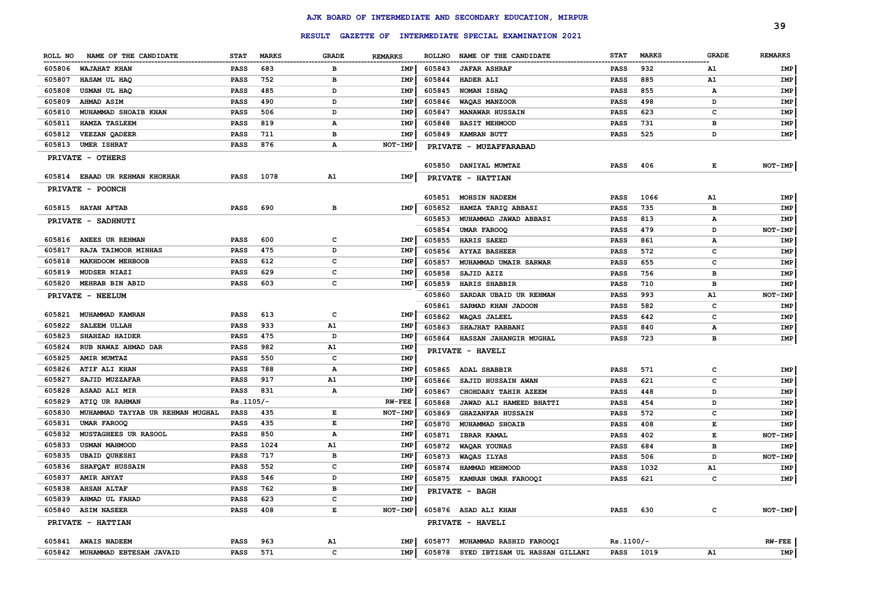| 605808 | USMAN UL HAQ                     | <b>PASS</b> | 485  | D  | IMP           | 605845 | NOMAN ISHAQ                    | <b>PASS</b> | 855  | А  | IMP      |
|--------|----------------------------------|-------------|------|----|---------------|--------|--------------------------------|-------------|------|----|----------|
| 605809 | <b>AHMAD ASIM</b>                | <b>PASS</b> | 490  | D  | IMP           | 605846 | WAQAS MANZOOR                  | <b>PASS</b> | 498  | D  | IMP      |
| 605810 | MUHAMMAD SHOAIB KHAN             | <b>PASS</b> | 506  | D  | IMP           | 605847 | <b>MANAWAR HUSSAIN</b>         | <b>PASS</b> | 623  | c  | IMP      |
| 605811 | <b>HAMZA TASLEEM</b>             | <b>PASS</b> | 819  | А  | IMP           | 605848 | <b>BASIT MEHMOOD</b>           | <b>PASS</b> | 731  | в  | IMP      |
| 605812 | VEEZAN QADEER                    | PASS        | 711  | в  | IMP           |        | 605849 KAMRAN BUTT             | <b>PASS</b> | 525  | D  | IMP      |
| 605813 | <b>UMER ISHRAT</b>               | PASS        | 876  | А  | NOT-IMP       |        | PRIVATE - MUZAFFARABAD         |             |      |    |          |
|        | PRIVATE - OTHERS                 |             |      |    |               |        |                                |             |      |    |          |
|        |                                  |             |      |    |               |        | 605850 DANIYAL MUMTAZ          | <b>PASS</b> | 406  | Е  | NOT-IMP  |
|        | 605814 EBAAD UR REHMAN KHOKHAR   | PASS        | 1078 | A1 | IMP           |        | PRIVATE - HATTIAN              |             |      |    |          |
|        | PRIVATE - POONCH                 |             |      |    |               |        |                                |             |      |    |          |
|        |                                  |             |      |    |               | 605851 | <b>MOHSIN NADEEM</b>           | <b>PASS</b> | 1066 | A1 | IMP      |
|        | 605815 HAYAN AFTAB               | PASS        | 690  | в  | IMP           | 605852 | HAMZA TARIQ ABBASI             | <b>PASS</b> | 735  | в  | IMP      |
|        | PRIVATE - SADHNUTI               |             |      |    |               | 605853 | MUHAMMAD JAWAD ABBASI          | <b>PASS</b> | 813  | А  | IMP      |
|        |                                  |             |      |    |               | 605854 | <b>UMAR FAROOQ</b>             | <b>PASS</b> | 479  | D  | NOT-IMP  |
|        | 605816 ANEES UR REHMAN           | <b>PASS</b> | 600  | c  | IMP           | 605855 | <b>HARIS SAEED</b>             | <b>PASS</b> | 861  | А  | IMP      |
| 605817 | RAJA TAIMOOR MINHAS              | <b>PASS</b> | 475  | D  | IMP           | 605856 | <b>AYYAZ BASHEER</b>           | <b>PASS</b> | 572  | с  | IMP      |
| 605818 | <b>MAKHDOOM MEHBOOB</b>          | <b>PASS</b> | 612  | с  | IMP           | 605857 | MUHAMMAD UMAIR SARWAR          | PASS        | 655  | с  | IMP      |
|        | 605819 MUDSER NIAZI              | <b>PASS</b> | 629  | c  | IMP           | 605858 | SAJID AZIZ                     | <b>PASS</b> | 756  | в  | IMP      |
|        | 605820 MEHRAB BIN ABID           | PASS        | 603  | с  | IMP           | 605859 | HARIS SHABBIR                  | <b>PASS</b> | 710  | в  | IMP      |
|        | PRIVATE - NEELUM                 |             |      |    |               | 605860 | SARDAR UBAID UR REHMAN         | <b>PASS</b> | 993  | A1 | NOT-IMP  |
|        |                                  |             |      |    |               | 605861 | SARMAD KHAN JADOON             | <b>PASS</b> | 582  | c  | IMP      |
| 605821 | MUHAMMAD KAMRAN                  | <b>PASS</b> | 613  | c  | IMP           | 605862 | <b>WAQAS JALEEL</b>            | <b>PASS</b> | 642  | c  | IMP      |
| 605822 | SALEEM ULLAH                     | <b>PASS</b> | 933  | A1 | IMP           | 605863 | <b>SHAJHAT RABBANI</b>         | <b>PASS</b> | 840  | А  | IMP      |
| 605823 | SHAHZAD HAIDER                   | <b>PASS</b> | 475  | D  | IMP           |        | 605864 HASSAN JAHANGIR MUGHAL  | PASS        | 723  | в  | IMP      |
| 605824 | RUB NAWAZ AHMAD DAR              | <b>PASS</b> | 982  | A1 | IMP           |        | PRIVATE - HAVELI               |             |      |    |          |
| 605825 | <b>AMIR MUMTAZ</b>               | <b>PASS</b> | 550  | с  | IMP           |        |                                |             |      |    |          |
| 605826 | <b>ATIF ALI KHAN</b>             | PASS        | 788  | A  | IMP           | 605865 | <b>ADAL SHABBIR</b>            | <b>PASS</b> | 571  | c  | IMP      |
| 605827 | SAJID MUZZAFAR                   | PASS        | 917  | A1 | IMP           | 605866 | <b>SAJID HUSSAIN AWAN</b>      | <b>PASS</b> | 621  | c  | IMP      |
| 605828 | ASAAD ALI MIR                    | PASS        | 831  | A  | IMP           | 605867 | CHOHDARY TAHIR AZEEM           | <b>PASS</b> | 448  | D  | IMP      |
| 605829 | ATIQ UR RAHMAN                   | $Rs.1105/-$ |      |    | <b>RW-FEE</b> | 605868 | JAWAD ALI HAMEED BHATTI        | <b>PASS</b> | 454  | D  | IMP      |
| 605830 | MUHAMMAD TAYYAB UR REHMAN MUGHAL | PASS        | 435  | Е  | NOT-IMP       | 605869 | <b>GHAZANFAR HUSSAIN</b>       | PASS        | 572  | c  | IMP      |
| 605831 | <b>UMAR FAROOQ</b>               | <b>PASS</b> | 435  | E  | IMP           | 605870 | MUHAMMAD SHOAIB                | <b>PASS</b> | 408  | Е  | IMP      |
| 605832 | MUSTAGHEES UR RASOOL             | <b>PASS</b> | 850  | А  | IMP           | 605871 | <b>IBRAR KAMAL</b>             | <b>PASS</b> | 402  | Е  | NOT-IMP  |
| 605833 | <b>USMAN MAHMOOD</b>             | <b>PASS</b> | 1024 | A1 | IMP           | 605872 | WAQAR YOUNAS                   | <b>PASS</b> | 684  | в  | IMP      |
| 605835 | <b>UBAID QURESHI</b>             | <b>PASS</b> | 717  | в  | IMP           | 605873 | WAQAS ILYAS                    | <b>PASS</b> | 506  | D  | NOT-IMP  |
| 605836 | SHAFQAT HUSSAIN                  | <b>PASS</b> | 552  | с  | IMP           | 605874 | HAMMAD MEHMOOD                 | <b>PASS</b> | 1032 | A1 | IMP      |
| 605837 | <b>AMIR ANYAT</b>                | PASS        | 546  | D  | IMP           |        | 605875 KAMRAN UMAR FAROOQI     | <b>PASS</b> | 621  | c  | IMP      |
| 605838 | <b>AHSAN ALTAF</b>               | PASS        | 762  | в  | IMP           |        | PRIVATE - BAGH                 |             |      |    |          |
| 605839 | AHMAD UL FAHAD                   | <b>PASS</b> | 623  | с  | IMP           |        |                                |             |      |    |          |
|        | 605840 ASIM NASEER               | PASS        | 408  | Е  | NOT-IMP       |        | 605876 ASAD ALI KHAN           | PASS        | 630  | c  | NOT-IMP  |
|        | PRIVATE - HATTIAN                |             |      |    |               |        | PRIVATE - HAVELI               |             |      |    |          |
|        |                                  |             |      |    |               |        |                                |             |      |    |          |
|        | 605841 AWAIS NADEEM              | PASS        | 963  | A1 | IMP           |        | 605877 MUHAMMAD RASHID FAROOQI | $Rs.1100/-$ |      |    | $RW-FEE$ |

# **RESULT GAZETTE OF INTERMEDIATE SPECIAL EXAMINATION 2021** RESULT GAZETTE OF INTERMEDIATE SPECIAL EXAMINATION 2021<br>ROLL NO NAME OF THE CANDIDATE STAT MARKS GRADE REMARKS ROLLNO NAME OF THE CANDIDATE STAT MARKS GRADE REMARKS REMARKS

**ROLL NO NAME OF THE CANDIDATE STAT MARKS GRADE REMARKS**

 **WAJAHAT KHAN PASS 683 B IMP HASAM UL HAQ PASS 752 B IMP**

**MUHAMMAD EBTESAM JAVAID PASS 571 C IMP**

**AJK BOARD OF INTERMEDIATE AND SECONDARY EDUCATION, MIRPUR**

 **JAFAR ASHRAF PASS 932 A1 IMP HADER ALI PASS 885 A1 IMP**

**SYED IBTISAM UL HASSAN GILLANI PASS 1019 A1 IMP**

STAT MARKS **GRADE** REMARKS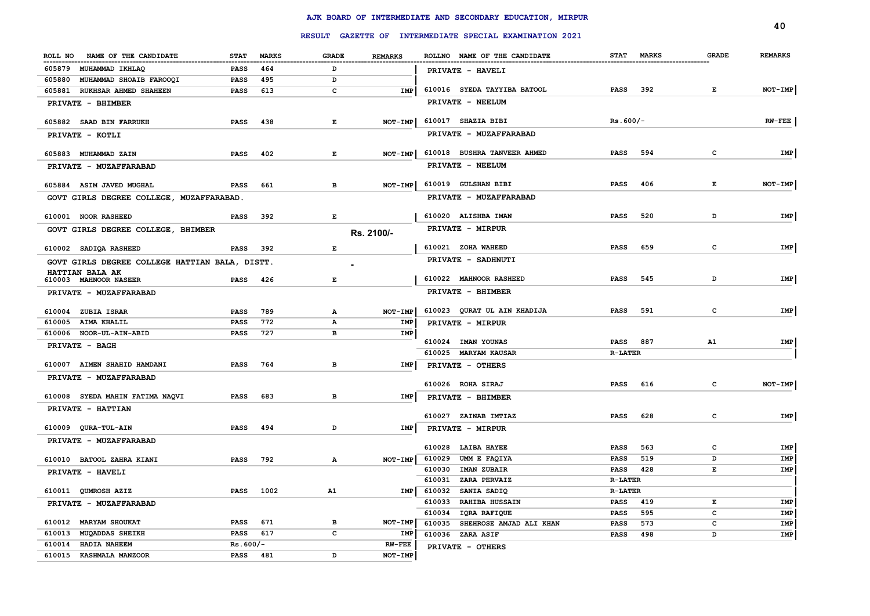|                                                |             |              |              |                |                                                         |                    |              | 40             |
|------------------------------------------------|-------------|--------------|--------------|----------------|---------------------------------------------------------|--------------------|--------------|----------------|
|                                                |             |              |              |                | RESULT GAZETTE OF INTERMEDIATE SPECIAL EXAMINATION 2021 |                    |              |                |
| ROLL NO NAME OF THE CANDIDATE                  | <b>STAT</b> | <b>MARKS</b> | <b>GRADE</b> | <b>REMARKS</b> | ROLLNO NAME OF THE CANDIDATE                            | STAT MARKS         | <b>GRADE</b> | <b>REMARKS</b> |
| 605879 MUHAMMAD IKHLAQ                         | PASS        | 464          | D            |                | -----------------------------------<br>PRIVATE - HAVELI |                    |              |                |
| 605880<br>MUHAMMAD SHOAIB FAROOQI              | PASS        | 495          | D            |                |                                                         |                    |              |                |
| 605881<br>RUKHSAR AHMED SHAHEEN                | PASS        | 613          | c            | <b>IMP</b>     | 610016 SYEDA TAYYIBA BATOOL                             | <b>PASS</b><br>392 | E            | NOT-IMP        |
| PRIVATE - BHIMBER                              |             |              |              |                | PRIVATE - NEELUM                                        |                    |              |                |
| 605882 SAAD BIN FARRUKH                        | <b>PASS</b> | 438          | Е            | NOT-IMP        | 610017 SHAZIA BIBI                                      | $Rs.600/-$         |              | $RW-FEE$       |
| PRIVATE - KOTLI                                |             |              |              |                | PRIVATE - MUZAFFARABAD                                  |                    |              |                |
| 605883 MUHAMMAD ZAIN                           | PASS        | 402          | Е            | NOT-IMP        | 610018 BUSHRA TANVEER AHMED                             | <b>PASS</b><br>594 | c            | IMP            |
| PRIVATE - MUZAFFARABAD                         |             |              |              |                | PRIVATE - NEELUM                                        |                    |              |                |
| 605884 ASIM JAVED MUGHAL                       | <b>PASS</b> | 661          | $\, {\bf B}$ | NOT-IMP        | 610019 GULSHAN BIBI                                     | <b>PASS</b><br>406 | Е            | NOT-IMP        |
| GOVT GIRLS DEGREE COLLEGE, MUZAFFARABAD.       |             |              |              |                | PRIVATE - MUZAFFARABAD                                  |                    |              |                |
| 610001 NOOR RASHEED                            | PASS        | 392          | Е            |                | 610020 ALISHBA IMAN                                     | 520<br><b>PASS</b> | D            | IMP            |
| GOVT GIRLS DEGREE COLLEGE, BHIMBER             |             |              |              | Rs. 2100/-     | PRIVATE - MIRPUR                                        |                    |              |                |
|                                                |             |              |              |                |                                                         |                    |              |                |
| 610002 SADIQA RASHEED                          | PASS        | 392          | $\mathbf E$  |                | 610021 ZOHA WAHEED                                      | 659<br><b>PASS</b> | c            | IMP            |
| GOVT GIRLS DEGREE COLLEGE HATTIAN BALA, DISTT. |             |              |              |                | PRIVATE - SADHNUTI                                      |                    |              |                |
| HATTIAN BALA AK<br>610003 MAHNOOR NASEER       | <b>PASS</b> | 426          | E            |                | 610022 MAHNOOR RASHEED                                  | 545<br>PASS        | D            | IMP            |
| PRIVATE - MUZAFFARABAD                         |             |              |              |                | PRIVATE - BHIMBER                                       |                    |              |                |
| 610004 ZUBIA ISRAR                             | PASS        | 789          | $\mathbf{A}$ | NOT-IMP        | 610023 QURAT UL AIN KHADIJA                             | <b>PASS</b><br>591 | c            | IMP            |
| 610005 AIMA KHALIL                             | <b>PASS</b> | 772          | A            | IMP            | PRIVATE - MIRPUR                                        |                    |              |                |
| 610006 NOOR-UL-AIN-ABID                        | PASS        | 727          | в            | IMP            |                                                         |                    |              |                |
| PRIVATE - BAGH                                 |             |              |              |                | 610024 IMAN YOUNAS                                      | PASS<br>887        | A1           | IMP            |
|                                                |             |              |              |                | 610025 MARYAM KAUSAR                                    | <b>R-LATER</b>     |              |                |
| 610007 AIMEN SHAHID HAMDANI                    | <b>PASS</b> | 764          | в            | IMP            | PRIVATE - OTHERS                                        |                    |              |                |
| PRIVATE - MUZAFFARABAD                         |             |              |              |                | 610026 ROHA SIRAJ                                       | <b>PASS</b><br>616 | $\mathbf{C}$ | NOT-IMP        |
| 610008 SYEDA MAHIN FATIMA NAQVI                | PASS        | 683          | в            | IMP            | PRIVATE - BHIMBER                                       |                    |              |                |
| PRIVATE - HATTIAN                              |             |              |              |                |                                                         |                    |              |                |
|                                                |             |              |              |                | 610027 ZAINAB IMTIAZ                                    | 628<br><b>PASS</b> | c            | IMP            |
| 610009 QURA-TUL-AIN                            | <b>PASS</b> | 494          | D            | IMP            | PRIVATE - MIRPUR                                        |                    |              |                |
| PRIVATE - MUZAFFARABAD                         |             |              |              |                | 610028<br><b>LAIBA HAYEE</b>                            | 563<br>PASS        | c            | IMP            |
| 610010 BATOOL ZAHRA KIANI                      | <b>PASS</b> | 792          | А            | $NOT-IMP$      | 610029<br>UMM E FAQIYA                                  | 519<br>PASS        | D            | IMP            |
| PRIVATE - HAVELI                               |             |              |              |                | 610030<br>IMAN ZUBAIR                                   | 428<br>PASS        | $\mathbf E$  | IMP            |
|                                                |             |              |              |                | 610031<br>ZARA PERVAIZ                                  | <b>R-LATER</b>     |              |                |
| 610011 QUMROSH AZIZ                            | PASS        | 1002         | A1           | IMP            | 610032<br>SANIA SADIQ                                   | <b>R-LATER</b>     |              |                |
| PRIVATE - MUZAFFARABAD                         |             |              |              |                | 610033<br><b>RAHIBA HUSSAIN</b>                         | <b>PASS</b><br>419 | Е            | IMP            |
|                                                |             |              |              |                | 610034<br>IQRA RAFIQUE                                  | <b>PASS</b><br>595 | c            | IMP            |
| 610012 MARYAM SHOUKAT                          | <b>PASS</b> | 671          | в            | NOT-IMP        | 610035<br>SHEHROSE AMJAD ALI KHAN                       | <b>PASS</b><br>573 | c            | IMP            |
| 610013<br><b>MUQADDAS SHEIKH</b>               | PASS        | 617          | $\mathbf{C}$ | IMP            | 610036 ZARA ASIF                                        | <b>PASS</b><br>498 | D            | IMP            |
| 610014<br><b>HADIA NAHEEM</b>                  | $Rs.600/-$  |              | D            | $RW-FEE$       | PRIVATE - OTHERS                                        |                    |              |                |
| 610015 KASHMALA MANZOOR                        | <b>PASS</b> | 481          |              | NOT-IMP        |                                                         |                    |              |                |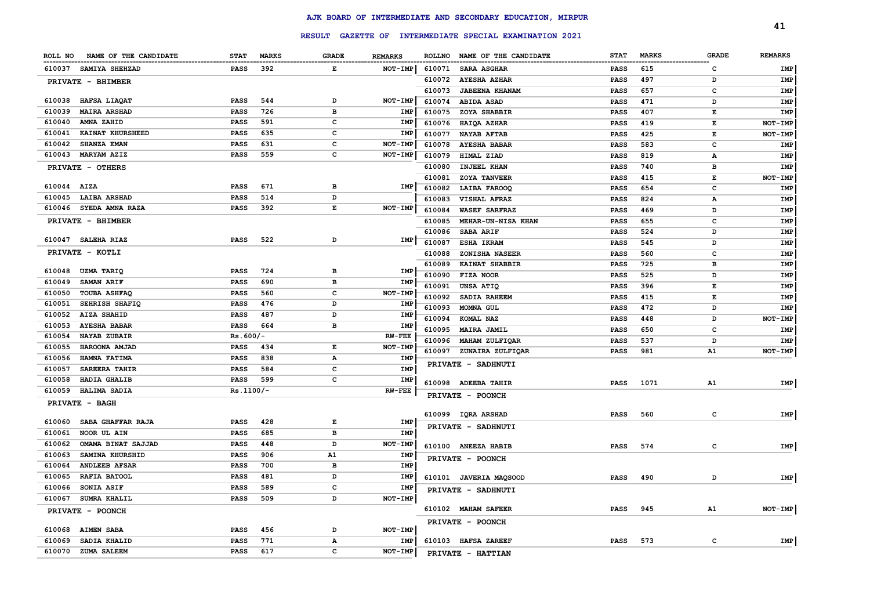|                  |                               |                     |              |                    |                 |        |                                                         |             |              |              | 41             |
|------------------|-------------------------------|---------------------|--------------|--------------------|-----------------|--------|---------------------------------------------------------|-------------|--------------|--------------|----------------|
|                  |                               |                     |              |                    |                 |        | RESULT GAZETTE OF INTERMEDIATE SPECIAL EXAMINATION 2021 |             |              |              |                |
| ROLL NO          | NAME OF THE CANDIDATE         | <b>STAT</b>         | <b>MARKS</b> | <b>GRADE</b>       | <b>REMARKS</b>  |        | ROLLNO NAME OF THE CANDIDATE                            | <b>STAT</b> | <b>MARKS</b> | <b>GRADE</b> | <b>REMARKS</b> |
|                  | 610037 SAMIYA SHEHZAD         | <b>PASS</b>         | 392          | E                  | NOT-IMP         | 610071 | <b>SARA ASGHAR</b>                                      | <b>PASS</b> | 615          | C            | IMP            |
|                  | PRIVATE - BHIMBER             |                     |              |                    |                 | 610072 | <b>AYESHA AZHAR</b>                                     | <b>PASS</b> | 497          | D            | IMP            |
|                  |                               |                     |              |                    |                 | 610073 | <b>JABEENA KHANAM</b>                                   | <b>PASS</b> | 657          | c            | IMP            |
|                  | 610038 HAFSA LIAQAT           | <b>PASS</b>         | 544          | D                  | NOT-IMP         | 610074 | <b>ABIDA ASAD</b>                                       | <b>PASS</b> | 471          | D            | IMP            |
| 610039           | <b>MAIRA ARSHAD</b>           | <b>PASS</b>         | 726          | в                  | IMP             | 610075 | ZOYA SHABBIR                                            | <b>PASS</b> | 407          | E            | IMP            |
| 610040           | AMNA ZAHID                    | PASS                | 591          | c                  | IMP             | 610076 | HAIQA AZHAR                                             | <b>PASS</b> | 419          | Е            | NOT-IMP        |
| 610041           | <b>KAINAT KHURSHEED</b>       | <b>PASS</b>         | 635          | c                  | IMP             | 610077 | <b>NAYAB AFTAB</b>                                      | <b>PASS</b> | 425          | E            | NOT-IMP        |
| 610042           | SHANZA EMAN                   | <b>PASS</b>         | 631          | c                  | NOT-IMP         | 610078 | <b>AYESHA BABAR</b>                                     | <b>PASS</b> | 583          | c            | IMP            |
| 610043           | <b>MARYAM AZIZ</b>            | PASS                | 559          | c                  | NOT-IMP         | 610079 | HIMAL ZIAD                                              | <b>PASS</b> | 819          | A            | IMP            |
|                  | PRIVATE - OTHERS              |                     |              |                    |                 | 610080 | <b>INJEEL KHAN</b>                                      | <b>PASS</b> | 740          | в            | IMP            |
|                  |                               |                     |              |                    |                 | 610081 | <b>ZOYA TANVEER</b>                                     | <b>PASS</b> | 415          | Е            | NOT-IMP        |
| 610044 AIZA      |                               | <b>PASS</b>         | 671          | в                  | IMP             | 610082 | LAIBA FAROOQ                                            | <b>PASS</b> | 654          | c            | IMP            |
|                  | 610045 LAIBA ARSHAD           | <b>PASS</b>         | 514          | D                  |                 | 610083 | VISHAL AFRAZ                                            | <b>PASS</b> | 824          | А            | IMP            |
|                  | 610046 SYEDA AMNA RAZA        | <b>PASS</b>         | 392          | $\mathbf{E}% _{t}$ | NOT-IMP         | 610084 | <b>WASEF SARFRAZ</b>                                    | <b>PASS</b> | 469          | D            | IMP            |
|                  | PRIVATE - BHIMBER             |                     |              |                    |                 | 610085 | MEHAR-UN-NISA KHAN                                      | <b>PASS</b> | 655          | c            | IMP            |
|                  |                               |                     |              |                    |                 | 610086 | <b>SABA ARIF</b>                                        | <b>PASS</b> | 524          | D            | IMP            |
|                  | 610047 SALEHA RIAZ            | <b>PASS</b>         | 522          | D                  | IMP             | 610087 | <b>ESHA IKRAM</b>                                       | <b>PASS</b> | 545          | D            | IMP            |
|                  | PRIVATE - KOTLI               |                     |              |                    |                 | 610088 | ZONISHA NASEER                                          | <b>PASS</b> | 560          | C            | IMP            |
|                  |                               |                     |              |                    |                 | 610089 | KAINAT SHABBIR                                          | <b>PASS</b> | 725          | B            | IMP            |
| 610048           | <b>UZMA TARIQ</b>             | <b>PASS</b>         | 724          | в                  | IMP             | 610090 | FIZA NOOR                                               | <b>PASS</b> | 525          | D            | <b>IMP</b>     |
| 610049           | <b>SAMAN ARIF</b>             | <b>PASS</b>         | 690          | в                  | IMP             | 610091 | UNSA ATIQ                                               | <b>PASS</b> | 396          | Е            | IMP            |
| 610050           | <b>TOUBA ASHFAQ</b>           | <b>PASS</b>         | 560          | C                  | <b>NOT-IMP</b>  | 610092 | <b>SADIA RAHEEM</b>                                     | <b>PASS</b> | 415          | Е            | <b>IMP</b>     |
| 610051           | SEHRISH SHAFIQ                | <b>PASS</b>         | 476          | D                  | IMP             | 610093 | MOMNA GUL                                               | <b>PASS</b> | 472          | D            | IMP            |
| 610052           | AIZA SHAHID                   | <b>PASS</b>         | 487          | D                  | IMP             | 610094 | KOMAL NAZ                                               | <b>PASS</b> | 448          | D            | NOT-IMP        |
| 610053           | <b>AYESHA BABAR</b>           | <b>PASS</b>         | 664          | в                  | IMP             | 610095 | <b>MAIRA JAMIL</b>                                      | <b>PASS</b> | 650          | $\mathbf{C}$ | IMP            |
| 610054           | NAYAB ZUBAIR                  | $Rs.600/-$          |              |                    | <b>RW-FEE</b>   | 610096 | MAHAM ZULFIQAR                                          | <b>PASS</b> | 537          | D            | <b>IMP</b>     |
| 610055           | HAROONA AMJAD<br>HAMNA FATIMA | <b>PASS</b><br>PASS | 434<br>838   | Е                  | NOT-IMP         | 610097 | ZUNAIRA ZULFIQAR                                        | <b>PASS</b> | 981          | ${\tt A1}$   | NOT-IMP        |
| 610056<br>610057 | SAREERA TAHIR                 |                     | 584          | $\mathbf{A}$<br>c  | IMP<br>IMP      |        | PRIVATE - SADHNUTI                                      |             |              |              |                |
|                  |                               | PASS                | 599          | c                  |                 |        |                                                         |             |              |              |                |
| 610058           | HADIA GHALIB                  | PASS<br>$Rs.1100/-$ |              |                    | IMP<br>$RW-FEE$ |        | 610098 ADEEBA TAHIR                                     | <b>PASS</b> | 1071         | A1           | IMP            |
| 610059           | <b>HALIMA SADIA</b>           |                     |              |                    |                 |        | PRIVATE - POONCH                                        |             |              |              |                |
|                  | PRIVATE - BAGH                |                     |              |                    |                 |        |                                                         |             |              |              |                |
| 610060           | SABA GHAFFAR RAJA             | <b>PASS</b>         | 428          | Е                  | IMP             |        | 610099 IQRA ARSHAD                                      | <b>PASS</b> | 560          | $\mathbf{C}$ | IMP            |
| 610061           | NOOR UL AIN                   | PASS                | 685          | в                  | IMP             |        | PRIVATE - SADHNUTI                                      |             |              |              |                |
| 610062           | OMAMA BINAT SAJJAD            | <b>PASS</b>         | 448          | D                  | NOT-IMP         |        | 610100 ANEEZA HABIB                                     | <b>PASS</b> | 574          | c            | IMP            |
| 610063           | SAMINA KHURSHID               | PASS                | 906          | A1                 | <b>IMP</b>      |        |                                                         |             |              |              |                |
| 610064           | <b>ANDLEEB AFSAR</b>          | <b>PASS</b>         | 700          | в                  | IMP             |        | PRIVATE - POONCH                                        |             |              |              |                |
| 610065           | <b>RAFIA BATOOL</b>           | PASS                | 481          | D                  | IMP             |        | 610101 JAVERIA MAQSOOD                                  | <b>PASS</b> | 490          | D            | IMP            |
| 610066           | SONIA ASIF                    | <b>PASS</b>         | 589          | $\mathbf c$        | IMP             |        |                                                         |             |              |              |                |
| 610067           | SUMRA KHALIL                  | <b>PASS</b>         | 509          | D                  | NOT-IMP         |        | PRIVATE - SADHNUTI                                      |             |              |              |                |
|                  | <b>PRIVATE - POONCH</b>       |                     |              |                    |                 |        | 610102 MAHAM SAFEER                                     | <b>PASS</b> | 945          | Α1           | NOT-IMP        |
|                  |                               |                     |              |                    |                 |        | PRIVATE - POONCH                                        |             |              |              |                |
|                  | 610068 AIMEN SABA             | <b>PASS</b>         | 456          | D                  | NOT-IMP         |        |                                                         |             |              |              |                |
| 610069           | SADIA KHALID                  | PASS                | 771          | Α                  | IMP             |        | 610103 HAFSA ZAREEF                                     | <b>PASS</b> | 573          | c            | IMP            |
|                  | 610070 ZUMA SALEEM            | PASS                | 617          | c                  | NOT-IMP         |        | PRIVATE - HATTIAN                                       |             |              |              |                |
|                  |                               |                     |              |                    |                 |        |                                                         |             |              |              |                |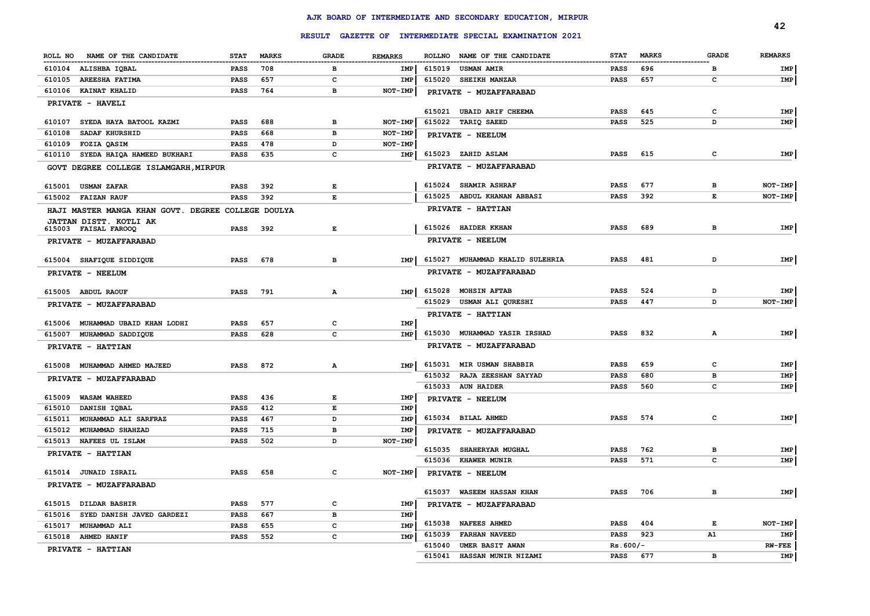|                                                          |                            |              |                                                                                                |                    |        |                                                               |                            |              |                  | 42             |
|----------------------------------------------------------|----------------------------|--------------|------------------------------------------------------------------------------------------------|--------------------|--------|---------------------------------------------------------------|----------------------------|--------------|------------------|----------------|
|                                                          |                            |              |                                                                                                |                    |        | RESULT GAZETTE OF INTERMEDIATE SPECIAL EXAMINATION 2021       |                            |              |                  |                |
| ROLL NO NAME OF THE CANDIDATE                            | <b>STAT</b>                | <b>MARKS</b> | <b>GRADE</b>                                                                                   | <b>REMARKS</b>     |        | ROLLNO NAME OF THE CANDIDATE<br>----------------------------- | <b>STAT</b>                | <b>MARKS</b> | <b>GRADE</b>     | <b>REMARKS</b> |
| 610104 ALISHBA IQBAL                                     | <b>PASS</b>                | 708          | в                                                                                              | IMP                |        | 615019 USMAN AMIR                                             | PASS                       | 696          | в                | IMP            |
| 610105 AREESHA FATIMA                                    | <b>PASS</b>                | 657          | c                                                                                              | IMP                | 615020 | <b>SHEIKH MANZAR</b>                                          | <b>PASS</b>                | 657          | c                | IMP            |
| 610106 KAINAT KHALID                                     | <b>PASS</b>                | 764          | в                                                                                              | NOT-IMP            |        | PRIVATE - MUZAFFARABAD                                        |                            |              |                  |                |
| PRIVATE - HAVELI                                         |                            |              |                                                                                                |                    |        |                                                               |                            |              |                  |                |
|                                                          |                            |              |                                                                                                |                    |        | 615021 UBAID ARIF CHEEMA                                      | <b>PASS</b>                | 645          | c                | IMP            |
| SYEDA HAYA BATOOL KAZMI<br>610107                        | <b>PASS</b>                | 688          | в                                                                                              | NOT-IMP            |        | 615022 TARIQ SAEED                                            | <b>PASS</b>                | 525          | D                | IMP            |
| 610108<br>SADAF KHURSHID<br>610109<br><b>FOZIA OASIM</b> | <b>PASS</b><br><b>PASS</b> | 668<br>478   | в<br>D                                                                                         | NOT-IMP<br>NOT-IMP |        | PRIVATE - NEELUM                                              |                            |              |                  |                |
| SYEDA HAIQA HAMEED BUKHARI<br>610110                     | <b>PASS</b>                | 635          | $\mathbf{C}$                                                                                   | <b>IMP</b>         |        | 615023 ZAHID ASLAM                                            | <b>PASS</b>                | 615          | c                | IMP            |
|                                                          |                            |              |                                                                                                |                    |        | PRIVATE - MUZAFFARABAD                                        |                            |              |                  |                |
| GOVT DEGREE COLLEGE ISLAMGARH, MIRPUR                    |                            |              |                                                                                                |                    |        |                                                               |                            |              |                  |                |
| 615001<br><b>USMAN ZAFAR</b>                             | <b>PASS</b>                | 392          | Е                                                                                              |                    |        | 615024 SHAMIR ASHRAF                                          | <b>PASS</b>                | 677          | в                | NOT-IMP        |
| 615002<br><b>FAIZAN RAUF</b>                             | <b>PASS</b>                | 392          | E                                                                                              |                    |        | 615025 ABDUL KHANAN ABBASI                                    | <b>PASS</b>                | 392          | Е                | NOT-IMP        |
| HAJI MASTER MANGA KHAN GOVT. DEGREE COLLEGE DOULYA       |                            |              |                                                                                                |                    |        | PRIVATE - HATTIAN                                             |                            |              |                  |                |
| JATTAN DISTT. KOTLI AK                                   |                            |              |                                                                                                |                    |        |                                                               |                            |              |                  |                |
| 615003 FAISAL FAROOQ                                     | <b>PASS</b>                | 392          | $\mathbf{E}% _{t}\left  \mathbf{1}\right\rangle =\mathbf{1}_{t}\left  \mathbf{1}\right\rangle$ |                    |        | 615026 HAIDER KKHAN                                           | <b>PASS</b>                | 689          | в                | IMP            |
| PRIVATE - MUZAFFARABAD                                   |                            |              |                                                                                                |                    |        | PRIVATE - NEELUM                                              |                            |              |                  |                |
| 615004 SHAFIQUE SIDDIQUE                                 | PASS                       | 678          | $\overline{B}$                                                                                 | <b>IMP</b>         |        | 615027 MUHAMMAD KHALID SULEHRIA                               | <b>PASS</b>                | 481          | D                | IMP            |
| PRIVATE - NEELUM                                         |                            |              |                                                                                                |                    |        | PRIVATE - MUZAFFARABAD                                        |                            |              |                  |                |
| 615005 ABDUL RAOUF                                       | <b>PASS</b>                | 791          | A                                                                                              | <b>IMP</b>         |        | 615028 MOHSIN AFTAB                                           | <b>PASS</b>                | 524          | D                | IMP            |
|                                                          |                            |              |                                                                                                |                    |        | 615029 USMAN ALI QURESHI                                      | <b>PASS</b>                | 447          | D                | NOT-IMP        |
| PRIVATE - MUZAFFARABAD                                   |                            |              |                                                                                                |                    |        | PRIVATE - HATTIAN                                             |                            |              |                  |                |
| 615006 MUHAMMAD UBAID KHAN LODHI                         | <b>PASS</b>                | 657          | C                                                                                              | <b>IMP</b>         |        |                                                               |                            |              |                  |                |
| 615007 MUHAMMAD SADDIQUE                                 | <b>PASS</b>                | 628          | $\mathbf{C}$                                                                                   | <b>IMP</b>         |        | 615030 MUHAMMAD YASIR IRSHAD                                  | <b>PASS</b>                | 832          | Α                | IMP            |
| PRIVATE - HATTIAN                                        |                            |              |                                                                                                |                    |        | PRIVATE - MUZAFFARABAD                                        |                            |              |                  |                |
| 615008 MUHAMMAD AHMED MAJEED                             | <b>PASS</b>                | 872          | $\mathbf{A}$                                                                                   | IMP                |        | 615031 MIR USMAN SHABBIR                                      | <b>PASS</b>                | 659          | c                | IMP            |
| PRIVATE - MUZAFFARABAD                                   |                            |              |                                                                                                |                    |        | 615032 RAJA ZEESHAN SAYYAD                                    | PASS                       | 680          | в                | IMP            |
|                                                          |                            |              |                                                                                                |                    |        | 615033 AUN HAIDER                                             | PASS                       | 560          | c                | IMP            |
| <b>WASAM WAHEED</b><br>615009                            | <b>PASS</b>                | 436          | $\mathbf{E}% _{t}\left  \mathbf{1}\right\rangle =\mathbf{1}_{t}\left  \mathbf{1}\right\rangle$ | IMP                |        | PRIVATE - NEELUM                                              |                            |              |                  |                |
| 615010<br>DANISH IQBAL                                   | PASS                       | 412          | $\mathbf{E}% _{t}\left  \mathbf{1}\right\rangle =\mathbf{1}_{t}\left  \mathbf{1}\right\rangle$ | <b>IMP</b>         |        |                                                               |                            |              |                  |                |
| 615011<br>MUHAMMAD ALI SARFRAZ                           | <b>PASS</b>                | 467          | D                                                                                              | IMP                |        | 615034 BILAL AHMED                                            | <b>PASS</b>                | 574          | с                | IMP            |
| 615012<br><b>MUHAMMAD SHAHZAD</b>                        | <b>PASS</b>                | 715          | в                                                                                              | <b>IMP</b>         |        | PRIVATE - MUZAFFARABAD                                        |                            |              |                  |                |
| 615013<br>NAFEES UL ISLAM                                | <b>PASS</b>                | 502          | D                                                                                              | NOT-IMP            |        |                                                               |                            |              |                  |                |
| PRIVATE - HATTIAN                                        |                            |              |                                                                                                |                    |        | 615035 SHAHERYAR MUGHAL<br>615036 KHAWER MUNIR                | <b>PASS</b><br><b>PASS</b> | 762<br>571   | в<br>$\mathbf c$ | IMP<br>IMP     |
| 615014 JUNAID ISRAIL                                     | <b>PASS</b>                | 658          | c                                                                                              |                    |        |                                                               |                            |              |                  |                |
|                                                          |                            |              |                                                                                                | NOT-IMP            |        | PRIVATE - NEELUM                                              |                            |              |                  |                |
| PRIVATE - MUZAFFARABAD                                   |                            |              |                                                                                                |                    |        | 615037 WASEEM HASSAN KHAN                                     | <b>PASS</b>                | 706          | в                | IMP            |
| 615015 DILDAR BASHIR                                     | <b>PASS</b>                | 577          | c                                                                                              | IMP                |        | PRIVATE - MUZAFFARABAD                                        |                            |              |                  |                |
| SYED DANISH JAVED GARDEZI<br>615016                      | PASS                       | 667          | $\mathbf{B}$                                                                                   | IMP                |        |                                                               |                            |              |                  |                |
| MUHAMMAD ALI<br>615017                                   | <b>PASS</b>                | 655          | c                                                                                              | <b>IMP</b>         | 615038 | <b>NAFEES AHMED</b>                                           | PASS                       | 404          | Е                | NOT-IMP        |
| 615018<br><b>AHMED HANIF</b>                             | <b>PASS</b>                | 552          | $\mathbf{C}$                                                                                   | <b>IMP</b>         | 615039 | <b>FARHAN NAVEED</b>                                          | <b>PASS</b>                | 923          | A1               | IMP            |
| PRIVATE - HATTIAN                                        |                            |              |                                                                                                |                    | 615040 | UMER BASIT AWAN                                               | $Rs.600/-$                 |              |                  | <b>RW-FEE</b>  |
|                                                          |                            |              |                                                                                                |                    | 615041 | HASSAN MUNIR NIZAMI                                           | <b>PASS</b>                | 677          | B                | IMP            |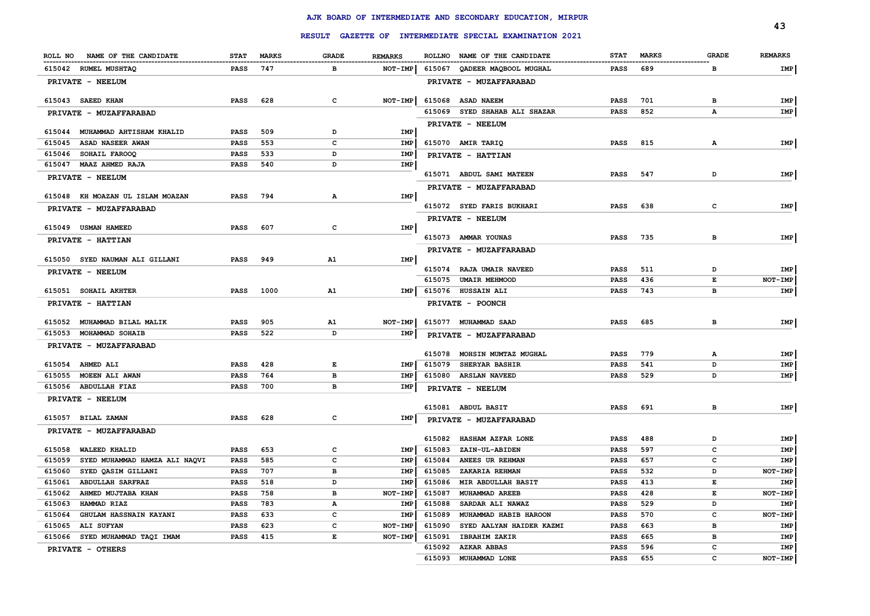|                                         |                     |              |                   |                |        |                                                         |             |              |              | 43             |
|-----------------------------------------|---------------------|--------------|-------------------|----------------|--------|---------------------------------------------------------|-------------|--------------|--------------|----------------|
|                                         |                     |              |                   |                |        | RESULT GAZETTE OF INTERMEDIATE SPECIAL EXAMINATION 2021 |             |              |              |                |
| ROLL NO<br>NAME OF THE CANDIDATE        | <b>STAT</b>         | <b>MARKS</b> | <b>GRADE</b>      | <b>REMARKS</b> |        | ROLLNO NAME OF THE CANDIDATE                            | <b>STAT</b> | <b>MARKS</b> | <b>GRADE</b> | <b>REMARKS</b> |
| 615042 RUMEL MUSHTAQ                    | <b>PASS</b>         | 747          | в                 | NOT-IMP        |        | 615067 QADEER MAQBOOL MUGHAL                            | <b>PASS</b> | 689          | в            | IMP            |
| PRIVATE - NEELUM                        |                     |              |                   |                |        | PRIVATE - MUZAFFARABAD                                  |             |              |              |                |
| 615043 SAEED KHAN                       | <b>PASS</b>         | 628          | c                 | $NOT-IMP$      | 615068 | <b>ASAD NAEEM</b>                                       | <b>PASS</b> | 701          | в            | IMP            |
| PRIVATE - MUZAFFARABAD                  |                     |              |                   |                |        | 615069 SYED SHAHAB ALI SHAZAR                           | <b>PASS</b> | 852          | A            | IMP            |
| 615044 MUHAMMAD AHTISHAM KHALID         |                     | 509          |                   | <b>IMP</b>     |        | PRIVATE - NEELUM                                        |             |              |              |                |
| ASAD NASEER AWAN<br>615045              | <b>PASS</b><br>PASS | 553          | D<br>$\mathbf{C}$ | <b>IMP</b>     |        | 615070 AMIR TARIQ                                       | <b>PASS</b> | 815          | $\mathbf{A}$ | IMP            |
| 615046<br>SOHAIL FAROOQ                 | <b>PASS</b>         | 533          | D                 | IMP            |        |                                                         |             |              |              |                |
| 615047<br><b>MAAZ AHMED RAJA</b>        | <b>PASS</b>         | 540          | D                 | IMP            |        | PRIVATE - HATTIAN                                       |             |              |              |                |
| PRIVATE - NEELUM                        |                     |              |                   |                |        | 615071 ABDUL SAMI MATEEN                                | <b>PASS</b> | 547          | D            | IMP            |
|                                         |                     |              |                   |                |        | PRIVATE - MUZAFFARABAD                                  |             |              |              |                |
| 615048 KH MOAZAN UL ISLAM MOAZAN        | <b>PASS</b>         | 794          | А                 | IMP            |        |                                                         |             |              |              |                |
| PRIVATE - MUZAFFARABAD                  |                     |              |                   |                |        | 615072 SYED FARIS BUKHARI                               | <b>PASS</b> | 638          | c            | IMP            |
|                                         |                     |              |                   |                |        | PRIVATE - NEELUM                                        |             |              |              |                |
| 615049 USMAN HAMEED                     | <b>PASS</b>         | 607          | c                 | <b>IMP</b>     |        |                                                         |             |              |              |                |
| PRIVATE - HATTIAN                       |                     |              |                   |                |        | 615073 AMMAR YOUNAS                                     | <b>PASS</b> | 735          | в            | IMP            |
| 615050 SYED NAUMAN ALI GILLANI          | <b>PASS</b>         | 949          | A1                | IMP            |        | PRIVATE - MUZAFFARABAD                                  |             |              |              |                |
|                                         |                     |              |                   |                |        | 615074 RAJA UMAIR NAVEED                                | <b>PASS</b> | 511          | D            | IMP            |
| PRIVATE - NEELUM                        |                     |              |                   |                | 615075 | <b>UMAIR MEHMOOD</b>                                    | <b>PASS</b> | 436          | E            | NOT-IMP        |
| 615051 SOHAIL AKHTER                    | <b>PASS</b>         | 1000         | A1                | IMP            |        | 615076 HUSSAIN ALI                                      | <b>PASS</b> | 743          | в            | IMP            |
| PRIVATE - HATTIAN                       |                     |              |                   |                |        | PRIVATE - POONCH                                        |             |              |              |                |
| 615052 MUHAMMAD BILAL MALIK             | <b>PASS</b>         | 905          | A1                | NOT-IMP        |        | 615077 MUHAMMAD SAAD                                    | PASS        | 685          | в            | IMP            |
| 615053 MOHAMMAD SOHAIB                  | <b>PASS</b>         | 522          | D                 | IMP            |        | PRIVATE - MUZAFFARABAD                                  |             |              |              |                |
| PRIVATE - MUZAFFARABAD                  |                     |              |                   |                |        |                                                         |             |              |              |                |
|                                         |                     |              |                   |                |        | 615078 MOHSIN MUMTAZ MUGHAL                             | <b>PASS</b> | 779          | A            | IMP            |
| 615054 AHMED ALI                        | <b>PASS</b>         | 428          | Е                 | IMP            | 615079 | <b>SHERYAR BASHIR</b>                                   | <b>PASS</b> | 541          | D            | IMP            |
| 615055 MOEEN ALI AWAN                   | <b>PASS</b>         | 764          | в                 | IMP            |        | 615080 ARSLAN NAVEED                                    | <b>PASS</b> | 529          | D            | IMP            |
| 615056 ABDULLAH FIAZ                    | <b>PASS</b>         | 700          | в                 | IMP            |        | PRIVATE - NEELUM                                        |             |              |              |                |
| PRIVATE - NEELUM                        |                     |              |                   |                |        |                                                         |             |              |              |                |
|                                         |                     |              |                   |                |        | 615081 ABDUL BASIT                                      | <b>PASS</b> | 691          | в            | IMP            |
| 615057 BILAL ZAMAN                      | <b>PASS</b>         | 628          | $\mathbf c$       | IMP            |        | PRIVATE - MUZAFFARABAD                                  |             |              |              |                |
| PRIVATE - MUZAFFARABAD                  |                     |              |                   |                | 615082 | HASHAM AZFAR LONE                                       | <b>PASS</b> | 488          | D            | IMP            |
| 615058<br>WALEED KHALID                 | <b>PASS</b>         | 653          | $\mathbf{C}$      | IMP            | 615083 | ZAIN-UL-ABIDEN                                          | <b>PASS</b> | 597          | c            | IMP            |
| 615059<br>SYED MUHAMMAD HAMZA ALI NAQVI | PASS                | 585          | $\mathbf{C}$      | <b>IMP</b>     | 615084 | ANEES UR REHMAN                                         | <b>PASS</b> | 657          | c            | IMP            |
| 615060<br>SYED QASIM GILLANI            | <b>PASS</b>         | 707          | в                 | IMP            | 615085 | ZAKARIA REHMAN                                          | <b>PASS</b> | 532          | D            | NOT-IMP        |
| 615061<br><b>ABDULLAH SARFRAZ</b>       | <b>PASS</b>         | 518          | D                 | IMP            | 615086 | MIR ABDULLAH BASIT                                      | <b>PASS</b> | 413          | E            | IMP            |
| 615062<br>AHMED MUJTABA KHAN            | <b>PASS</b>         | 758          | в                 | NOT-IMP        | 615087 | MUHAMMAD AREEB                                          | <b>PASS</b> | 428          | Е            | NOT-IMP        |
| 615063<br>HAMMAD RIAZ                   | PASS                | 783          | $\mathbf A$       | IMP            | 615088 | SARDAR ALI NAWAZ                                        | <b>PASS</b> | 529          | D            | IMP            |
| 615064<br>GHULAM HASSNAIN KAYANI        | PASS                | 633          | c                 | IMP            | 615089 | MUHAMMAD HABIB HAROON                                   | <b>PASS</b> | 570          | c            | NOT-IMP        |
| ALI SUFYAN<br>615065                    | PASS                | 623          | $\mathbf{C}$      | NOT-IMP        | 615090 | SYED AALYAN HAIDER KAZMI                                | <b>PASS</b> | 663          | в            | IMP            |
| SYED MUHAMMAD TAQI IMAM<br>615066       | <b>PASS</b>         | 415          | E                 | NOT-IMP        | 615091 | <b>IBRAHIM ZAKIR</b>                                    | <b>PASS</b> | 665          | в            | IMP            |
| PRIVATE - OTHERS                        |                     |              |                   |                | 615092 | <b>AZKAR ABBAS</b>                                      | <b>PASS</b> | 596          | c            | IMP            |
|                                         |                     |              |                   |                | 615093 | MUHAMMAD LONE                                           | <b>PASS</b> | 655          | c            | NOT-IMP        |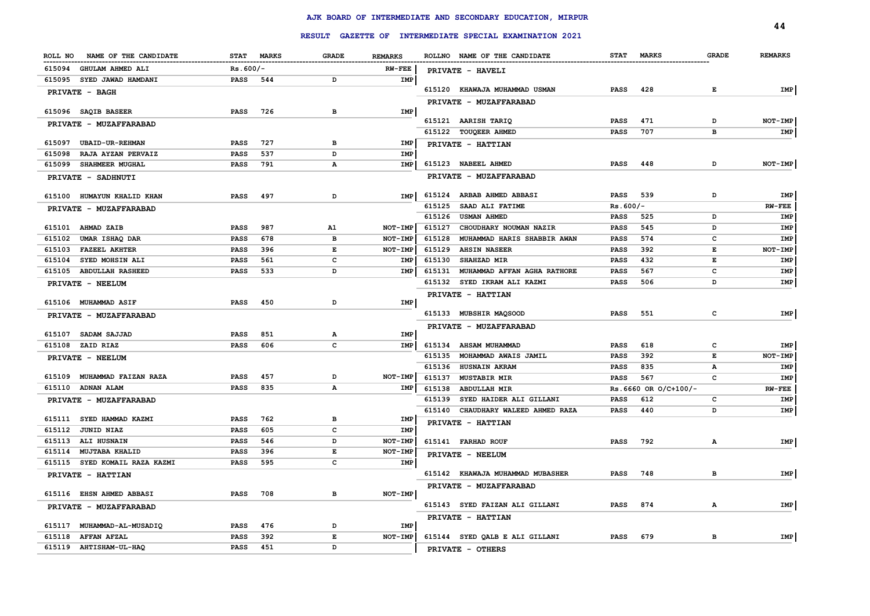|                                  |                            |              |              |                |        |                                                         |             |                      |              | 44             |
|----------------------------------|----------------------------|--------------|--------------|----------------|--------|---------------------------------------------------------|-------------|----------------------|--------------|----------------|
|                                  |                            |              |              |                |        | RESULT GAZETTE OF INTERMEDIATE SPECIAL EXAMINATION 2021 |             |                      |              |                |
| ROLL NO<br>NAME OF THE CANDIDATE | <b>STAT</b>                | <b>MARKS</b> | <b>GRADE</b> | <b>REMARKS</b> |        | ROLLNO NAME OF THE CANDIDATE                            | <b>STAT</b> | <b>MARKS</b>         | <b>GRADE</b> | <b>REMARKS</b> |
| 615094<br>GHULAM AHMED ALI       | $Rs.600/-$                 |              |              | <b>RW-FEE</b>  |        | PRIVATE - HAVELI                                        |             |                      |              |                |
| 615095 SYED JAWAD HAMDANI        | <b>PASS</b>                | 544          | D            | IMP            |        |                                                         |             |                      |              |                |
| <b>PRIVATE - BAGH</b>            |                            |              |              |                |        | 615120 KHAWAJA MUHAMMAD USMAN                           | <b>PASS</b> | 428                  | Е            | IMP            |
|                                  |                            |              |              |                |        | PRIVATE - MUZAFFARABAD                                  |             |                      |              |                |
| 615096 SAQIB BASEER              | PASS                       | 726          | в            | IMP            |        |                                                         |             |                      |              |                |
| PRIVATE - MUZAFFARABAD           |                            |              |              |                |        | 615121 AARISH TARIQ                                     | <b>PASS</b> | 471                  | D            | <b>NOT-IMP</b> |
|                                  |                            |              |              |                |        | 615122 TOUQEER AHMED                                    | <b>PASS</b> | 707                  | в            | IMP            |
| 615097 UBAID-UR-REHMAN           | <b>PASS</b>                | 727          | в<br>D       | IMP            |        | PRIVATE - HATTIAN                                       |             |                      |              |                |
| RAJA AYZAN PERVAIZ<br>615098     | PASS                       | 537<br>791   |              | IMP            |        | 615123 NABEEL AHMED                                     | <b>PASS</b> | 448                  | D            | NOT-IMP        |
| 615099 SHAHMEER MUGHAL           | <b>PASS</b>                |              | Α            | IMP            |        |                                                         |             |                      |              |                |
| <b>PRIVATE - SADHNUTI</b>        |                            |              |              |                |        | PRIVATE - MUZAFFARABAD                                  |             |                      |              |                |
| 615100 HUMAYUN KHALID KHAN       | <b>PASS</b>                | 497          | D            | <b>IMP</b>     | 615124 | <b>ARBAB AHMED ABBASI</b>                               | <b>PASS</b> | 539                  | D            | IMP            |
| PRIVATE - MUZAFFARABAD           |                            |              |              |                | 615125 | SAAD ALI FATIME                                         | $Rs.600/-$  |                      |              | $RW-FEE$       |
|                                  |                            |              |              |                | 615126 | <b>USMAN AHMED</b>                                      | <b>PASS</b> | 525                  | D            | <b>IMP</b>     |
| 615101 AHMAD ZAIB                | <b>PASS</b>                | 987          | A1           | NOT-IMP        | 615127 | CHOUDHARY NOUMAN NAZIR                                  | <b>PASS</b> | 545                  | D            | IMP            |
| 615102 UMAR ISHAQ DAR            | <b>PASS</b>                | 678          | в            | NOT-IMP        | 615128 | MUHAMMAD HARIS SHABBIR AWAN                             | <b>PASS</b> | 574                  | $\mathbf{C}$ | IMP            |
| 615103 FAZEEL AKHTER             | PASS                       | 396          | Е            | NOT-IMP        | 615129 | <b>AHSIN NASEER</b>                                     | <b>PASS</b> | 392                  | Е            | $NOT-IMP$      |
| 615104<br>SYED MOHSIN ALI        | <b>PASS</b>                | 561          | $\mathbf{C}$ | IMP            | 615130 | SHAHZAD MIR                                             | <b>PASS</b> | 432                  | Е            | IMP            |
| 615105 ABDULLAH RASHEED          | <b>PASS</b>                | 533          | D            | IMP            | 615131 | MUHAMMAD AFFAN AGHA RATHORE                             | <b>PASS</b> | 567                  | c            | IMP            |
| PRIVATE - NEELUM                 |                            |              |              |                | 615132 | SYED IKRAM ALI KAZMI                                    | <b>PASS</b> | 506                  | D            | IMP            |
|                                  |                            |              |              |                |        | PRIVATE - HATTIAN                                       |             |                      |              |                |
| 615106 MUHAMMAD ASIF             | <b>PASS</b>                | 450          | D            | IMP            |        |                                                         |             |                      |              |                |
| PRIVATE - MUZAFFARABAD           |                            |              |              |                |        | 615133 MUBSHIR MAQSOOD                                  | <b>PASS</b> | 551                  | c            | IMP            |
| 615107 SADAM SAJJAD              |                            | 851          |              | <b>IMP</b>     |        | PRIVATE - MUZAFFARABAD                                  |             |                      |              |                |
| 615108 ZAID RIAZ                 | <b>PASS</b><br><b>PASS</b> | 606          | А<br>c       | IMP            |        | 615134 AHSAM MUHAMMAD                                   | <b>PASS</b> | 618                  | c            | IMP            |
|                                  |                            |              |              |                | 615135 | MOHAMMAD AWAIS JAMIL                                    | PASS        | 392                  | Е            | NOT-IMP        |
| PRIVATE - NEELUM                 |                            |              |              |                | 615136 | <b>HUSNAIN AKRAM</b>                                    | <b>PASS</b> | 835                  | А            | IMP            |
| 615109 MUHAMMAD FAIZAN RAZA      | <b>PASS</b>                | 457          | D            | NOT-IMP        | 615137 | <b>MUSTABIR MIR</b>                                     | <b>PASS</b> | 567                  | c            | IMP            |
| 615110 ADNAN ALAM                | <b>PASS</b>                | 835          | А            | IMP            | 615138 | <b>ABDULLAH MIR</b>                                     |             | Rs.6660 OR O/C+100/- |              | $RW-FEE$       |
| PRIVATE - MUZAFFARABAD           |                            |              |              |                | 615139 | SYED HAIDER ALI GILLANI                                 | <b>PASS</b> | 612                  | c            | IMP            |
|                                  |                            |              |              |                |        | 615140 CHAUDHARY WALEED AHMED RAZA                      | <b>PASS</b> | 440                  | D            | IMP            |
| 615111 SYED HAMMAD KAZMI         | <b>PASS</b>                | 762          | в            | IMP            |        | PRIVATE - HATTIAN                                       |             |                      |              |                |
| 615112 JUNID NIAZ                | <b>PASS</b>                | 605          | c            | IMP            |        |                                                         |             |                      |              |                |
| 615113 ALI HUSNAIN               | PASS                       | 546          | D            | NOT-IMP        |        | 615141 FARHAD ROUF                                      | <b>PASS</b> | 792                  | А            | IMP            |
| 615114<br><b>MUJTABA KHALID</b>  | <b>PASS</b>                | 396          | E            | NOT-IMP        |        | PRIVATE - NEELUM                                        |             |                      |              |                |
| 615115 SYED KOMAIL RAZA KAZMI    | <b>PASS</b>                | 595          | c            | IMP            |        |                                                         |             |                      |              |                |
| PRIVATE - HATTIAN                |                            |              |              |                |        | 615142 KHAWAJA MUHAMMAD MUBASHER                        | <b>PASS</b> | 748                  | в            | IMP            |
|                                  |                            |              |              |                |        | PRIVATE - MUZAFFARABAD                                  |             |                      |              |                |
| 615116 EHSN AHMED ABBASI         | PASS                       | 708          | в            | $NOT-IMP$      |        |                                                         |             |                      |              |                |
| PRIVATE - MUZAFFARABAD           |                            |              |              |                |        | 615143 SYED FAIZAN ALI GILLANI                          | <b>PASS</b> | 874                  | А            | IMP            |
| 615117 MUHAMMAD-AL-MUSADIQ       | <b>PASS</b>                | 476          | D            | IMP            |        | PRIVATE - HATTIAN                                       |             |                      |              |                |
| 615118 AFFAN AFZAL               | <b>PASS</b>                | 392          | E            | NOT-IMP        |        | 615144 SYED QALB E ALI GILLANI                          | <b>PASS</b> | 679                  | в            | IMP            |
| 615119 AHTISHAM-UL-HAQ           | <b>PASS</b>                | 451          | D            |                |        |                                                         |             |                      |              |                |
|                                  |                            |              |              |                |        | PRIVATE - OTHERS                                        |             |                      |              |                |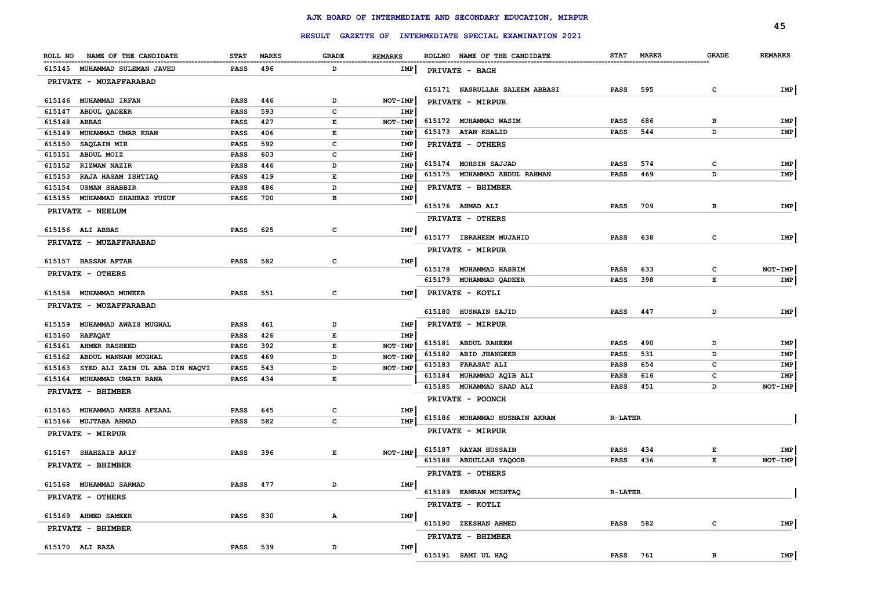|                                          |             |              |              |                |        |                                                         |                |            |              | 45             |
|------------------------------------------|-------------|--------------|--------------|----------------|--------|---------------------------------------------------------|----------------|------------|--------------|----------------|
|                                          |             |              |              |                |        | RESULT GAZETTE OF INTERMEDIATE SPECIAL EXAMINATION 2021 |                |            |              |                |
| ROLL NO NAME OF THE CANDIDATE            | <b>STAT</b> | <b>MARKS</b> | <b>GRADE</b> | <b>REMARKS</b> |        | ROLLNO NAME OF THE CANDIDATE                            |                | STAT MARKS | <b>GRADE</b> | <b>REMARKS</b> |
| 615145 MUHAMMAD SULEMAN JAVED            | <b>PASS</b> | 496          | D            | IMP            |        | PRIVATE - BAGH                                          |                |            |              |                |
| PRIVATE - MUZAFFARABAD                   |             |              |              |                |        |                                                         |                |            |              |                |
| 615146 MUHAMMAD IRFAN                    | PASS        | 446          | D            | NOT-IMP        |        | 615171 NASRULLAH SALEEM ABBASI                          | <b>PASS</b>    | 595        | c            | IMP            |
| 615147<br><b>ABDUL QADEER</b>            | <b>PASS</b> | 593          | $\mathbf{C}$ | <b>IMP</b>     |        | PRIVATE - MIRPUR                                        |                |            |              |                |
| 615148 ABBAS                             | <b>PASS</b> | 427          | E            | NOT-IMP        |        | 615172 MUHAMMAD WASIM                                   | <b>PASS</b>    | 686        | в            | IMP            |
| 615149 MUHAMMAD UMAR KHAN                | <b>PASS</b> | 406          | E            | <b>IMP</b>     |        | 615173 AYAN KHALID                                      | PASS           | 544        | D            | IMP            |
| <b>SAQLAIN MIR</b><br>615150             | <b>PASS</b> | 592          | c            | IMP            |        | PRIVATE - OTHERS                                        |                |            |              |                |
| 615151 ABDUL MOIZ                        | <b>PASS</b> | 603          | $\mathbf{C}$ | IMP            |        |                                                         |                |            |              |                |
| 615152 RIZWAN NAZIR                      | PASS        | 446          | D            | IMP            |        | 615174 MOHSIN SAJJAD                                    | <b>PASS</b>    | 574        | c            | IMP            |
| 615153<br>RAJA HASAM ISHTIAQ             | PASS        | 419          | E            | IMP            |        | 615175 MUHAMMAD ABDUL RAHMAN                            | <b>PASS</b>    | 469        | D            | IMP            |
| <b>USMAN SHABBIR</b><br>615154           | PASS        | 486          | D            | IMP            |        | PRIVATE - BHIMBER                                       |                |            |              |                |
| 615155 MUHAMMAD SHAHBAZ YUSUF            | <b>PASS</b> | 700          | в            | IMP            |        | 615176 AHMAD ALI                                        | <b>PASS</b>    | 709        | в            | IMP            |
| PRIVATE - NEELUM                         |             |              |              |                |        |                                                         |                |            |              |                |
|                                          |             | 625          | $\mathbf c$  | IMP            |        | PRIVATE - OTHERS                                        |                |            |              |                |
| 615156 ALI ABBAS                         | PASS        |              |              |                |        | 615177 IBRAHEEM MUJAHID                                 | PASS           | 638        | c            | IMP            |
| PRIVATE - MUZAFFARABAD                   |             |              |              |                |        | PRIVATE - MIRPUR                                        |                |            |              |                |
| 615157 HASSAN AFTAB                      | <b>PASS</b> | 582          | с            | IMP            |        |                                                         |                |            |              |                |
| PRIVATE - OTHERS                         |             |              |              |                |        | 615178 MUHAMMAD HASHIM                                  | <b>PASS</b>    | 633        | $\mathbf{C}$ | NOT-IMP        |
|                                          |             |              |              |                |        | 615179 MUHAMMAD QADEER                                  | <b>PASS</b>    | 398        | Е            | IMP            |
| 615158 MUHAMMAD MUNEEB                   | PASS        | 551          | c            | IMP            |        | PRIVATE - KOTLI                                         |                |            |              |                |
| PRIVATE - MUZAFFARABAD                   |             |              |              |                |        | 615180 HUSNAIN SAJID                                    | <b>PASS</b>    | 447        | D            | IMP            |
| 615159 MUHAMMAD AWAIS MUGHAL             | <b>PASS</b> | 461          | D            | IMP            |        | PRIVATE - MIRPUR                                        |                |            |              |                |
| 615160<br><b>RAFAQAT</b>                 | PASS        | 426          | E            | IMP            |        |                                                         |                |            |              |                |
| <b>AHMER RASHEED</b><br>615161           | PASS        | 392          | Е            | NOT-IMP        |        | 615181 ABDUL RAHEEM                                     | <b>PASS</b>    | 490        | D            | IMP            |
| ABDUL MANNAN MUGHAL<br>615162            | <b>PASS</b> | 469          | D            | NOT-IMP        | 615182 | <b>ABID JHANGEER</b>                                    | PASS           | 531        | D            | IMP            |
| SYED ALI ZAIN UL ABA DIN NAQVI<br>615163 | <b>PASS</b> | 543          | D            | NOT-IMP        | 615183 | <b>FARASAT ALI</b>                                      | <b>PASS</b>    | 654        | c            | IMP            |
| 615164 MUHAMMAD UMAIR RANA               | PASS        | 434          | E            |                |        | 615184 MUHAMMAD AQIB ALI                                | <b>PASS</b>    | 616        | c            | IMP            |
| PRIVATE - BHIMBER                        |             |              |              |                |        | 615185 MUHAMMAD SAAD ALI                                | <b>PASS</b>    | 451        | D            | NOT-IMP        |
|                                          |             |              |              |                |        | PRIVATE - POONCH                                        |                |            |              |                |
| 615165 MUHAMMAD ANEES AFZAAL             | PASS        | 645          | c            | IMP            |        | 615186 MUHAMMAD HUSNAIN AKRAM                           | <b>R-LATER</b> |            |              |                |
| 615166 MUJTABA AHMAD                     | PASS        | 582          | c            | IMP            |        | PRIVATE - MIRPUR                                        |                |            |              |                |
| PRIVATE - MIRPUR                         |             |              |              |                |        |                                                         |                |            |              |                |
| 615167 SHAHZAIB ARIF                     | <b>PASS</b> | 396          | E            | NOT-IMP        |        | 615187 RAYAN HUSSAIN                                    | <b>PASS</b>    | 434        | Е            | IMP            |
| PRIVATE - BHIMBER                        |             |              |              |                |        | 615188 ABDULLAH YAQOOB                                  | <b>PASS</b>    | 436        | E            | NOT-IMP        |
|                                          |             |              |              |                |        | PRIVATE - OTHERS                                        |                |            |              |                |
| 615168 MUHAMMAD SARMAD                   | <b>PASS</b> | 477          | D            | IMP            |        |                                                         |                |            |              |                |
| PRIVATE - OTHERS                         |             |              |              |                |        | 615189 KAMRAN MUSHTAQ                                   | <b>R-LATER</b> |            |              |                |
|                                          |             |              |              |                |        | PRIVATE - KOTLI                                         |                |            |              |                |
| 615169 AHMED SAMEER                      | <b>PASS</b> | 830          | А            | IMP            |        | 615190 ZEESHAN AHMED                                    | <b>PASS</b>    | 582        | $\mathbf{C}$ | IMP            |
| PRIVATE - BHIMBER                        |             |              |              |                |        | PRIVATE - BHIMBER                                       |                |            |              |                |
| 615170 ALI RAZA                          | <b>PASS</b> | 539          | D            | IMP            |        |                                                         |                |            |              |                |
|                                          |             |              |              |                |        | 615191 SAMI UL HAQ                                      | <b>PASS</b>    | 761        | в            | <b>IMP</b>     |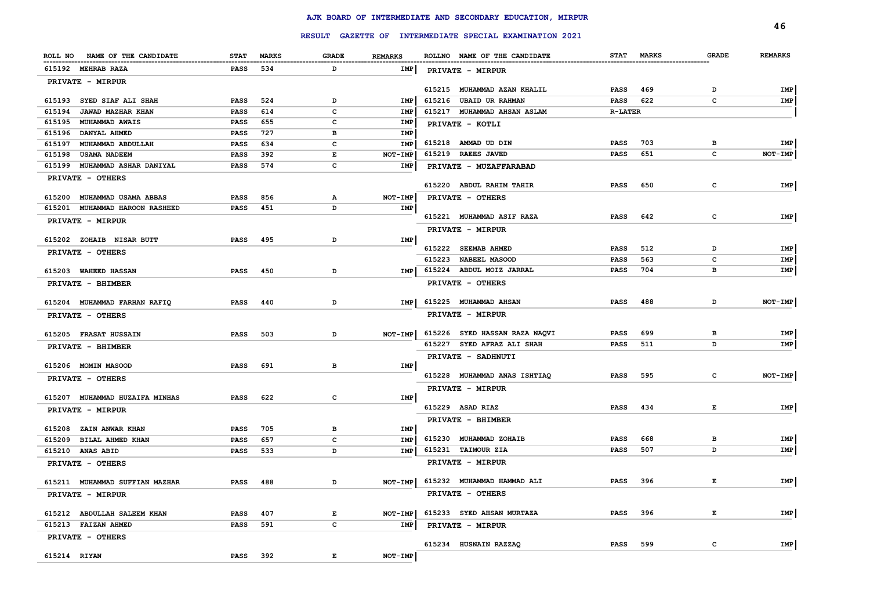|                                                               |                            |              |              |                | RESULT GAZETTE OF INTERMEDIATE SPECIAL EXAMINATION 2021 |                |     |              | 46             |
|---------------------------------------------------------------|----------------------------|--------------|--------------|----------------|---------------------------------------------------------|----------------|-----|--------------|----------------|
| ROLL NO NAME OF THE CANDIDATE                                 | <b>STAT</b>                | <b>MARKS</b> | <b>GRADE</b> | <b>REMARKS</b> | ROLLNO NAME OF THE CANDIDATE                            | STAT MARKS     |     | <b>GRADE</b> | <b>REMARKS</b> |
|                                                               |                            |              |              |                |                                                         |                |     |              |                |
| 615192 MEHRAB RAZA                                            | <b>PASS</b>                | 534          | D            | IMP            | PRIVATE - MIRPUR                                        |                |     |              |                |
| PRIVATE - MIRPUR                                              |                            |              |              |                | 615215 MUHAMMAD AZAN KHALIL                             | <b>PASS</b>    | 469 | D            | IMP            |
| 615193 SYED SIAF ALI SHAH                                     | <b>PASS</b>                | 524          | D            | IMP            | 615216 UBAID UR RAHMAN                                  | <b>PASS</b>    | 622 | c            | IMP            |
| 615194<br>JAWAD MAZHAR KHAN                                   | <b>PASS</b>                | 614          | c            | IMP            | 615217 MUHAMMAD AHSAN ASLAM                             | <b>R-LATER</b> |     |              |                |
| 615195<br><b>MUHAMMAD AWAIS</b>                               | <b>PASS</b>                | 655          | c            | IMP            | PRIVATE - KOTLI                                         |                |     |              |                |
| 615196 DANYAL AHMED                                           | <b>PASS</b>                | 727          | в            | IMP            |                                                         |                |     |              |                |
| 615197 MUHAMMAD ABDULLAH                                      | <b>PASS</b>                | 634          | C            | IMP            | 615218 AMMAD UD DIN                                     | <b>PASS</b>    | 703 | в            | IMP            |
| 615198<br>USAMA NADEEM                                        | <b>PASS</b>                | 392          | E            | NOT-IMP        | 615219 RAEES JAVED                                      | <b>PASS</b>    | 651 | c            | NOT-IMP        |
| 615199 MUHAMMAD ASHAR DANIYAL                                 | <b>PASS</b>                | 574          | c            | IMP            | PRIVATE - MUZAFFARABAD                                  |                |     |              |                |
| PRIVATE - OTHERS                                              |                            |              |              |                | 615220 ABDUL RAHIM TAHIR                                | <b>PASS</b>    | 650 | $\mathbf{C}$ | <b>IMP</b>     |
|                                                               |                            |              |              |                |                                                         |                |     |              |                |
| 615200 MUHAMMAD USAMA ABBAS<br>615201 MUHAMMAD HAROON RASHEED | <b>PASS</b><br><b>PASS</b> | 856<br>451   | Α<br>D       | NOT-IMP<br>IMP | PRIVATE - OTHERS                                        |                |     |              |                |
|                                                               |                            |              |              |                | 615221 MUHAMMAD ASIF RAZA                               | <b>PASS</b>    | 642 | c            | IMP            |
| PRIVATE - MIRPUR                                              |                            |              |              |                | PRIVATE - MIRPUR                                        |                |     |              |                |
| 615202 ZOHAIB NISAR BUTT                                      | <b>PASS</b>                | 495          | D            | IMP            |                                                         |                |     |              |                |
| PRIVATE - OTHERS                                              |                            |              |              |                | 615222 SEEMAB AHMED                                     | <b>PASS</b>    | 512 | D            | IMP            |
|                                                               |                            |              |              |                | 615223 NABEEL MASOOD                                    | <b>PASS</b>    | 563 | c            | IMP            |
| 615203 WAHEED HASSAN                                          | <b>PASS</b>                | 450          | D            | IMP            | 615224 ABDUL MOIZ JARRAL                                | PASS           | 704 | в            | IMP            |
| PRIVATE - BHIMBER                                             |                            |              |              |                | PRIVATE - OTHERS                                        |                |     |              |                |
| 615204 MUHAMMAD FARHAN RAFIQ                                  | <b>PASS</b>                | 440          | D            | <b>IMP</b>     | 615225 MUHAMMAD AHSAN                                   | <b>PASS</b>    | 488 | D            | NOT-IMP        |
| PRIVATE - OTHERS                                              |                            |              |              |                | PRIVATE - MIRPUR                                        |                |     |              |                |
| 615205 FRASAT HUSSAIN                                         | <b>PASS</b>                | 503          | D            | NOT-IMP        | 615226 SYED HASSAN RAZA NAQVI                           | PASS           | 699 | в            | IMP            |
| PRIVATE - BHIMBER                                             |                            |              |              |                | 615227 SYED AFRAZ ALI SHAH                              | PASS           | 511 | D            | IMP            |
|                                                               |                            |              |              |                | PRIVATE - SADHNUTI                                      |                |     |              |                |
| 615206 MOMIN MASOOD                                           | <b>PASS</b>                | 691          | в            | IMP            |                                                         |                |     |              |                |
| PRIVATE - OTHERS                                              |                            |              |              |                | 615228 MUHAMMAD ANAS ISHTIAQ                            | <b>PASS</b>    | 595 | c            | NOT-IMP        |
| 615207 MUHAMMAD HUZAIFA MINHAS                                | <b>PASS</b>                | 622          | c            | IMP            | PRIVATE - MIRPUR                                        |                |     |              |                |
| PRIVATE - MIRPUR                                              |                            |              |              |                | 615229 ASAD RIAZ                                        | <b>PASS</b>    | 434 | Е            | IMP            |
|                                                               |                            |              |              |                | PRIVATE - BHIMBER                                       |                |     |              |                |
| 615208 ZAIN ANWAR KHAN                                        | <b>PASS</b>                | 705          | в            | IMP            |                                                         |                |     |              |                |
| 615209<br>BILAL AHMED KHAN                                    | PASS                       | 657          | $\mathbf{C}$ | IMP            | 615230 MUHAMMAD ZOHAIB                                  | <b>PASS</b>    | 668 | <b>B</b>     | IMP            |
| 615210 ANAS ABID                                              | <b>PASS</b>                | 533          | D            | IMP            | 615231 TAIMOUR ZIA                                      | <b>PASS</b>    | 507 | D            | IMP            |
| PRIVATE - OTHERS                                              |                            |              |              |                | PRIVATE - MIRPUR                                        |                |     |              |                |
| 615211 MUHAMMAD SUFFIAN MAZHAR                                | <b>PASS</b>                | 488          | D            | NOT-IMP        | 615232 MUHAMMAD HAMMAD ALI                              | <b>PASS</b>    | 396 | Е            | IMP            |
| PRIVATE - MIRPUR                                              |                            |              |              |                | PRIVATE - OTHERS                                        |                |     |              |                |
| 615212 ABDULLAH SALEEM KHAN                                   | <b>PASS</b>                | 407          | E            | NOT-IMP        | 615233 SYED AHSAN MURTAZA                               | <b>PASS</b>    | 396 | E            | IMP            |
| 615213 FAIZAN AHMED                                           | <b>PASS</b>                | 591          | $\mathbf{C}$ | IMP            | PRIVATE - MIRPUR                                        |                |     |              |                |
| PRIVATE - OTHERS                                              |                            |              |              |                | 615234 HUSNAIN RAZZAQ                                   | <b>PASS</b>    | 599 | c            | IMP            |
| 615214 RIYAN                                                  | <b>PASS</b>                | 392          | E            | NOT-IMP        |                                                         |                |     |              |                |
|                                                               |                            |              |              |                |                                                         |                |     |              |                |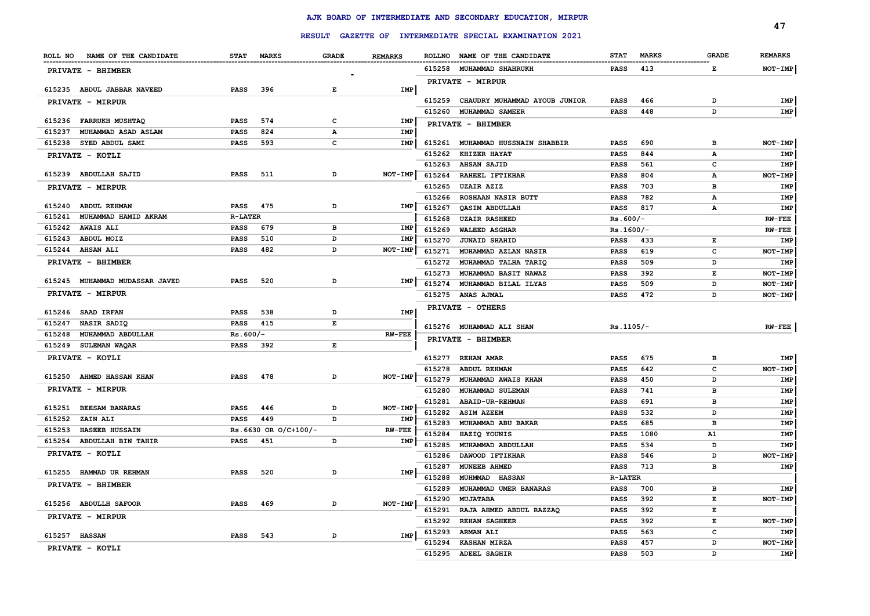|                                                            |                            |                        |              |                |        |                                                         |                |              |              | 47             |
|------------------------------------------------------------|----------------------------|------------------------|--------------|----------------|--------|---------------------------------------------------------|----------------|--------------|--------------|----------------|
|                                                            |                            |                        |              |                |        | RESULT GAZETTE OF INTERMEDIATE SPECIAL EXAMINATION 2021 |                |              |              |                |
| ROLL NO NAME OF THE CANDIDATE                              | <b>STAT</b>                | <b>MARKS</b>           | <b>GRADE</b> | <b>REMARKS</b> |        | ROLLNO NAME OF THE CANDIDATE                            | <b>STAT</b>    | <b>MARKS</b> | <b>GRADE</b> | <b>REMARKS</b> |
| PRIVATE - BHIMBER                                          |                            |                        |              |                |        | 615258 MUHAMMAD SHAHRUKH                                | <b>PASS</b>    | 413          | Е            | NOT-IMP        |
|                                                            |                            |                        |              |                |        | PRIVATE - MIRPUR                                        |                |              |              |                |
| 615235 ABDUL JABBAR NAVEED                                 | <b>PASS</b>                | 396                    | Е            | IMP            |        |                                                         |                |              |              |                |
| PRIVATE - MIRPUR                                           |                            |                        |              |                | 615259 | CHAUDRY MUHAMMAD AYOUB JUNIOR                           | <b>PASS</b>    | 466          | D            | IMP            |
|                                                            |                            |                        |              |                | 615260 | MUHAMMAD SAMEER                                         | <b>PASS</b>    | 448          | D            | IMP            |
| 615236 FARRUKH MUSHTAQ                                     | <b>PASS</b>                | 574                    | c<br>A       | IMP<br>IMP     |        | PRIVATE - BHIMBER                                       |                |              |              |                |
| 615237<br>MUHAMMAD ASAD ASLAM<br>615238<br>SYED ABDUL SAMI | <b>PASS</b><br><b>PASS</b> | 824<br>593             | c            | <b>IMP</b>     | 615261 | MUHAMMAD HUSSNAIN SHABBIR                               | <b>PASS</b>    | 690          | в            | NOT-IMP        |
|                                                            |                            |                        |              |                | 615262 | <b>KHIZER HAYAT</b>                                     | <b>PASS</b>    | 844          | Α            | IMP            |
| PRIVATE - KOTLI                                            |                            |                        |              |                | 615263 | <b>AHSAN SAJID</b>                                      | <b>PASS</b>    | 561          | c            | IMP            |
| 615239 ABDULLAH SAJID                                      | <b>PASS</b>                | 511                    | D            | $NOT-IMP$      | 615264 | RAHEEL IFTIKHAR                                         | <b>PASS</b>    | 804          | А            | NOT-IMP        |
| PRIVATE - MIRPUR                                           |                            |                        |              |                | 615265 | <b>UZAIR AZIZ</b>                                       | <b>PASS</b>    | 703          | в            | IMP            |
|                                                            |                            |                        |              |                | 615266 | ROSHAAN NASIR BUTT                                      | <b>PASS</b>    | 782          | А            | IMP            |
| 615240 ABDUL REHMAN                                        | <b>PASS</b>                | 475                    | D            | IMP            | 615267 | QASIM ABDULLAH                                          | <b>PASS</b>    | 817          | А            | <b>IMP</b>     |
| 615241<br>MUHAMMAD HAMID AKRAM                             | <b>R-LATER</b>             |                        |              |                | 615268 | <b>UZAIR RASHEED</b>                                    | $Rs.600/-$     |              |              | <b>RW-FEE</b>  |
| 615242<br><b>AWAIS ALI</b>                                 | <b>PASS</b>                | 679                    | в            | IMP            | 615269 | <b>WALEED ASGHAR</b>                                    | Rs.1600/-      |              |              | $RW-FEE$       |
| 615243<br>ABDUL MOIZ                                       | <b>PASS</b>                | 510                    | D            | IMP            | 615270 | <b>JUNAID SHAHID</b>                                    | <b>PASS</b>    | 433          | E            | IMP            |
| 615244 AHSAN ALI                                           | PASS                       | 482                    | D            | $NOT-IMP$      | 615271 | MUHAMMAD AZLAN NASIR                                    | <b>PASS</b>    | 619          | c            | $NOT-IMP$      |
| PRIVATE - BHIMBER                                          |                            |                        |              |                | 615272 | MUHAMMAD TALHA TARIQ                                    | <b>PASS</b>    | 509          | D            | IMP            |
|                                                            |                            |                        |              |                | 615273 | MUHAMMAD BASIT NAWAZ                                    | <b>PASS</b>    | 392          | Е            | NOT-IMP        |
| 615245 MUHAMMAD MUDASSAR JAVED                             | <b>PASS</b>                | 520                    | D            | IMP            | 615274 | MUHAMMAD BILAL ILYAS                                    | <b>PASS</b>    | 509          | D            | NOT-IMP        |
| PRIVATE - MIRPUR                                           |                            |                        |              |                |        | 615275 ANAS AJMAL                                       | <b>PASS</b>    | 472          | D            | NOT-IMP        |
| 615246 SAAD IRFAN                                          | <b>PASS</b>                | 538                    | D            | IMP            |        | PRIVATE - OTHERS                                        |                |              |              |                |
| 615247<br>NASIR SADIQ                                      | <b>PASS</b>                | 415                    | E            |                |        |                                                         |                |              |              |                |
| 615248<br>MUHAMMAD ABDULLAH                                | $Rs.600/-$                 |                        |              | <b>RW-FEE</b>  |        | 615276 MUHAMMAD ALI SHAN                                | $Rs.1105/-$    |              |              | $RW-FEE$       |
| 615249 SULEMAN WAQAR                                       | <b>PASS</b>                | 392                    | E            |                |        | PRIVATE - BHIMBER                                       |                |              |              |                |
| PRIVATE - KOTLI                                            |                            |                        |              |                |        | 615277 REHAN AMAR                                       | <b>PASS</b>    | 675          | в            | IMP            |
|                                                            |                            |                        |              |                | 615278 | <b>ABDUL REHMAN</b>                                     | <b>PASS</b>    | 642          | c            | NOT-IMP        |
| 615250 AHMED HASSAN KHAN                                   | PASS                       | 478                    | D            | NOT-IMP        | 615279 | MUHAMMAD AWAIS KHAN                                     | <b>PASS</b>    | 450          | D            | IMP            |
| PRIVATE - MIRPUR                                           |                            |                        |              |                | 615280 | MUHAMMAD SULEMAN                                        | <b>PASS</b>    | 741          | в            | IMP            |
|                                                            |                            |                        |              |                | 615281 | ABAID-UR-REHMAN                                         | <b>PASS</b>    | 691          | в            | IMP            |
| 615251 BEESAM BANARAS                                      | <b>PASS</b>                | 446                    | D            | NOT-IMP        | 615282 | <b>ASIM AZEEM</b>                                       | <b>PASS</b>    | 532          | <sup>D</sup> | IMP            |
| 615252<br>ZAIN ALI                                         | <b>PASS</b>                | 449                    | D            | IMP            | 615283 | MUHAMMAD ABU BAKAR                                      | <b>PASS</b>    | 685          | в            | IMP            |
| 615253 HASEEB HUSSAIN                                      |                            | $Rs.6630$ OR O/C+100/- |              | <b>RW-FEE</b>  | 615284 | HAZIQ YOUNIS                                            | PASS           | 1080         | ${\tt A1}$   | IMP            |
| 615254 ABDULLAH BIN TAHIR                                  | <b>PASS</b>                | 451                    | D            | IMP            | 615285 | MUHAMMAD ABDULLAH                                       | <b>PASS</b>    | 534          | D            | IMP            |
| PRIVATE - KOTLI                                            |                            |                        |              |                | 615286 | DAWOOD IFTIKHAR                                         | <b>PASS</b>    | 546          | D            | NOT-IMP        |
| 615255 HAMMAD UR REHMAN                                    | <b>PASS</b>                | 520                    | D            | <b>IMP</b>     | 615287 | MUNEEB AHMED                                            | <b>PASS</b>    | 713          | в            | IMP            |
|                                                            |                            |                        |              |                | 615288 | MUHMMAD HASSAN                                          | <b>R-LATER</b> |              |              |                |
| PRIVATE - BHIMBER                                          |                            |                        |              |                | 615289 | MUHAMMAD UMER BANARAS                                   | <b>PASS</b>    | 700          | в            | IMP            |
| 615256 ABDULLH SAFOOR                                      | <b>PASS</b>                | 469                    | D            | NOT-IMP        | 615290 | <b>MUJATABA</b>                                         | <b>PASS</b>    | 392          | E            | NOT-IMP        |
| PRIVATE - MIRPUR                                           |                            |                        |              |                | 615291 | RAJA AHMED ABDUL RAZZAQ                                 | <b>PASS</b>    | 392          | Е            |                |
|                                                            |                            |                        |              |                | 615292 | <b>REHAN SAGHEER</b>                                    | <b>PASS</b>    | 392          | Е            | NOT-IMP        |
| 615257 HASSAN                                              | <b>PASS</b>                | 543                    | D            | IMP            | 615293 | <b>ARMAN ALI</b>                                        | <b>PASS</b>    | 563          | c            | IMP            |
| PRIVATE - KOTLI                                            |                            |                        |              |                | 615294 | <b>KASHAN MIRZA</b>                                     | <b>PASS</b>    | 457          | D            | NOT-IMP        |
|                                                            |                            |                        |              |                | 615295 | <b>ADEEL SAGHIR</b>                                     | <b>PASS</b>    | 503          | D            | IMP            |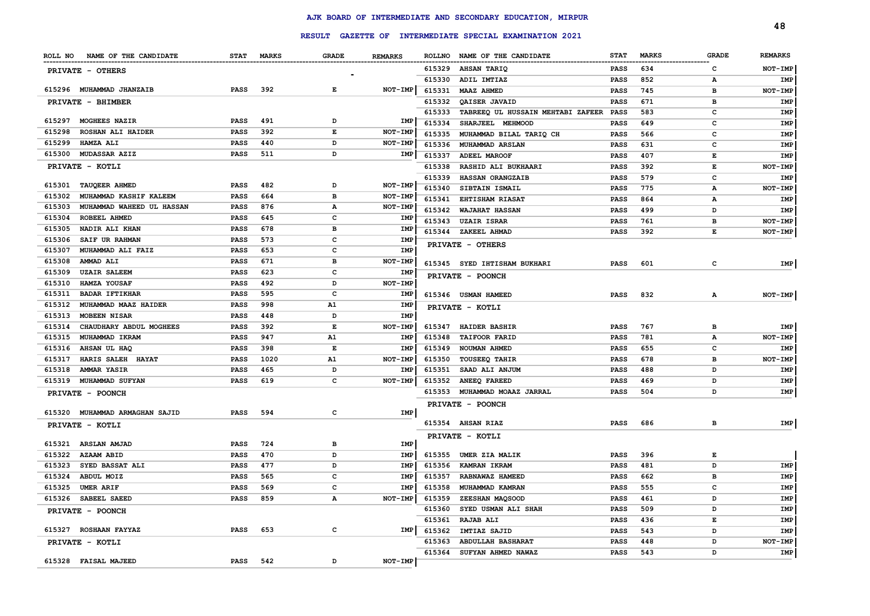|                                 |                                  |                 |            |              |                |        | RESULT GAZETTE OF INTERMEDIATE SPECIAL EXAMINATION 2021 |             |              |              | 48             |
|---------------------------------|----------------------------------|-----------------|------------|--------------|----------------|--------|---------------------------------------------------------|-------------|--------------|--------------|----------------|
|                                 | ROLL NO NAME OF THE CANDIDATE    |                 | STAT MARKS | <b>GRADE</b> | <b>REMARKS</b> |        | ROLLNO NAME OF THE CANDIDATE                            | <b>STAT</b> | <b>MARKS</b> | <b>GRADE</b> | <b>REMARKS</b> |
| <b>PRIVATE - OTHERS</b>         |                                  |                 |            |              |                |        | 615329 AHSAN TARIQ                                      | PASS        | 634          | c            | NOT-IMP        |
|                                 |                                  |                 |            |              |                | 615330 | ADIL IMTIAZ                                             | PASS        | 852          | А            | IMP            |
| 615296 MUHAMMAD JHANZAIB        |                                  | <b>PASS</b>     | 392        | Е            | <b>NOT-IMP</b> | 615331 | <b>MAAZ AHMED</b>                                       | <b>PASS</b> | 745          | в            | NOT-IMP        |
| PRIVATE - BHIMBER               |                                  |                 |            |              |                | 615332 | QAISER JAVAID                                           | <b>PASS</b> | 671          | в            | IMP            |
|                                 |                                  |                 |            |              |                | 615333 | TABREEQ UL HUSSAIN MEHTABI ZAFEER PASS                  |             | 583          | c            | IMP            |
| 615297 MOGHEES NAZIR            |                                  | <b>PASS</b>     | 491        | D            | IMP            | 615334 | SHARJEEL MEHMOOD                                        | PASS        | 649          | c            | IMP            |
| 615298                          | <b>ROSHAN ALI HAIDER</b>         | <b>PASS</b>     | 392        | Е            | <b>NOT-IMP</b> | 615335 | MUHAMMAD BILAL TARIQ CH                                 | PASS        | 566          | c            | IMP            |
| 615299<br><b>HAMZA ALI</b>      |                                  | PASS            | 440        | D            | <b>NOT-IMP</b> | 615336 | <b>MUHAMMAD ARSLAN</b>                                  | PASS        | 631          | c            | IMP            |
| 615300 MUDASSAR AZIZ            |                                  | <b>PASS</b>     | 511        | D            | IMP            | 615337 | ADEEL MAROOF                                            | <b>PASS</b> | 407          | Е            | IMP            |
| PRIVATE - KOTLI                 |                                  |                 |            |              |                | 615338 | <b>RASHID ALI BUKHAARI</b>                              | PASS        | 392          | Е            | NOT-IMP        |
|                                 |                                  |                 |            |              |                | 615339 | <b>HASSAN ORANGZAIB</b>                                 | <b>PASS</b> | 579          | c            | IMP            |
| <b>TAUQEER AHMED</b><br>615301  |                                  | <b>PASS</b>     | 482        | D            | NOT-IMP        | 615340 | SIBTAIN ISMAIL                                          | <b>PASS</b> | 775          | А            | NOT-IMP        |
| 615302                          | MUHAMMAD KASHIF KALEEM           | PASS            | 664        | в            | NOT-IMP        | 615341 | <b>EHTISHAM RIASAT</b>                                  | <b>PASS</b> | 864          | А            | IMP            |
| 615303                          | <b>MUHAMMAD WAHEED UL HASSAN</b> | PASS            | 876        | А            | NOT-IMP        | 615342 | <b>WAJAHAT HASSAN</b>                                   | PASS        | 499          | D            | IMP            |
| ROBEEL AHMED<br>615304          |                                  | PASS            | 645        | c            | IMP            | 615343 | <b>UZAIR ISRAR</b>                                      | PASS        | 761          | в            | NOT-IMP        |
| 615305<br>NADIR ALI KHAN        |                                  | PASS            | 678        | в            | <b>IMF</b>     |        | 615344 ZAKEEL AHMAD                                     | <b>PASS</b> | 392          | Е            | NOT-IMP        |
| 615306<br><b>SAIF UR RAHMAN</b> |                                  | PASS            | 573        | c            | IMP            |        | PRIVATE - OTHERS                                        |             |              |              |                |
| 615307                          | MUHAMMAD ALI FAIZ                | PASS            | 653        | c            | IMP            |        |                                                         |             |              |              |                |
| 615308<br>AMMAD ALI             |                                  | PASS            | 671        | в            | NOT-IMP        |        | 615345 SYED IHTISHAM BUKHARI                            | <b>PASS</b> | 601          | с            | IMP            |
| 615309<br><b>UZAIR SALEEM</b>   |                                  | PASS            | 623        | с            | IMP            |        | PRIVATE - POONCH                                        |             |              |              |                |
| 615310<br>HAMZA YOUSAF          |                                  | PASS            | 492        | D            | NOT-IMP        |        |                                                         |             |              |              |                |
| 615311<br><b>BADAR IFTIKHAR</b> |                                  | PASS            | 595        | c            | IMP            |        | 615346 USMAN HAMEED                                     | <b>PASS</b> | 832          | А            | NOT-IMP        |
| 615312                          | MUHAMMAD MAAZ HAIDER             | PASS            | 998        | A1           | IMP            |        | PRIVATE - KOTLI                                         |             |              |              |                |
| 615313<br><b>MOBEEN NISAR</b>   |                                  | PASS            | 448        | D            | IMP            |        |                                                         |             |              |              |                |
| 615314                          | CHAUDHARY ABDUL MOGHEES          | PASS            | 392        | Е            | NOT-IMP        | 615347 | <b>HAIDER BASHIR</b>                                    | PASS        | 767          | в            | IMP            |
| 615315<br>MUHAMMAD IKRAM        |                                  | PASS            | 947        | A1           | IMP            | 615348 | <b>TAIFOOR FARID</b>                                    | PASS        | 781          | А            | NOT-IMP        |
| 615316<br><b>AHSAN UL HAQ</b>   |                                  | PASS            | 398        | Е            | IMP            | 615349 | NOUMAN AHMED                                            | PASS        | 655          | c            | IMP            |
| 615317                          | HARIS SALEH HAYAT                | PASS            | 1020       | A1           | NOT-IMP        | 615350 | <b>TOUSEEQ TAHIR</b>                                    | PASS        | 678          | в            | NOT-IMP        |
| 615318<br><b>AMMAR YASIR</b>    |                                  | PASS            | 465        | D            | IMP            | 615351 | SAAD ALI ANJUM                                          | PASS        | 488          | D            | IMP            |
| 615319 MUHAMMAD SUFYAN          |                                  | <b>PASS</b>     | 619        | c            | NOT-IMP        | 615352 | <b>ANEEQ FAREED</b>                                     | PASS        | 469          | D            | IMP            |
| PRIVATE - POONCH                |                                  |                 |            |              |                |        | 615353 MUHAMMAD MOAAZ JARRAL                            | PASS        | 504          | D            | IMP            |
|                                 | 615320 MUHAMMAD ARMAGHAN SAJID   | <b>PASS</b>     | 594        | c            | IMP            |        | PRIVATE - POONCH                                        |             |              |              |                |
| PRIVATE - KOTLI                 |                                  |                 |            |              |                |        | 615354 AHSAN RIAZ                                       | <b>PASS</b> | 686          | в            | IMP            |
|                                 |                                  |                 |            |              |                |        | PRIVATE - KOTLI                                         |             |              |              |                |
| 615321<br>ARSLAN AMJAD          |                                  | PASS            | 724        | в            | IMP            |        |                                                         |             |              |              |                |
| 615322<br><b>AZAAM ABID</b>     |                                  | PASS            | 470        | D            | IMP            | 615355 | UMER ZIA MALIK                                          | PASS        | 396          | Е            |                |
| 615323                          | <b>SYED BASSAT ALI</b>           | PASS            | 477        | D            | IMP            | 615356 | <b>KAMRAN IKRAM</b>                                     | <b>PASS</b> | 481          | D            | IMP            |
| 615324 ABDUL MOIZ               |                                  | PASS            | 565        | c            | IMP            |        | 615357 RABNAWAZ HAMEED                                  | PASS        | 662          | в            | IMP            |
| 615325 UMER ARIF                |                                  | PASS            | 569        | с            | IMP            | 615358 | MUHAMMAD KAMRAN                                         | <b>PASS</b> | 555          |              | IMP            |
| 615326 SABEEL SAEED             |                                  | <b>PASS</b>     | 859        | А            | NOT-IMP        |        | 615359 ZEESHAN MAQSOOD                                  | <b>PASS</b> | 461          | D            | IMP            |
| PRIVATE - POONCH                |                                  |                 |            |              |                |        | 615360 SYED USMAN ALI SHAH                              | <b>PASS</b> | 509          | D            | IMP            |
|                                 |                                  |                 |            |              |                | 615361 | <b>RAJAB ALI</b>                                        | PASS        | 436          | Е            | IMP            |
| 615327 ROSHAAN FAYYAZ           |                                  | <b>PASS</b>     | 653        | c            | IMP            |        | 615362 IMTIAZ SAJID                                     | <b>PASS</b> | 543          | D            | IMP            |
| PRIVATE - KOTLI                 |                                  |                 |            |              |                | 615363 | ABDULLAH BASHARAT                                       | PASS        | 448          | D            | NOT-IMP        |
|                                 |                                  |                 |            |              |                | 615364 | SUFYAN AHMED NAWAZ                                      | PASS        | 543          | D            | IMP            |
| 615328 FAISAL MAJEED            |                                  | <b>PASS</b> 542 |            | D            | NOT-IMP        |        |                                                         |             |              |              |                |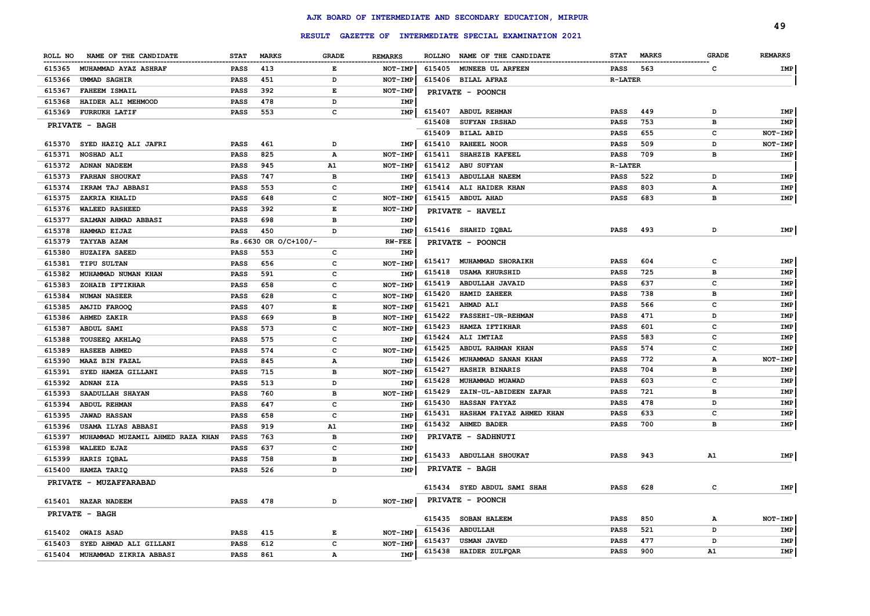|         |                                  |             |                      | <b>RESULT</b> |                |               | <b>GAZETTE OF INTERMEDIATE SPECIAL EXAMINATION 2021</b> |                |              |                | 49             |
|---------|----------------------------------|-------------|----------------------|---------------|----------------|---------------|---------------------------------------------------------|----------------|--------------|----------------|----------------|
| ROLL NO | NAME OF THE CANDIDATE            | <b>STAT</b> | <b>MARKS</b>         | <b>GRADE</b>  | <b>REMARKS</b> | <b>ROLLNO</b> | NAME OF THE CANDIDATE                                   | <b>STAT</b>    | <b>MARKS</b> | <b>GRADE</b>   | <b>REMARKS</b> |
| 615365  | <b>MUHAMMAD AYAZ ASHRAF</b>      | <b>PASS</b> | 413                  | E             | <b>NOT-IMP</b> | 615405        | <b>MUNEEB UL ARFEEN</b>                                 | <b>PASS</b>    | 563          | c              | IMP            |
| 615366  | <b>UMMAD SAGHIR</b>              | <b>PASS</b> | 451                  | D             | NOT-IMP        |               | 615406 BILAL AFRAZ                                      | <b>R-LATER</b> |              |                |                |
| 615367  | <b>FAHEEM ISMAIL</b>             | <b>PASS</b> | 392                  | E             | NOT-IME        |               |                                                         |                |              |                |                |
| 615368  | HAIDER ALI MEHMOOD               | <b>PASS</b> | 478                  | D             | IMP            |               | PRIVATE - POONCH                                        |                |              |                |                |
| 615369  | <b>FURRUKH LATIF</b>             | <b>PASS</b> | 553                  | c             | <b>IMP</b>     | 615407        | ABDUL REHMAN                                            | <b>PASS</b>    | 449          | D              | <b>IMP</b>     |
|         |                                  |             |                      |               |                | 615408        | SUFYAN IRSHAD                                           | <b>PASS</b>    | 753          | $\mathbf{B}$   | IMP            |
|         | PRIVATE - BAGH                   |             |                      |               |                | 615409        | <b>BILAL ABID</b>                                       | <b>PASS</b>    | 655          | c              | NOT-IMP        |
|         | 615370 SYED HAZIQ ALI JAFRI      | <b>PASS</b> | 461                  | D             | IMP            | 615410        | <b>RAHEEL NOOR</b>                                      | <b>PASS</b>    | 509          | D              | NOT-IMP        |
| 615371  | NOSHAD ALI                       | <b>PASS</b> | 825                  | А             | NOT-IMP        | 615411        | SHAHZIB KAFEEL                                          | <b>PASS</b>    | 709          | $\, {\bf B}$   | IMP            |
| 615372  | <b>ADNAN NADEEM</b>              | <b>PASS</b> | 945                  | A1            | NOT-IMP        | 615412        | <b>ABU SUFYAN</b>                                       | <b>R-LATER</b> |              |                |                |
| 615373  | <b>FARHAN SHOUKAT</b>            | <b>PASS</b> | 747                  | в             | IMP            | 615413        | <b>ABDULLAH NAEEM</b>                                   | <b>PASS</b>    | 522          | D              | IMP            |
| 615374  | IKRAM TAJ ABBASI                 | <b>PASS</b> | 553                  | с             | IMP            | 615414        | ALI HAIDER KHAN                                         | <b>PASS</b>    | 803          | Α              | IMP            |
| 615375  | ZAKRIA KHALID                    | PASS        | 648                  | c             | NOT-IMP        |               | 615415 ABDUL AHAD                                       | PASS           | 683          | в              | IMP            |
| 615376  | <b>WALEED RASHEED</b>            | <b>PASS</b> | 392                  | Е             | <b>NOT-IMP</b> |               | PRIVATE - HAVELI                                        |                |              |                |                |
| 615377  | SALMAN AHMAD ABBASI              | <b>PASS</b> | 698                  | в             | IMP            |               |                                                         |                |              |                |                |
| 615378  | HAMMAD EIJAZ                     | PASS        | 450                  | D             | IMP            |               | 615416 SHAHID IQBAL                                     | <b>PASS</b>    | 493          | D              | IMP            |
| 615379  | <b>TAYYAB AZAM</b>               |             | Rs.6630 OR O/C+100/- |               | <b>RW-FEE</b>  |               | PRIVATE - POONCH                                        |                |              |                |                |
| 615380  | <b>HUZAIFA SAEED</b>             | PASS        | 553                  | c             | IMP            |               |                                                         |                |              |                |                |
| 615381  | <b>TIPU SULTAN</b>               | <b>PASS</b> | 656                  | c             | NOT-IMP        | 615417        | MUHAMMAD SHORAIKH                                       | <b>PASS</b>    | 604          | c              | IMP            |
| 615382  | MUHAMMAD NUMAN KHAN              | PASS        | 591                  | c             | <b>IMP</b>     | 615418        | <b>USAMA KHURSHID</b>                                   | <b>PASS</b>    | 725          | B              | IMP            |
| 615383  | ZOHAIB IFTIKHAR                  | <b>PASS</b> | 658                  | c             | NOT-IME        | 615419        | <b>ABDULLAH JAVAID</b>                                  | <b>PASS</b>    | 637          | $\mathbf{C}$   | IMP            |
| 615384  | <b>NUMAN NASEER</b>              | <b>PASS</b> | 628                  | c             | NOT-IME        | 615420        | HAMID ZAHEER                                            | <b>PASS</b>    | 738          | $\mathbf{B}$   | <b>IMP</b>     |
| 615385  | AMJID FAROOQ                     | <b>PASS</b> | 407                  | Е             | NOT-IME        | 615421        | AHMAD ALI                                               | <b>PASS</b>    | 566          | c              | IMP            |
| 615386  | AHMED ZAKIR                      | <b>PASS</b> | 669                  | в             | NOT-IME        | 615422        | FASSEHI-UR-REHMAN                                       | <b>PASS</b>    | 471          | D              | IMP            |
| 615387  | ABDUL SAMI                       | PASS        | 573                  | c             | NOT-IME        | 615423        | HAMZA IFTIKHAR                                          | <b>PASS</b>    | 601          | c              | IMP            |
| 615388  | TOUSEEQ AKHLAQ                   | <b>PASS</b> | 575                  | c             | IMP            | 615424        | ALI IMTIAZ                                              | <b>PASS</b>    | 583          | $\mathbf c$    | IMP            |
| 615389  | <b>HASEEB AHMED</b>              | <b>PASS</b> | 574                  | с             | NOT-IMP        | 615425        | ABDUL RAHMAN KHAN                                       | <b>PASS</b>    | 574          | $\mathbf c$    | IMP            |
| 615390  | <b>MAAZ BIN FAZAL</b>            | <b>PASS</b> | 845                  | А             | IMP            | 615426        | MUHAMMAD SANAN KHAN                                     | <b>PASS</b>    | 772          | Α              | NOT-IMP        |
| 615391  | SYED HAMZA GILLANI               | <b>PASS</b> | 715                  | в             | NOT-IMP        | 615427        | HASHIR BINARIS                                          | PASS           | 704          | в              | IMP            |
| 615392  | ADNAN ZIA                        | <b>PASS</b> | 513                  | D             | <b>IME</b>     | 615428        | MUHAMMAD MUAWAD                                         | PASS           | 603          | $\mathbf c$    | IMP            |
| 615393  | SAADULLAH SHAYAN                 | <b>PASS</b> | 760                  | B             | <b>NOT-IME</b> | 615429        | ZAIN-UL-ABIDEEN ZAFAR                                   | <b>PASS</b>    | 721          | в              | IMP            |
| 615394  | <b>ABDUL REHMAN</b>              | <b>PASS</b> | 647                  | c             | <b>IME</b>     | 615430        | <b>HASSAN FAYYAZ</b>                                    | <b>PASS</b>    | 478          | D              | IMP            |
| 615395  | <b>JAWAD HASSAN</b>              | <b>PASS</b> | 658                  | c             | <b>IMP</b>     | 615431        | HASHAM FAIYAZ AHMED KHAN                                | <b>PASS</b>    | 633          | C              | IMP            |
| 615396  | USAMA ILYAS ABBASI               | <b>PASS</b> | 919                  | A1            | <b>IME</b>     | 615432        | <b>AHMED BADER</b>                                      | <b>PASS</b>    | 700          | $\overline{B}$ | IMP            |
| 615397  | MUHAMMAD MUZAMIL AHMED RAZA KHAN | <b>PASS</b> | 763                  | в             | <b>IMP</b>     |               | PRIVATE - SADHNUTI                                      |                |              |                |                |
| 615398  | <b>WALEED EJAZ</b>               | <b>PASS</b> | 637                  | $\mathbf{C}$  | <b>IMP</b>     |               |                                                         |                |              |                |                |
| 615399  | HARIS IQBAL                      | <b>PASS</b> | 758                  | в             | <b>IMP</b>     |               | 615433 ABDULLAH SHOUKAT                                 | <b>PASS</b>    | 943          | A1             | IMP            |
|         |                                  | <b>PASS</b> | 526                  | D             | IMP            |               | <b>PRIVATE - BAGH</b>                                   |                |              |                |                |
| 615400  | <b>HAMZA TARIQ</b>               |             |                      |               |                |               |                                                         |                |              |                |                |
|         | PRIVATE - MUZAFFARABAD           |             |                      |               |                |               | 615434 SYED ABDUL SAMI SHAH                             | <b>PASS</b>    | 628          | c              | IMP            |
|         | 615401 NAZAR NADEEM              | <b>PASS</b> | 478                  | D             | NOT-IMP        |               | PRIVATE - POONCH                                        |                |              |                |                |
|         | PRIVATE - BAGH                   |             |                      |               |                | 615435        | <b>SOBAN HALEEM</b>                                     | <b>PASS</b>    | 850          | А              | NOT-IMP        |
| 615402  | <b>OWAIS ASAD</b>                | PASS        | 415                  | Е             | NOT-IME        | 615436        | ABDULLAH                                                | <b>PASS</b>    | 521          | D              | <b>IMP</b>     |
| 615403  | SYED AHMAD ALI GILLANI           | <b>PASS</b> | 612                  | c             | NOT-IMI        | 615437        | <b>USMAN JAVED</b>                                      | <b>PASS</b>    | 477          | D              | IMP            |
| 615404  | MUHAMMAD ZIKRIA ABBASI           | <b>PASS</b> | 861                  | A             | IMP            | 615438        | HAIDER ZULFQAR                                          | <b>PASS</b>    | 900          | A1             | IMP            |
|         |                                  |             |                      |               |                |               |                                                         |                |              |                |                |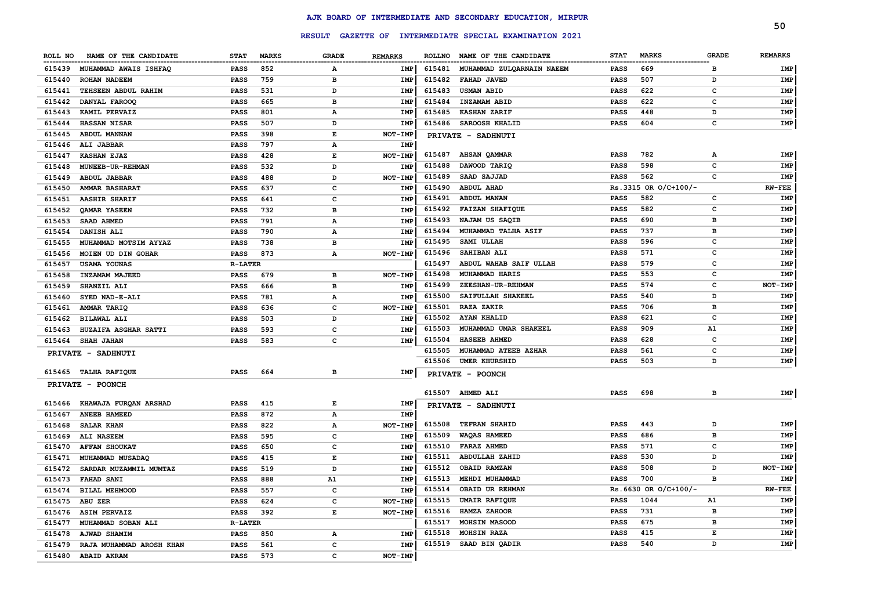|         |                              |                |              |                                                                                                |                |        |                                                  |             |                        |                | 50             |
|---------|------------------------------|----------------|--------------|------------------------------------------------------------------------------------------------|----------------|--------|--------------------------------------------------|-------------|------------------------|----------------|----------------|
|         |                              |                |              | <b>RESULT</b>                                                                                  |                |        | GAZETTE OF INTERMEDIATE SPECIAL EXAMINATION 2021 |             |                        |                |                |
| ROLL NO | NAME OF THE CANDIDATE        | <b>STAT</b>    | <b>MARKS</b> | <b>GRADE</b>                                                                                   | <b>REMARKS</b> |        | ROLLNO NAME OF THE CANDIDATE                     | <b>STAT</b> | <b>MARKS</b>           | <b>GRADE</b>   | <b>REMARKS</b> |
| 615439  | <b>MUHAMMAD AWAIS ISHFAQ</b> | <b>PASS</b>    | 852          | А                                                                                              | IMP            | 615481 | MUHAMMAD ZULQARNAIN NAEEM                        | <b>PASS</b> | 669                    | в              | IMP            |
| 615440  | ROHAN NADEEM                 | <b>PASS</b>    | 759          | в                                                                                              | IMP            | 615482 | FAHAD JAVED                                      | <b>PASS</b> | 507                    | D              | IMP            |
| 615441  | TEHSEEN ABDUL RAHIM          | <b>PASS</b>    | 531          | D                                                                                              | IMP            | 615483 | <b>USMAN ABID</b>                                | <b>PASS</b> | 622                    | c              | IMP            |
| 615442  | DANYAL FAROOQ                | <b>PASS</b>    | 665          | в                                                                                              | IMP            | 615484 | INZAMAM ABID                                     | <b>PASS</b> | 622                    | с              | IMP            |
| 615443  | KAMIL PERVAIZ                | PASS           | 801          | А                                                                                              | IMP            | 615485 | <b>KASHAN ZARIF</b>                              | <b>PASS</b> | 448                    | D              | IMP            |
| 615444  | <b>HASSAN NISAR</b>          | <b>PASS</b>    | 507          | D                                                                                              | IMP            | 615486 | SAROOSH KHALID                                   | <b>PASS</b> | 604                    | c              | <b>IMP</b>     |
| 615445  | ABDUL MANNAN                 | <b>PASS</b>    | 398          | $\mathbf{E}% _{t}\left  \mathbf{1}\right\rangle =\mathbf{1}_{t}\left  \mathbf{1}\right\rangle$ | <b>NOT-IMP</b> |        | <b>PRIVATE - SADHNUTI</b>                        |             |                        |                |                |
| 615446  | ALI JABBAR                   | <b>PASS</b>    | 797          | А                                                                                              | IMP            |        |                                                  |             |                        |                |                |
| 615447  | <b>KASHAN EJAZ</b>           | <b>PASS</b>    | 428          | E                                                                                              | NOT-IMP        | 615487 | <b>AHSAN QAMMAR</b>                              | <b>PASS</b> | 782                    | $\mathbf{A}$   | <b>IMP</b>     |
| 615448  | MUNEEB-UR-REHMAN             | <b>PASS</b>    | 532          | D                                                                                              | IMP            | 615488 | DAWOOD TARIQ                                     | <b>PASS</b> | 598                    | C              | <b>IMP</b>     |
| 615449  | <b>ABDUL JABBAR</b>          | <b>PASS</b>    | 488          | D                                                                                              | NOT-IMP        | 615489 | SAAD SAJJAD                                      | <b>PASS</b> | 562                    | C              | <b>IMP</b>     |
| 615450  | <b>AMMAR BASHARAT</b>        | PASS           | 637          | c                                                                                              | IMP            | 615490 | <b>ABDUL AHAD</b>                                |             | Rs.3315 OR O/C+100/-   |                | <b>RW-FEE</b>  |
| 615451  | <b>AASHIR SHARIF</b>         | PASS           | 641          | c                                                                                              | IMP            | 615491 | ABDUL MANAN                                      | <b>PASS</b> | 582                    | c              | <b>IMP</b>     |
| 615452  | <b>OAMAR YASEEN</b>          | <b>PASS</b>    | 732          | в                                                                                              | IMP            | 615492 | <b>FAIZAN SHAFIQUE</b>                           | <b>PASS</b> | 582                    | $\mathbf{C}$   | <b>IMP</b>     |
| 615453  | SAAD AHMED                   | <b>PASS</b>    | 791          | А                                                                                              | IMP            | 615493 | NAJAM US SAQIB                                   | <b>PASS</b> | 690                    | B              | <b>IMP</b>     |
| 615454  | DANISH ALI                   | <b>PASS</b>    | 790          | А                                                                                              | IMP            | 615494 | MUHAMMAD TALHA ASIF                              | <b>PASS</b> | 737                    | $\overline{B}$ | <b>IMP</b>     |
| 615455  | MUHAMMAD MOTSIM AYYAZ        | PASS           | 738          | в                                                                                              | IMP            | 615495 | SAMI ULLAH                                       | <b>PASS</b> | 596                    | C              | <b>IMP</b>     |
| 615456  | MOIEN UD DIN GOHAR           | PASS           | 873          | $\mathbf{A}$                                                                                   | NOT-IMP        | 615496 | SAHIBAN ALI                                      | <b>PASS</b> | 571                    | c              | IMP            |
| 615457  | <b>USAMA YOUNAS</b>          | <b>R-LATER</b> |              |                                                                                                |                | 615497 | ABDUL WAHAB SAIF ULLAH                           | <b>PASS</b> | 579                    | c              | IMP            |
| 615458  | INZAMAM MAJEED               | PASS           | 679          | в                                                                                              | NOT-IMP        | 615498 | MUHAMMAD HARIS                                   | <b>PASS</b> | 553                    | c              | IMP            |
| 615459  | SHANZIL ALI                  | PASS           | 666          | в                                                                                              | <b>IMP</b>     | 615499 | ZEESHAN-UR-REHMAN                                | <b>PASS</b> | 574                    | c              | NOT-IMP        |
| 615460  | SYED NAD-E-ALI               | <b>PASS</b>    | 781          | А                                                                                              | IMP            | 615500 | SAIFULLAH SHAKEEL                                | <b>PASS</b> | 540                    | D              | IMP            |
| 615461  | AMMAR TARIQ                  | <b>PASS</b>    | 636          | $\mathbf{C}$                                                                                   | NOT-IMP        | 615501 | <b>RAZA ZAKIR</b>                                | <b>PASS</b> | 706                    | в              | IMP            |
| 615462  | <b>BILAWAL ALI</b>           | PASS           | 503          | D                                                                                              | <b>IMP</b>     | 615502 | AYAN KHALID                                      | <b>PASS</b> | 621                    | c              | IMP            |
| 615463  | HUZAIFA ASGHAR SATTI         | <b>PASS</b>    | 593          | $\mathbf c$                                                                                    | <b>IMP</b>     | 615503 | MUHAMMAD UMAR SHAKEEL                            | <b>PASS</b> | 909                    | Α1             | IMP            |
| 615464  | SHAH JAHAN                   | PASS           | 583          | $\mathbf c$                                                                                    | IMP            | 615504 | <b>HASEEB AHMED</b>                              | PASS        | 628                    | C              | IMP            |
|         | PRIVATE - SADHNUTI           |                |              |                                                                                                |                | 615505 | MUHAMMAD ATEEB AZHAR                             | <b>PASS</b> | 561                    | C              | <b>IMP</b>     |
|         |                              |                |              |                                                                                                |                | 615506 | <b>UMER KHURSHID</b>                             | <b>PASS</b> | 503                    | D              | IMP            |
| 615465  | <b>TALHA RAFIQUE</b>         | PASS           | 664          | в                                                                                              | IMP            |        | PRIVATE - POONCH                                 |             |                        |                |                |
|         | PRIVATE - POONCH             |                |              |                                                                                                |                |        |                                                  |             |                        |                |                |
|         |                              |                |              |                                                                                                |                |        | 615507 AHMED ALI                                 | <b>PASS</b> | 698                    | в              | IMP            |
| 615466  | <b>KHAWAJA FURQAN ARSHAD</b> | <b>PASS</b>    | 415          | $\mathbf{E}% _{t}\left  \mathbf{1}\right\rangle =\mathbf{1}_{t}\left  \mathbf{1}\right\rangle$ | IMP            |        | PRIVATE - SADHNUTI                               |             |                        |                |                |
| 615467  | ANEEB HAMEED                 | <b>PASS</b>    | 872          | А                                                                                              | IMP            |        |                                                  |             |                        |                |                |
| 615468  | <b>SALAR KHAN</b>            | <b>PASS</b>    | 822          | А                                                                                              | NOT-IMP        | 615508 | <b>TEFRAN SHAHID</b>                             | <b>PASS</b> | 443                    | D              | <b>IMP</b>     |
| 615469  | ALI NASEEM                   | <b>PASS</b>    | 595          | c                                                                                              | IMP            | 615509 | <b>WAQAS HAMEED</b>                              | <b>PASS</b> | 686                    | в              | <b>IMP</b>     |
| 615470  | <b>AFFAN SHOUKAT</b>         | <b>PASS</b>    | 650          | $\mathbf{C}$                                                                                   | IMP            | 615510 | FARAZ AHMED                                      | <b>PASS</b> | 571                    | C              | <b>IMP</b>     |
| 615471  | MUHAMMAD MUSADAQ             | PASS           | 415          | E                                                                                              | <b>IMP</b>     | 615511 | <b>ABDULLAH ZAHID</b>                            | <b>PASS</b> | 530                    | D              | <b>IMP</b>     |
| 615472  | SARDAR MUZAMMIL MUMTAZ       | PASS           | 519          | D                                                                                              | IMP            | 615512 | <b>OBAID RAMZAN</b>                              | <b>PASS</b> | 508                    | D              | NOT-IMP        |
| 615473  | FAHAD SANI                   | PASS           | 888          | A1                                                                                             | IMP            | 615513 | MEHDI MUHAMMAD                                   | <b>PASS</b> | 700                    | B              | <b>IMP</b>     |
| 615474  | BILAL MEHMOOD                | <b>PASS</b>    | 557          | c                                                                                              | IMP            | 615514 | OBAID UR REHMAN                                  |             | $Rs.6630$ OR O/C+100/- |                | $RW-FEE$       |
| 615475  | ABU ZER                      | <b>PASS</b>    | 624          | c                                                                                              | NOT-IMP        | 615515 | <b>UMAIR RAFIQUE</b>                             | <b>PASS</b> | 1044                   | ${\tt A1}$     | IMP            |
| 615476  | <b>ASIM PERVAIZ</b>          | <b>PASS</b>    | 392          | $\mathbf E$                                                                                    | NOT-IMP        | 615516 | <b>HAMZA ZAHOOR</b>                              | <b>PASS</b> | 731                    | B              | <b>IMP</b>     |
| 615477  | MUHAMMAD SOBAN ALI           | <b>R-LATER</b> |              |                                                                                                |                | 615517 | MOHSIN MASOOD                                    | <b>PASS</b> | 675                    | в              | IMP            |
| 615478  | <b>AJWAD SHAMIM</b>          | PASS           | 850          | $\mathbf A$                                                                                    | IMP            | 615518 | MOHSIN RAZA                                      | <b>PASS</b> | 415                    | Е              | IMP            |
| 615479  | RAJA MUHAMMAD AROSH KHAN     | PASS           | 561          | C                                                                                              | <b>IMP</b>     | 615519 | SAAD BIN QADIR                                   | <b>PASS</b> | 540                    | D              | IMP            |
| 615480  | <b>ABAID AKRAM</b>           | PASS           | 573          | $\mathbf{C}$                                                                                   | NOT-IMP        |        |                                                  |             |                        |                |                |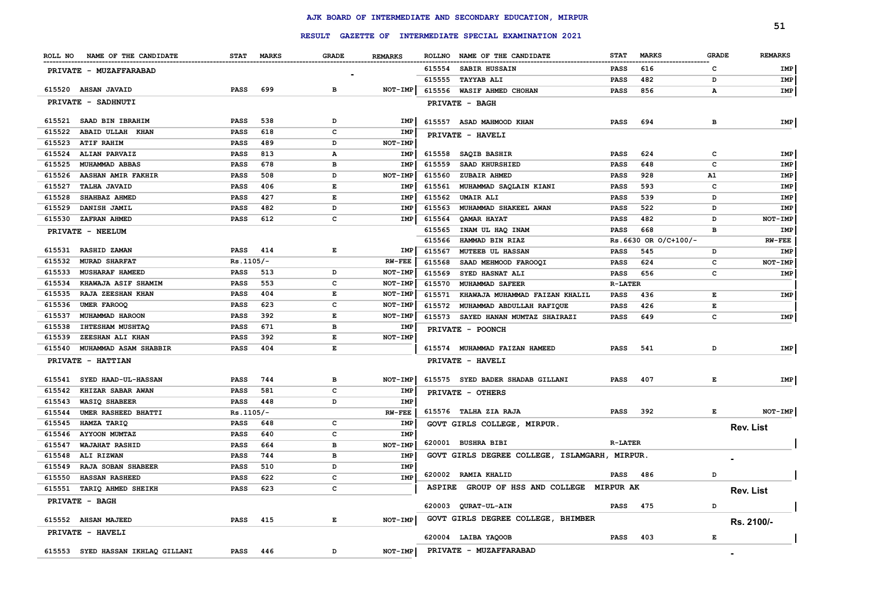|         |                                   |             |              |                                                                                                |                |               |                                                         |                |                      |              | 51               |
|---------|-----------------------------------|-------------|--------------|------------------------------------------------------------------------------------------------|----------------|---------------|---------------------------------------------------------|----------------|----------------------|--------------|------------------|
|         |                                   |             |              |                                                                                                |                |               | RESULT GAZETTE OF INTERMEDIATE SPECIAL EXAMINATION 2021 |                |                      |              |                  |
| ROLL NO | NAME OF THE CANDIDATE             | <b>STAT</b> | <b>MARKS</b> | <b>GRADE</b>                                                                                   | <b>REMARKS</b> |               | ROLLNO NAME OF THE CANDIDATE                            | <b>STAT</b>    | <b>MARKS</b>         | <b>GRADE</b> | <b>REMARKS</b>   |
|         | PRIVATE - MUZAFFARABAD            |             |              |                                                                                                |                | 615554        | <b>SABIR HUSSAIN</b>                                    | PASS           | 616                  | c            | IMP              |
|         |                                   |             |              |                                                                                                |                | 615555        | <b>TAYYAB ALI</b>                                       | <b>PASS</b>    | 482                  | D            | IMP              |
|         | 615520 AHSAN JAVAID               | <b>PASS</b> | 699          | в                                                                                              | NOT-IMP        | 615556        | WASIF AHMED CHOHAN                                      | <b>PASS</b>    | 856                  | A            | IMP              |
|         | PRIVATE - SADHNUTI                |             |              |                                                                                                |                |               | PRIVATE - BAGH                                          |                |                      |              |                  |
| 615521  | SAAD BIN IBRAHIM                  | PASS        | 538          | D                                                                                              | IMP            |               | 615557 ASAD MAHMOOD KHAN                                | <b>PASS</b>    | 694                  | в            | IMP              |
| 615522  | <b>ABAID ULLAH KHAN</b>           | <b>PASS</b> | 618          | c                                                                                              | IMP            |               | PRIVATE - HAVELI                                        |                |                      |              |                  |
| 615523  | <b>ATIF RAHIM</b>                 | <b>PASS</b> | 489          | D                                                                                              | <b>NOT-IMP</b> |               |                                                         |                |                      |              |                  |
| 615524  | <b>ALIAN PARVAIZ</b>              | PASS        | 813          | А                                                                                              | IMP            | 615558        | SAQIB BASHIR                                            | PASS           | 624                  | c            | IMP              |
| 615525  | MUHAMMAD ABBAS                    | PASS        | 678          | B                                                                                              | IMP            | 615559        | SAAD KHURSHIED                                          | PASS           | 648                  | C            | <b>IMP</b>       |
| 615526  | AASHAN AMIR FAKHIR                | <b>PASS</b> | 508          | D                                                                                              | NOT-IMP        | 615560        | ZUBAIR AHMED                                            | <b>PASS</b>    | 928                  | A1           | IMP              |
| 615527  | <b>TALHA JAVAID</b>               | <b>PASS</b> | 406          | E                                                                                              | IMP            | 615561        | MUHAMMAD SAQLAIN KIANI                                  | <b>PASS</b>    | 593                  | c            | IMP              |
| 615528  | SHAHBAZ AHMED                     | <b>PASS</b> | 427          | E                                                                                              | <b>IMP</b>     | 615562        | <b>UMAIR ALI</b>                                        | PASS           | 539                  | D            | IMP              |
| 615529  | DANISH JAMIL                      | <b>PASS</b> | 482          | D                                                                                              | IMP            | 615563        | MUHAMMAD SHAKEEL AWAN                                   | <b>PASS</b>    | 522                  | D            | <b>IMP</b>       |
| 615530  | ZAFRAN AHMED                      | <b>PASS</b> | 612          | c                                                                                              | IMP            | 615564        | QAMAR HAYAT                                             | <b>PASS</b>    | 482                  | D            | NOT-IMP          |
|         | PRIVATE - NEELUM                  |             |              |                                                                                                |                | 615565        | INAM UL HAQ INAM                                        | PASS           | 668                  | B            | IMP              |
|         |                                   |             |              |                                                                                                |                | 615566        | HAMMAD BIN RIAZ                                         |                | Rs.6630 OR O/C+100/- |              | $RW-FEE$         |
| 615531  | <b>RASHID ZAMAN</b>               | <b>PASS</b> | 414          | E                                                                                              | IMP            | 615567        | <b>MUTEEB UL HASSAN</b>                                 | <b>PASS</b>    | 545                  | D            | IMP              |
| 615532  | <b>MURAD SHARFAT</b>              | $Rs.1105/-$ |              |                                                                                                | <b>RW-FEE</b>  | 615568        | SAAD MEHMOOD FAROOQI                                    | <b>PASS</b>    | 624                  | c            | NOT-IMP          |
| 615533  | <b>MUSHARAF HAMEED</b>            | <b>PASS</b> | 513          | D                                                                                              | NOT-IMP        | 615569        | SYED HASNAT ALI                                         | <b>PASS</b>    | 656                  | c            | IMP              |
| 615534  | <b>KHAWAJA ASIF SHAMIM</b>        | <b>PASS</b> | 553          | с                                                                                              | NOT-IMP        | 615570        | MUHAMMAD SAFEER                                         | <b>R-LATER</b> |                      |              |                  |
| 615535  | RAJA ZEESHAN KHAN                 | <b>PASS</b> | 404          | $\mathbf{E}% _{t}\left  \mathbf{1}\right\rangle =\mathbf{1}_{t}\left  \mathbf{1}\right\rangle$ | NOT-IMP        | 615571        | KHAWAJA MUHAMMAD FAIZAN KHALIL                          | <b>PASS</b>    | 436                  | E            | IMP              |
| 615536  | <b>UMER FAROOQ</b>                | <b>PASS</b> | 623          | c                                                                                              | NOT-IMP        | 615572        | MUHAMMAD ABDULLAH RAFIQUE                               | PASS           | 426                  | E            |                  |
| 615537  | MUHAMMAD HAROON                   | <b>PASS</b> | 392          | E                                                                                              | NOT-IMP        | 615573        | SAYED HANAN MUMTAZ SHAIRAZI                             | PASS           | 649                  | C            | IMP              |
| 615538  | IHTESHAM MUSHTAQ                  | PASS        | 671          | в                                                                                              | IMP            |               | PRIVATE - POONCH                                        |                |                      |              |                  |
| 615539  | ZEESHAN ALI KHAN                  | PASS        | 392          | E                                                                                              | NOT-IMP        |               |                                                         |                |                      |              |                  |
| 615540  | MUHAMMAD ASAM SHABBIR             | <b>PASS</b> | 404          | E                                                                                              |                |               | 615574 MUHAMMAD FAIZAN HAMEED                           | <b>PASS</b>    | 541                  | D            | IMP              |
|         | PRIVATE - HATTIAN                 |             |              |                                                                                                |                |               | PRIVATE - HAVELI                                        |                |                      |              |                  |
| 615541  | SYED HAAD-UL-HASSAN               | <b>PASS</b> | 744          | в                                                                                              | NOT-IMP        |               | 615575 SYED BADER SHADAB GILLANI                        | <b>PASS</b>    | 407                  | Е            | IMP              |
| 615542  | KHIZAR SABAR AWAN                 | <b>PASS</b> | 581          | c                                                                                              | IMP            |               | PRIVATE - OTHERS                                        |                |                      |              |                  |
| 615543  | <b>WASIQ SHABEER</b>              | <b>PASS</b> | 448          | D                                                                                              | IMP            |               |                                                         |                |                      |              |                  |
| 615544  | UMER RASHEED BHATTI               | $Rs.1105/-$ |              |                                                                                                | $RW-FEE$       |               | 615576 TALHA ZIA RAJA                                   | <b>PASS</b>    | 392                  | Е            | NOT-IMP          |
| 615545  | HAMZA TARIQ                       | <b>PASS</b> | 648          | с                                                                                              | IMP            |               | GOVT GIRLS COLLEGE, MIRPUR.                             |                |                      |              | <b>Rev. List</b> |
| 615546  | <b>AYYOON MUMTAZ</b>              | <b>PASS</b> | 640          | c                                                                                              | IMP            |               |                                                         |                |                      |              |                  |
| 615547  | WAJAHAT RASHID                    | <b>PASS</b> | 664          | в                                                                                              | NOT-IMP        |               | 620001 BUSHRA BIBI                                      | <b>R-LATER</b> |                      |              |                  |
| 615548  | ALI RIZWAN                        | <b>PASS</b> | 744          | в                                                                                              | IMP            |               | GOVT GIRLS DEGREE COLLEGE, ISLAMGARH, MIRPUR.           |                |                      |              |                  |
| 615549  | RAJA SOBAN SHABEER                | <b>PASS</b> | 510          | D                                                                                              | IMP            |               |                                                         |                |                      |              |                  |
| 615550  | HASSAN RASHEED                    | <b>PASS</b> | 622          | с                                                                                              | IMP            |               | 620002 RAMIA KHALID                                     | PASS           | 486                  | D            |                  |
| 615551  | TARIQ AHMED SHEIKH                | <b>PASS</b> | 623          | с                                                                                              |                | <b>ASPIRE</b> | GROUP OF HSS AND COLLEGE MIRPUR AK                      |                |                      |              | Rev. List        |
|         | PRIVATE - BAGH                    |             |              |                                                                                                |                | 620003        | QURAT-UL-AIN                                            | <b>PASS</b>    | 475                  | D            |                  |
|         | 615552 AHSAN MAJEED               | <b>PASS</b> | 415          | E                                                                                              | NOT-IMP        |               | GOVT GIRLS DEGREE COLLEGE, BHIMBER                      |                |                      |              | Rs. 2100/-       |
|         | PRIVATE - HAVELI                  |             |              |                                                                                                |                |               | 620004 LAIBA YAQOOB                                     | <b>PASS</b>    | 403                  | Е            |                  |
|         |                                   |             |              |                                                                                                |                |               |                                                         |                |                      |              |                  |
|         | 615553 SYED HASSAN IKHLAQ GILLANI | <b>PASS</b> | 446          | D                                                                                              | NOT-IMP        |               | PRIVATE - MUZAFFARABAD                                  |                |                      |              |                  |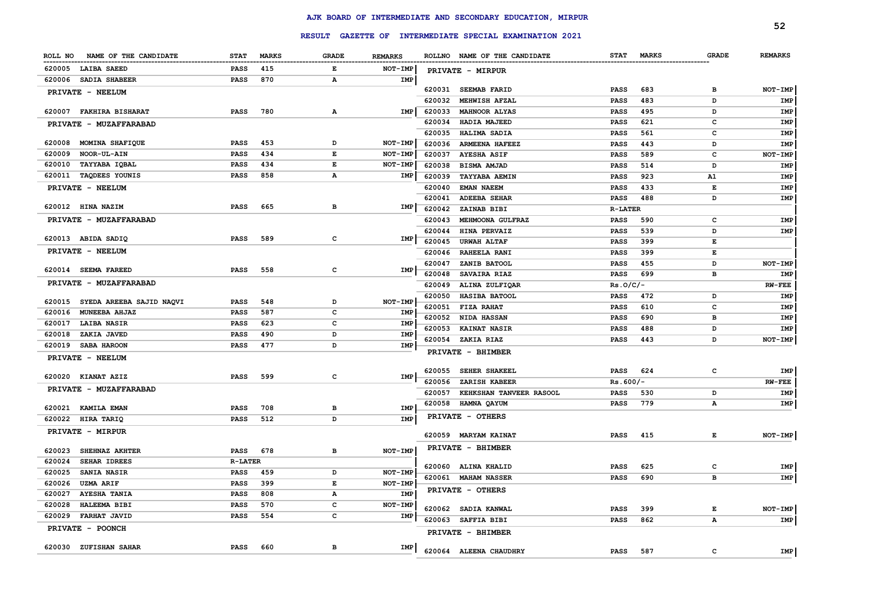|                                  |                |              |              |                |                  |                                                         |                            |              |              | 52              |
|----------------------------------|----------------|--------------|--------------|----------------|------------------|---------------------------------------------------------|----------------------------|--------------|--------------|-----------------|
|                                  |                |              |              |                |                  | RESULT GAZETTE OF INTERMEDIATE SPECIAL EXAMINATION 2021 |                            |              |              |                 |
| NAME OF THE CANDIDATE<br>ROLL NO | <b>STAT</b>    | <b>MARKS</b> | <b>GRADE</b> | <b>REMARKS</b> |                  | ROLLNO NAME OF THE CANDIDATE                            | <b>STAT</b>                | <b>MARKS</b> | <b>GRADE</b> | <b>REMARKS</b>  |
| 620005<br><b>LAIBA SAEED</b>     | <b>PASS</b>    | 415          | Е            | NOT-IMP        |                  | PRIVATE - MIRPUR                                        |                            |              |              |                 |
| 620006<br><b>SADIA SHABEER</b>   | PASS           | 870          | Α            | IMP            |                  |                                                         |                            |              |              |                 |
| PRIVATE - NEELUM                 |                |              |              |                |                  | 620031 SEEMAB FARID                                     | <b>PASS</b>                | 683          | в            | NOT-IMP         |
|                                  |                |              |              |                | 620032           | MEHWISH AFZAL                                           | <b>PASS</b>                | 483          | D            | IMP             |
| 620007 FAKHIRA BISHARAT          | <b>PASS</b>    | 780          | Α            | <b>IMP</b>     | 620033           | <b>MAHNOOR ALYAS</b>                                    | PASS                       | 495          | D            | IMP             |
| PRIVATE - MUZAFFARABAD           |                |              |              |                | 620034           | HADIA MAJEED                                            | <b>PASS</b>                | 621          | c            | IMP             |
|                                  |                |              |              |                | 620035           | HALIMA SADIA                                            | PASS                       | 561          | c            | IMP             |
| MOMINA SHAFIQUE<br>620008        | <b>PASS</b>    | 453          | D            | NOT-IMP        | 620036           | <b>ARMEENA HAFEEZ</b>                                   | PASS                       | 443          | D            | IMP             |
| 620009<br>NOOR-UL-AIN            | <b>PASS</b>    | 434          | E            | NOT-IMP        | 620037           | <b>AYESHA ASIF</b>                                      | <b>PASS</b>                | 589          | c            | NOT-IMP         |
| 620010<br>TAYYABA IQBAL          | <b>PASS</b>    | 434          | E            | NOT-IMP        | 620038           | BISMA AMJAD                                             | <b>PASS</b>                | 514          | D            | IMP             |
| 620011 TAQDEES YOUNIS            | <b>PASS</b>    | 858          | Α            | IMP            | 620039           | <b>TAYYABA AEMIN</b>                                    | <b>PASS</b>                | 923          | A1           | IMP             |
| PRIVATE - NEELUM                 |                |              |              |                | 620040           | <b>EMAN NAEEM</b>                                       | <b>PASS</b>                | 433          | Е            | IMP             |
| 620012 HINA NAZIM                | <b>PASS</b>    | 665          | в            | IMP            | 620041           | <b>ADEEBA SEHAR</b>                                     | <b>PASS</b>                | 488          | D            | IMP             |
|                                  |                |              |              |                | 620042           | ZAINAB BIBI                                             | <b>R-LATER</b>             |              |              |                 |
| PRIVATE - MUZAFFARABAD           |                |              |              |                | 620043           | MEHMOONA GULFRAZ                                        | PASS                       | 590          | $\mathbf{C}$ | IMP             |
| 620013 ABIDA SADIQ               | PASS           | 589          | c            | IMP            | 620044           | HINA PERVAIZ                                            | <b>PASS</b>                | 539          | D            | IMP             |
| PRIVATE - NEELUM                 |                |              |              |                | 620045           | <b>URWAH ALTAF</b>                                      | PASS                       | 399          | E            |                 |
|                                  |                |              |              |                | 620046           | <b>RAHEELA RANI</b>                                     | <b>PASS</b>                | 399          | Е            |                 |
| 620014 SEEMA FAREED              | <b>PASS</b>    | 558          | c            | <b>IMP</b>     | 620047<br>620048 | ZANIB BATOOL                                            | <b>PASS</b>                | 455          | D            | NOT-IMP         |
| PRIVATE - MUZAFFARABAD           |                |              |              |                | 620049           | SAVAIRA RIAZ<br>ALINA ZULFIQAR                          | <b>PASS</b><br>$Rs.0/C/-$  | 699          | в            | IMP<br>$RW-FEE$ |
|                                  |                |              |              |                | 620050           | HASIBA BATOOL                                           | <b>PASS</b>                | 472          | D            | IMP             |
| 620015 SYEDA AREEBA SAJID NAQVI  | <b>PASS</b>    | 548          | D            | NOT-IMP        | 620051           | <b>FIZA RAHAT</b>                                       | <b>PASS</b>                | 610          | c            | <b>IMP</b>      |
| MUNEEBA AHJAZ<br>620016          | <b>PASS</b>    | 587          | $\mathbf c$  | <b>IMP</b>     | 620052           | NIDA HASSAN                                             | <b>PASS</b>                | 690          | в            | IMP             |
| <b>LAIBA NASIR</b><br>620017     | <b>PASS</b>    | 623          | $\mathbf c$  | IMP            | 620053           | <b>KAINAT NASIR</b>                                     | <b>PASS</b>                | 488          | D            | IMP             |
| 620018<br>ZAKIA JAVED            | <b>PASS</b>    | 490          | D            | IMP            | 620054           | ZAKIA RIAZ                                              | <b>PASS</b>                | 443          | D            | NOT-IMP         |
| 620019<br><b>SABA HAROON</b>     | PASS           | 477          | D            | IMP            |                  |                                                         |                            |              |              |                 |
| PRIVATE - NEELUM                 |                |              |              |                |                  | PRIVATE - BHIMBER                                       |                            |              |              |                 |
|                                  |                |              |              |                | 620055           | <b>SEHER SHAKEEL</b>                                    | <b>PASS</b>                | 624          | c            | IMP             |
| 620020 KIANAT AZIZ               | <b>PASS</b>    | 599          | c            | IMP            | 620056           | ZARISH KABEER                                           | $Rs.600/-$                 |              |              | $RW-FEE$        |
| PRIVATE - MUZAFFARABAD           |                |              |              |                | 620057           | KEHKSHAN TANVEER RASOOL                                 | <b>PASS</b>                | 530          | D            | IMP             |
| 620021<br><b>KAMILA EMAN</b>     | <b>PASS</b>    | 708          | в            | <b>IMP</b>     | 620058           | HAMNA QAYUM                                             | <b>PASS</b>                | 779          | Α            | IMP             |
| 620022<br>HIRA TARIQ             | <b>PASS</b>    | 512          | D            | <b>IMP</b>     |                  | PRIVATE - OTHERS                                        |                            |              |              |                 |
| PRIVATE - MIRPUR                 |                |              |              |                |                  |                                                         |                            |              |              |                 |
|                                  |                |              |              |                | 620059           | <b>MARYAM KAINAT</b>                                    | <b>PASS</b>                | 415          | Е            | NOT-IMP         |
| 620023<br>SHEHNAZ AKHTER         | PASS           | 678          | в            | NOT-IMP        |                  | PRIVATE - BHIMBER                                       |                            |              |              |                 |
| 620024<br><b>SEHAR IDREES</b>    | <b>R-LATER</b> |              |              |                |                  |                                                         |                            | 625          |              |                 |
| 620025<br><b>SANIA NASIR</b>     | PASS           | 459          | D            | <b>NOT-IMP</b> |                  | 620060 ALINA KHALID                                     | <b>PASS</b><br><b>PASS</b> | 690          | с<br>в       | IMP             |
| 620026<br><b>UZMA ARIF</b>       | <b>PASS</b>    | 399          | Е            | NOT-IMP        |                  | 620061 MAHAM NASSER                                     |                            |              |              | IMP             |
| 620027<br><b>AYESHA TANIA</b>    | <b>PASS</b>    | 808          | Α            | IMP            |                  | PRIVATE - OTHERS                                        |                            |              |              |                 |
| 620028<br><b>HALEEMA BIBI</b>    | <b>PASS</b>    | 570          | c            | NOT-IMP        | 620062           | <b>SADIA KANWAL</b>                                     | <b>PASS</b>                | 399          | E            | NOT-IMP         |
| 620029<br><b>FARHAT JAVID</b>    | PASS           | 554          | $\mathbf c$  | IMP            | 620063           | <b>SAFFIA BIBI</b>                                      | <b>PASS</b>                | 862          | А            | IMP             |
| <b>PRIVATE - POONCH</b>          |                |              |              |                |                  | PRIVATE - BHIMBER                                       |                            |              |              |                 |
| 620030 ZUFISHAN SAHAR            | <b>PASS</b>    | 660          | в            | IMP            |                  |                                                         |                            |              |              |                 |
|                                  |                |              |              |                |                  | 620064 ALEENA CHAUDHRY                                  | <b>PASS</b>                | 587          | c            | IMP             |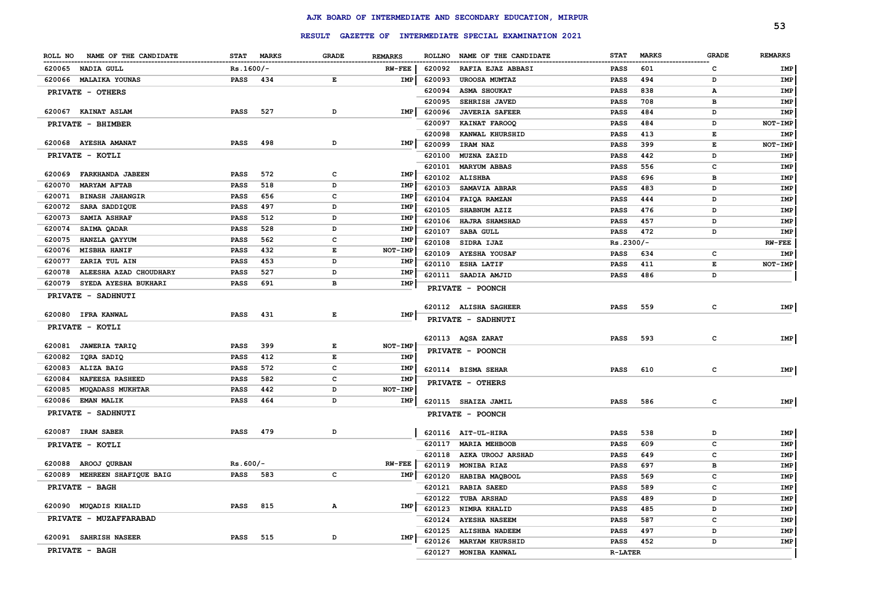|                                   |             |              |                                                                                                |                |                  |                                                         |                          |              |              | 53              |
|-----------------------------------|-------------|--------------|------------------------------------------------------------------------------------------------|----------------|------------------|---------------------------------------------------------|--------------------------|--------------|--------------|-----------------|
|                                   |             |              |                                                                                                |                |                  | RESULT GAZETTE OF INTERMEDIATE SPECIAL EXAMINATION 2021 |                          |              |              |                 |
| NAME OF THE CANDIDATE<br>ROLL NO  | <b>STAT</b> | <b>MARKS</b> | <b>GRADE</b>                                                                                   | <b>REMARKS</b> | <b>ROLLNO</b>    | NAME OF THE CANDIDATE                                   | <b>STAT</b>              | <b>MARKS</b> | <b>GRADE</b> | <b>REMARKS</b>  |
| 620065 NADIA GULL                 | $Rs.1600/-$ |              |                                                                                                | <b>RW-FEE</b>  | 620092           | <b>RAFIA EJAZ ABBASI</b>                                | PASS                     | 601          | с            | IMP             |
| 620066 MALAIKA YOUNAS             | PASS        | 434          | Е                                                                                              | IMP            | 620093           | UROOSA MUMTAZ                                           | <b>PASS</b>              | 494          | D            | IMP             |
| PRIVATE - OTHERS                  |             |              |                                                                                                |                | 620094           | <b>ASMA SHOUKAT</b>                                     | <b>PASS</b>              | 838          | А            | IMP             |
|                                   |             |              |                                                                                                |                | 620095           | SEHRISH JAVED                                           | <b>PASS</b>              | 708          | в            | IMP             |
| 620067 KAINAT ASLAM               | <b>PASS</b> | 527          | D                                                                                              | IMP            | 620096           | <b>JAVERIA SAFEER</b>                                   | PASS                     | 484          | D            | IMP             |
| PRIVATE - BHIMBER                 |             |              |                                                                                                |                | 620097           | KAINAT FAROOQ                                           | <b>PASS</b>              | 484          | D            | NOT-IMP         |
| 620068 AYESHA AMANAT              | <b>PASS</b> | 498          | D                                                                                              | IMP            | 620098           | KANWAL KHURSHID                                         | <b>PASS</b>              | 413          | Е            | IMP             |
|                                   |             |              |                                                                                                |                | 620099           | IRAM NAZ                                                | <b>PASS</b>              | 399          | E            | NOT-IMP         |
| PRIVATE - KOTLI                   |             |              |                                                                                                |                | 620100           | MUZNA ZAZID                                             | <b>PASS</b>              | 442          | D            | IMP             |
| FARKHANDA JABEEN<br>620069        | <b>PASS</b> | 572          | $\mathbf c$                                                                                    | IMP            | 620101           | <b>MARYUM ABBAS</b>                                     | <b>PASS</b>              | 556          | c            | IMP             |
| 620070<br><b>MARYAM AFTAB</b>     | <b>PASS</b> | 518          | D                                                                                              | <b>IMP</b>     | 620102           | <b>ALISHBA</b>                                          | <b>PASS</b>              | 696          | в            | IMP             |
| 620071<br><b>BINASH JAHANGIR</b>  | <b>PASS</b> | 656          | c                                                                                              | IMP            | 620103           | SAMAVIA ABRAR                                           | <b>PASS</b>              | 483          | D            | IMP             |
| 620072<br>SARA SADDIQUE           | <b>PASS</b> | 497          | D                                                                                              | <b>IMP</b>     | 620104           | FAIQA RAMZAN                                            | PASS                     | 444          | D            | IMP             |
| 620073<br>SAMIA ASHRAF            | PASS        | 512          | D                                                                                              | IMP            | 620105           | SHABNUM AZIZ                                            | <b>PASS</b>              | 476          | D            | IMP             |
| 620074<br><b>SAIMA QADAR</b>      | <b>PASS</b> | 528          | D                                                                                              | <b>IMP</b>     | 620106           | HAJRA SHAMSHAD                                          | <b>PASS</b>              | 457          | D            | IMP             |
| 620075<br>HANZLA QAYYUM           | <b>PASS</b> | 562          | c                                                                                              | IMP            | 620107<br>620108 | <b>SABA GULL</b><br>SIDRA IJAZ                          | <b>PASS</b><br>Rs.2300/- | 472          | D            | IMP<br>$RW-FEE$ |
| 620076<br><b>MISBHA HANIF</b>     | <b>PASS</b> | 432          | Е                                                                                              | NOT-IMP        | 620109           | <b>AYESHA YOUSAF</b>                                    | <b>PASS</b>              | 634          | c            | IMP             |
| 620077<br>ZARIA TUL AIN           | PASS        | 453          | D                                                                                              | <b>IMP</b>     | 620110           | <b>ESHA LATIF</b>                                       | <b>PASS</b>              | 411          | E            | NOT-IMP         |
| 620078<br>ALEESHA AZAD CHOUDHARY  | <b>PASS</b> | 527          | D                                                                                              | <b>IMP</b>     |                  | 620111 SAADIA AMJID                                     | <b>PASS</b>              | 486          | D            |                 |
| 620079<br>SYEDA AYESHA BUKHARI    | PASS        | 691          | в                                                                                              | IMP            |                  | PRIVATE - POONCH                                        |                          |              |              |                 |
| PRIVATE - SADHNUTI                |             |              |                                                                                                |                |                  |                                                         |                          |              |              |                 |
|                                   |             |              |                                                                                                |                |                  | 620112 ALISHA SAGHEER                                   | <b>PASS</b>              | 559          | c            | IMP             |
| 620080 IFRA KANWAL                | PASS        | 431          | E                                                                                              | IMP            |                  | PRIVATE - SADHNUTI                                      |                          |              |              |                 |
| PRIVATE - KOTLI                   |             |              |                                                                                                |                |                  |                                                         |                          |              |              |                 |
|                                   |             |              |                                                                                                |                |                  | 620113 AQSA ZARAT                                       | PASS                     | 593          | c            | IMP             |
| 620081<br><b>JAWERIA TARIQ</b>    | <b>PASS</b> | 399          | Е                                                                                              | NOT-IMP        |                  | PRIVATE - POONCH                                        |                          |              |              |                 |
| 620082<br>IQRA SADIQ              | <b>PASS</b> | 412          | $\mathbf{E}% _{t}\left  \mathbf{1}\right\rangle =\mathbf{1}_{t}\left  \mathbf{1}\right\rangle$ | IMP            |                  |                                                         |                          |              |              |                 |
| 620083<br>ALIZA BAIG              | <b>PASS</b> | 572          | c                                                                                              | <b>IMP</b>     |                  | 620114 BISMA SEHAR                                      | <b>PASS</b>              | 610          | c            | IMP             |
| 620084<br><b>NAFEESA RASHEED</b>  | <b>PASS</b> | 582          | $\mathbf c$                                                                                    | IMP            |                  | PRIVATE - OTHERS                                        |                          |              |              |                 |
| <b>MUQADASS MUKHTAR</b><br>620085 | <b>PASS</b> | 442          | D                                                                                              | NOT-IMP        |                  |                                                         |                          |              |              |                 |
| 620086 EMAN MALIK                 | <b>PASS</b> | 464          | D                                                                                              | IMP            |                  | 620115 SHAIZA JAMIL                                     | <b>PASS</b>              | 586          | c            | IMP             |
| PRIVATE - SADHNUTI                |             |              |                                                                                                |                |                  | PRIVATE - POONCH                                        |                          |              |              |                 |
| 620087 IRAM SABER                 | <b>PASS</b> | 479          | D                                                                                              |                |                  | 620116 AIT-UL-HIRA                                      | PASS                     | 538          | D            | IMP             |
| PRIVATE - KOTLI                   |             |              |                                                                                                |                | 620117           | <b>MARIA MEHBOOB</b>                                    | PASS                     | 609          | c            | IMP             |
|                                   |             |              |                                                                                                |                | 620118           | AZKA UROOJ ARSHAD                                       | <b>PASS</b>              | 649          | c            | IMP             |
| 620088<br>AROOJ QURBAN            | $Rs.600/-$  |              |                                                                                                | $RW-FEE$       | 620119           | MONIBA RIAZ                                             | <b>PASS</b>              | 697          | в            | IMP             |
| MEHREEN SHAFIQUE BAIG<br>620089   | PASS        | 583          | c                                                                                              | IMP            | 620120           | HABIBA MAQBOOL                                          | <b>PASS</b>              | 569          | c            | IMP             |
| PRIVATE - BAGH                    |             |              |                                                                                                |                | 620121           | <b>RABIA SAEED</b>                                      | <b>PASS</b>              | 589          | c            | IMP             |
|                                   |             |              |                                                                                                |                | 620122           | <b>TUBA ARSHAD</b>                                      | <b>PASS</b>              | 489          | D            | IMP             |
| <b>MUQADIS KHALID</b><br>620090   | <b>PASS</b> | 815          | Α                                                                                              | IMP            | 620123           | NIMRA KHALID                                            | <b>PASS</b>              | 485          | D            | IMP             |
| PRIVATE - MUZAFFARABAD            |             |              |                                                                                                |                | 620124           | <b>AYESHA NASEEM</b>                                    | <b>PASS</b>              | 587          | c            | IMP             |
|                                   |             |              |                                                                                                |                | 620125           | <b>ALISHBA NADEEM</b>                                   | <b>PASS</b>              | 497          | D            | IMP             |
| 620091 SAHRISH NASEER             | <b>PASS</b> | 515          | D                                                                                              | IMP            | 620126           | <b>MARYAM KHURSHID</b>                                  | <b>PASS</b>              | 452          | D            | <b>IMP</b>      |
| PRIVATE - BAGH                    |             |              |                                                                                                |                | 620127           | MONIBA KANWAL                                           | <b>R-LATER</b>           |              |              |                 |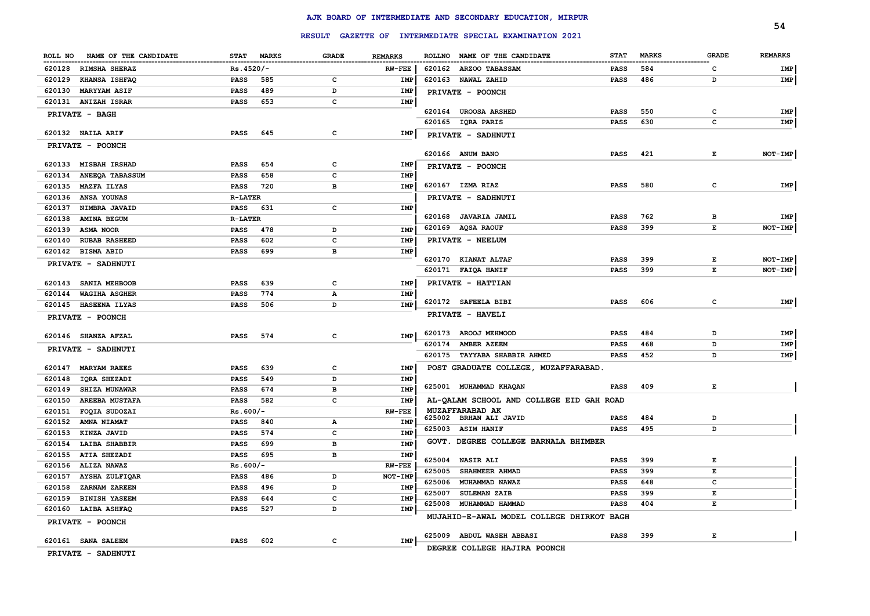|                                  |                             |              |                | RESULT GAZETTE OF INTERMEDIATE SPECIAL EXAMINATION 2021 |             |              |              | 54             |
|----------------------------------|-----------------------------|--------------|----------------|---------------------------------------------------------|-------------|--------------|--------------|----------------|
|                                  |                             |              |                |                                                         |             |              |              |                |
| NAME OF THE CANDIDATE<br>ROLL NO | <b>STAT</b><br><b>MARKS</b> | <b>GRADE</b> | <b>REMARKS</b> | ROLLNO NAME OF THE CANDIDATE                            | <b>STAT</b> | <b>MARKS</b> | <b>GRADE</b> | <b>REMARKS</b> |
| 620128 RIMSHA SHERAZ             | $Rs.4520/-$                 |              | <b>RW-FEE</b>  | 620162 ARZOO TABASSAM                                   | PASS        | 584          | C            | IMP            |
| 620129<br><b>KHANSA ISHFAQ</b>   | PASS<br>585                 | c            | IMP            | 620163 NAWAL ZAHID                                      | <b>PASS</b> | 486          | D            | IMP            |
| 620130<br><b>MARYYAM ASIF</b>    | <b>PASS</b><br>489          | D            | IMP            | PRIVATE - POONCH                                        |             |              |              |                |
| 620131 ANIZAH ISRAR              | <b>PASS</b><br>653          | $\mathbf{C}$ | IMP            |                                                         |             |              |              |                |
| PRIVATE - BAGH                   |                             |              |                | 620164 UROOSA ARSHED                                    | <b>PASS</b> | 550          | c            | IMP            |
|                                  |                             |              |                | 620165 IQRA PARIS                                       | <b>PASS</b> | 630          | c            | IMP            |
| 620132 NAILA ARIF                | 645<br><b>PASS</b>          | $\mathbf c$  | IMP            | PRIVATE - SADHNUTI                                      |             |              |              |                |
| PRIVATE - POONCH                 |                             |              |                | 620166 ANUM BANO                                        | <b>PASS</b> | 421          | Е            | NOT-IMP        |
| 620133 MISBAH IRSHAD             | 654<br><b>PASS</b>          | c            | IMP            | PRIVATE - POONCH                                        |             |              |              |                |
| 620134<br><b>ANEEQA TABASSUM</b> | <b>PASS</b><br>658          | $\mathbf{C}$ | <b>IMP</b>     |                                                         |             |              |              |                |
| 620135<br><b>MAZFA ILYAS</b>     | 720<br>PASS                 | в            | <b>IMP</b>     | 620167 IZMA RIAZ                                        | <b>PASS</b> | 580          | $\mathbf c$  | IMP            |
| 620136<br>ANSA YOUNAS            | <b>R-LATER</b>              |              |                | PRIVATE - SADHNUTI                                      |             |              |              |                |
| 620137<br>NIMBRA JAVAID          | PASS<br>631                 | c            | IMP            |                                                         |             |              |              |                |
| 620138<br>AMINA BEGUM            | <b>R-LATER</b>              |              |                | 620168 JAVARIA JAMIL                                    | PASS        | 762          | в            | IMP            |
| 620139<br><b>ASMA NOOR</b>       | 478<br><b>PASS</b>          | D            | IMP            | 620169 AQSA RAOUF                                       | <b>PASS</b> | 399          | $\mathbf E$  | $NOT-IMP$      |
| 620140<br><b>RUBAB RASHEED</b>   | <b>PASS</b><br>602          | $\mathbf{C}$ | <b>IMP</b>     | PRIVATE - NEELUM                                        |             |              |              |                |
| 620142 BISMA ABID                | <b>PASS</b><br>699          | в            | IMP            |                                                         |             |              |              |                |
| PRIVATE - SADHNUTI               |                             |              |                | 620170 KIANAT ALTAF                                     | <b>PASS</b> | 399          | Е            | NOT-IMP        |
|                                  |                             |              |                | 620171 FAIQA HANIF                                      | <b>PASS</b> | 399          | E            | NOT-IMP        |
| 620143 SANIA MEHBOOB             | 639<br><b>PASS</b>          | $\mathbf c$  | IMP            | PRIVATE - HATTIAN                                       |             |              |              |                |
| 620144<br><b>WAGIHA ASGHER</b>   | 774<br><b>PASS</b>          | Α            | IMP            |                                                         |             |              |              |                |
| 620145<br><b>HASEENA ILYAS</b>   | <b>PASS</b><br>506          | D            | IMP            | 620172 SAFEELA BIBI                                     | <b>PASS</b> | 606          | c            | IMP            |
| PRIVATE - POONCH                 |                             |              |                | PRIVATE - HAVELI                                        |             |              |              |                |
|                                  |                             |              | IMP            | 620173 AROOJ MEHMOOD                                    | PASS        | 484          | D            | IMP            |
| 620146 SHANZA AFZAL              | <b>PASS</b><br>574          | c            |                | 620174<br>AMBER AZEEM                                   | <b>PASS</b> | 468          | D            | IMP            |
| PRIVATE - SADHNUTI               |                             |              |                | 620175<br>TAYYABA SHABBIR AHMED                         | <b>PASS</b> | 452          | D            | IMP            |
| 620147 MARYAM RAEES              | 639<br><b>PASS</b>          | $\mathbf{C}$ | IMP            | POST GRADUATE COLLEGE, MUZAFFARABAD.                    |             |              |              |                |
| 620148<br><b>IORA SHEZADI</b>    | <b>PASS</b><br>549          | D            | <b>IMP</b>     |                                                         |             |              |              |                |
| <b>SHIZA MUNAWAR</b><br>620149   | <b>PASS</b><br>674          | в            | <b>IMP</b>     | 625001 MUHAMMAD KHAQAN                                  | <b>PASS</b> | 409          | Е            |                |
| 620150<br><b>AREEBA MUSTAFA</b>  | 582<br><b>PASS</b>          | $\mathbf{C}$ | <b>IMP</b>     | AL-QALAM SCHOOL AND COLLEGE EID GAH ROAD                |             |              |              |                |
| 620151<br>FOQIA SUDOZAI          | $Rs.600/-$                  |              | <b>RW-FEE</b>  | MUZAFFARABAD AK                                         |             |              |              |                |
| 620152<br>AMNA NIAMAT            | <b>PASS</b><br>840          | Α            | <b>IMP</b>     | 625002 BRHAN ALI JAVID                                  | <b>PASS</b> | 484          | D            |                |
| 620153<br>KINZA JAVID            | <b>PASS</b><br>574          | $\mathbf{C}$ | <b>IMP</b>     | 625003 ASIM HANIF                                       | <b>PASS</b> | 495          | D            |                |
| LAIBA SHABBIR<br>620154          | <b>PASS</b><br>699          | в            | IMP            | GOVT. DEGREE COLLEGE BARNALA BHIMBER                    |             |              |              |                |
| 620155<br><b>ATIA SHEZADI</b>    | <b>PASS</b><br>695          | в            | IMP            |                                                         |             |              |              |                |
| 620156<br>ALIZA NAWAZ            | $Rs.600/-$                  |              | <b>RW-FEE</b>  | 625004 NASIR ALI                                        | <b>PASS</b> | 399          | Е            |                |
| 620157<br><b>AYSHA ZULFIQAR</b>  | <b>PASS</b><br>486          | D            | NOT-IMP        | 625005<br>SHAHMEER AHMAD                                | <b>PASS</b> | 399          | $\mathbf E$  |                |
| 620158<br>ZARNAM ZAREEN          | <b>PASS</b><br>496          | D            | <b>IMP</b>     | 625006<br>MUHAMMAD NAWAZ                                | <b>PASS</b> | 648          | c            |                |
| <b>BINISH YASEEM</b><br>620159   | <b>PASS</b><br>644          | $\mathbf{C}$ | <b>IMP</b>     | <b>SULEMAN ZAIB</b><br>625007                           | <b>PASS</b> | 399          | Е            |                |
| 620160<br><b>LAIBA ASHFAQ</b>    | 527<br><b>PASS</b>          | D            | <b>IMP</b>     | 625008 MUHAMMAD HAMMAD                                  | <b>PASS</b> | 404          | $\mathbf E$  |                |
| PRIVATE - POONCH                 |                             |              |                | MUJAHID-E-AWAL MODEL COLLEGE DHIRKOT BAGH               |             |              |              |                |
|                                  |                             |              |                | ABDUL WASEH ABBASI<br>625009                            | <b>PASS</b> | 399          | Е            |                |
| 620161 SANA SALEEM               | 602<br><b>PASS</b>          | c            | IMP            |                                                         |             |              |              |                |
| PRIVATE - SADHNUTI               |                             |              |                | DEGREE COLLEGE HAJIRA POONCH                            |             |              |              |                |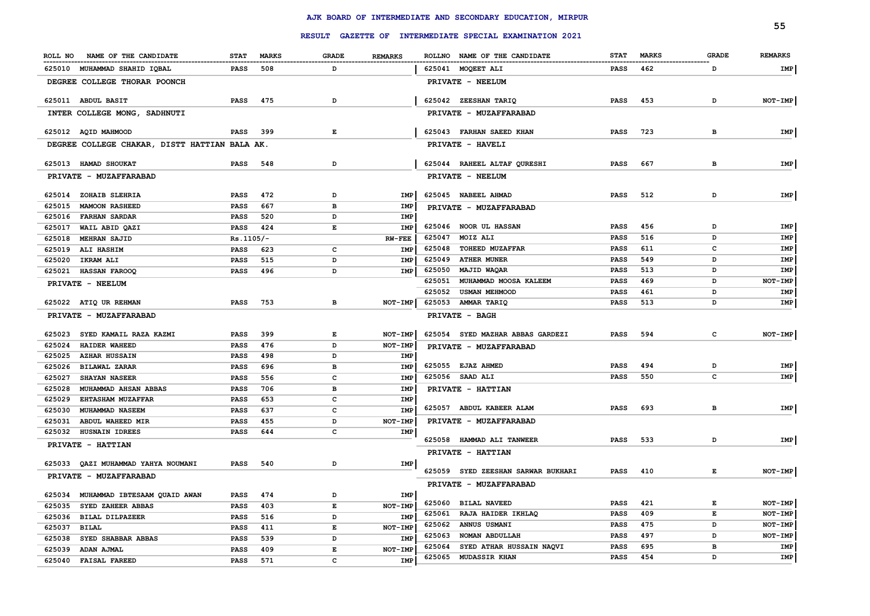|                                               |                    |              |                | RESULT GAZETTE OF INTERMEDIATE SPECIAL EXAMINATION 2021 |                 |                              | 55             |
|-----------------------------------------------|--------------------|--------------|----------------|---------------------------------------------------------|-----------------|------------------------------|----------------|
|                                               |                    |              |                |                                                         |                 |                              | <b>REMARKS</b> |
| ROLL NO NAME OF THE CANDIDATE                 | STAT MARKS         | <b>GRADE</b> | <b>REMARKS</b> | ROLLNO NAME OF THE CANDIDATE                            | <b>STAT</b>     | <b>MARKS</b><br><b>GRADE</b> |                |
| 625010 MUHAMMAD SHAHID IQBAL                  | 508<br>PASS        | D            |                | 625041 MOQEET ALI                                       | <b>PASS</b>     | 462<br>D                     | IMP            |
| DEGREE COLLEGE THORAR POONCH                  |                    |              |                | PRIVATE - NEELUM                                        |                 |                              |                |
| 625011 ABDUL BASIT                            | 475<br>PASS        | D            |                | 625042 ZEESHAN TARIQ                                    | 453<br>PASS     | D                            | NOT-IMP        |
| INTER COLLEGE MONG, SADHNUTI                  |                    |              |                | PRIVATE - MUZAFFARABAD                                  |                 |                              |                |
| 625012 AQID MAHMOOD                           | <b>PASS</b> 399    | Е            |                | 625043 FARHAN SAEED KHAN                                | 723<br>PASS     | в                            | IMP            |
| DEGREE COLLEGE CHAKAR, DISTT HATTIAN BALA AK. |                    |              |                | <b>PRIVATE - HAVELI</b>                                 |                 |                              |                |
| 625013 HAMAD SHOUKAT                          | PASS<br>548        | D            |                | 625044 RAHEEL ALTAF QURESHI                             | <b>PASS</b>     | 667<br>в                     | <b>IMP</b>     |
| PRIVATE - MUZAFFARABAD                        |                    |              |                | PRIVATE - NEELUM                                        |                 |                              |                |
| 625014 ZOHAIB SLEHRIA                         | 472<br>PASS        | D            | IMP            | 625045 NABEEL AHMAD                                     | PASS            | 512<br>D                     | IMP            |
| 625015<br><b>MAMOON RASHEED</b>               | 667<br>PASS        | в            | IMP            | PRIVATE - MUZAFFARABAD                                  |                 |                              |                |
| 625016<br><b>FARHAN SARDAR</b>                | 520<br>PASS        | D            | IMP            |                                                         |                 |                              |                |
| 625017<br>WAIL ABID QAZI                      | PASS<br>424        | Е            | IMP            | 625046 NOOR UL HASSAN                                   | <b>PASS</b>     | 456<br>D                     | IMP            |
| 625018<br><b>MEHRAN SAJID</b>                 | $Rs.1105/-$        |              | $RW-FEE$       | 625047<br>MOIZ ALI                                      | PASS            | 516<br>D                     | IMP            |
| 625019<br>ALI HASHIM                          | 623<br>PASS        | c            | IMP            | 625048<br><b>TOHEED MUZAFFAR</b>                        | PASS            | 611<br>c                     | IMP            |
| <b>IKRAM ALI</b><br>625020                    | 515<br>PASS        | D            | <b>IMP</b>     | 625049<br><b>ATHER MUNER</b>                            | PASS            | 549<br>D                     | IMP            |
| 625021 HASSAN FAROOQ                          | 496<br>PASS        | D            | IMP            | 625050<br>MAJID WAQAR                                   | PASS            | 513<br>D                     | IMP            |
| PRIVATE - NEELUM                              |                    |              |                | 625051<br>MUHAMMAD MOOSA KALEEM                         | PASS            | 469<br>D                     | NOT-IMP        |
|                                               |                    |              |                | 625052<br><b>USMAN MEHMOOD</b>                          | PASS            | D<br>461                     | IMP            |
| 625022 ATIQ UR REHMAN                         | PASS<br>753        | в            | NOT-IMP        | 625053<br>AMMAR TARIQ                                   | PASS            | 513<br>D                     | IMP            |
| PRIVATE - MUZAFFARABAD                        |                    |              |                | PRIVATE - BAGH                                          |                 |                              |                |
| 625023<br>SYED KAMAIL RAZA KAZMI              | PASS<br>399        | Е            | NOT-IMP        | 625054 SYED MAZHAR ABBAS GARDEZI                        | PASS            | 594<br>C                     | NOT-IMP        |
| 625024<br><b>HAIDER WAHEED</b>                | 476<br>PASS        | D            | NOT-IMP        | PRIVATE - MUZAFFARABAD                                  |                 |                              |                |
| 625025<br><b>AZHAR HUSSAIN</b>                | PASS<br>498        | D            | IMP            |                                                         |                 |                              |                |
| 625026<br><b>BILAWAL ZARAR</b>                | PASS<br>696        | в            | IMP            | 625055 EJAZ AHMED                                       | PASS            | 494<br>D                     | IMP            |
| 625027<br><b>SHAYAN NASEER</b>                | 556<br>PASS        | c            | IMP            | 625056 SAAD ALI                                         | PASS            | 550<br>c                     | IMP            |
| 625028<br>MUHAMMAD AHSAN ABBAS                | 706<br>PASS        | в            | IMP            | PRIVATE - HATTIAN                                       |                 |                              |                |
| 625029<br><b>EHTASHAM MUZAFFAR</b>            | 653<br>PASS        | c            | IMP            |                                                         |                 |                              |                |
| 625030<br>MUHAMMAD NASEEM                     | PASS<br>637        | c            | IMP            | 625057 ABDUL KABEER ALAM                                | PASS            | 693<br>в                     | IMP            |
| 625031<br>ABDUL WAHEED MIR                    | 455<br>PASS        | D            | NOT-IMP        | PRIVATE - MUZAFFARABAD                                  |                 |                              |                |
| 625032<br><b>HUSNAIN IDREES</b>               | PASS<br>644        | c            | IMP            |                                                         |                 |                              |                |
| PRIVATE - HATTIAN                             |                    |              |                | 625058 HAMMAD ALI TANWEER<br><b>PRIVATE - HATTIAN</b>   | <b>PASS</b>     | 533<br>D                     | IMP            |
| 625033 QAZI MUHAMMAD YAHYA NOUMANI            | 540<br>PASS        | D            | IMP            |                                                         |                 |                              |                |
| PRIVATE - MUZAFFARABAD                        |                    |              |                | 625059 SYED ZEESHAN SARWAR BUKHARI                      | <b>PASS</b> 410 | Е                            | NOT-IMP        |
| 625034 MUHAMMAD IBTESAAM QUAID AWAN           | 474<br><b>PASS</b> | D            | IMP            | PRIVATE - MUZAFFARABAD                                  |                 |                              |                |
| 625035<br>SYED ZAHEER ABBAS                   | 403<br>PASS        | Е            | NOT-IMP        | 625060<br><b>BILAL NAVEED</b>                           | <b>PASS</b>     | 421<br>Е                     | NOT-IMP        |
| 625036<br><b>BILAL DILPAZEER</b>              | 516<br>PASS        | D            | IMP            | 625061<br>RAJA HAIDER IKHLAQ                            | <b>PASS</b>     | 409<br>Е                     | NOT-IMP        |
| 625037                                        |                    | E            | NOT-IMP        | 625062<br><b>ANNUS USMANI</b>                           | PASS            | 475<br>D                     | NOT-IMP        |
| <b>BILAL</b>                                  | PASS<br>411        |              | IMP            | 625063<br>NOMAN ABDULLAH                                | PASS            | 497<br>D                     | NOT-IMP        |
| 625038<br>SYED SHABBAR ABBAS                  | PASS<br>539        | D            |                | 625064<br>SYED ATHAR HUSSAIN NAQVI                      | PASS            | 695<br>в                     | IMP            |
| 625039<br>ADAN AJMAL                          | PASS<br>409        | Е            | NOT-IMP        | 625065<br><b>MUDASSIR KHAN</b>                          | PASS            | 454<br>D                     | IMP            |
| <b>FAISAL FAREED</b><br>625040                | 571<br>PASS        | c            | IMP            |                                                         |                 |                              |                |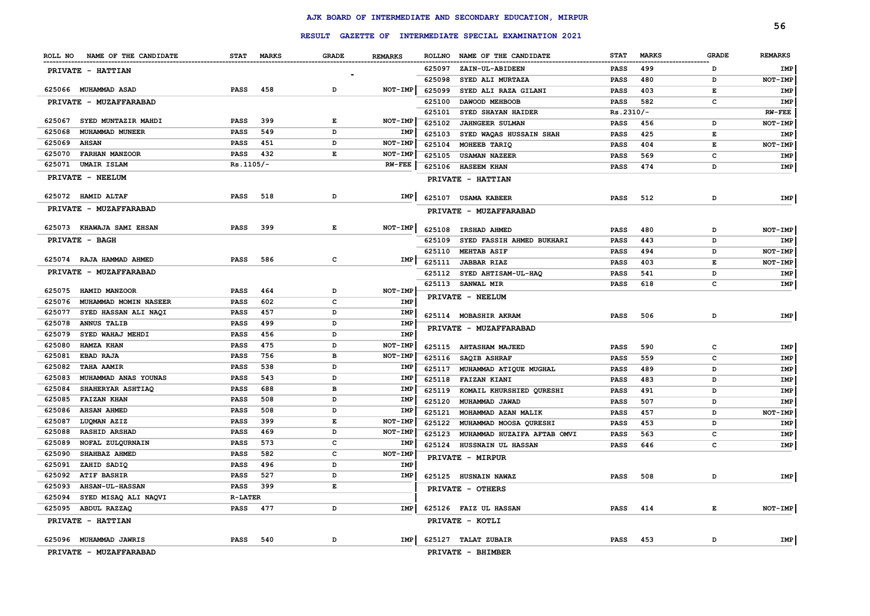|                                  |                             |                          |                |               |                                                         |             |              |              | 56             |
|----------------------------------|-----------------------------|--------------------------|----------------|---------------|---------------------------------------------------------|-------------|--------------|--------------|----------------|
|                                  |                             |                          |                |               | RESULT GAZETTE OF INTERMEDIATE SPECIAL EXAMINATION 2021 |             |              |              |                |
| NAME OF THE CANDIDATE<br>ROLL NO | <b>MARKS</b><br><b>STAT</b> | <b>GRADE</b>             | <b>REMARKS</b> | <b>ROLLNO</b> | NAME OF THE CANDIDATE                                   | <b>STAT</b> | <b>MARKS</b> | <b>GRADE</b> | <b>REMARKS</b> |
| PRIVATE - HATTIAN                |                             | $\overline{\phantom{a}}$ |                | 625097        | ZAIN-UL-ABIDEEN                                         | PASS        | 499          | D            | IMP            |
|                                  |                             |                          |                | 625098        | SYED ALI MURTAZA                                        | <b>PASS</b> | 480          | D            | NOT-IMP        |
| 625066 MUHAMMAD ASAD             | <b>PASS</b><br>458          | D                        | NOT-IMP        | 625099        | SYED ALI RAZA GILANI                                    | <b>PASS</b> | 403          | E            | IMP            |
| PRIVATE - MUZAFFARABAD           |                             |                          |                | 625100        | DAWOOD MEHBOOB                                          | <b>PASS</b> | 582          | c            | IMP            |
|                                  |                             |                          |                | 625101        | SYED SHAYAN HAIDER                                      | $Rs.2310/-$ |              |              | <b>RW-FEE</b>  |
| 625067<br>SYED MUNTAZIR MAHDI    | PASS<br>399                 | Е                        | NOT-IMP        | 625102        | <b>JAHNGEER SULMAN</b>                                  | <b>PASS</b> | 456          | D            | NOT-IMP        |
| 625068<br>MUHAMMAD MUNEER        | 549<br><b>PASS</b>          | D                        | IMP            | 625103        | SYED WAQAS HUSSAIN SHAH                                 | <b>PASS</b> | 425          | E            | IMP            |
| 625069<br><b>AHSAN</b>           | PASS<br>451                 | D                        | NOT-IMP        | 625104        | MOHEEB TARIQ                                            | <b>PASS</b> | 404          | $\mathbf E$  | NOT-IMP        |
| 625070<br><b>FARHAN MANZOOR</b>  | <b>PASS</b><br>432          | Е                        | NOT-IMP        | 625105        | <b>USAMAN NAZEER</b>                                    | <b>PASS</b> | 569          | $\mathbf c$  | IMP            |
| 625071 UMAIR ISLAM               | $Rs.1105/-$                 |                          | <b>RW-FEE</b>  | 625106        | <b>HASEEM KHAN</b>                                      | PASS        | 474          | D            | IMP            |
| PRIVATE - NEELUM                 |                             |                          |                |               | PRIVATE - HATTIAN                                       |             |              |              |                |
| 625072 HAMID ALTAF               | 518<br><b>PASS</b>          | D                        | IMP            | 625107        | <b>USAMA KABEER</b>                                     | <b>PASS</b> | 512          | D            | IMP            |
| PRIVATE - MUZAFFARABAD           |                             |                          |                |               | PRIVATE - MUZAFFARABAD                                  |             |              |              |                |
| 625073 KHAWAJA SAMI EHSAN        | 399<br><b>PASS</b>          | Е                        | NOT-IMP        | 625108        | <b>IRSHAD AHMED</b>                                     | <b>PASS</b> | 480          | D            | NOT-IMP        |
| PRIVATE - BAGH                   |                             |                          |                | 625109        | SYED FASSIH AHMED BUKHARI                               | <b>PASS</b> | 443          | D            | IMP            |
|                                  |                             |                          |                | 625110        | <b>MEHTAB ASIF</b>                                      | PASS        | 494          | D            | NOT-IMP        |
| 625074 RAJA HAMMAD AHMED         | 586<br><b>PASS</b>          | c                        | IMP            | 625111        | <b>JABBAR RIAZ</b>                                      | PASS        | 403          | Е            | NOT-IMP        |
| PRIVATE - MUZAFFARABAD           |                             |                          |                | 625112        | SYED AHTISAM-UL-HAQ                                     | <b>PASS</b> | 541          | D            | IMP            |
|                                  |                             |                          |                | 625113        | <b>SANWAL MIR</b>                                       | PASS        | 618          | c            | IMP            |
| 625075<br><b>HAMID MANZOOR</b>   | <b>PASS</b><br>464          | D                        | NOT-IMP        |               | PRIVATE - NEELUM                                        |             |              |              |                |
| 625076<br>MUHAMMAD MOMIN NASEER  | 602<br><b>PASS</b>          | c                        | IMP            |               |                                                         |             |              |              |                |
| 625077<br>SYED HASSAN ALI NAQI   | 457<br><b>PASS</b>          | D                        | IMP            |               | 625114 MOBASHIR AKRAM                                   | <b>PASS</b> | 506          | D            | IMP            |
| 625078<br><b>ANNUS TALIB</b>     | 499<br>PASS                 | D                        | <b>IMP</b>     |               | PRIVATE - MUZAFFARABAD                                  |             |              |              |                |
| 625079<br>SYED WAHAJ MEHDI       | <b>PASS</b><br>456          | D                        | IMP            |               |                                                         |             |              |              |                |
| 625080<br>HAMZA KHAN             | PASS<br>475                 | D                        | NOT-IMP        |               | 625115 AHTASHAM MAJEED                                  | <b>PASS</b> | 590          | $\mathbf{C}$ | IMP            |
| 625081<br><b>EBAD RAJA</b>       | <b>PASS</b><br>756          | B                        | NOT-IMP        | 625116        | <b>SAQIB ASHRAF</b>                                     | <b>PASS</b> | 559          | c            | IMP            |
| 625082<br><b>TAHA AAMIR</b>      | 538<br>PASS                 | D                        | IMP            | 625117        | MUHAMMAD ATIQUE MUGHAL                                  | PASS        | 489          | D            | IMP            |
| 625083<br>MUHAMMAD ANAS YOUNAS   | <b>PASS</b><br>543          | D                        | IMP            | 625118        | <b>FAIZAN KIANI</b>                                     | <b>PASS</b> | 483          | D            | IMP            |
| 625084<br>SHAHERYAR ASHTIAQ      | <b>PASS</b><br>688          | $\overline{B}$           | IMP            | 625119        | KOMAIL KHURSHIED QURESHI                                | <b>PASS</b> | 491          | D            | IMP            |
| 625085<br><b>FAIZAN KHAN</b>     | PASS<br>508                 | D                        | IMP            | 625120        | MUHAMMAD JAWAD                                          | <b>PASS</b> | 507          | D            | IMP            |
| <b>AHSAN AHMED</b><br>625086     | PASS<br>508                 | D                        | IMP            | 625121        | MOHAMMAD AZAN MALIK                                     | <b>PASS</b> | 457          | D            | NOT-IMP        |
| 625087<br>LUQMAN AZIZ            | 399<br>PASS                 | Е                        | NOT-IMP        | 625122        | MUHAMMAD MOOSA QURESHI                                  | PASS        | 453          | D            | IMP            |
| 625088<br><b>RASHID ARSHAD</b>   | 469<br>PASS                 | D                        | NOT-IMP        | 625123        | MUHAMMAD HUZAIFA AFTAB OMVI                             | <b>PASS</b> | 563          | c            | IMP            |
| NOFAL ZULQURNAIN<br>625089       | 573<br>PASS                 | $\mathbf c$              | <b>IMP</b>     | 625124        | HUSSNAIN UL HASSAN                                      | <b>PASS</b> | 646          | c            | IMP            |
| 625090<br>SHAHBAZ AHMED          | PASS<br>582                 | c                        | NOT-IMP        |               | PRIVATE - MIRPUR                                        |             |              |              |                |
| 625091<br>ZAHID SADIQ            | <b>PASS</b><br>496          | D                        | IMP            |               |                                                         |             |              |              |                |
| 625092<br><b>ATIF BASHIR</b>     | 527<br><b>PASS</b>          | D                        | IMP            |               | 625125 HUSNAIN NAWAZ                                    | PASS        | 508          | D            | IMP            |
| 625093<br><b>AHSAN-UL-HASSAN</b> | 399<br><b>PASS</b>          | E                        |                |               | PRIVATE - OTHERS                                        |             |              |              |                |
| 625094<br>SYED MISAQ ALI NAQVI   | <b>R-LATER</b>              |                          |                |               |                                                         |             |              |              |                |
| 625095<br>ABDUL RAZZAQ           | <b>PASS</b><br>477          | D                        | IMP            |               | 625126 FAIZ UL HASSAN                                   | <b>PASS</b> | 414          | Е            | NOT-IMP        |
| PRIVATE - HATTIAN                |                             |                          |                |               | PRIVATE - KOTLI                                         |             |              |              |                |
| 625096 MUHAMMAD JAWRIS           | <b>PASS</b><br>540          | D                        | IMP            |               | 625127 TALAT ZUBAIR                                     | <b>PASS</b> | 453          | D            | IMP            |
| PRIVATE - MUZAFFARABAD           |                             |                          |                |               | PRIVATE - BHIMBER                                       |             |              |              |                |
|                                  |                             |                          |                |               |                                                         |             |              |              |                |

# **AJK BOARD OF INTERMEDIATE AND SECONDARY EDUCATION, MIRPUR**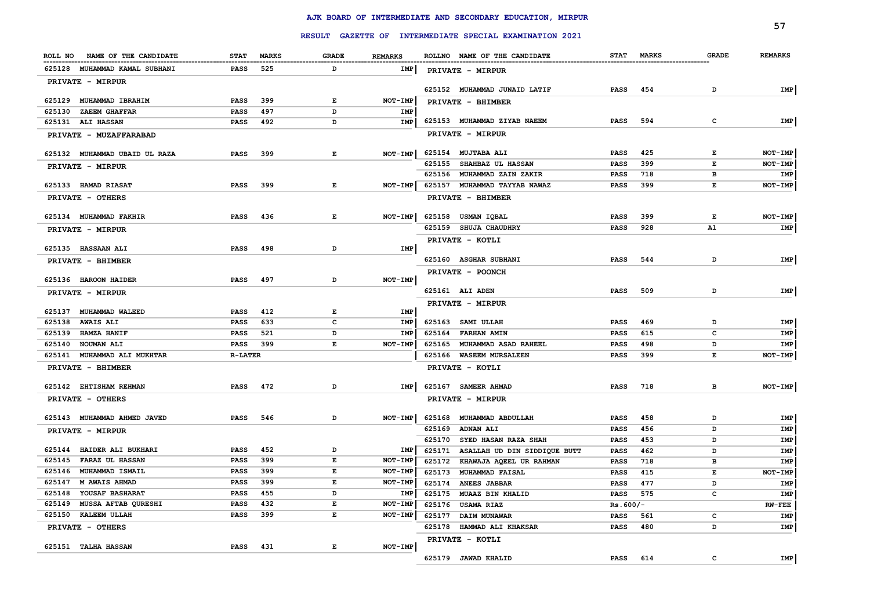|                                                      |                                          |              |                |                                                         |                    |              | 57             |
|------------------------------------------------------|------------------------------------------|--------------|----------------|---------------------------------------------------------|--------------------|--------------|----------------|
|                                                      |                                          |              |                | RESULT GAZETTE OF INTERMEDIATE SPECIAL EXAMINATION 2021 |                    |              |                |
| ROLL NO<br>NAME OF THE CANDIDATE                     | <b>STAT</b><br><b>MARKS</b>              | <b>GRADE</b> | <b>REMARKS</b> | ROLLNO NAME OF THE CANDIDATE                            | STAT MARKS         | <b>GRADE</b> | <b>REMARKS</b> |
| 625128 MUHAMMAD KAMAL SUBHANI                        | 525<br><b>PASS</b>                       | D            | IMP            | PRIVATE - MIRPUR                                        |                    |              |                |
| PRIVATE - MIRPUR                                     |                                          |              |                |                                                         |                    |              |                |
|                                                      |                                          |              |                | 625152 MUHAMMAD JUNAID LATIF                            | <b>PASS</b><br>454 | D            | IMP            |
| 625129 MUHAMMAD IBRAHIM                              | 399<br><b>PASS</b>                       | $\mathbf{E}$ | NOT-IMP        | PRIVATE - BHIMBER                                       |                    |              |                |
| 625130<br><b>ZAEEM GHAFFAR</b><br>625131 ALI HASSAN  | <b>PASS</b><br>497<br><b>PASS</b><br>492 | D<br>D       | IMP<br>IMP     | 625153 MUHAMMAD ZIYAB NAEEM                             | 594<br><b>PASS</b> | C            | IMP            |
|                                                      |                                          |              |                | PRIVATE - MIRPUR                                        |                    |              |                |
| PRIVATE - MUZAFFARABAD                               |                                          |              |                |                                                         |                    |              |                |
| 625132 MUHAMMAD UBAID UL RAZA                        | 399<br><b>PASS</b>                       | $\mathbf E$  | $NOT-IMP$      | 625154 MUJTABA ALI                                      | 425<br><b>PASS</b> | Е            | NOT-IMP        |
| PRIVATE - MIRPUR                                     |                                          |              |                | 625155<br><b>SHAHBAZ UL HASSAN</b>                      | <b>PASS</b><br>399 | Е            | NOT-IMP        |
|                                                      |                                          |              |                | 625156<br>MUHAMMAD ZAIN ZAKIR                           | <b>PASS</b><br>718 | в            | IMP            |
| 625133 HAMAD RIASAT                                  | <b>PASS</b><br>399                       | E            | NOT-IMP        | 625157<br>MUHAMMAD TAYYAB NAWAZ                         | <b>PASS</b><br>399 | Е            | NOT-IMP        |
| PRIVATE - OTHERS                                     |                                          |              |                | PRIVATE - BHIMBER                                       |                    |              |                |
| 625134 MUHAMMAD FAKHIR                               | <b>PASS</b><br>436                       | $\mathbf E$  | $NOT-IMP$      | 625158 USMAN IOBAL                                      | 399<br><b>PASS</b> | E            | NOT-IMP        |
|                                                      |                                          |              |                | 625159 SHUJA CHAUDHRY                                   | <b>PASS</b><br>928 | A1           | IMP            |
| PRIVATE - MIRPUR                                     |                                          |              |                |                                                         |                    |              |                |
| 625135 HASSAAN ALI                                   | <b>PASS</b><br>498                       | D            | IMP            | PRIVATE - KOTLI                                         |                    |              |                |
| PRIVATE - BHIMBER                                    |                                          |              |                | 625160 ASGHAR SUBHANI                                   | <b>PASS</b><br>544 | D            | IMP            |
|                                                      |                                          |              |                | PRIVATE - POONCH                                        |                    |              |                |
| 625136 HAROON HAIDER                                 | <b>PASS</b><br>497                       | D            | NOT-IMP        |                                                         |                    |              |                |
| PRIVATE - MIRPUR                                     |                                          |              |                | 625161 ALI ADEN                                         | 509<br><b>PASS</b> | D            | IMP            |
|                                                      |                                          |              | <b>IMP</b>     | PRIVATE - MIRPUR                                        |                    |              |                |
| 625137 MUHAMMAD WALEED<br>625138<br><b>AWAIS ALI</b> | 412<br>PASS<br>633<br><b>PASS</b>        | E<br>c       | <b>IMP</b>     | 625163 SAMI ULLAH                                       | 469<br><b>PASS</b> | D            | IMP            |
| 625139<br><b>HAMZA HANIF</b>                         | 521<br><b>PASS</b>                       | D            | IMP            | 625164<br><b>FARHAN AMIN</b>                            | 615<br>PASS        | C            | <b>IMP</b>     |
| 625140<br>NOUMAN ALI                                 | PASS<br>399                              | E            | NOT-IMP        | MUHAMMAD ASAD RAHEEL<br>625165                          | <b>PASS</b><br>498 | D            | IMP            |
| 625141 MUHAMMAD ALI MUKHTAR                          | <b>R-LATER</b>                           |              |                | 625166 WASEEM MURSALEEN                                 | 399<br><b>PASS</b> | E            | NOT-IMP        |
| PRIVATE - BHIMBER                                    |                                          |              |                | PRIVATE - KOTLI                                         |                    |              |                |
|                                                      |                                          |              |                |                                                         |                    |              |                |
| 625142 EHTISHAM REHMAN                               | <b>PASS</b><br>472                       | D            | IMP            | 625167 SAMEER AHMAD                                     | <b>PASS</b><br>718 | в            | NOT-IMP        |
| PRIVATE - OTHERS                                     |                                          |              |                | PRIVATE - MIRPUR                                        |                    |              |                |
| 625143 MUHAMMAD AHMED JAVED                          | <b>PASS</b><br>546                       | D            | NOT-IMP        | 625168<br>MUHAMMAD ABDULLAH                             | 458<br><b>PASS</b> | D            | IMP            |
| PRIVATE - MIRPUR                                     |                                          |              |                | 625169<br><b>ADNAN ALI</b>                              | <b>PASS</b><br>456 | D            | IMP            |
|                                                      |                                          |              |                | 625170<br>SYED HASAN RAZA SHAH                          | 453<br><b>PASS</b> | D            | IMP            |
| 625144 HAIDER ALI BUKHARI                            | <b>PASS</b><br>452                       | D            | IMP            | 625171<br>ASALLAH UD DIN SIDDIQUE BUTT                  | <b>PASS</b><br>462 | D            | IMP            |
| 625145<br><b>FARAZ UL HASSAN</b>                     | 399<br><b>PASS</b>                       | $\mathbf E$  | NOT-IMP        | 625172<br>KHAWAJA AQEEL UR RAHMAN                       | <b>PASS</b><br>718 | в            | IMP            |
| 625146<br>MUHAMMAD ISMAIL                            | 399<br><b>PASS</b>                       | $\mathbf E$  | NOT-IMP        | 625173<br><b>MUHAMMAD FAISAL</b>                        | <b>PASS</b><br>415 | Е            | NOT-IMP        |
| 625147<br><b>M AWAIS AHMAD</b>                       | 399<br><b>PASS</b>                       | $\mathbf E$  | NOT-IMP        | 625174<br><b>ANEES JABBAR</b>                           | <b>PASS</b><br>477 | D            | IMP            |
| 625148<br>YOUSAF BASHARAT                            | <b>PASS</b><br>455                       | D            | IMP            | 625175<br><b>MUAAZ BIN KHALID</b>                       | PASS<br>575        | C            | IMP            |
| MUSSA AFTAB QURESHI<br>625149                        | PASS<br>432                              | E            | NOT-IMP        | 625176<br><b>USAMA RIAZ</b>                             | $Rs.600/-$         |              | $RN$ -FEE      |
| KALEEM ULLAH<br>625150                               | <b>PASS</b><br>399                       | E            | NOT-IMP        | 625177<br><b>DAIM MUNAWAR</b>                           | <b>PASS</b><br>561 | c            | IMP            |
| PRIVATE - OTHERS                                     |                                          |              |                | 625178<br><b>HAMMAD ALI KHAKSAR</b>                     | <b>PASS</b><br>480 | D            | IMP            |
|                                                      | <b>PASS</b>                              | $\mathbf E$  |                | PRIVATE - KOTLI                                         |                    |              |                |
| 625151 TALHA HASSAN                                  | 431                                      |              | NOT-IMP        | 625179 JAWAD KHALID                                     | <b>PASS</b><br>614 | $\mathbf{C}$ | IMP            |
|                                                      |                                          |              |                |                                                         |                    |              |                |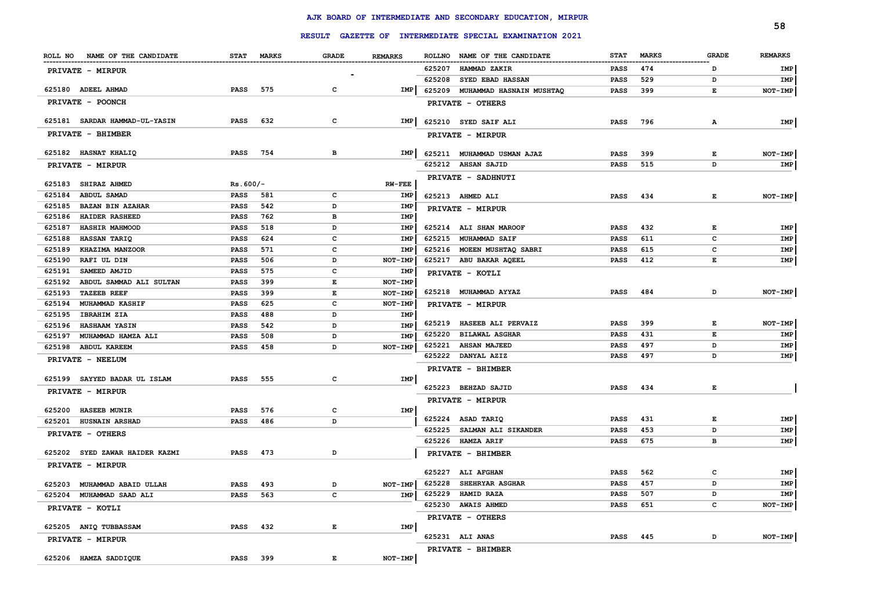|                                   |             |                     |                |        | RESULT GAZETTE OF INTERMEDIATE SPECIAL EXAMINATION 2021 |             |              |              | 58             |
|-----------------------------------|-------------|---------------------|----------------|--------|---------------------------------------------------------|-------------|--------------|--------------|----------------|
|                                   |             |                     |                |        |                                                         |             |              |              |                |
| ROLL NO NAME OF THE CANDIDATE     | STAT MARKS  | <b>GRADE</b>        | <b>REMARKS</b> |        | ROLLNO NAME OF THE CANDIDATE                            | <b>STAT</b> | <b>MARKS</b> | <b>GRADE</b> | <b>REMARKS</b> |
| PRIVATE - MIRPUR                  |             |                     |                |        | 625207 HAMMAD ZAKIR                                     | <b>PASS</b> | 474          | D            | IMP            |
|                                   |             |                     |                | 625208 | <b>SYED EBAD HASSAN</b>                                 | <b>PASS</b> | 529          | D            | IMP            |
| 625180 ADEEL AHMAD                | <b>PASS</b> | 575<br>c            | <b>IMP</b>     | 625209 | MUHAMMAD HASNAIN MUSHTAQ                                | <b>PASS</b> | 399          | E            | NOT-IMP        |
| <b>PRIVATE - POONCH</b>           |             |                     |                |        | PRIVATE - OTHERS                                        |             |              |              |                |
| 625181 SARDAR HAMMAD-UL-YASIN     | <b>PASS</b> | 632<br>c            | IMP            |        | 625210 SYED SAIF ALI                                    | <b>PASS</b> | 796          | А            | IMP            |
| PRIVATE - BHIMBER                 |             |                     |                |        | <b>PRIVATE - MIRPUR</b>                                 |             |              |              |                |
| 625182 HASNAT KHALIQ              | <b>PASS</b> | 754<br>в            | IMP            |        | 625211 MUHAMMAD USMAN AJAZ                              | <b>PASS</b> | 399          | Е            | NOT-IMP        |
| PRIVATE - MIRPUR                  |             |                     |                |        | 625212 AHSAN SAJID                                      | <b>PASS</b> | 515          | D            | IMP            |
|                                   |             |                     |                |        | PRIVATE - SADHNUTI                                      |             |              |              |                |
| 625183 SHIRAZ AHMED               | $Rs.600/-$  |                     | $RV-FEE$       |        |                                                         |             |              |              |                |
| 625184 ABDUL SAMAD                | <b>PASS</b> | 581<br>c            | IMP            |        | 625213 AHMED ALI                                        | <b>PASS</b> | 434          | Е            | NOT-IMP        |
| 625185<br><b>BAZAN BIN AZAHAR</b> | <b>PASS</b> | 542<br>D            | IMP            |        | PRIVATE - MIRPUR                                        |             |              |              |                |
| 625186 HAIDER RASHEED             | <b>PASS</b> | 762<br>в            | IMP            |        |                                                         |             |              |              |                |
| 625187<br><b>HASHIR MAHMOOD</b>   | <b>PASS</b> | D<br>518            | IMP            |        | 625214 ALI SHAN MAROOF                                  | PASS        | 432          | E            | IMP            |
| 625188<br><b>HASSAN TARIQ</b>     | <b>PASS</b> | $\mathbf c$<br>624  | IMP            | 625215 | <b>MUHAMMAD SAIF</b>                                    | <b>PASS</b> | 611          | $\mathbf{C}$ | IMP            |
| 625189<br>KHAZIMA MANZOOR         | <b>PASS</b> | 571<br>$\mathbf c$  | IMP            |        | 625216 MOEEN MUSHTAQ SABRI                              | <b>PASS</b> | 615          | c            | IMP            |
| 625190<br>RAFI UL DIN             | <b>PASS</b> | 506<br>D            | NOT-IMP        |        | 625217 ABU BAKAR AQEEL                                  | <b>PASS</b> | 412          | Е            | IMP            |
| 625191<br>SAMEED AMJID            | <b>PASS</b> | 575<br>$\mathbf c$  | IMP            |        | PRIVATE - KOTLI                                         |             |              |              |                |
| 625192<br>ABDUL SAMMAD ALI SULTAN | <b>PASS</b> | $\mathbf E$<br>399  | NOT-IMP        |        |                                                         |             |              |              |                |
| 625193<br><b>TAZEEB REEF</b>      | <b>PASS</b> | 399<br>E            | NOT-IMP        |        | 625218 MUHAMMAD AYYAZ                                   | <b>PASS</b> | 484          | D            | NOT-IMP        |
| 625194<br><b>MUHAMMAD KASHIF</b>  | <b>PASS</b> | $\mathbf c$<br>625  | <b>NOT-IMP</b> |        | PRIVATE - MIRPUR                                        |             |              |              |                |
| 625195<br><b>IBRAHIM ZIA</b>      | PASS        | D<br>488            | IMP            |        | 625219 HASEEB ALI PERVAIZ                               | <b>PASS</b> | 399          | Е            | NOT-IMP        |
| <b>HASHAAM YASIN</b><br>625196    | PASS        | 542<br>D            | <b>IMP</b>     | 625220 | <b>BILAWAL ASGHAR</b>                                   | <b>PASS</b> | 431          | Е            | IMP            |
| MUHAMMAD HAMZA ALI<br>625197      | <b>PASS</b> | 508<br>D            | <b>IMP</b>     | 625221 | <b>AHSAN MAJEED</b>                                     | <b>PASS</b> | 497          | D            | IMP            |
| 625198 ABDUL KAREEM               | <b>PASS</b> | 458<br>D            | NOT-IMP        | 625222 | <b>DANYAL AZIZ</b>                                      | <b>PASS</b> | 497          | D            | IMP            |
| PRIVATE - NEELUM                  |             |                     |                |        | PRIVATE - BHIMBER                                       |             |              |              |                |
| 625199 SAYYED BADAR UL ISLAM      | <b>PASS</b> | 555<br>c            | <b>IMP</b>     |        |                                                         |             |              |              |                |
| PRIVATE - MIRPUR                  |             |                     |                |        | 625223 BEHZAD SAJID                                     | <b>PASS</b> | 434          | Е            |                |
|                                   |             |                     |                |        | PRIVATE - MIRPUR                                        |             |              |              |                |
| <b>HASEEB MUNIR</b><br>625200     | <b>PASS</b> | $\mathbf c$<br>576  | IMP            |        |                                                         |             |              |              |                |
| 625201<br><b>HUSNAIN ARSHAD</b>   | <b>PASS</b> | D<br>486            |                |        | 625224 ASAD TARIQ                                       | <b>PASS</b> | 431          | Е            | IMP            |
| <b>PRIVATE - OTHERS</b>           |             |                     |                | 625225 | SALMAN ALI SIKANDER                                     | <b>PASS</b> | 453          | D            | IMP            |
|                                   |             |                     |                |        | 625226 HAMZA ARIF                                       | <b>PASS</b> | 675          | в            | IMP            |
| 625202 SYED ZAWAR HAIDER KAZMI    | <b>PASS</b> | 473<br>D            |                |        | PRIVATE - BHIMBER                                       |             |              |              |                |
| PRIVATE - MIRPUR                  |             |                     |                |        |                                                         |             |              |              |                |
|                                   |             |                     |                | 625227 | <b>ALI AFGHAN</b>                                       | <b>PASS</b> | 562          | $\mathbf{C}$ | IMP            |
| 625203<br>MUHAMMAD ABAID ULLAH    | <b>PASS</b> | 493<br>D            | NOT-IMP        | 625228 | <b>SHEHRYAR ASGHAR</b>                                  | <b>PASS</b> | 457          | D            | <b>IMP</b>     |
| 625204 MUHAMMAD SAAD ALI          | <b>PASS</b> | $\mathbf{C}$<br>563 | IMP            | 625229 | <b>HAMID RAZA</b>                                       | <b>PASS</b> | 507          | D            | IMP            |
| PRIVATE - KOTLI                   |             |                     |                |        | 625230 AWAIS AHMED                                      | <b>PASS</b> | 651          | $\mathbf{C}$ | NOT-IMP        |
|                                   |             |                     |                |        | PRIVATE - OTHERS                                        |             |              |              |                |
| 625205 ANIQ TUBBASSAM             | <b>PASS</b> | 432<br>Е            | IMP            |        | 625231 ALI ANAS                                         | <b>PASS</b> | 445          | D            | NOT-IMP        |
| PRIVATE - MIRPUR                  |             |                     |                |        |                                                         |             |              |              |                |
| 625206 HAMZA SADDIQUE             | <b>PASS</b> | 399<br>E            | NOT-IMP        |        | PRIVATE - BHIMBER                                       |             |              |              |                |
|                                   |             |                     |                |        |                                                         |             |              |              |                |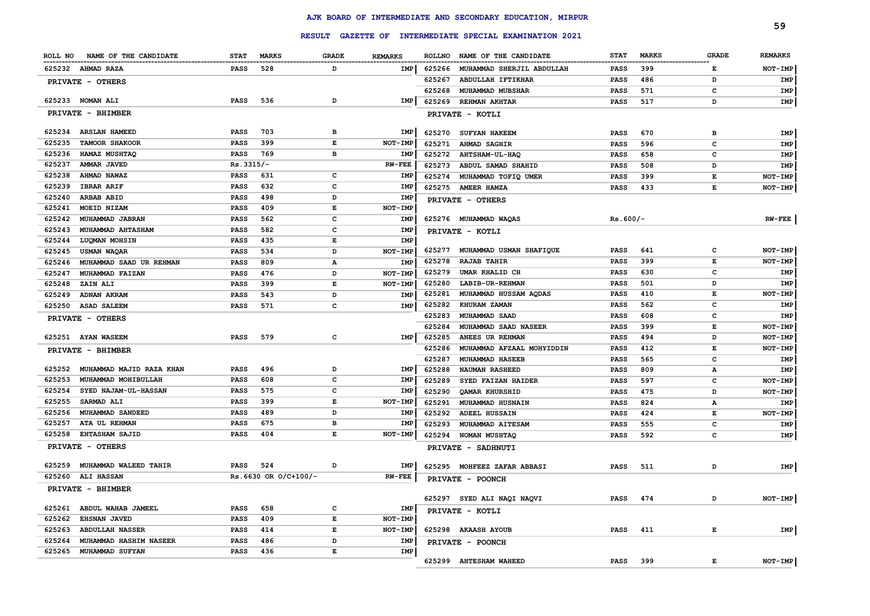|        |                               |             |                      |       |                |        |                                                         |             |              |              | 59             |
|--------|-------------------------------|-------------|----------------------|-------|----------------|--------|---------------------------------------------------------|-------------|--------------|--------------|----------------|
|        |                               |             |                      |       |                |        | RESULT GAZETTE OF INTERMEDIATE SPECIAL EXAMINATION 2021 |             |              |              |                |
|        | ROLL NO NAME OF THE CANDIDATE | <b>STAT</b> | <b>MARKS</b>         | GRADE | <b>REMARKS</b> |        | ROLLNO NAME OF THE CANDIDATE                            | <b>STAT</b> | <b>MARKS</b> | <b>GRADE</b> | <b>REMARKS</b> |
|        | 625232 AHMAD RAZA             | PASS        | 528                  | D     | <b>IMP</b>     | 625266 | MUHAMMAD SHERJIL ABDULLAH                               | PASS        | 399          | Е            | NOT-IMP        |
|        | PRIVATE - OTHERS              |             |                      |       |                | 625267 | ABDULLAH IFTIKHAR                                       | PASS        | 486          | D            | IMP            |
|        |                               |             |                      |       |                | 625268 | MUHAMMAD MUBSHAR                                        | PASS        | 571          | c            | IMP            |
|        | 625233 NOMAN ALI              | PASS        | 536                  | D     | IMP            | 625269 | <b>REHMAN AKHTAR</b>                                    | PASS        | 517          | D            | IMP            |
|        | PRIVATE - BHIMBER             |             |                      |       |                |        | PRIVATE - KOTLI                                         |             |              |              |                |
|        | 625234 ARSLAN HAMEED          | PASS        | 703                  | в     | IMP            | 625270 | <b>SUFYAN HAKEEM</b>                                    | <b>PASS</b> | 670          | в            | IMP            |
| 625235 | <b>TAMOOR SHAKOOR</b>         | <b>PASS</b> | 399                  | Е     | <b>NOT-IMP</b> | 625271 | <b>AHMAD SAGHIR</b>                                     | PASS        | 596          | c            | IMP            |
| 625236 | HAMAZ MUSHTAQ                 | <b>PASS</b> | 769                  | в     | <b>IMP</b>     | 625272 | <b>AHTSHAM-UL-HAQ</b>                                   | PASS        | 658          | c            | IMP            |
| 625237 | AMMAR JAVED                   | $Rs.3315/-$ |                      |       | <b>RW-FEE</b>  | 625273 | ABDUL SAMAD SHAHID                                      | <b>PASS</b> | 508          | D            | IMP            |
| 625238 | AHMAD NAWAZ                   | <b>PASS</b> | 631                  | c     | <b>IMP</b>     | 625274 | MUHAMMAD TOFIQ UMER                                     | <b>PASS</b> | 399          | Е            | NOT-IMP        |
| 625239 | <b>IBRAR ARIF</b>             | PASS        | 632                  | c     | <b>IMP</b>     |        | 625275 AMEER HAMZA                                      | <b>PASS</b> | 433          | Е            | NOT-IMP        |
| 625240 | <b>ARBAB ABID</b>             | PASS        | 498                  | D     | <b>IMP</b>     |        |                                                         |             |              |              |                |
| 625241 | MOEID NIZAM                   | PASS        | 409                  | Е     | NOT-IMP        |        | PRIVATE - OTHERS                                        |             |              |              |                |
| 625242 | MUHAMMAD JABRAN               | PASS        | 562                  | c     | <b>IMP</b>     |        | 625276 MUHAMMAD WAQAS                                   | $Rs.600/-$  |              |              | $RW-FEE$       |
| 625243 | MUHAMMAD AHTASHAM             | PASS        | 582                  | c     | IMP            |        |                                                         |             |              |              |                |
| 625244 | LUQMAN MOHSIN                 | PASS        | 435                  | Е     | IMP            |        | PRIVATE - KOTLI                                         |             |              |              |                |
| 625245 | USMAN WAQAR                   | PASS        | 534                  | D     | NOT-IMP        | 625277 | MUHAMMAD USMAN SHAFIQUE                                 | PASS        | 641          | c            | NOT-IMP        |
| 625246 | MUHAMMAD SAAD UR REHMAN       | PASS        | 809                  | Α     | <b>IMP</b>     | 625278 | <b>RAJAB TAHIR</b>                                      | PASS        | 399          | Е            | NOT-IMP        |
| 625247 | <b>MUHAMMAD FAIZAN</b>        | PASS        | 476                  | D     | NOT-IMP        | 625279 | UMAR KHALID CH                                          | PASS        | 630          | с            | IMP            |
| 625248 | ZAIN ALI                      | PASS        | 399                  | Е     | <b>NOT-IMP</b> | 625280 | <b>LABIB-UR-REHMAN</b>                                  | <b>PASS</b> | 501          | D            | IMP            |
| 625249 | ADNAN AKRAM                   | PASS        | 543                  | D     | IMP            | 625281 | MUHAMMAD HUSSAM AQDAS                                   | PASS        | 410          | Е            | NOT-IMP        |
|        | 625250 ASAD SALEEM            | <b>PASS</b> | 571                  | c     | IMP            | 625282 | KHURAM ZAMAN                                            | PASS        | 562          | с            | IMP            |
|        |                               |             |                      |       |                | 625283 | MUHAMMAD SAAD                                           | <b>PASS</b> | 608          | с            | IMP            |
|        | PRIVATE - OTHERS              |             |                      |       |                | 625284 | MUHAMMAD SAAD NASEER                                    | PASS        | 399          | Е            | NOT-IMP        |
|        | 625251 AYAN WASEEM            | <b>PASS</b> | 579                  | c     | IMP            | 625285 | ANEES UR REHMAN                                         | PASS        | 494          | D            | NOT-IMP        |
|        |                               |             |                      |       |                | 625286 | MUHAMMAD AFZAAL MOHYIDDIN                               | PASS        | 412          | Е            | NOT-IMP        |
|        | PRIVATE - BHIMBER             |             |                      |       |                | 625287 |                                                         |             | 565          | с            |                |
| 625252 | MUHAMMAD MAJID RAZA KHAN      | <b>PASS</b> | 496                  | D     | IMP            | 625288 | <b>MUHAMMAD HASEEB</b>                                  | PASS        | 809          |              | IMP            |
| 625253 | MUHAMMAD MOHIBULLAH           | <b>PASS</b> | 608                  | c     | IMP            |        | <b>NAUMAN RASHEED</b>                                   | PASS        |              | А            | IMP            |
| 625254 | SYED NAJAM-UL-HASSAN          | <b>PASS</b> | 575                  | c     | IMP            | 625289 | SYED FAIZAN HAIDER                                      | PASS        | 597          | c            | NOT-IMP        |
| 625255 | <b>SARMAD ALI</b>             | <b>PASS</b> | 399                  | Е     | <b>NOT-IMP</b> | 625290 | QAMAR KHURSHID                                          | PASS        | 475          | D            | NOT-IMP        |
|        |                               |             |                      | D     |                | 625291 | MUHAMMAD HUSNAIN                                        | PASS        | 824          | А            | IMP            |
| 625256 | <b>MUHAMMAD SANDEED</b>       | <b>PASS</b> | 489                  |       | IMP            | 625292 | <b>ADEEL HUSSAIN</b>                                    | PASS        | 424          | Е            | NOT-IMP        |
| 625257 | <b>ATA UL REHMAN</b>          | <b>PASS</b> | 675                  | в     | IMP            | 625293 | MUHAMMAD AITESAM                                        | PASS        | 555          | с            | IMP            |
| 625258 | <b>EHTASHAM SAJID</b>         | <b>PASS</b> | 404                  | E     | <b>NOT-IMP</b> | 625294 | <b>NOMAN MUSHTAQ</b>                                    | PASS        | 592          | c            | IMP            |
|        | PRIVATE - OTHERS              |             |                      |       |                |        | PRIVATE - SADHNUTI                                      |             |              |              |                |
| 625259 | MUHAMMAD WALEED TAHIR         | PASS        | 524                  | D     | IMP            |        | 625295 MOHFEEZ ZAFAR ABBASI                             | PASS        | 511          | D            | IMP            |
|        | 625260 ALI HASSAN             |             | Rs.6630 OR O/C+100/- |       | <b>RW-FEE</b>  |        | PRIVATE - POONCH                                        |             |              |              |                |
|        | PRIVATE - BHIMBER             |             |                      |       |                |        |                                                         |             |              |              |                |
|        |                               |             |                      |       |                |        | 625297 SYED ALI NAQI NAQVI                              | PASS        | 474          | D            | NOT-IMP        |
|        | 625261 ABDUL WAHAB JAMEEL     | <b>PASS</b> | 658                  | с     | IMP            |        | PRIVATE - KOTLI                                         |             |              |              |                |
| 625262 | EHSNAN JAVED                  | PASS        | 409                  | E     | NOT-IMP        |        |                                                         |             |              |              |                |
| 625263 | <b>ABDULLAH NASSER</b>        | <b>PASS</b> | 414                  | E     | NOT-IMP        |        | 625298 AKAASH AYOUB                                     | PASS        | 411          | E            | <b>IMP</b>     |
| 625264 | MUHAMMAD HASHIM NASEER        | <b>PASS</b> | 486                  | D     | IMP            |        | PRIVATE - POONCH                                        |             |              |              |                |
|        | 625265 MUHAMMAD SUFYAN        | PASS        | 436                  | E     | IMP            |        |                                                         |             |              |              |                |
|        |                               |             |                      |       |                |        | 625299 AHTESHAM WAHEED                                  | PASS 399    |              | E            | NOT-IMP        |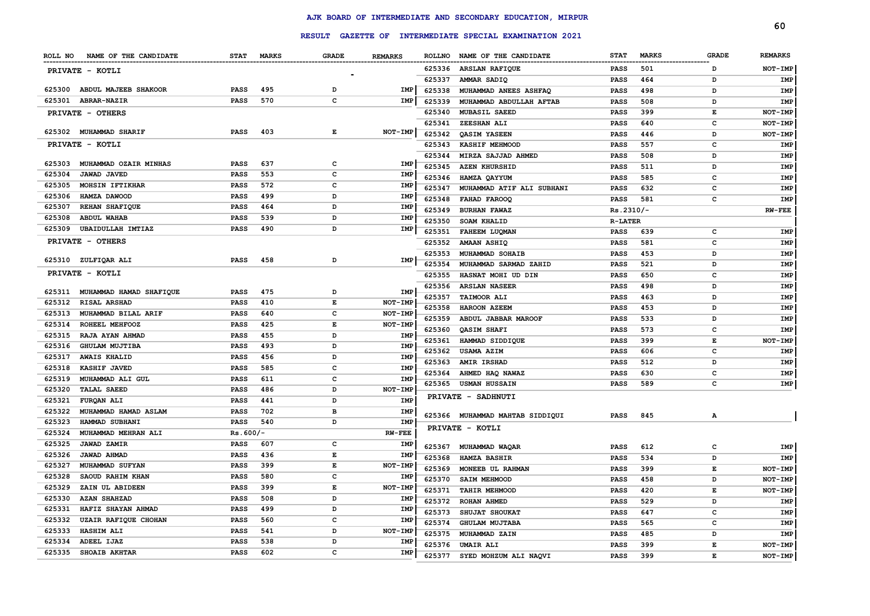|        |                                                               |             |            |               |                |        |                                                  |                |              |              | 60             |
|--------|---------------------------------------------------------------|-------------|------------|---------------|----------------|--------|--------------------------------------------------|----------------|--------------|--------------|----------------|
|        |                                                               |             |            | <b>RESULT</b> |                |        | GAZETTE OF INTERMEDIATE SPECIAL EXAMINATION 2021 |                |              |              |                |
|        | ROLL NO NAME OF THE CANDIDATE<br>---------------------------- |             | STAT MARKS | <b>GRADE</b>  | <b>REMARKS</b> |        | ROLLNO NAME OF THE CANDIDATE                     | <b>STAT</b>    | <b>MARKS</b> | <b>GRADE</b> | <b>REMARKS</b> |
|        | PRIVATE - KOTLI                                               |             |            |               |                | 625336 | <b>ARSLAN RAFIQUE</b>                            | <b>PASS</b>    | 501          | D            | NOT-IMP        |
|        |                                                               |             |            |               |                | 625337 | AMMAR SADIQ                                      | <b>PASS</b>    | 464          | D            | IMP            |
|        | 625300 ABDUL MAJEEB SHAKOOR                                   | <b>PASS</b> | 495        | D             | IMP            | 625338 | MUHAMMAD ANEES ASHFAQ                            | <b>PASS</b>    | 498          | D            | IMP            |
| 625301 | ABRAR-NAZIR                                                   | <b>PASS</b> | 570        | C             | IMP            | 625339 | MUHAMMAD ABDULLAH AFTAB                          | <b>PASS</b>    | 508          | D            | IMP            |
|        | PRIVATE - OTHERS                                              |             |            |               |                | 625340 | <b>MUBASIL SAEED</b>                             | <b>PASS</b>    | 399          | Е            | NOT-IMP        |
|        |                                                               |             |            |               |                | 625341 | ZEESHAN ALI                                      | <b>PASS</b>    | 640          | c            | NOT-IMP        |
|        | 625302 MUHAMMAD SHARIF                                        | <b>PASS</b> | 403        | $\mathbf E$   | $NOT-IMP$      | 625342 | <b>OASIM YASEEN</b>                              | <b>PASS</b>    | 446          | D            | NOT-IMP        |
|        | PRIVATE - KOTLI                                               |             |            |               |                | 625343 | KASHIF MEHMOOD                                   | <b>PASS</b>    | 557          | C            | IMP            |
|        |                                                               |             |            |               |                | 625344 | MIRZA SAJJAD AHMED                               | <b>PASS</b>    | 508          | D            | IMP            |
| 625303 | MUHAMMAD OZAIR MINHAS                                         | <b>PASS</b> | 637        | C             | IMP            | 625345 | <b>AZEN KHURSHID</b>                             | <b>PASS</b>    | 511          | D            | <b>IMP</b>     |
| 625304 | <b>JAWAD JAVED</b>                                            | PASS        | 553        | C             | IMP            | 625346 | HAMZA QAYYUM                                     | <b>PASS</b>    | 585          | C            | <b>IMP</b>     |
| 625305 | MOHSIN IFTIKHAR                                               | PASS        | 572        | $\mathbf{C}$  | IMP            | 625347 | MUHAMMAD ATIF ALI SUBHANI                        | <b>PASS</b>    | 632          | c            | IMP            |
| 625306 | HAMZA DAWOOD                                                  | <b>PASS</b> | 499        | D             | IMP            | 625348 | FAHAD FAROOO                                     | <b>PASS</b>    | 581          | C            | IMP            |
| 625307 | REHAN SHAFIQUE                                                | PASS        | 464        | D             | <b>IMP</b>     | 625349 | <b>BURHAN FAWAZ</b>                              | Rs.2310/-      |              |              | <b>RW-FEE</b>  |
| 625308 | <b>ABDUL WAHAB</b>                                            | PASS        | 539        | D             | IMP            | 625350 | <b>SOAM KHALID</b>                               | <b>R-LATER</b> |              |              |                |
| 625309 | <b>UBAIDULLAH IMTIAZ</b>                                      | PASS        | 490        | D             | IMP            | 625351 | FAHEEM LUQMAN                                    | <b>PASS</b>    | 639          | c            | IMP            |
|        | PRIVATE - OTHERS                                              |             |            |               |                | 625352 | AMAAN ASHIQ                                      | <b>PASS</b>    | 581          | $\mathbf{C}$ | IMP            |
|        |                                                               |             |            |               |                | 625353 | MUHAMMAD SOHAIB                                  | <b>PASS</b>    | 453          | D            | IMP            |
|        | 625310 ZULFIQAR ALI                                           | <b>PASS</b> | 458        | D             | <b>IMP</b>     | 625354 | MUHAMMAD SARMAD ZAHID                            | <b>PASS</b>    | 521          | D            | IMP            |
|        | PRIVATE - KOTLI                                               |             |            |               |                | 625355 | HASNAT MOHI UD DIN                               | <b>PASS</b>    | 650          | C            | IMP            |
|        |                                                               |             |            |               |                | 625356 | <b>ARSLAN NASEER</b>                             | <b>PASS</b>    | 498          | D            | IMP            |
| 625311 | MUHAMMAD HAMAD SHAFIQUE                                       | <b>PASS</b> | 475        | D             | IMP            | 625357 | TAIMOOR ALI                                      | <b>PASS</b>    | 463          | D            | IMP            |
| 625312 | RISAL ARSHAD                                                  | <b>PASS</b> | 410        | E             | NOT-IMP        | 625358 | <b>HAROON AZEEM</b>                              | <b>PASS</b>    | 453          | D            | IMP            |
| 625313 | MUHAMMAD BILAL ARIF                                           | <b>PASS</b> | 640        | C             | NOT-IMP        | 625359 | ABDUL JABBAR MAROOF                              | <b>PASS</b>    | 533          | D            | IMP            |
| 625314 | ROHEEL MEHFOOZ                                                | PASS        | 425        | E             | NOT-IMP        | 625360 | <b>QASIM SHAFI</b>                               | <b>PASS</b>    | 573          | c            | IMP            |
| 625315 | RAJA AYAN AHMAD                                               | PASS        | 455        | D             | <b>IMP</b>     | 625361 | HAMMAD SIDDIQUE                                  | <b>PASS</b>    | 399          | Е            | NOT-IMP        |
| 625316 | <b>GHULAM MUJTIBA</b>                                         | PASS        | 493        | D             | <b>IMP</b>     | 625362 | <b>USAMA AZIM</b>                                | <b>PASS</b>    | 606          | C            | IMP            |
| 625317 | <b>AWAIS KHALID</b>                                           | <b>PASS</b> | 456        | D             | <b>IMP</b>     | 625363 | <b>AMIR IRSHAD</b>                               | <b>PASS</b>    | 512          | D            | IMP            |
| 625318 | <b>KASHIF JAVED</b>                                           | PASS        | 585        | C             | IMP            | 625364 | AHMED HAQ NAWAZ                                  | <b>PASS</b>    | 630          | C            | <b>IMP</b>     |
| 625319 | MUHAMMAD ALI GUL                                              | <b>PASS</b> | 611        | C             | <b>IMP</b>     | 625365 | <b>USMAN HUSSAIN</b>                             | <b>PASS</b>    | 589          | C            | <b>IMP</b>     |
| 625320 | <b>TALAL SAEED</b>                                            | PASS        | 486        | D             | NOT-IMP        |        | PRIVATE - SADHNUTI                               |                |              |              |                |
| 625321 | FURQAN ALI                                                    | PASS        | 441        | D             | IMP            |        |                                                  |                |              |              |                |
| 625322 | MUHAMMAD HAMAD ASLAM                                          | PASS        | 702        | в             | IMP            |        | 625366 MUHAMMAD MAHTAB SIDDIQUI                  | <b>PASS</b>    | 845          | ${\bf A}$    |                |
| 625323 | HAMMAD SUBHANI                                                | PASS        | 540        | D             | IMP            |        | PRIVATE - KOTLI                                  |                |              |              |                |
| 625324 | MUHAMMAD MEHRAN ALI                                           | $Rs.600/-$  |            |               | $RW-FEE$       |        |                                                  |                |              |              |                |
| 625325 | <b>JAWAD ZAMIR</b>                                            | PASS        | 607        | c             | IMP            | 625367 | MUHAMMAD WAQAR                                   | <b>PASS</b>    | 612          | c            | IMP            |
| 625326 | <b>JAWAD AHMAD</b>                                            | <b>PASS</b> | 436        | $\mathbf E$   | IMP            | 625368 | <b>HAMZA BASHIR</b>                              | <b>PASS</b>    | 534          | D            | IMP            |
| 625327 | MUHAMMAD SUFYAN                                               | <b>PASS</b> | 399        | E             | NOT-IMP        | 625369 | MONEEB UL RAHMAN                                 | <b>PASS</b>    | 399          | Е            | NOT-IMP        |
| 625328 | SAOUD RAHIM KHAN                                              | <b>PASS</b> | 580        | C             | IMP            | 625370 | SAIM MEHMOOD                                     | <b>PASS</b>    | 458          | D            | NOT-IMP        |
| 625329 | ZAIN UL ABIDEEN                                               | <b>PASS</b> | 399        | E             | NOT-IMP        | 625371 | TAHIR MEHMOOD                                    | <b>PASS</b>    | 420          | E            | NOT-IMP        |
| 625330 | <b>AZAN SHAHZAD</b>                                           | <b>PASS</b> | 508        | D             | IMP            | 625372 | <b>ROHAN AHMED</b>                               | <b>PASS</b>    | 529          | D            | IMP            |
| 625331 | HAFIZ SHAYAN AHMAD                                            | <b>PASS</b> | 499        | D             | <b>IMP</b>     | 625373 | SHUJAT SHOUKAT                                   | <b>PASS</b>    | 647          | c            | IMP            |
| 625332 | UZAIR RAFIQUE CHOHAN                                          | PASS        | 560        | C             | <b>IMP</b>     | 625374 | <b>GHULAM MUJTABA</b>                            | <b>PASS</b>    | 565          | C            | IMP            |
| 625333 | <b>HASHIM ALI</b>                                             | PASS        | 541        | D             | NOT-IMP        | 625375 | MUHAMMAD ZAIN                                    | <b>PASS</b>    | 485          | D            | <b>IMP</b>     |
| 625334 | ADEEL IJAZ                                                    | <b>PASS</b> | 538        | D             | <b>IMP</b>     | 625376 | <b>UMAIR ALI</b>                                 | <b>PASS</b>    | 399          | E            | NOT-IMP        |
| 625335 | SHOAIB AKHTAR                                                 | <b>PASS</b> | 602        | C             | <b>IMP</b>     | 625377 | SYED MOHZUM ALI NAQVI                            | <b>PASS</b>    | 399          | F.           | <b>NOT-IMP</b> |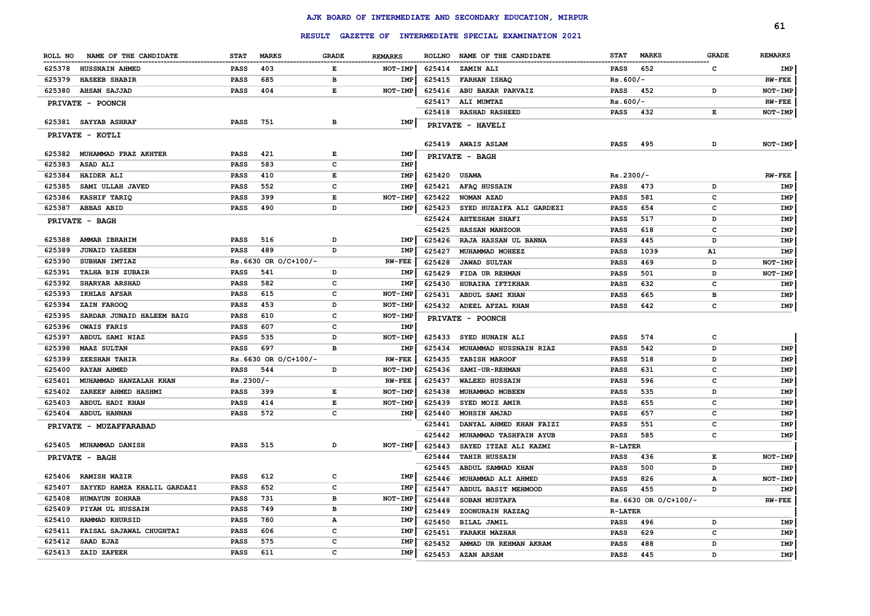|                                       |             | <b>RESULT</b>          |              |                |        | GAZETTE OF INTERMEDIATE SPECIAL EXAMINATION 2021 |                |                      |              | 61             |
|---------------------------------------|-------------|------------------------|--------------|----------------|--------|--------------------------------------------------|----------------|----------------------|--------------|----------------|
| ROLL NO<br>NAME OF THE CANDIDATE      | <b>STAT</b> | <b>MARKS</b>           | <b>GRADE</b> | <b>REMARKS</b> |        | ROLLNO NAME OF THE CANDIDATE                     | <b>STAT</b>    | <b>MARKS</b>         | <b>GRADE</b> | <b>REMARKS</b> |
| 625378<br><b>HUSSNAIN AHMED</b>       | <b>PASS</b> | 403                    | Е            | NOT-IMP        | 625414 | <b>ZAMIN ALI</b>                                 | PASS           | 652                  | c            | IMP            |
| 625379<br><b>HASEEB SHABIR</b>        | <b>PASS</b> | 685                    | в            | <b>IMP</b>     | 625415 | <b>FARHAN ISHAQ</b>                              | $Rs.600/-$     |                      |              | $RW-FEE$       |
| 625380<br><b>AHSAN SAJJAD</b>         | PASS        | 404                    | E            | NOT-IMP        | 625416 | ABU BAKAR PARVAIZ                                | PASS           | 452                  | D            | NOT-IMP        |
| PRIVATE - POONCH                      |             |                        |              |                | 625417 | ALI MUMTAZ                                       | $Rs.600/-$     |                      |              | $RW-FEE$       |
|                                       |             |                        |              |                | 625418 | <b>RASHAD RASHEED</b>                            | <b>PASS</b>    | 432                  | Е            | NOT-IMP        |
| 625381 SAYYAB ASHRAF                  | <b>PASS</b> | 751                    | в            | IMP            |        | PRIVATE - HAVELI                                 |                |                      |              |                |
| PRIVATE - KOTLI                       |             |                        |              |                |        | 625419 AWAIS ASLAM                               | <b>PASS</b>    | 495                  | D            | NOT-IMP        |
| 625382<br>MUHAMMAD FRAZ AKHTER        | <b>PASS</b> | 421                    | Е            | IMP            |        | PRIVATE - BAGH                                   |                |                      |              |                |
| 625383<br><b>ASAD ALI</b>             | <b>PASS</b> | 583                    | c            | IMP            |        |                                                  |                |                      |              |                |
| 625384<br><b>HAIDER ALI</b>           | <b>PASS</b> | 410                    | Е            | IMP            | 625420 | <b>USAMA</b>                                     | Rs.2300/-      |                      |              | $RW-FEE$       |
| 625385<br>SAMI ULLAH JAVED            | <b>PASS</b> | 552                    | c            | IMP            | 625421 | <b>AFAQ HUSSAIN</b>                              | <b>PASS</b>    | 473                  | D            | IMP            |
| 625386<br>KASHIF TARIQ                | <b>PASS</b> | 399                    | Е            | NOT-IMP        | 625422 | NOMAN AZAD                                       | <b>PASS</b>    | 581                  | c            | IMP            |
| 625387<br><b>ABBAS ABID</b>           | <b>PASS</b> | 490                    | D            | IMP            | 625423 | SYED HUZAIFA ALI GARDEZI                         | <b>PASS</b>    | 654                  | c            | IMP            |
| PRIVATE - BAGH                        |             |                        |              |                | 625424 | <b>AHTESHAM SHAFI</b>                            | <b>PASS</b>    | 517                  | D            | IMP            |
|                                       |             |                        |              |                | 625425 | <b>HASSAN MANZOOR</b>                            | <b>PASS</b>    | 618                  | c            | IMP            |
| 625388<br><b>AMMAR IBRAHIM</b>        | <b>PASS</b> | 516                    | D            | IMP            | 625426 | RAJA HASSAN UL BANNA                             | <b>PASS</b>    | 445                  | D            | IMP            |
| 625389<br><b>JUNAID YASEEN</b>        | <b>PASS</b> | 489                    | D            | IMP            | 625427 | MUHAMMAD MOHEEZ                                  | <b>PASS</b>    | 1039                 | A1           | <b>IMP</b>     |
| 625390<br>SUBHAN IMTIAZ               |             | $Rs.6630$ OR O/C+100/- |              | $RW-FEE$       | 625428 | <b>JAWAD SULTAN</b>                              | <b>PASS</b>    | 469                  | D            | NOT-IMP        |
| 625391<br><b>TALHA BIN ZUBAIR</b>     | <b>PASS</b> | 541                    | D            | IMP            | 625429 | FIDA UR REHMAN                                   | <b>PASS</b>    | 501                  | D            | NOT-IMP        |
| 625392<br><b>SHARYAR ARSHAD</b>       | <b>PASS</b> | 582                    | c            | IMP            | 625430 | HURAIRA IFTIKHAR                                 | PASS           | 632                  | c            | IMP            |
| 625393<br>IKHLAS AFSAR                | <b>PASS</b> | 615                    | c            | NOT-IMP        | 625431 | ABDUL SAMI KHAN                                  | PASS           | 665                  | в            | IMP            |
| 625394<br>ZAIN FAROOQ                 | <b>PASS</b> | 453                    | D            | <b>NOT-IMP</b> | 625432 | ADEEL AFZAL KHAN                                 | <b>PASS</b>    | 642                  | $\mathbf c$  | IMP            |
| 625395<br>SARDAR JUNAID HALEEM BAIG   | <b>PASS</b> | 610                    | c            | <b>NOT-IMP</b> |        | PRIVATE - POONCH                                 |                |                      |              |                |
| 625396<br><b>OWAIS FARIS</b>          | <b>PASS</b> | 607                    | c            | IMP            |        |                                                  |                |                      |              |                |
| 625397<br>ABDUL SAMI NIAZ             | <b>PASS</b> | 535                    | D            | NOT-IMP        | 625433 | SYED HUNAIN ALI                                  | <b>PASS</b>    | 574                  | c            |                |
| 625398<br><b>MAAZ SULTAN</b>          | PASS        | 697                    | в            | <b>IMP</b>     | 625434 | MUHAMMAD HUSSNAIN RIAZ                           | <b>PASS</b>    | 542                  | D            | IMP            |
| 625399<br><b>ZEESHAN TAHIR</b>        |             | Rs.6630 OR O/C+100/-   |              | $RW-FEE$       | 625435 | <b>TABISH MAROOF</b>                             | <b>PASS</b>    | 518                  | D            | IMP            |
| 625400<br>RAYAN AHMED                 | PASS        | 544                    | D            | NOT-IMP        | 625436 | SAMI-UR-REHMAN                                   | <b>PASS</b>    | 631                  | c            | IMP            |
| 625401<br>MUHAMMAD HANZALAH KHAN      | Rs.2300/-   |                        |              | $RW$ - $FEE$   | 625437 | <b>WALEED HUSSAIN</b>                            | <b>PASS</b>    | 596                  | $\mathbf c$  | IMP            |
| 625402<br>ZAREEF AHMED HASHMI         | <b>PASS</b> | 399                    | Е            | NOT-IMP        | 625438 | MUHAMMAD MOBEEN                                  | <b>PASS</b>    | 535                  | D            | IMP            |
| 625403<br>ABDUL HADI KHAN             | <b>PASS</b> | 414                    | E            | NOT-IMP        | 625439 | SYED MOIZ AMIR                                   | <b>PASS</b>    | 655                  | c            | IMP            |
| 625404<br><b>ABDUL HANNAN</b>         | PASS        | 572                    | c            | IMP            | 625440 | MOHSIN AMJAD                                     | PASS           | 657                  | c            | IMP            |
| PRIVATE - MUZAFFARABAD                |             |                        |              |                | 625441 | DANYAL AHMED KHAN FAIZI                          | PASS           | 551                  | c            | IMP            |
|                                       |             |                        |              |                | 625442 | MUHAMMAD TASHFAIN AYUB                           | PASS           | 585                  | c            | IMP            |
| 625405 MUHAMMAD DANISH                | <b>PASS</b> | 515                    | D            | NOT-IMP        | 625443 | SAYED ITZAZ ALI KAZMI                            | <b>R-LATER</b> |                      |              |                |
| PRIVATE - BAGH                        |             |                        |              |                | 625444 | <b>TAHIR HUSSAIN</b>                             | <b>PASS</b>    | 436                  | Е            | NOT-IMP        |
|                                       |             |                        |              |                | 625445 | ABDUL SAMMAD KHAN                                | <b>PASS</b>    | 500                  | D            | IMP            |
| 625406<br><b>RAMISH WAZIR</b>         | <b>PASS</b> | 612                    | c            | IMP            | 625446 | MUHAMMAD ALI AHMED                               | <b>PASS</b>    | 826                  | А            | NOT-IMP        |
| 625407<br>SAYYED HAMZA KHALIL GARDAZI | PASS        | 652                    | c            | <b>IMP</b>     | 625447 | ABDUL BASIT MEHMOOD                              | <b>PASS</b>    | 455                  | D            | IMP            |
| 625408<br><b>HUMAYUN ZOHRAB</b>       | <b>PASS</b> | 731                    | в            | <b>NOT-IMP</b> | 625448 | SOBAN MUSTAFA                                    |                | Rs.6630 OR O/C+100/- |              | $RW-FEE$       |
| 625409<br>PIYAM UL HUSSAIN            | <b>PASS</b> | 749                    | в            | IMP            | 625449 | ZOONURAIN RAZZAQ                                 | <b>R-LATER</b> |                      |              |                |
| 625410<br>HAMMAD KHURSID              | <b>PASS</b> | 780                    | A            | IMP            | 625450 | BILAL JAMIL                                      | <b>PASS</b>    | 496                  | D            | IMP            |
| 625411<br>FAISAL SAJAWAL CHUGHTAI     | <b>PASS</b> | 606                    | c            | IMP            | 625451 | <b>FARAKH MAZHAR</b>                             | <b>PASS</b>    | 629                  | c            | IMP            |
| 625412<br>SAAD EJAZ                   | PASS        | 575                    | c            | IMP            | 625452 | AMMAD UR REHMAN AKRAM                            | <b>PASS</b>    | 488                  | D            | IMP            |
| 625413<br>ZAID ZAFEER                 | <b>PASS</b> | 611                    | c            | IMP            | 625453 | <b>AZAN ARSAM</b>                                | <b>PASS</b>    | 445                  | D            | <b>IMP</b>     |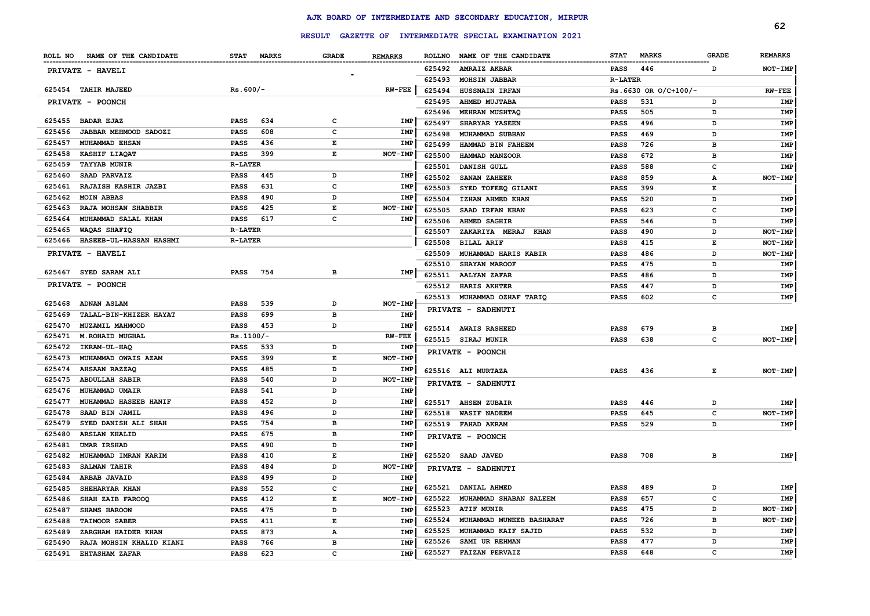|        |                               |                |     |                                                                                                |                |               | RESULT GAZETTE OF INTERMEDIATE SPECIAL EXAMINATION 2021 |                |                      |              | 62             |
|--------|-------------------------------|----------------|-----|------------------------------------------------------------------------------------------------|----------------|---------------|---------------------------------------------------------|----------------|----------------------|--------------|----------------|
|        | ROLL NO NAME OF THE CANDIDATE | STAT MARKS     |     | <b>GRADE</b>                                                                                   | <b>REMARKS</b> | <b>ROLLNO</b> | NAME OF THE CANDIDATE                                   | <b>STAT</b>    | <b>MARKS</b>         | <b>GRADE</b> | <b>REMARKS</b> |
|        | PRIVATE - HAVELI              |                |     |                                                                                                |                | 625492        | <b>AMRAIZ AKBAR</b>                                     | PASS           | 446                  | D            | NOT-IMP        |
|        |                               |                |     |                                                                                                |                | 625493        | <b>MOHSIN JABBAR</b>                                    | <b>R-LATER</b> |                      |              |                |
|        | 625454 TAHIR MAJEED           | $Rs.600/-$     |     |                                                                                                | <b>RW-FEE</b>  | 625494        | <b>HUSSNAIN IRFAN</b>                                   |                | Rs.6630 OR O/C+100/- |              | $RW-FEE$       |
|        | PRIVATE - POONCH              |                |     |                                                                                                |                | 625495        | AHMED MUJTABA                                           | <b>PASS</b>    | 531                  | D            | IMP            |
|        |                               |                |     |                                                                                                |                | 625496        | <b>MEHRAN MUSHTAQ</b>                                   | <b>PASS</b>    | 505                  | D            | IMP            |
| 625455 | <b>BADAR EJAZ</b>             | <b>PASS</b>    | 634 | $\mathbf c$                                                                                    | IMP            | 625497        | SHARYAR YASEEN                                          | <b>PASS</b>    | 496                  | D            | IMP            |
| 625456 | JABBAR MEHMOOD SADOZI         | PASS           | 608 | $\mathbf c$                                                                                    | IMP            | 625498        | MUHAMMAD SUBHAN                                         | <b>PASS</b>    | 469                  | D            | <b>IMP</b>     |
| 625457 | <b>MUHAMMAD EHSAN</b>         | <b>PASS</b>    | 436 | $\mathbf{E}% _{t}\left  \mathbf{1}\right\rangle =\mathbf{1}_{t}\left  \mathbf{1}\right\rangle$ | IMP            | 625499        | HAMMAD BIN FAHEEM                                       | <b>PASS</b>    | 726                  | в            | <b>IMP</b>     |
| 625458 | KASHIF LIAQAT                 | <b>PASS</b>    | 399 | E                                                                                              | NOT-IMP        | 625500        | HAMMAD MANZOOR                                          | <b>PASS</b>    | 672                  | в            | IMP            |
| 625459 | <b>TAYYAB MUNIR</b>           | <b>R-LATER</b> |     |                                                                                                |                | 625501        | DANISH GULL                                             | <b>PASS</b>    | 588                  | c            | IMP            |
| 625460 | SAAD PARVAIZ                  | <b>PASS</b>    | 445 | D                                                                                              | IMP            | 625502        | <b>SANAN ZAHEER</b>                                     | <b>PASS</b>    | 859                  | A            | NOT-IMP        |
| 625461 | RAJAISH KASHIR JAZBI          | PASS           | 631 | $\mathbf{C}$                                                                                   | <b>IMP</b>     | 625503        | SYED TOFEEQ GILANI                                      | <b>PASS</b>    | 399                  | E            |                |
| 625462 | <b>MOIN ABBAS</b>             | <b>PASS</b>    | 490 | D                                                                                              | IMP            | 625504        | IZHAN AHMED KHAN                                        | <b>PASS</b>    | 520                  | D            | IMP            |
| 625463 | RAJA MOHSAN SHABBIR           | PASS           | 425 | E                                                                                              | NOT-IMP        | 625505        | SAAD IRFAN KHAN                                         | <b>PASS</b>    | 623                  | C            | IMP            |
| 625464 | MUHAMMAD SALAL KHAN           | <b>PASS</b>    | 617 | $\mathbf{C}$                                                                                   | IMP            | 625506        | AHMED SAGHIR                                            | <b>PASS</b>    | 546                  | D            | IMP            |
| 625465 | WAQAS SHAFIQ                  | <b>R-LATER</b> |     |                                                                                                |                | 625507        | ZAKARIYA MERAJ KHAN                                     | <b>PASS</b>    | 490                  | D            | NOT-IMP        |
| 625466 | HASEEB-UL-HASSAN HASHMI       | <b>R-LATER</b> |     |                                                                                                |                | 625508        | <b>BILAL ARIF</b>                                       | <b>PASS</b>    | 415                  | E            | NOT-IMP        |
|        | PRIVATE - HAVELI              |                |     |                                                                                                |                | 625509        | MUHAMMAD HARIS KABIR                                    | <b>PASS</b>    | 486                  | D            | <b>NOT-IMP</b> |
|        |                               |                |     |                                                                                                |                | 625510        | <b>SHAYAN MAROOF</b>                                    | <b>PASS</b>    | 475                  | D            | <b>IMP</b>     |
|        | 625467 SYED SARAM ALI         | PASS           | 754 | в                                                                                              | IMP            | 625511        | <b>AALYAN ZAFAR</b>                                     | <b>PASS</b>    | 486                  | D            | IMP            |
|        | PRIVATE - POONCH              |                |     |                                                                                                |                | 625512        | <b>HARIS AKHTER</b>                                     | <b>PASS</b>    | 447                  | D            | IMP            |
|        |                               |                |     |                                                                                                |                | 625513        | MUHAMMAD OZHAF TARIQ                                    | <b>PASS</b>    | 602                  | C            | IMP            |
| 625468 | <b>ADNAN ASLAM</b>            | <b>PASS</b>    | 539 | D                                                                                              | NOT-IMP        |               | <b>PRIVATE - SADHNUTI</b>                               |                |                      |              |                |
| 625469 | TALAL-BIN-KHIZER HAYAT        | <b>PASS</b>    | 699 | в                                                                                              | IMP            |               |                                                         |                |                      |              |                |
| 625470 | MUZAMIL MAHMOOD               | <b>PASS</b>    | 453 | D                                                                                              | IMP            |               | 625514 AWAIS RASHEED                                    | <b>PASS</b>    | 679                  | в            | IMP            |
| 625471 | <b>M. ROHAID MUGHAL</b>       | $Rs.1100/-$    |     |                                                                                                | <b>RW-FEE</b>  | 625515        | <b>SIRAJ MUNIR</b>                                      | <b>PASS</b>    | 638                  | c            | NOT-IMP        |
| 625472 | IKRAM-UL-HAQ                  | <b>PASS</b>    | 533 | D                                                                                              | IMP            |               | <b>PRIVATE - POONCH</b>                                 |                |                      |              |                |
| 625473 | MUHAMMAD OWAIS AZAM           | <b>PASS</b>    | 399 | Е                                                                                              | NOT-IMP        |               |                                                         |                |                      |              |                |
| 625474 | AHSAAN RAZZAQ                 | <b>PASS</b>    | 485 | D                                                                                              | IMP            |               | 625516 ALI MURTAZA                                      | <b>PASS</b>    | 436                  | Е            | NOT-IMP        |
| 625475 | <b>ABDULLAH SABIR</b>         | <b>PASS</b>    | 540 | D                                                                                              | NOT-IMP        |               | PRIVATE - SADHNUTI                                      |                |                      |              |                |
| 625476 | <b>MUHAMMAD UMAIR</b>         | <b>PASS</b>    | 541 | D                                                                                              | IMP            |               |                                                         |                |                      |              |                |
| 625477 | MUHAMMAD HASEEB HANIF         | PASS           | 452 | D                                                                                              | IMP            | 625517        | <b>AHSEN ZUBAIR</b>                                     | <b>PASS</b>    | 446                  | D            | IMP            |
| 625478 | SAAD BIN JAMIL                | <b>PASS</b>    | 496 | D                                                                                              | IMP            | 625518        | <b>WASIF NADEEM</b>                                     | <b>PASS</b>    | 645                  | C            | NOT-IMP        |
| 625479 | SYED DANISH ALI SHAH          | <b>PASS</b>    | 754 | в                                                                                              | IMP            | 625519        | <b>FAHAD AKRAM</b>                                      | <b>PASS</b>    | 529                  | D            | IMP            |
| 625480 | <b>ARSLAN KHALID</b>          | <b>PASS</b>    | 675 | в                                                                                              | IMP            |               | PRIVATE - POONCH                                        |                |                      |              |                |
| 625481 | UMAR IRSHAD                   | PASS           | 490 | D                                                                                              | <b>IMP</b>     |               |                                                         |                |                      |              |                |
| 625482 | MUHAMMAD IMRAN KARIM          | PASS           | 410 | E                                                                                              | IMP            |               | 625520 SAAD JAVED                                       | <b>PASS</b>    | 708                  | в            | IMP            |
| 625483 | <b>SALMAN TAHIR</b>           | PASS           | 484 | D                                                                                              | NOT-IMP        |               | PRIVATE - SADHNUTI                                      |                |                      |              |                |
| 625484 | <b>ARBAB JAVAID</b>           | PASS           | 499 | D                                                                                              | IMP            |               |                                                         |                |                      |              |                |
| 625485 | SHEHARYAR KHAN                | <b>PASS</b>    | 552 | $\mathbf c$                                                                                    | IMP            |               | 625521 DANIAL AHMED                                     | <b>PASS</b>    | 489                  | D            | <b>IMP</b>     |
| 625486 | SHAH ZAIB FAROOQ              | <b>PASS</b>    | 412 | E                                                                                              | NOT-IMP        | 625522        | MUHAMMAD SHABAN SALEEM                                  | <b>PASS</b>    | 657                  | $\mathbf{C}$ | IMP            |
| 625487 | SHAMS HAROON                  | <b>PASS</b>    | 475 | D                                                                                              | IMP            | 625523        | <b>ATIF MUNIR</b>                                       | <b>PASS</b>    | 475                  | D            | NOT-IMP        |
| 625488 | <b>TAIMOOR SABER</b>          | <b>PASS</b>    | 411 | E                                                                                              | IMP            | 625524        | MUHAMMAD MUNEEB BASHARAT                                | <b>PASS</b>    | 726                  | в            | NOT-IMP        |
| 625489 | ZARGHAM HAIDER KHAN           | <b>PASS</b>    | 873 | А                                                                                              | IMP            | 625525        | MUHAMMAD KAIF SAJID                                     | <b>PASS</b>    | 532                  | D            | <b>IMP</b>     |
| 625490 | RAJA MOHSIN KHALID KIANI      | <b>PASS</b>    | 766 | в                                                                                              | IMP            | 625526        | SAMI UR REHMAN                                          | <b>PASS</b>    | 477                  | D            | <b>IMP</b>     |
|        | 625491 EHTASHAM ZAFAR         | <b>PASS</b>    | 623 | $\mathbf{C}$                                                                                   | IMP            | 625527        | <b>FAIZAN PERVAIZ</b>                                   | <b>PASS</b>    | 648                  | C            | IMP            |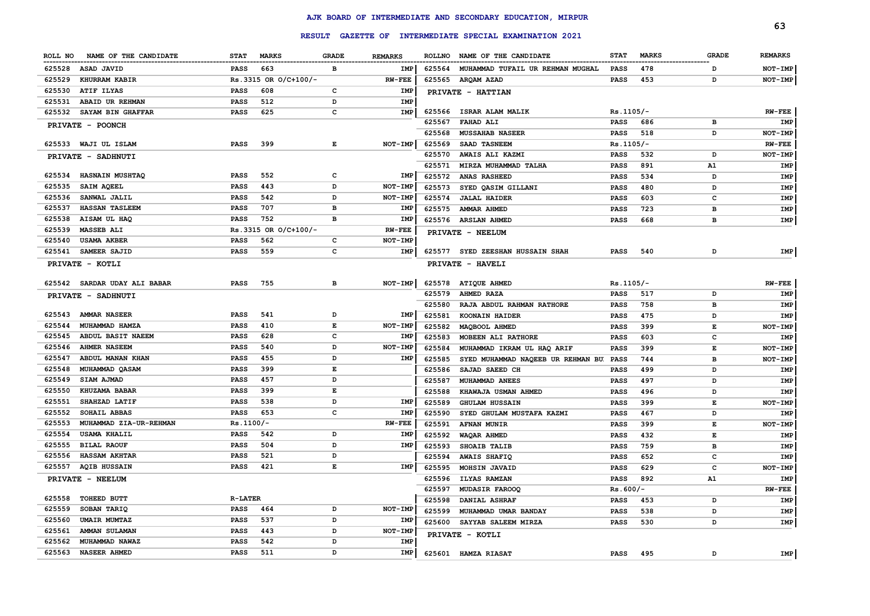|           |                        |                |                      |                    |                   |               |                                       |             |              |              | 63             |
|-----------|------------------------|----------------|----------------------|--------------------|-------------------|---------------|---------------------------------------|-------------|--------------|--------------|----------------|
|           |                        |                | <b>RESULT</b>        |                    | <b>GAZETTE OF</b> |               | INTERMEDIATE SPECIAL EXAMINATION 2021 |             |              |              |                |
| ROLL NO   | NAME OF THE CANDIDATE  | <b>STAT</b>    | <b>MARKS</b>         | <b>GRADE</b>       | <b>REMARKS</b>    | <b>ROLLNO</b> | NAME OF THE CANDIDATE                 | <b>STAT</b> | <b>MARKS</b> | <b>GRADE</b> | <b>REMARKS</b> |
| 625528    | ASAD JAVID             | <b>PASS</b>    | 663                  | в                  | <b>IMP</b>        | 625564        | MUHAMMAD TUFAIL UR REHMAN MUGHAL      | PASS        | 478          | D            | NOT-IMP        |
| 625529    | <b>KHURRAM KABIR</b>   |                | Rs.3315 OR O/C+100/- |                    | $RW-FEE$          | 625565        | ARQAM AZAD                            | PASS        | 453          | D            | NOT-IMP        |
| 625530    | ATIF ILYAS             | PASS           | 608                  | c                  | IMP               |               | PRIVATE - HATTIAN                     |             |              |              |                |
| 625531    | ABAID UR REHMAN        | <b>PASS</b>    | 512                  | D                  | <b>IMP</b>        |               |                                       |             |              |              |                |
| 625532    | SAYAM BIN GHAFFAR      | <b>PASS</b>    | 625                  | c                  | IMP               | 625566        | ISRAR ALAM MALIK                      | $Rs.1105/-$ |              |              | $RW-FEE$       |
|           | PRIVATE - POONCH       |                |                      |                    |                   | 625567        | <b>FAHAD ALI</b>                      | <b>PASS</b> | 686          | в            | IMP            |
|           |                        |                |                      |                    |                   | 625568        | <b>MUSSAHAB NASEER</b>                | PASS        | 518          | D            | NOT-IMP        |
|           | 625533 WAJI UL ISLAM   | <b>PASS</b>    | 399                  | $\mathbf{E}% _{t}$ | NOT-IMP           | 625569        | <b>SAAD TASNEEM</b>                   | Rs.1105/-   |              |              | $RW-FEE$       |
|           | PRIVATE - SADHNUTI     |                |                      |                    |                   | 625570        | AWAIS ALI KAZMI                       | <b>PASS</b> | 532          | D            | NOT-IMP        |
|           |                        |                |                      |                    |                   | 625571        | MIRZA MUHAMMAD TALHA                  | <b>PASS</b> | 891          | ${\tt A1}$   | IMP            |
| 625534    | <b>HASNAIN MUSHTAQ</b> | <b>PASS</b>    | 552                  | c                  | IMP               | 625572        | <b>ANAS RASHEED</b>                   | PASS        | 534          | D            | IMP            |
| 625535    | SAIM AQEEL             | <b>PASS</b>    | 443                  | D                  | NOT-IMP           | 625573        | SYED QASIM GILLANI                    | PASS        | 480          | D            | IMP            |
| 625536    | SANWAL JALIL           | <b>PASS</b>    | 542                  | D                  | NOT-IMP           | 625574        | <b>JALAL HAIDER</b>                   | <b>PASS</b> | 603          | c            | IMP            |
| 625537    | <b>HASSAN TASLEEM</b>  | <b>PASS</b>    | 707                  | в                  | IMP               | 625575        | <b>AMMAR AHMED</b>                    | <b>PASS</b> | 723          | в            | IMP            |
| 625538    | AISAM UL HAQ           | <b>PASS</b>    | 752                  | в                  | <b>IMP</b>        | 625576        | <b>ARSLAN AHMED</b>                   | <b>PASS</b> | 668          | в            | IMP            |
| 625539    | <b>MASSEB ALI</b>      |                | Rs.3315 OR O/C+100/- |                    | $RW-FEE$          |               | PRIVATE - NEELUM                      |             |              |              |                |
| 625540    | <b>USAMA AKBER</b>     | <b>PASS</b>    | 562                  | $\mathbf c$        | NOT-IMP           |               |                                       |             |              |              |                |
| 625541    | <b>SAMEER SAJID</b>    | <b>PASS</b>    | 559                  | $\mathbf c$        | IMP               |               | 625577 SYED ZEESHAN HUSSAIN SHAH      | PASS        | 540          | D            | IMP            |
|           | PRIVATE - KOTLI        |                |                      |                    |                   |               | PRIVATE - HAVELI                      |             |              |              |                |
| 625542    | SARDAR UDAY ALI BABAR  | <b>PASS</b>    | 755                  | в                  | NOT-IMP           | 625578        | <b>ATIQUE AHMED</b>                   | $Rs.1105/-$ |              |              | $RW-FEE$       |
| PRIVATE - | <b>SADHNUTI</b>        |                |                      |                    |                   | 625579        | AHMED RAZA                            | <b>PASS</b> | 517          | D            | <b>IMP</b>     |
|           |                        |                |                      |                    |                   | 625580        | RAJA ABDUL RAHMAN RATHORE             | <b>PASS</b> | 758          | в            | <b>IMP</b>     |
| 625543    | <b>AMMAR NASEER</b>    | <b>PASS</b>    | 541                  | D                  | IMP               | 625581        | KOONAIN HAIDER                        | <b>PASS</b> | 475          | D            | IMP            |
| 625544    | MUHAMMAD HAMZA         | <b>PASS</b>    | 410                  | $\mathbf{E}% _{t}$ | NOT-IMP           | 625582        | MAQBOOL AHMED                         | <b>PASS</b> | 399          | E            | NOT-IMP        |
| 625545    | ABDUL BASIT NAEEM      | <b>PASS</b>    | 628                  | c                  | <b>IMP</b>        | 625583        | MOBEEN ALI RATHORE                    | <b>PASS</b> | 603          | $\mathbf c$  | <b>IMP</b>     |
| 625546    | <b>AHMER NASEEM</b>    | <b>PASS</b>    | 540                  | D                  | NOT-IMP           | 625584        | MUHAMMAD IKRAM UL HAQ ARIF            | <b>PASS</b> | 399          | $\mathbf E$  | NOT-IMP        |
| 625547    | ABDUL MANAN KHAN       | <b>PASS</b>    | 455                  | D                  | IMP               | 625585        | SYED MUHAMMAD NAQEEB UR REHMAN BU     | <b>PASS</b> | 744          | в            | NOT-IMP        |
| 625548    | MUHAMMAD QASAM         | <b>PASS</b>    | 399                  | $\mathbf{E}% _{t}$ |                   | 625586        | SAJAD SAEED CH                        | PASS        | 499          | D            | IMP            |
| 625549    | SIAM AJMAD             | <b>PASS</b>    | 457                  | D                  |                   | 625587        | MUHAMMAD ANEES                        | <b>PASS</b> | 497          | D            | IMP            |
| 625550    | KHUZAMA BABAR          | <b>PASS</b>    | 399                  | Е                  |                   | 625588        | KHAWAJA USMAN AHMED                   | <b>PASS</b> | 496          | D            | IMP            |
| 625551    | SHAHZAD LATIF          | <b>PASS</b>    | 538                  | D                  | <b>IMP</b>        | 625589        | <b>GHULAM HUSSAIN</b>                 | <b>PASS</b> | 399          | Е            | NOT-IMP        |
| 625552    | SOHAIL ABBAS           | <b>PASS</b>    | 653                  | c                  | <b>IMP</b>        | 625590        | SYED GHULAM MUSTAFA KAZMI             | <b>PASS</b> | 467          | D            | IMP            |
| 625553    | MUHAMMAD ZIA-UR-REHMAN | $Rs.1100/-$    |                      |                    | $RW-FEE$          | 625591        | <b>AFNAN MUNIR</b>                    | <b>PASS</b> | 399          | E            | NOT-IMP        |
| 625554    | <b>USAMA KHALIL</b>    | <b>PASS</b>    | 542                  | D                  | <b>IMP</b>        | 625592        | WAQAR AHMED                           | <b>PASS</b> | 432          | E            | IMP            |
| 625555    | <b>BILAL RAOUF</b>     | <b>PASS</b>    | 504                  | D                  | IMP               | 625593        | SHOAIB TALIB                          | <b>PASS</b> | 759          | в            | IMP            |
| 625556    | <b>HASSAM AKHTAR</b>   | <b>PASS</b>    | 521                  | D                  |                   | 625594        | <b>AWAIS SHAFIQ</b>                   | <b>PASS</b> | 652          | c            | IMP            |
| 625557    | <b>AQIB HUSSAIN</b>    | <b>PASS</b>    | 421                  | $\mathbf{E}% _{t}$ | IMP               | 625595        | MOHSIN JAVAID                         | <b>PASS</b> | 629          | c            | NOT-IMP        |
|           | PRIVATE - NEELUM       |                |                      |                    |                   | 625596        | <b>ILYAS RAMZAN</b>                   | <b>PASS</b> | 892          | A1           | IMP            |
|           |                        |                |                      |                    |                   | 625597        | <b>MUDASIR FAROOQ</b>                 | $Rs.600/-$  |              |              | $RW-FEE$       |
| 625558    | TOHEED BUTT            | <b>R-LATER</b> |                      |                    |                   | 625598        | <b>DANIAL ASHRAF</b>                  | <b>PASS</b> | 453          | D            | IMP            |
| 625559    | SOBAN TARIQ            | <b>PASS</b>    | 464                  | D                  | NOT-IMP           | 625599        | MUHAMMAD UMAR BANDAY                  | <b>PASS</b> | 538          | D            | IMP            |
| 625560    | UMAIR MUMTAZ           | <b>PASS</b>    | 537                  | D                  | <b>IMP</b>        | 625600        | SAYYAB SALEEM MIRZA                   | <b>PASS</b> | 530          | D            | IMP            |
| 625561    | <b>AMMAN SULAMAN</b>   | <b>PASS</b>    | 443                  | D                  | NOT-IMP           |               | PRIVATE - KOTLI                       |             |              |              |                |
| 625562    | MUHAMMAD NAWAZ         | PASS           | 542                  | D                  | <b>IMP</b>        |               |                                       |             |              |              |                |
| 625563    | <b>NASEER AHMED</b>    | <b>PASS</b>    | 511                  | D                  | IMP               |               | 625601 HAMZA RIASAT                   | <b>PASS</b> | 495          | D            | IMP            |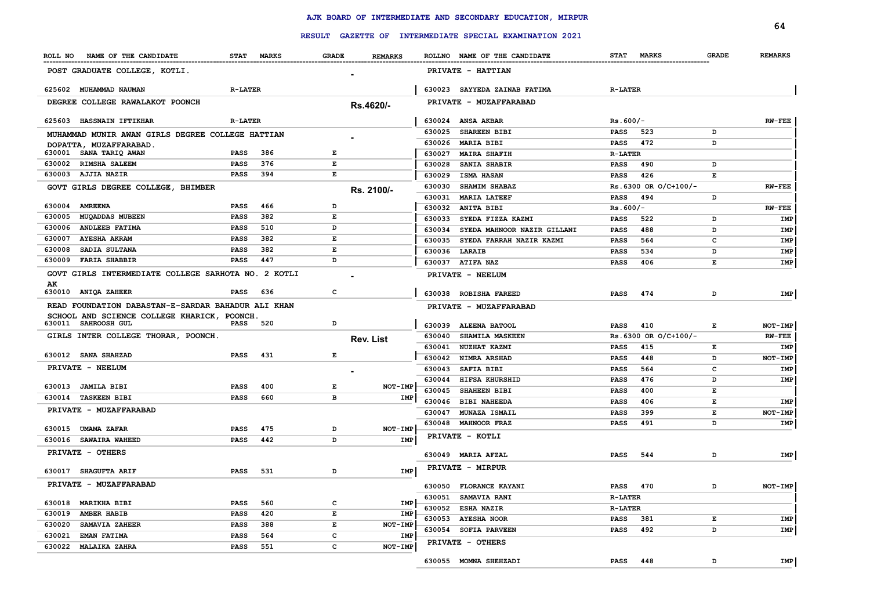|                                                                    |                 |            |              |                  |        |                                                         |                 |                          |              | 64             |
|--------------------------------------------------------------------|-----------------|------------|--------------|------------------|--------|---------------------------------------------------------|-----------------|--------------------------|--------------|----------------|
|                                                                    |                 |            |              |                  |        | RESULT GAZETTE OF INTERMEDIATE SPECIAL EXAMINATION 2021 |                 |                          |              |                |
| ROLL NO NAME OF THE CANDIDATE                                      |                 | STAT MARKS | <b>GRADE</b> | <b>REMARKS</b>   |        | ROLLNO NAME OF THE CANDIDATE                            |                 | STAT MARKS               | <b>GRADE</b> | <b>REMARKS</b> |
| POST GRADUATE COLLEGE, KOTLI.                                      |                 |            |              |                  |        | <b>PRIVATE - HATTIAN</b>                                |                 |                          |              |                |
| 625602 MUHAMMAD NAUMAN                                             | <b>R-LATER</b>  |            |              |                  |        | 630023 SAYYEDA ZAINAB FATIMA                            | <b>R-LATER</b>  |                          |              |                |
| DEGREE COLLEGE RAWALAKOT POONCH                                    |                 |            |              | Rs.4620/-        |        | PRIVATE - MUZAFFARABAD                                  |                 |                          |              |                |
| 625603 HASSNAIN IFTIKHAR                                           | <b>R-LATER</b>  |            |              |                  |        | 630024 ANSA AKBAR                                       | $Rs.600/-$      |                          |              | $RW-FEE$       |
|                                                                    |                 |            |              |                  | 630025 | <b>SHAREEN BIBI</b>                                     | PASS            | 523                      | D            |                |
| MUHAMMAD MUNIR AWAN GIRLS DEGREE COLLEGE HATTIAN                   |                 |            |              |                  | 630026 | <b>MARIA BIBI</b>                                       | PASS            | 472                      | D            |                |
| DOPATTA, MUZAFFARABAD.<br>630001 SANA TARIQ AWAN                   | PASS            | 386        | Е            |                  | 630027 | <b>MAIRA SHAFIH</b>                                     | <b>R-LATER</b>  |                          |              |                |
| 630002 RIMSHA SALEEM                                               | PASS            | 376        | Е            |                  | 630028 | <b>SANIA SHABIR</b>                                     | <b>PASS</b>     | 490                      | D            |                |
| 630003 AJJIA NAZIR                                                 | PASS            | 394        | Е            |                  | 630029 | <b>ISMA HASAN</b>                                       | PASS            | 426                      | Е            |                |
| GOVT GIRLS DEGREE COLLEGE, BHIMBER                                 |                 |            |              | Rs. 2100/-       | 630030 | <b>SHAMIM SHABAZ</b>                                    |                 | $Rs.6300$ OR $O/C+100/-$ |              | <b>RW-FEE</b>  |
|                                                                    |                 |            |              |                  | 630031 | <b>MARIA LATEEF</b>                                     | PASS            | 494                      | D            |                |
| 630004 AMREENA                                                     | <b>PASS</b>     | 466        | D            |                  |        | 630032 ANITA BIBI                                       | $Rs.600/-$      |                          |              | <b>RW-FEE</b>  |
| 630005<br><b>MUQADDAS MUBEEN</b>                                   | <b>PASS</b>     | 382        | Е            |                  | 630033 | SYEDA FIZZA KAZMI                                       | PASS            | 522                      | D            | IMP            |
| 630006 ANDLEEB FATIMA                                              | <b>PASS</b>     | 510        | D            |                  | 630034 | SYEDA MAHNOOR NAZIR GILLANI                             | PASS            | 488                      | D            | IMP            |
| 630007<br><b>AYESHA AKRAM</b>                                      | <b>PASS</b>     | 382        | Е            |                  | 630035 | SYEDA FARRAH NAZIR KAZMI                                | PASS            | 564                      | c            | IMP            |
| 630008<br>SADIA SULTANA                                            | <b>PASS</b>     | 382        | Е            |                  |        | 630036 LARAIB                                           | PASS            | 534                      | D            | IMP            |
| 630009 FARIA SHABBIR                                               | PASS            | 447        | D            |                  |        | 630037 ATIFA NAZ                                        | PASS            | 406                      | Е            | IMP            |
| GOVT GIRLS INTERMEDIATE COLLEGE SARHOTA NO. 2 KOTLI                |                 |            |              |                  |        | PRIVATE - NEELUM                                        |                 |                          |              |                |
| AK                                                                 |                 |            |              |                  |        |                                                         |                 |                          |              |                |
| 630010 ANIQA ZAHEER                                                | <b>PASS</b>     | 636        | с            |                  | 630038 | <b>ROBISHA FAREED</b>                                   | PASS            | 474                      | D            | IMP            |
| READ FOUNDATION DABASTAN-E-SARDAR BAHADUR ALI KHAN                 |                 |            |              |                  |        | PRIVATE - MUZAFFARABAD                                  |                 |                          |              |                |
| SCHOOL AND SCIENCE COLLEGE KHARICK, POONCH.<br>630011 SAHROOSH GUL | <b>PASS</b> 520 |            | D            |                  | 630039 | <b>ALEENA BATOOL</b>                                    | <b>PASS</b>     | 410                      | Е            | NOT-IMP        |
| GIRLS INTER COLLEGE THORAR, POONCH.                                |                 |            |              |                  | 630040 | <b>SHAMILA MASKEEN</b>                                  |                 | $Rs.6300$ OR $O/C+100/-$ |              | <b>RW-FEE</b>  |
|                                                                    |                 |            |              | <b>Rev. List</b> |        | 630041 NUZHAT KAZMI                                     | <b>PASS</b>     | 415                      | Е            | IMP            |
| <b>630012 SANA SHAHZAD</b>                                         | <b>PASS</b>     | 431        | E            |                  |        | 630042 NIMRA ARSHAD                                     | <b>PASS</b>     | 448                      | D            | NOT-IMP        |
| PRIVATE - NEELUM                                                   |                 |            |              |                  | 630043 | <b>SAFIA BIBI</b>                                       | <b>PASS</b>     | 564                      | c            | IMP            |
|                                                                    |                 |            |              |                  | 630044 | <b>HIFSA KHURSHID</b>                                   | PASS            | 476                      | D            | IMP            |
| 630013 JAMILA BIBI                                                 | PASS            | 400        | Е            | <b>NOT-IMP</b>   | 630045 | <b>SHAHEEN BIBI</b>                                     | <b>PASS</b>     | 400                      | Е            |                |
| 630014 TASKEEN BIBI                                                | PASS            | 660        | в            | IMP              |        | 630046 BIBI NAHEEDA                                     | <b>PASS</b>     | 406                      | Е            | IMP            |
| PRIVATE - MUZAFFARABAD                                             |                 |            |              |                  | 630047 | <b>MUNAZA ISMAIL</b>                                    | <b>PASS</b>     | 399                      | Е            | NOT-IMP        |
|                                                                    |                 |            |              |                  |        | 630048 MAHNOOR FRAZ                                     | <b>PASS</b>     | 491                      | D            | IMP            |
| 630015 UMAMA ZAFAR                                                 | PASS            | 475        | D            | NOT-IMP          |        | PRIVATE - KOTLI                                         |                 |                          |              |                |
| 630016 SAWAIRA WAHEED                                              | <b>PASS</b>     | 442        | D            | IMP              |        |                                                         |                 |                          |              |                |
| <b>PRIVATE - OTHERS</b>                                            |                 |            |              |                  |        | 630049 MARIA AFZAL                                      | <b>PASS</b>     | 544                      | D            | IMP            |
| 630017 SHAGUFTA ARIF                                               | <b>PASS</b>     | 531        | D            | IMP              |        | <b>PRIVATE - MIRPUR</b>                                 |                 |                          |              |                |
|                                                                    |                 |            |              |                  |        |                                                         |                 |                          |              |                |
| <b>PRIVATE - MUZAFFARABAD</b>                                      |                 |            |              |                  |        | 630050 FLORANCE KAYANI                                  | <b>PASS</b> 470 |                          |              | NOT-IMP        |
| 630018 MARIKHA BIBI                                                | <b>PASS</b>     | 560        | c            | IMP              |        | 630051 SAMAVIA RANI                                     | <b>R-LATER</b>  |                          |              |                |
| 630019 AMBER HABIB                                                 | <b>PASS</b>     | 420        | E            | IMP              |        | 630052 ESHA NAZIR                                       | <b>R-LATER</b>  |                          |              |                |
| <b>SAMAVIA ZAHEER</b><br>630020                                    | <b>PASS</b>     | 388        | E            | NOT-IMP          |        | 630053 AYESHA NOOR                                      | <b>PASS</b> 381 |                          | Е            | IMP            |
| 630021<br><b>EMAN FATIMA</b>                                       | PASS            | 564        | с            | IMP              |        | 630054 SOFIA PARVEEN                                    | <b>PASS</b>     | 492                      | D            | IMP            |
| 630022 MALAIKA ZAHRA                                               | <b>PASS</b>     | 551        | с            | NOT-IMP          |        | PRIVATE - OTHERS                                        |                 |                          |              |                |
|                                                                    |                 |            |              |                  |        | 630055 MOMNA SHEHZADI                                   | <b>PASS</b> 448 |                          | D            | IMP            |
|                                                                    |                 |            |              |                  |        |                                                         |                 |                          |              |                |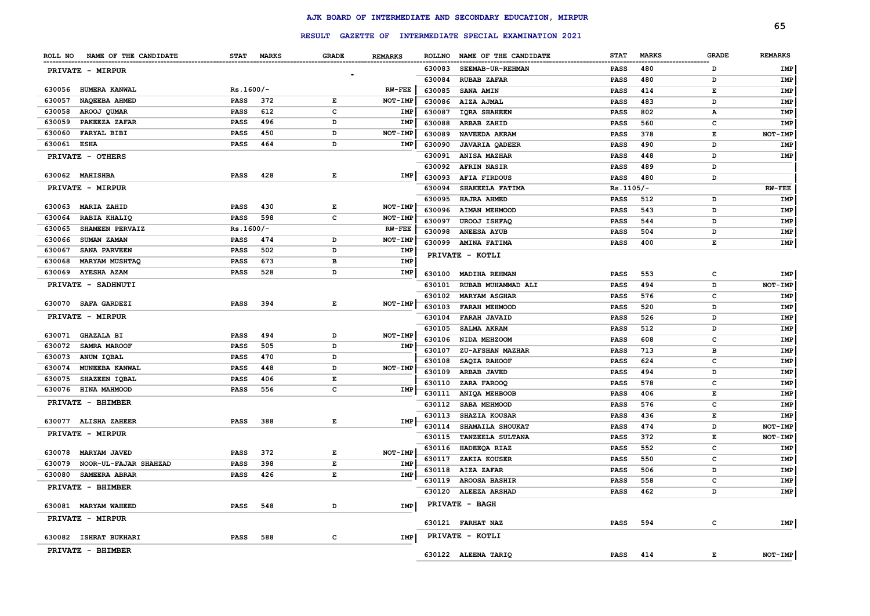|                                 |             |     |                                                                                                |                |        | RESULT GAZETTE OF INTERMEDIATE SPECIAL EXAMINATION 2021 |             |              |              | 65             |
|---------------------------------|-------------|-----|------------------------------------------------------------------------------------------------|----------------|--------|---------------------------------------------------------|-------------|--------------|--------------|----------------|
|                                 |             |     |                                                                                                |                |        |                                                         |             |              |              |                |
| ROLL NO NAME OF THE CANDIDATE   | STAT MARKS  |     | <b>GRADE</b>                                                                                   | <b>REMARKS</b> |        | ROLLNO NAME OF THE CANDIDATE                            | <b>STAT</b> | <b>MARKS</b> | <b>GRADE</b> | <b>REMARKS</b> |
| PRIVATE - MIRPUR                |             |     |                                                                                                |                | 630083 | SEEMAB-UR-REHMAN                                        | PASS        | 480          | D            | IMP            |
|                                 |             |     |                                                                                                |                | 630084 | <b>RUBAB ZAFAR</b>                                      | <b>PASS</b> | 480          | D            | IMP            |
| 630056 HUMERA KANWAL            | $Rs.1600/-$ |     |                                                                                                | <b>RW-FEE</b>  | 630085 | <b>SANA AMIN</b>                                        | <b>PASS</b> | 414          | Е            | IMP            |
| 630057<br>NAQEEBA AHMED         | <b>PASS</b> | 372 | E                                                                                              | NOT-IMP        | 630086 | AIZA AJMAL                                              | <b>PASS</b> | 483          | D            | IMP            |
| 630058<br>AROOJ QUMAR           | <b>PASS</b> | 612 | $\mathbf{C}$                                                                                   | IMP            | 630087 | <b>IQRA SHAHEEN</b>                                     | <b>PASS</b> | 802          | А            | IMP            |
| 630059<br>PAKEEZA ZAFAR         | <b>PASS</b> | 496 | D                                                                                              | IMP            | 630088 | ARBAB ZAHID                                             | <b>PASS</b> | 560          | C            | IMP            |
| <b>FARYAL BIBI</b><br>630060    | <b>PASS</b> | 450 | D                                                                                              | NOT-IMP        | 630089 | NAVEEDA AKRAM                                           | <b>PASS</b> | 378          | E            | NOT-IMP        |
| 630061 ESHA                     | <b>PASS</b> | 464 | D                                                                                              | IMP            | 630090 | <b>JAVARIA QADEER</b>                                   | <b>PASS</b> | 490          | D            | IMP            |
| PRIVATE - OTHERS                |             |     |                                                                                                |                | 630091 | ANISA MAZHAR                                            | <b>PASS</b> | 448          | D            | IMP            |
|                                 |             |     |                                                                                                |                | 630092 | <b>AFRIN NASIR</b>                                      | <b>PASS</b> | 489          | D            |                |
| 630062 MAHISHBA                 | <b>PASS</b> | 428 | Е                                                                                              | IMP            | 630093 | <b>AFIA FIRDOUS</b>                                     | <b>PASS</b> | 480          | D            |                |
| PRIVATE - MIRPUR                |             |     |                                                                                                |                | 630094 | SHAKEELA FATIMA                                         | $Rs.1105/-$ |              |              | <b>RW-FEE</b>  |
|                                 |             |     |                                                                                                |                | 630095 | <b>HAJRA AHMED</b>                                      | <b>PASS</b> | 512          | D            | IMP            |
| <b>MARIA ZAHID</b><br>630063    | <b>PASS</b> | 430 | $\mathbf{E}% _{t}\left  \mathbf{1}\right\rangle =\mathbf{1}_{t}\left  \mathbf{1}\right\rangle$ | <b>NOT-IMP</b> | 630096 | <b>AIMAN MEHMOOD</b>                                    | <b>PASS</b> | 543          | D            | IMP            |
| 630064<br>RABIA KHALIQ          | <b>PASS</b> | 598 | $\mathbf c$                                                                                    | NOT-IMP        | 630097 | UROOJ ISHFAQ                                            | <b>PASS</b> | 544          | D            | IMP            |
| 630065<br>SHAMEEN PERVAIZ       | $Rs.1600/-$ |     |                                                                                                | <b>RW-FEE</b>  | 630098 | <b>ANEESA AYUB</b>                                      | <b>PASS</b> | 504          | D            | IMP            |
| SUMAN ZAMAN<br>630066           | <b>PASS</b> | 474 | D                                                                                              | NOT-IMP        | 630099 | <b>AMINA FATIMA</b>                                     | <b>PASS</b> | 400          | Е            | IMP            |
| SANA PARVEEN<br>630067          | <b>PASS</b> | 502 | D                                                                                              | IMP            |        | PRIVATE - KOTLI                                         |             |              |              |                |
| 630068<br><b>MARYAM MUSHTAQ</b> | <b>PASS</b> | 673 | в                                                                                              | IMP            |        |                                                         |             |              |              |                |
| <b>AYESHA AZAM</b><br>630069    | <b>PASS</b> | 528 | D                                                                                              | IMP            | 630100 | <b>MADIHA REHMAN</b>                                    | <b>PASS</b> | 553          | $\mathbf{C}$ | IMP            |
| PRIVATE - SADHNUTI              |             |     |                                                                                                |                | 630101 | RUBAB MUHAMMAD ALI                                      | <b>PASS</b> | 494          | D            | NOT-IMP        |
|                                 |             |     |                                                                                                |                | 630102 | <b>MARYAM ASGHAR</b>                                    | <b>PASS</b> | 576          | $\mathbf{C}$ | IMP            |
| 630070 SAFA GARDEZI             | <b>PASS</b> | 394 | E                                                                                              | NOT-IMP        | 630103 | <b>FARAH MEHMOOD</b>                                    | <b>PASS</b> | 520          | D            | IMP            |
| PRIVATE - MIRPUR                |             |     |                                                                                                |                | 630104 | <b>FARAH JAVAID</b>                                     | <b>PASS</b> | 526          | D            | IMP            |
|                                 |             |     |                                                                                                |                | 630105 | SALMA AKRAM                                             | <b>PASS</b> | 512          | D            | IMP            |
| 630071 GHAZALA BI               | <b>PASS</b> | 494 | D                                                                                              | NOT-IMP        | 630106 | NIDA MEHZOOM                                            | <b>PASS</b> | 608          | c            | IMP            |
| 630072<br><b>SAMRA MAROOF</b>   | <b>PASS</b> | 505 | D                                                                                              | IMP            | 630107 | <b>ZU-AFSHAN MAZHAR</b>                                 | <b>PASS</b> | 713          | в            | IMP            |
| 630073<br>ANUM IQBAL            | <b>PASS</b> | 470 | D                                                                                              |                | 630108 | SAQIA RAHOOF                                            | <b>PASS</b> | 624          | c            | IMP            |
| 630074<br><b>MUNEEBA KANWAL</b> | PASS        | 448 | D                                                                                              | NOT-IMP        | 630109 | ARBAB JAVED                                             | <b>PASS</b> | 494          | D            | IMP            |
| SHAZEEN IQBAL<br>630075         | PASS        | 406 | E                                                                                              |                | 630110 | ZARA FAROOQ                                             | <b>PASS</b> | 578          | c            | IMP            |
| 630076<br><b>HINA MAHMOOD</b>   | <b>PASS</b> | 556 | $\mathbf c$                                                                                    | IMP            | 630111 | ANIQA MEHBOOB                                           | <b>PASS</b> | 406          | E            | IMP            |
| PRIVATE - BHIMBER               |             |     |                                                                                                |                | 630112 | SABA MEHMOOD                                            | <b>PASS</b> | 576          | C            | IMP            |
|                                 |             |     |                                                                                                |                | 630113 | SHAZIA KOUSAR                                           | <b>PASS</b> | 436          | E            | <b>IMP</b>     |
| 630077 ALISHA ZAHEER            | <b>PASS</b> | 388 | $\mathbf{E}% _{t}\left  \mathbf{1}\right\rangle =\mathbf{1}_{t}\left  \mathbf{1}\right\rangle$ | IMP            | 630114 | SHAMAILA SHOUKAT                                        | <b>PASS</b> | 474          | D            | NOT-IMP        |
| PRIVATE - MIRPUR                |             |     |                                                                                                |                | 630115 | <b>TANZEELA SULTANA</b>                                 | <b>PASS</b> | 372          | Е            | NOT-IMP        |
|                                 |             |     |                                                                                                |                | 630116 | HADEEQA RIAZ                                            | <b>PASS</b> | 552          | $\mathbf{C}$ | <b>IMP</b>     |
| 630078<br><b>MARYAM JAVED</b>   | <b>PASS</b> | 372 | E                                                                                              | NOT-IMP        | 630117 | ZAKIA KOUSER                                            | <b>PASS</b> | 550          | $\mathbf{C}$ | <b>IMP</b>     |
| 630079<br>NOOR-UL-FAJAR SHAHZAD | <b>PASS</b> | 398 | $\mathbf{E}% _{t}\left  \mathbf{1}\right\rangle =\mathbf{1}_{t}\left  \mathbf{1}\right\rangle$ | IMP            |        | 630118 AIZA ZAFAR                                       | <b>PASS</b> | 506          | D            | IMP            |
| 630080<br><b>SAMEERA ABRAR</b>  | <b>PASS</b> | 426 | $\mathbf E$                                                                                    | IMP            | 630119 | <b>AROOSA BASHIR</b>                                    | <b>PASS</b> | 558          | $\mathbf{C}$ | <b>IMP</b>     |
| PRIVATE - BHIMBER               |             |     |                                                                                                |                |        | 630120 ALEEZA ARSHAD                                    | <b>PASS</b> | 462          | D            | IMP            |
|                                 |             |     |                                                                                                |                |        |                                                         |             |              |              |                |
| 630081 MARYAM WAHEED            | PASS        | 548 | D                                                                                              | IMP            |        | PRIVATE - BAGH                                          |             |              |              |                |
| PRIVATE - MIRPUR                |             |     |                                                                                                |                |        | 630121 FARHAT NAZ                                       | <b>PASS</b> | 594          | $\mathbf{C}$ | <b>IMP</b>     |
|                                 |             |     |                                                                                                |                |        |                                                         |             |              |              |                |
| 630082 ISHRAT BUKHARI           | <b>PASS</b> | 588 | $\mathbf{C}$                                                                                   | <b>IMP</b>     |        | PRIVATE - KOTLI                                         |             |              |              |                |
| PRIVATE - BHIMBER               |             |     |                                                                                                |                |        | 630122 ALEENA TARIQ                                     | <b>PASS</b> | 414          | E.           | NOT-IMP        |
|                                 |             |     |                                                                                                |                |        |                                                         |             |              |              |                |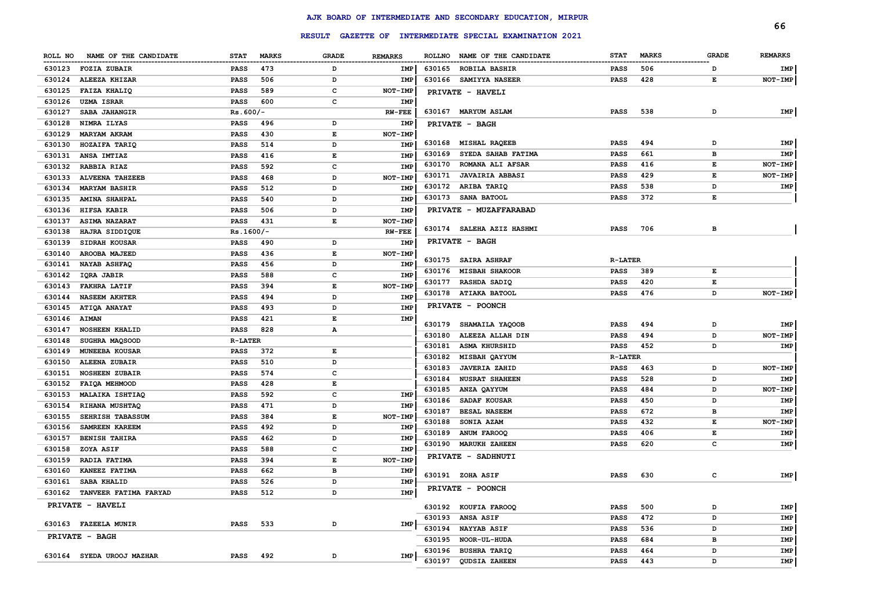|                  |                                           |                |              |              |                              |        |                                                         |                |              |              | 66             |
|------------------|-------------------------------------------|----------------|--------------|--------------|------------------------------|--------|---------------------------------------------------------|----------------|--------------|--------------|----------------|
|                  |                                           |                |              |              |                              |        | RESULT GAZETTE OF INTERMEDIATE SPECIAL EXAMINATION 2021 |                |              |              |                |
|                  | ROLL NO NAME OF THE CANDIDATE             | <b>STAT</b>    | <b>MARKS</b> | <b>GRADE</b> | <b>REMARKS</b>               |        | ROLLNO NAME OF THE CANDIDATE                            | <b>STAT</b>    | <b>MARKS</b> | <b>GRADE</b> | <b>REMARKS</b> |
| 630123           | <b>FOZIA ZUBAIR</b>                       | PASS           | 473          | D            | IMP                          | 630165 | <b>ROBILA BASHIR</b>                                    | <b>PASS</b>    | 506          | D            | IMP            |
| 630124           | ALEEZA KHIZAR                             | PASS           | 506          | D            | IMP                          | 630166 | <b>SAMIYYA NASEER</b>                                   | <b>PASS</b>    | 428          | Е            | NOT-IMP        |
| 630125           | <b>FAIZA KHALIQ</b>                       | PASS           | 589          | с            | <b>NOT-IMP</b>               |        | <b>PRIVATE - HAVELI</b>                                 |                |              |              |                |
| 630126           | <b>UZMA ISRAR</b>                         | PASS           | 600          | c            | IMP                          |        |                                                         |                |              |              |                |
| 630127           | SABA JAHANGIR                             | $Rs.600/-$     |              |              | <b>RW-FEE</b>                |        | 630167 MARYUM ASLAM                                     | <b>PASS</b>    | 538          | D            | IMP            |
| 630128           | NIMRA ILYAS                               | PASS           | 496          | D            | <b>IMP</b>                   |        | <b>PRIVATE - BAGH</b>                                   |                |              |              |                |
| 630129           | <b>MARYAM AKRAM</b>                       | PASS           | 430          | Е            | NOT-IMP                      |        |                                                         |                |              |              |                |
| 630130           | HOZAIFA TARIQ                             | PASS           | 514          | D            | IMP                          |        | 630168 MISHAL RAQEEB                                    | <b>PASS</b>    | 494          | D            | IMP            |
| 630131           | ANSA IMTIAZ                               | PASS           | 416          | Е            | IMP                          | 630169 | SYEDA SAHAB FATIMA                                      | <b>PASS</b>    | 661          | в            | IMP            |
| 630132           | RABBIA RIAZ                               | PASS           | 592          | c            | IMP                          | 630170 | <b>ROMANA ALI AFSAR</b>                                 | <b>PASS</b>    | 416          | Е            | NOT-IMP        |
| 630133           | <b>ALVEENA TAHZEEB</b>                    | PASS           | 468          | D            | NOT-IMP                      | 630171 | <b>JAVAIRIA ABBASI</b>                                  | <b>PASS</b>    | 429          | Е            | NOT-IMP        |
| 630134           | <b>MARYAM BASHIR</b>                      | PASS           | 512          | D            | IMP                          |        | 630172 ARIBA TARIQ                                      | <b>PASS</b>    | 538          | D            | IMP            |
| 630135           | <b>AMINA SHAHPAL</b>                      | PASS           | 540          | D            | IMP                          |        | 630173 SANA BATOOL                                      | <b>PASS</b>    | 372          | Е            |                |
| 630136           | HIFSA KABIR                               | PASS           | 506          | D            | <b>IMP</b>                   |        | <b>PRIVATE - MUZAFFARABAD</b>                           |                |              |              |                |
| 630137           | <b>ASIMA NAZARAT</b>                      | PASS           | 431          | Е            | NOT-IMP                      |        |                                                         |                |              |              |                |
| 630138           | HAJRA SIDDIQUE                            | $Rs.1600/-$    |              |              | <b>RW-FEE</b>                |        | 630174 SALEHA AZIZ HASHMI                               | PASS           | 706          | в            |                |
| 630139           | <b>SIDRAH KOUSAR</b>                      | PASS           | 490          | D            | IMP                          |        | <b>PRIVATE - BAGH</b>                                   |                |              |              |                |
| 630140           | AROOBA MAJEED                             | PASS           | 436          | Е            | NOT-IMP                      |        |                                                         |                |              |              |                |
| 630141           | <b>NAYAB ASHFAQ</b>                       | PASS           | 456          | D            | IMP                          |        | 630175 SAIRA ASHRAF                                     | <b>R-LATER</b> |              |              |                |
| 630142           | IQRA JABIR                                | PASS           | 588          | c            | IMP                          |        | 630176 MISBAH SHAKOOR                                   | PASS           | 389          | Е            |                |
| 630143           | <b>FAKHRA LATIF</b>                       | PASS           | 394          | E            | <b>NOT-IMP</b>               |        | 630177 RASHDA SADIQ                                     | <b>PASS</b>    | 420          | Е            |                |
| 630144           | <b>NASEEM AKHTER</b>                      | PASS           | 494          | D            | <b>IMP</b>                   |        | 630178 ATIAKA BATOOL                                    | <b>PASS</b>    | 476          | D            | NOT-IMP        |
| 630145           | <b>ATIQA ANAYAT</b>                       | PASS           | 493          | D            | IMP                          |        | <b>PRIVATE - POONCH</b>                                 |                |              |              |                |
| 630146           | <b>AIMAN</b>                              | PASS           | 421          | Е            | IMP                          |        |                                                         |                |              |              |                |
| 630147           | <b>NOSHEEN KHALID</b>                     | PASS           | 828          | А            |                              | 630179 | <b>SHAMAILA YAQOOB</b>                                  | <b>PASS</b>    | 494          | D            | IMP            |
| 630148           | SUGHRA MAQSOOD                            | <b>R-LATER</b> |              |              |                              | 630180 | ALEEZA ALLAH DIN                                        | <b>PASS</b>    | 494          | D            | NOT-IMP        |
| 630149           | <b>MUNEEBA KOUSAR</b>                     | PASS           | 372          | Е            |                              | 630181 | <b>ASMA KHURSHID</b>                                    | <b>PASS</b>    | 452          | D            | IMP            |
| 630150           | <b>ALEENA ZUBAIR</b>                      | PASS           | 510          | D            |                              | 630182 | <b>MISBAH QAYYUM</b>                                    | <b>R-LATER</b> |              |              |                |
| 630151           | <b>NOSHEEN ZUBAIR</b>                     | PASS           | 574          | c            |                              | 630183 | <b>JAVERIA ZAHID</b>                                    | <b>PASS</b>    | 463          | D            | NOT-IMP        |
| 630152           | <b>FAIQA MEHMOOD</b>                      | PASS           | 428          | Е            |                              | 630184 | <b>NUSRAT SHAHEEN</b>                                   | PASS           | 528          | D            | IMP            |
| 630153           | <b>MALAIKA ISHTIAQ</b>                    | PASS           | 592          | c            | IMP                          | 630185 | ANZA QAYYUM                                             | <b>PASS</b>    | 484          | D            | NOT-IMP        |
|                  |                                           |                | 471          | D            |                              | 630186 | <b>SADAF KOUSAR</b>                                     | <b>PASS</b>    | 450          | D            | IMP            |
| 630154<br>630155 | RIHANA MUSHTAQ                            | PASS           | 384          | Е            | <b>IMP</b><br><b>NOT-IMP</b> | 630187 | <b>BESAL NASEEM</b>                                     | PASS           | 672          | в            | IMP            |
| 630156           | <b>SEHRISH TABASSUM</b><br>SAMREEN KAREEM | PASS<br>PASS   | 492          | D            | <b>IMP</b>                   | 630188 | SONIA AZAM                                              | PASS           | 432          | Е            | NOT-IMP        |
| 630157           |                                           |                |              | D            |                              | 630189 | <b>ANUM FAROOQ</b>                                      | <b>PASS</b>    | 406          | Е            | IMP            |
|                  | <b>BENISH TAHIRA</b>                      | PASS           | 462          |              | <b>IMP</b>                   |        | 630190 MARUKH ZAHEEN                                    | <b>PASS</b>    | 620          | c            | IMP            |
| 630158           | <b>ZOYA ASIF</b>                          | PASS           | 588          | c            | IMP                          |        | <b>PRIVATE - SADHNUTI</b>                               |                |              |              |                |
| 630159           | RADIA FATIMA                              | PASS           | 394          | E            | NOT-IMP                      |        |                                                         |                |              |              |                |
| 630160           | <b>KANEEZ FATIMA</b>                      | PASS           | 662          | в            | IMP                          |        | 630191 ZOHA ASIF                                        | <b>PASS</b>    | 630          | c            | IMP            |
|                  | 630161 SABA KHALID                        | <b>PASS</b>    | 526          | D            | IMP                          |        | PRIVATE - POONCH                                        |                |              |              |                |
|                  | 630162 TANVEER FATIMA FARYAD              | PASS           | 512          | D            | IMP                          |        |                                                         |                |              |              |                |
|                  | PRIVATE - HAVELI                          |                |              |              |                              |        | 630192 KOUFIA FAROOQ                                    | PASS           | 500          | D            | IMP            |
|                  |                                           |                |              |              |                              |        | 630193 ANSA ASIF                                        | PASS           | 472          | D            | IMP            |
|                  | 630163 FAZEELA MUNIR                      | PASS           | 533          | D            | IMP                          |        | 630194 NAYYAB ASIF                                      | PASS           | 536          | D            | IMP            |
|                  | <b>PRIVATE - BAGH</b>                     |                |              |              |                              |        | 630195 NOOR-UL-HUDA                                     | PASS           | 684          | в            | IMP            |
|                  |                                           |                |              |              | IMP                          |        | 630196 BUSHRA TARIQ                                     | PASS           | 464          | D            | IMP            |
|                  | 630164 SYEDA UROOJ MAZHAR                 | PASS 492       |              | D            |                              |        | 630197 QUDSIA ZAHEEN                                    | PASS           | 443          | D            | IMP            |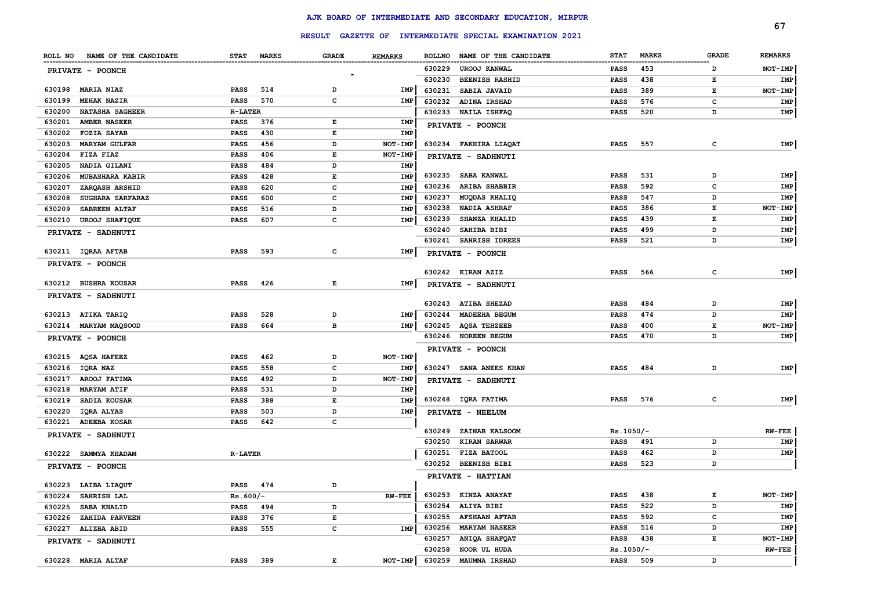|                 |                               |                |            |       |                |        |                                                         |             |              |              | 67             |
|-----------------|-------------------------------|----------------|------------|-------|----------------|--------|---------------------------------------------------------|-------------|--------------|--------------|----------------|
|                 |                               |                |            |       |                |        | RESULT GAZETTE OF INTERMEDIATE SPECIAL EXAMINATION 2021 |             |              |              |                |
|                 | ROLL NO NAME OF THE CANDIDATE |                | STAT MARKS | GRADE | <b>REMARKS</b> |        | ROLLNO NAME OF THE CANDIDATE                            | <b>STAT</b> | <b>MARKS</b> | <b>GRADE</b> | <b>REMARKS</b> |
|                 | <b>PRIVATE - POONCH</b>       |                |            |       |                | 630229 | UROOJ KANWAL                                            | PASS        | 453          | D            | NOT-IMP        |
|                 |                               |                |            |       |                | 630230 | <b>BEENISH RASHID</b>                                   | PASS        | 438          | Е            | IMP            |
|                 | 630198 MARIA NIAZ             | PASS           | 514        | D     | IMP            | 630231 | <b>SABIA JAVAID</b>                                     | PASS        | 389          | Е            | NOT-IMP        |
| 630199          | <b>MEHAK NAZIR</b>            | PASS           | 570        | c     | IMP            |        | 630232 ADINA IRSHAD                                     | PASS        | 576          | c            | IMP            |
| 630200          | <b>NATASHA SAGHEER</b>        | <b>R-LATER</b> |            |       |                |        | 630233 NAILA ISHFAQ                                     | PASS        | 520          | D            | IMP            |
| 630201          | <b>AMBER NASEER</b>           | PASS           | 376        | Е     | IMP            |        | PRIVATE - POONCH                                        |             |              |              |                |
|                 | 630202 FOZIA SAYAB            | PASS           | 430        | E     | IMP            |        |                                                         |             |              |              |                |
| 630203          | <b>MARYAM GULFAR</b>          | PASS           | 456        | D     | <b>NOT-IMP</b> |        | 630234 FAKHIRA LIAQAT                                   | PASS        | 557          | c            | IMP            |
| 630204          | <b>FIZA FIAZ</b>              | PASS           | 406        | Е     | NOT-IMP        |        | PRIVATE - SADHNUTI                                      |             |              |              |                |
| 630205          | NADIA GILANI                  | PASS           | 484        | D     | IMP            |        |                                                         |             |              |              |                |
| 630206          | <b>MUBASHARA KABIR</b>        | PASS           | 428        | E     | IMP            |        | 630235 SABA KANWAL                                      | PASS        | 531          | D            | IMP            |
| 630207          | <b>ZARQASH ARSHID</b>         | PASS           | 620        | c     | IMP            | 630236 | <b>ARIBA SHABBIR</b>                                    | PASS        | 592          | с            | IMP            |
| 630208          | <b>SUGHARA SARFARAZ</b>       | PASS           | 600        | c     | IMP            | 630237 | MUQDAS KHALIQ                                           | PASS        | 547          | D            | IMP            |
| 630209          | <b>SABREEN ALTAF</b>          | PASS           | 516        | D     | IMP            | 630238 | <b>NADIA ASHRAF</b>                                     | PASS        | 386          | Е            | NOT-IMP        |
|                 | 630210 UROOJ SHAFIQUE         | PASS           | 607        | с     | IMP            | 630239 | <b>SHANZA KHALID</b>                                    | PASS        | 439          | Е            | IMP            |
|                 | PRIVATE - SADHNUTI            |                |            |       |                | 630240 | <b>SAHIBA BIBI</b>                                      | PASS        | 499          | D            | IMP            |
|                 |                               |                |            |       |                |        | 630241 SAHRISH IDREES                                   | PASS        | 521          | D            | IMP            |
|                 | 630211 IQRAA AFTAB            | <b>PASS</b>    | 593        | с     | IMP            |        | PRIVATE - POONCH                                        |             |              |              |                |
|                 | <b>PRIVATE - POONCH</b>       |                |            |       |                |        |                                                         |             |              |              |                |
|                 |                               |                |            |       |                |        | 630242 KIRAN AZIZ                                       | PASS        | 566          | с            | IMP            |
|                 | 630212 BUSHRA KOUSAR          | <b>PASS</b>    | 426        | Е     | IMP            |        | PRIVATE - SADHNUTI                                      |             |              |              |                |
|                 | PRIVATE - SADHNUTI            |                |            |       |                |        | 630243 ATIBA SHEZAD                                     | PASS        | 484          | D            | IMP            |
|                 | 630213 ATIKA TARIQ            | <b>PASS</b>    | 528        | D     | IMP            | 630244 | <b>MADEEHA BEGUM</b>                                    | PASS        | 474          | D            | IMP            |
|                 | 630214 MARYAM MAQSOOD         | <b>PASS</b>    | 664        | в     | IMP            |        | 630245 AQSA TEHZEEB                                     | PASS        | 400          | Е            | NOT-IMP        |
|                 |                               |                |            |       |                |        | 630246 NOREEN BEGUM                                     | PASS        | 470          | D            | IMP            |
|                 | <b>PRIVATE - POONCH</b>       |                |            |       |                |        |                                                         |             |              |              |                |
|                 | 630215 AQSA HAFEEZ            | <b>PASS</b>    | 462        | D     | NOT-IMP        |        | PRIVATE - POONCH                                        |             |              |              |                |
| 630216 IQRA NAZ |                               | PASS           | 558        | c     | IMP            |        | 630247 SANA ANEES KHAN                                  | PASS        | 484          | D            | IMP            |
|                 | 630217 AROOJ FATIMA           | PASS           | 492        | D     | <b>NOT-IMP</b> |        | PRIVATE - SADHNUTI                                      |             |              |              |                |
| 630218          | <b>MARYAM ATIF</b>            | PASS           | 531        | D     | IMP            |        |                                                         |             |              |              |                |
| 630219          | <b>SADIA KOUSAR</b>           | PASS           | 388        | Е     | IMP            |        | 630248 IQRA FATIMA                                      | PASS        | 576          | с            | IMP            |
| 630220          | IQRA ALYAS                    | PASS           | 503        | D     | IMP            |        | PRIVATE - NEELUM                                        |             |              |              |                |
|                 | 630221 ADEEBA KOSAR           | <b>PASS</b>    | 642        | c     |                |        |                                                         |             |              |              |                |
|                 | PRIVATE - SADHNUTI            |                |            |       |                | 630249 | <b>ZAINAB KALSOOM</b>                                   | $Rs.1050/-$ |              |              | $RW-FEE$       |
|                 |                               |                |            |       |                | 630250 | <b>KIRAN SARWAR</b>                                     | PASS        | 491          | D            | IMP            |
|                 | 630222 SAMMYA KHADAM          | <b>R-LATER</b> |            |       |                |        | 630251 FIZA BATOOL                                      | PASS        | 462          | D            | IMP            |
|                 | PRIVATE - POONCH              |                |            |       |                |        | 630252 BEENISH BIBI                                     | PASS        | 523          | D            |                |
|                 |                               |                |            |       |                |        | <b>PRIVATE - HATTIAN</b>                                |             |              |              |                |
|                 | 630223 LAIBA LIAQUT           | PASS 474       |            | D     |                |        |                                                         |             |              |              |                |
|                 | 630224 SAHRISH LAL            | Rs.600/-       |            |       | <b>RW-FEE</b>  |        | 630253 KINZA ANAYAT                                     | PASS        | 438          | Е            | NOT-IMP        |
|                 | 630225 SABA KHALID            | PASS 494       |            | D     |                |        | 630254 ALIYA BIBI                                       | PASS        | 522          | D            | IMP            |
|                 | 630226 ZAHIDA PARVEEN         | PASS 376       |            | E     |                |        | 630255 AFSHAAN AFTAB                                    | PASS        | 592          | c            | IMP            |
|                 | 630227 ALIZBA ABID            | PASS 555       |            | c     | IMP            |        | 630256 MARYAM NASEER                                    | PASS        | 516          | D            | IMP            |
|                 | PRIVATE - SADHNUTI            |                |            |       |                |        | 630257 ANIQA SHAFQAT                                    | PASS        | 438          | Е            | NOT-IMP        |
|                 |                               |                |            |       |                | 630258 | NOOR UL HUDA                                            | Rs.1050/-   |              |              | $RW-FEE$       |
|                 | 630228 MARIA ALTAF            | PASS 389       |            | E     | NOT-IMP        | 630259 | <b>MAUMNA IRSHAD</b>                                    | PASS 509    |              | D            |                |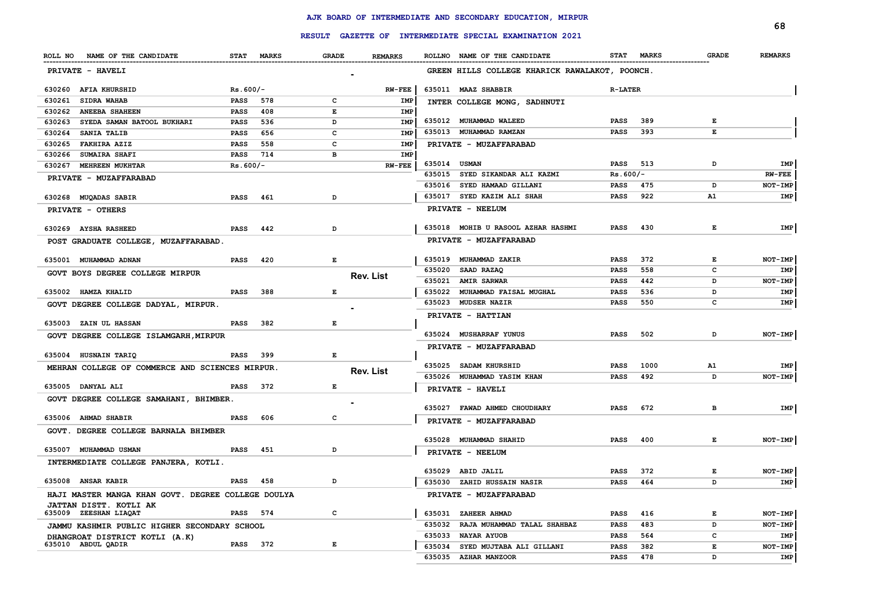|                                                      |             | <b>RESULT</b> |                                                                                                |                  |                  | GAZETTE OF INTERMEDIATE SPECIAL EXAMINATION 2021 |                            |              |              | 68              |
|------------------------------------------------------|-------------|---------------|------------------------------------------------------------------------------------------------|------------------|------------------|--------------------------------------------------|----------------------------|--------------|--------------|-----------------|
|                                                      |             |               |                                                                                                |                  |                  |                                                  |                            |              |              |                 |
| ROLL NO NAME OF THE CANDIDATE                        |             | STAT MARKS    | <b>GRADE</b>                                                                                   | <b>REMARKS</b>   |                  | ROLLNO NAME OF THE CANDIDATE                     | <b>STAT</b>                | <b>MARKS</b> | <b>GRADE</b> | <b>REMARKS</b>  |
| PRIVATE - HAVELI                                     |             |               |                                                                                                |                  |                  | GREEN HILLS COLLEGE KHARICK RAWALAKOT, POONCH.   |                            |              |              |                 |
| 630260 AFIA KHURSHID                                 | $Rs.600/-$  |               |                                                                                                | <b>RW-FEE</b>    |                  | 635011 MAAZ SHABBIR                              | <b>R-LATER</b>             |              |              |                 |
| 630261<br><b>SIDRA WAHAB</b>                         | <b>PASS</b> | 578           | c                                                                                              | IMP              |                  | INTER COLLEGE MONG, SADHNUTI                     |                            |              |              |                 |
| 630262<br><b>ANEEBA SHAHEEN</b>                      | <b>PASS</b> | 408           | Е                                                                                              | <b>IMP</b>       |                  |                                                  |                            |              |              |                 |
| SYEDA SAMAN BATOOL BUKHARI<br>630263                 | <b>PASS</b> | 536           | D                                                                                              | <b>IMP</b>       |                  | 635012 MUHAMMAD WALEED                           | <b>PASS</b>                | 389          | Е            |                 |
| SANIA TALIB<br>630264                                | <b>PASS</b> | 656           | c                                                                                              | <b>IMP</b>       | 635013           | MUHAMMAD RAMZAN                                  | <b>PASS</b>                | 393          | E            |                 |
| 630265<br><b>FAKHIRA AZIZ</b>                        | <b>PASS</b> | 558           | C                                                                                              | IMP              |                  | PRIVATE - MUZAFFARABAD                           |                            |              |              |                 |
| 630266<br><b>SUMAIRA SHAFI</b>                       | <b>PASS</b> | 714           | в                                                                                              | IMP              |                  |                                                  |                            |              |              |                 |
| 630267<br><b>MEHREEN MUKHTAR</b>                     | $Rs.600/-$  |               |                                                                                                | <b>RW-FEE</b>    | 635014<br>635015 | <b>USMAN</b><br>SYED SIKANDAR ALI KAZMI          | <b>PASS</b>                | 513          | D            | IMP<br>$RW-FEE$ |
| <b>PRIVATE - MUZAFFARABAD</b>                        |             |               |                                                                                                |                  |                  |                                                  | $Rs.600/-$                 | 475          |              | NOT-IMP         |
|                                                      |             |               |                                                                                                |                  | 635016<br>635017 | SYED HAMAAD GILLANI<br>SYED KAZIM ALI SHAH       | <b>PASS</b><br><b>PASS</b> | 922          | D<br>A1      | IMP             |
| 630268 MUQADAS SABIR                                 | <b>PASS</b> | 461           | D                                                                                              |                  |                  |                                                  |                            |              |              |                 |
| PRIVATE - OTHERS                                     |             |               |                                                                                                |                  |                  | PRIVATE - NEELUM                                 |                            |              |              |                 |
| 630269 AYSHA RASHEED                                 | <b>PASS</b> | 442           | D                                                                                              |                  | 635018           | MOHIB U RASOOL AZHAR HASHMI                      | <b>PASS</b>                | 430          | Е            | IMP             |
| POST GRADUATE COLLEGE, MUZAFFARABAD                  |             |               |                                                                                                |                  |                  | PRIVATE - MUZAFFARABAD                           |                            |              |              |                 |
| 635001 MUHAMMAD ADNAN                                | <b>PASS</b> | 420           | Е                                                                                              |                  | 635019           | <b>MUHAMMAD ZAKIR</b>                            | <b>PASS</b>                | 372          | $\mathbf{E}$ | NOT-IMP         |
| GOVT BOYS DEGREE COLLEGE MIRPUR                      |             |               |                                                                                                |                  | 635020           | <b>SAAD RAZAQ</b>                                | <b>PASS</b>                | 558          | с            | IMP             |
|                                                      |             |               |                                                                                                | <b>Rev. List</b> | 635021           | <b>AMIR SARWAR</b>                               | <b>PASS</b>                | 442          | D            | NOT-IMP         |
| 635002 HAMZA KHALID                                  | <b>PASS</b> | 388           | $\mathbf{E}% _{t}\left  \mathbf{1}\right\rangle =\mathbf{1}_{t}\left  \mathbf{1}\right\rangle$ |                  | 635022           | MUHAMMAD FAISAL MUGHAL                           | <b>PASS</b>                | 536          | D            | IMP             |
| GOVT DEGREE COLLEGE DADYAL, MIRPUR.                  |             |               |                                                                                                |                  | 635023           | <b>MUDSER NAZIR</b>                              | <b>PASS</b>                | 550          | c            | IMP             |
|                                                      |             |               |                                                                                                |                  |                  | <b>PRIVATE - HATTIAN</b>                         |                            |              |              |                 |
| 635003 ZAIN UL HASSAN                                | <b>PASS</b> | 382           | Е                                                                                              |                  |                  |                                                  |                            |              |              |                 |
| GOVT DEGREE COLLEGE ISLAMGARH, MIRPUR                |             |               |                                                                                                |                  |                  | 635024 MUSHARRAF YUNUS                           | <b>PASS</b>                | 502          | D            | NOT-IMP         |
| 635004 HUSNAIN TARIQ                                 | <b>PASS</b> | 399           | $\mathbf{E}% _{t}\left  \mathbf{1}\right\rangle =\mathbf{1}_{t}\left  \mathbf{1}\right\rangle$ |                  |                  | PRIVATE - MUZAFFARABAD                           |                            |              |              |                 |
| MEHRAN COLLEGE OF COMMERCE AND SCIENCES MIRPUR.      |             |               |                                                                                                |                  |                  | 635025 SADAM KHURSHID                            | <b>PASS</b>                | 1000         | ${\tt A1}$   | IMP             |
|                                                      |             |               |                                                                                                | <b>Rev. List</b> |                  | 635026 MUHAMMAD YASIM KHAN                       | <b>PASS</b>                | 492          | D            | $NOT-IMP$       |
| 635005 DANYAL ALI                                    | PASS        | 372           | Е                                                                                              |                  |                  | PRIVATE - HAVELI                                 |                            |              |              |                 |
| GOVT DEGREE COLLEGE SAMAHANI, BHIMBER.               |             |               |                                                                                                |                  |                  |                                                  |                            |              |              |                 |
|                                                      |             |               |                                                                                                |                  |                  | 635027 FAWAD AHMED CHOUDHARY                     | <b>PASS</b>                | 672          | в            | IMP             |
| 635006 AHMAD SHABIR                                  | <b>PASS</b> | 606           | $\mathbf{C}$                                                                                   |                  |                  | PRIVATE - MUZAFFARABAD                           |                            |              |              |                 |
| GOVT. DEGREE COLLEGE BARNALA BHIMBER                 |             |               |                                                                                                |                  |                  |                                                  |                            |              |              |                 |
| 635007 MUHAMMAD USMAN                                | <b>PASS</b> | 451           | D                                                                                              |                  |                  | 635028 MUHAMMAD SHAHID                           | <b>PASS</b>                | 400          | Е            | $NOT-IMP$       |
|                                                      |             |               |                                                                                                |                  |                  | PRIVATE - NEELUM                                 |                            |              |              |                 |
| INTERMEDIATE COLLEGE PANJERA, KOTLI.                 |             |               |                                                                                                |                  | 635029           | ABID JALIL                                       | <b>PASS</b>                | 372          | Е            | NOT-IMP         |
| 635008 ANSAR KABIR                                   | <b>PASS</b> | 458           | D                                                                                              |                  | 635030           | ZAHID HUSSAIN NASIR                              | <b>PASS</b>                | 464          | D            | IMP             |
| HAJI MASTER MANGA KHAN GOVT. DEGREE COLLEGE DOULYA   |             |               |                                                                                                |                  |                  | PRIVATE - MUZAFFARABAD                           |                            |              |              |                 |
| JATTAN DISTT. KOTLI AK                               |             |               |                                                                                                |                  |                  |                                                  |                            |              |              |                 |
| 635009 ZEESHAN LIAQAT                                | PASS        | 574           | c                                                                                              |                  | 635031           | ZAHEER AHMAD                                     | <b>PASS</b>                | 416          | E            | NOT-IMP         |
| JAMMU KASHMIR PUBLIC HIGHER SECONDARY SCHOOL         |             |               |                                                                                                |                  | 635032           | RAJA MUHAMMAD TALAL SHAHBAZ                      | <b>PASS</b>                | 483          | D            | NOT-IMP         |
| DHANGROAT DISTRICT KOTLI (A.K)<br>635010 ABDUL QADIR | PASS 372    |               | E                                                                                              |                  | 635033           | NAYAR AYUOB                                      | <b>PASS</b>                | 564          | c            | IMP             |
|                                                      |             |               |                                                                                                |                  | 635034           | SYED MUJTABA ALI GILLANI                         | <b>PASS</b>                | 382          | E            | NOT-IMP         |
|                                                      |             |               |                                                                                                |                  |                  | 635035 AZHAR MANZOOR                             | PASS                       | 478          | D            | IMP             |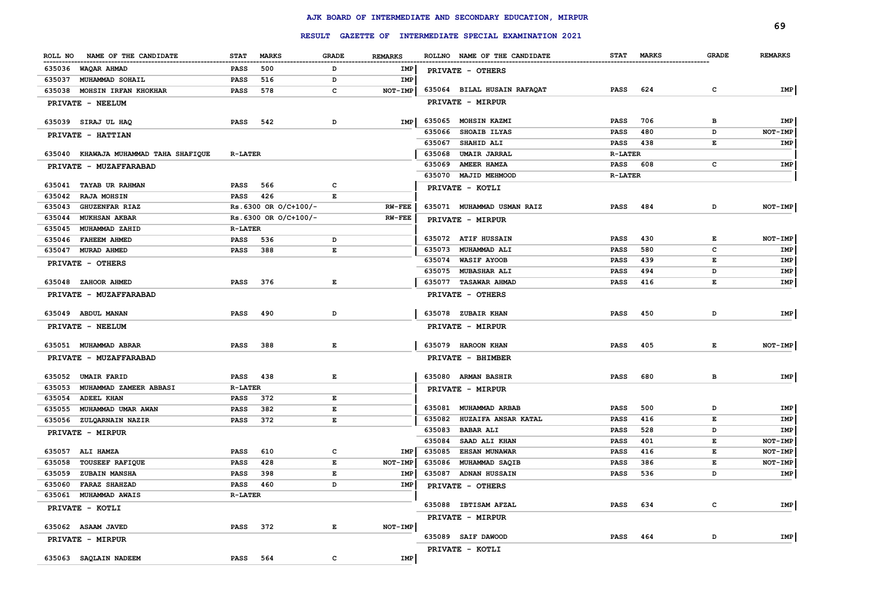|                                       |                |                       |                                                                                                |                |        |                                                  |                |              |              | 69             |
|---------------------------------------|----------------|-----------------------|------------------------------------------------------------------------------------------------|----------------|--------|--------------------------------------------------|----------------|--------------|--------------|----------------|
|                                       |                | <b>RESULT</b>         |                                                                                                |                |        | GAZETTE OF INTERMEDIATE SPECIAL EXAMINATION 2021 |                |              |              |                |
| ROLL NO<br>NAME OF THE CANDIDATE      | <b>STAT</b>    | <b>MARKS</b>          | <b>GRADE</b>                                                                                   | <b>REMARKS</b> |        | ROLLNO NAME OF THE CANDIDATE                     | <b>STAT</b>    | <b>MARKS</b> | <b>GRADE</b> | <b>REMARKS</b> |
| 635036 WAQAR AHMAD                    | <b>PASS</b>    | 500                   | D                                                                                              | IMP            |        | PRIVATE - OTHERS                                 |                |              |              |                |
| 635037 MUHAMMAD SOHAIL                | <b>PASS</b>    | 516                   | D                                                                                              | IMP            |        |                                                  |                |              |              |                |
| MOHSIN IRFAN KHOKHAR<br>635038        | <b>PASS</b>    | 578                   | c                                                                                              | NOT-IMP        |        | 635064 BILAL HUSAIN RAFAQAT                      | PASS           | 624          | $\mathtt{c}$ | IMP            |
| PRIVATE - NEELUM                      |                |                       |                                                                                                |                |        | PRIVATE - MIRPUR                                 |                |              |              |                |
| 635039 SIRAJ UL HAQ                   | <b>PASS</b>    | 542                   | D                                                                                              | IMP            | 635065 | MOHSIN KAZMI                                     | <b>PASS</b>    | 706          | в            | IMP            |
| PRIVATE - HATTIAN                     |                |                       |                                                                                                |                | 635066 | SHOAIB ILYAS                                     | <b>PASS</b>    | 480          | D            | NOT-IMP        |
|                                       |                |                       |                                                                                                |                | 635067 | SHAHID ALI                                       | <b>PASS</b>    | 438          | E            | IMP            |
| 635040 KHAWAJA MUHAMMAD TAHA SHAFIQUE | <b>R-LATER</b> |                       |                                                                                                |                | 635068 | <b>UMAIR JARRAL</b>                              | <b>R-LATER</b> |              |              |                |
| PRIVATE - MUZAFFARABAD                |                |                       |                                                                                                |                | 635069 | AMEER HAMZA                                      | <b>PASS</b>    | 608          | c            | IMP            |
|                                       |                |                       |                                                                                                |                |        | 635070 MAJID MEHMOOD                             | <b>R-LATER</b> |              |              |                |
| 635041 TAYAB UR RAHMAN                | PASS           | 566                   | c                                                                                              |                |        | PRIVATE - KOTLI                                  |                |              |              |                |
| 635042<br><b>RAJA MOHSIN</b>          | PASS           | 426                   | Е                                                                                              |                |        |                                                  |                |              |              |                |
| 635043<br><b>GHUZENFAR RIAZ</b>       |                | Rs.6300 OR O/C+100/-  |                                                                                                | <b>RW-FEE</b>  |        | 635071 MUHAMMAD USMAN RAIZ                       | PASS           | 484          | D            | NOT-IMP        |
| 635044<br><b>MUKHSAN AKBAR</b>        |                | Rs. 6300 OR O/C+100/- |                                                                                                | <b>RW-FEE</b>  |        | PRIVATE - MIRPUR                                 |                |              |              |                |
| 635045<br>MUHAMMAD ZAHID              | <b>R-LATER</b> |                       |                                                                                                |                |        | 635072 ATIF HUSSAIN                              | <b>PASS</b>    | 430          | E            | NOT-IMP        |
| 635046<br><b>FAHEEM AHMED</b>         | PASS           | 536                   | D                                                                                              |                | 635073 | <b>MUHAMMAD ALI</b>                              | <b>PASS</b>    | 580          | c            | IMP            |
| 635047<br><b>MURAD AHMED</b>          | PASS           | 388                   | $\mathbf E$                                                                                    |                | 635074 | <b>WASIF AYOOB</b>                               | <b>PASS</b>    | 439          | E            | IMP            |
| PRIVATE - OTHERS                      |                |                       |                                                                                                |                | 635075 | <b>MUBASHAR ALI</b>                              | <b>PASS</b>    | 494          | D            | IMP            |
| 635048 ZAHOOR AHMED                   | <b>PASS</b>    | 376                   | Е                                                                                              |                |        | 635077 TASAWAR AHMAD                             | <b>PASS</b>    | 416          | E            | IMP            |
|                                       |                |                       |                                                                                                |                |        |                                                  |                |              |              |                |
| PRIVATE - MUZAFFARABAD                |                |                       |                                                                                                |                |        | PRIVATE - OTHERS                                 |                |              |              |                |
| 635049 ABDUL MANAN                    | <b>PASS</b>    | 490                   | D                                                                                              |                |        | 635078 ZUBAIR KHAN                               | <b>PASS</b>    | 450          | D            | IMP            |
| PRIVATE - NEELUM                      |                |                       |                                                                                                |                |        | PRIVATE - MIRPUR                                 |                |              |              |                |
| 635051 MUHAMMAD ABRAR                 | <b>PASS</b>    | 388                   | $\mathbf{E}% _{t}\left  \mathbf{1}\right\rangle =\mathbf{1}_{t}\left  \mathbf{1}\right\rangle$ |                |        | 635079 HAROON KHAN                               | <b>PASS</b>    | 405          | Е            | NOT-IMP        |
| PRIVATE - MUZAFFARABAD                |                |                       |                                                                                                |                |        | PRIVATE - BHIMBER                                |                |              |              |                |
|                                       |                |                       |                                                                                                |                |        |                                                  |                |              |              |                |
| 635052 UMAIR FARID                    | <b>PASS</b>    | 438                   | Е                                                                                              |                |        | 635080 ARMAN BASHIR                              | <b>PASS</b>    | 680          | в            | IMP            |
| 635053<br>MUHAMMAD ZAMEER ABBASI      | <b>R-LATER</b> |                       |                                                                                                |                |        | PRIVATE - MIRPUR                                 |                |              |              |                |
| <b>ADEEL KHAN</b><br>635054           | <b>PASS</b>    | 372                   | Е                                                                                              |                |        |                                                  |                |              |              |                |
| 635055<br>MUHAMMAD UMAR AWAN          | PASS           | 382                   | E                                                                                              |                |        | 635081 MUHAMMAD ARBAB                            | <b>PASS</b>    | 500          | D            | IMP            |
| 635056 ZULQARNAIN NAZIR               | <b>PASS</b>    | 372                   | Е                                                                                              |                | 635082 | HUZAIFA ANSAR KATAL                              | <b>PASS</b>    | 416          | E            | IMP            |
| PRIVATE - MIRPUR                      |                |                       |                                                                                                |                | 635083 | <b>BABAR ALI</b>                                 | <b>PASS</b>    | 528          | D            | IMP            |
|                                       |                |                       |                                                                                                |                | 635084 | SAAD ALI KHAN                                    | <b>PASS</b>    | 401          | E            | NOT-IMP        |
| 635057 ALI HAMZA                      | <b>PASS</b>    | 610                   | c                                                                                              | <b>IMP</b>     | 635085 | <b>EHSAN MUNAWAR</b>                             | <b>PASS</b>    | 416          | E            | NOT-IMP        |
| 635058<br><b>TOUSEEF RAFIQUE</b>      | <b>PASS</b>    | 428                   | $\mathbf E$                                                                                    | NOT-IMP        | 635086 | MUHAMMAD SAQIB                                   | <b>PASS</b>    | 386          | E            | NOT-IMP        |
| 635059<br><b>ZUBAIN MANSHA</b>        | <b>PASS</b>    | 398                   | Е                                                                                              | IMP            | 635087 | <b>ADNAN HUSSAIN</b>                             | <b>PASS</b>    | 536          | D            | IMP            |
| 635060<br><b>FARAZ SHAHZAD</b>        | <b>PASS</b>    | 460                   | D                                                                                              | IMP            |        | PRIVATE - OTHERS                                 |                |              |              |                |
| 635061<br>MUHAMMAD AWAIS              | <b>R-LATER</b> |                       |                                                                                                |                |        |                                                  |                |              |              |                |
| PRIVATE - KOTLI                       |                |                       |                                                                                                |                |        | 635088 IBTISAM AFZAL                             | <b>PASS</b>    | 634          | c            | IMP            |
|                                       |                |                       |                                                                                                |                |        | PRIVATE - MIRPUR                                 |                |              |              |                |
| 635062 ASAAM JAVED                    | <b>PASS</b>    | 372                   | Е                                                                                              | NOT-IMP        |        |                                                  |                |              |              |                |
| PRIVATE - MIRPUR                      |                |                       |                                                                                                |                |        | 635089 SAIF DAWOOD                               | PASS           | 464          | D            | IMP            |
|                                       |                |                       | $\mathbf c$                                                                                    | IMP            |        | PRIVATE - KOTLI                                  |                |              |              |                |
| 635063 SAQLAIN NADEEM                 | PASS           | 564                   |                                                                                                |                |        |                                                  |                |              |              |                |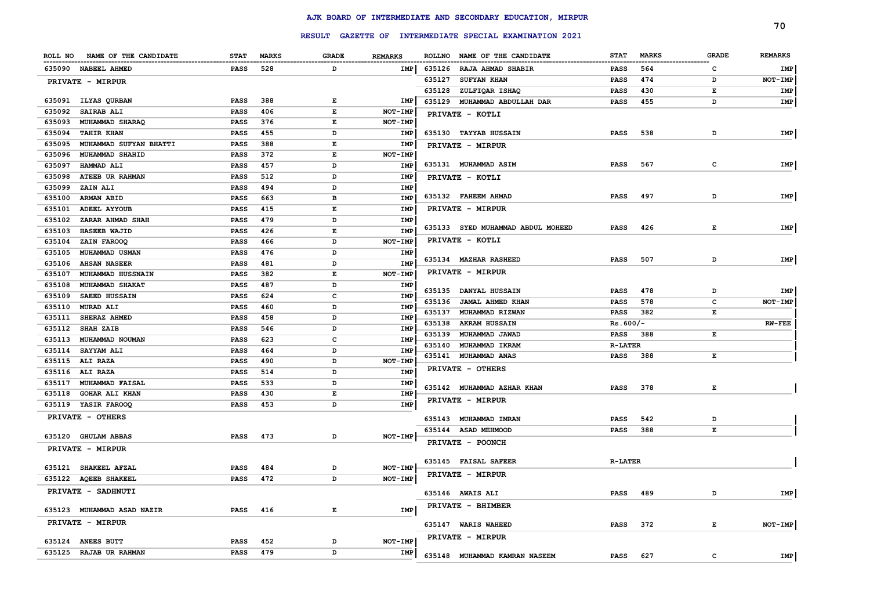|        |                               |             |              |              |                |        |                                                         |                |              |              | 70             |
|--------|-------------------------------|-------------|--------------|--------------|----------------|--------|---------------------------------------------------------|----------------|--------------|--------------|----------------|
|        |                               |             |              |              |                |        | RESULT GAZETTE OF INTERMEDIATE SPECIAL EXAMINATION 2021 |                |              |              |                |
|        | ROLL NO NAME OF THE CANDIDATE | <b>STAT</b> | <b>MARKS</b> | <b>GRADE</b> | <b>REMARKS</b> |        | ROLLNO NAME OF THE CANDIDATE                            | <b>STAT</b>    | <b>MARKS</b> | <b>GRADE</b> | <b>REMARKS</b> |
|        | 635090 NABEEL AHMED           | <b>PASS</b> | 528          | D            | IMP            |        | 635126 RAJA AHMAD SHABIR                                | <b>PASS</b>    | 564          | c            | IMP            |
|        | PRIVATE - MIRPUR              |             |              |              |                | 635127 | <b>SUFYAN KHAN</b>                                      | <b>PASS</b>    | 474          | D            | NOT-IMP        |
|        |                               |             |              |              |                | 635128 | ZULFIQAR ISHAQ                                          | PASS           | 430          | Е            | IMP            |
|        | 635091 ILYAS QURBAN           | PASS        | 388          | Е            | IMP            | 635129 | MUHAMMAD ABDULLAH DAR                                   | PASS           | 455          | D            | IMP            |
| 635092 | SAIRAB ALI                    | <b>PASS</b> | 406          | Е            | NOT-IMP        |        | PRIVATE - KOTLI                                         |                |              |              |                |
| 635093 | MUHAMMAD SHARAQ               | <b>PASS</b> | 376          | Е            | NOT-IMP        |        |                                                         |                |              |              |                |
| 635094 | <b>TAHIR KHAN</b>             | <b>PASS</b> | 455          | D            | IMP            |        | 635130 TAYYAB HUSSAIN                                   | <b>PASS</b>    | 538          | D            | IMP            |
| 635095 | MUHAMMAD SUFYAN BHATTI        | <b>PASS</b> | 388          | Е            | IMP            |        | PRIVATE - MIRPUR                                        |                |              |              |                |
| 635096 | <b>MUHAMMAD SHAHID</b>        | <b>PASS</b> | 372          | E            | NOT-IMP        |        |                                                         |                |              |              |                |
| 635097 | HAMMAD ALI                    | <b>PASS</b> | 457          | D            | <b>IMP</b>     |        | 635131 MUHAMMAD ASIM                                    | PASS           | 567          | c            | IMP            |
| 635098 | <b>ATEEB UR RAHMAN</b>        | <b>PASS</b> | 512          | D            | IMP            |        | PRIVATE - KOTLI                                         |                |              |              |                |
| 635099 | ZAIN ALI                      | <b>PASS</b> | 494          | D            | IMP            |        |                                                         |                |              |              |                |
| 635100 | <b>ARMAN ABID</b>             | <b>PASS</b> | 663          | в            | IMP            |        | 635132 FAHEEM AHMAD                                     | <b>PASS</b>    | 497          | D            | IMP            |
| 635101 | ADEEL AYYOUB                  | PASS        | 415          | E            | <b>IMP</b>     |        | PRIVATE - MIRPUR                                        |                |              |              |                |
| 635102 | ZARAR AHMAD SHAH              | <b>PASS</b> | 479          | D            | IMP            |        |                                                         |                |              |              |                |
| 635103 | <b>HASEEB WAJID</b>           | <b>PASS</b> | 426          | E            | <b>IMP</b>     |        | 635133 SYED MUHAMMAD ABDUL MOHEED                       | <b>PASS</b>    | 426          | Е            | IMP            |
| 635104 | ZAIN FAROOQ                   | PASS        | 466          | D            | NOT-IMP        |        | PRIVATE - KOTLI                                         |                |              |              |                |
| 635105 | <b>MUHAMMAD USMAN</b>         | <b>PASS</b> | 476          | D            | IMP            |        | 635134 MAZHAR RASHEED                                   | <b>PASS</b>    | 507          | D            | IMP            |
| 635106 | <b>AHSAN NASEER</b>           | <b>PASS</b> | 481          | D            | IMP            |        |                                                         |                |              |              |                |
| 635107 | MUHAMMAD HUSSNAIN             | <b>PASS</b> | 382          | E            | NOT-IMP        |        | <b>PRIVATE - MIRPUR</b>                                 |                |              |              |                |
| 635108 | MUHAMMAD SHAKAT               | <b>PASS</b> | 487          | D            | IMP            |        | 635135 DANYAL HUSSAIN                                   | <b>PASS</b>    | 478          | D            | IMP            |
| 635109 | <b>SAEED HUSSAIN</b>          | <b>PASS</b> | 624          | c            | IMP            | 635136 | JAMAL AHMED KHAN                                        | <b>PASS</b>    | 578          | c            | NOT-IMP        |
| 635110 | <b>MURAD ALI</b>              | <b>PASS</b> | 460          | D            | IMP            | 635137 | MUHAMMAD RIZWAN                                         | <b>PASS</b>    | 382          | Е            |                |
| 635111 | SHERAZ AHMED                  | <b>PASS</b> | 458          | D            | IMP            | 635138 | <b>AKRAM HUSSAIN</b>                                    | $Rs.600/-$     |              |              | <b>RW-FEE</b>  |
| 635112 | <b>SHAH ZAIB</b>              | PASS        | 546          | D            | IMP            | 635139 | MUHAMMAD JAWAD                                          | <b>PASS</b>    | 388          | E            |                |
| 635113 | MUHAMMAD NOUMAN               | <b>PASS</b> | 623          | c            | IMP            |        | 635140 MUHAMMAD IKRAM                                   | <b>R-LATER</b> |              |              |                |
| 635114 | SAYYAM ALI                    | <b>PASS</b> | 464          | D            | IMP            |        | 635141 MUHAMMAD ANAS                                    | <b>PASS</b>    | 388          | Е            |                |
|        | 635115 ALI RAZA               | <b>PASS</b> | 490          | D            | NOT-IMP        |        | PRIVATE - OTHERS                                        |                |              |              |                |
|        | 635116 ALI RAZA               | <b>PASS</b> | 514          | D            | IMP            |        |                                                         |                |              |              |                |
| 635117 | <b>MUHAMMAD FAISAL</b>        | <b>PASS</b> | 533          | D            | IMP            |        | 635142 MUHAMMAD AZHAR KHAN                              | <b>PASS</b>    | 378          | Е            |                |
| 635118 | <b>GOHAR ALI KHAN</b>         | PASS        | 430          | E            | IMP            |        | <b>PRIVATE - MIRPUR</b>                                 |                |              |              |                |
|        | 635119 YASIR FAROOQ           | PASS        | 453          | D            | IMP            |        |                                                         |                |              |              |                |
|        | PRIVATE - OTHERS              |             |              |              |                |        | 635143 MUHAMMAD IMRAN                                   | <b>PASS</b>    | 542          | D            |                |
|        | 635120 GHULAM ABBAS           | PASS        | 473          | D            | NOT-IMP        |        | 635144 ASAD MEHMOOD                                     | <b>PASS</b>    | 388          | Е            |                |
|        |                               |             |              |              |                |        | PRIVATE - POONCH                                        |                |              |              |                |
|        | PRIVATE - MIRPUR              |             |              |              |                |        |                                                         |                |              |              |                |
|        | 635121 SHAKEEL AFZAL          | <b>PASS</b> | 484          | D            | NOT-IMP        |        | 635145 FAISAL SAFEER                                    | <b>R-LATER</b> |              |              |                |
|        | 635122 AQEEB SHAKEEL          | PASS        | 472          | D            | NOT-IMP        |        | PRIVATE - MIRPUR                                        |                |              |              |                |
|        | PRIVATE - SADHNUTI            |             |              |              |                |        |                                                         |                |              |              |                |
|        |                               |             |              |              |                |        | 635146 AWAIS ALI                                        | PASS           | 489          | D            | IMP            |
|        | 635123 MUHAMMAD ASAD NAZIR    | PASS        | 416          | Е            | IMP            |        | PRIVATE - BHIMBER                                       |                |              |              |                |
|        | PRIVATE - MIRPUR              |             |              |              |                |        | 635147 WARIS WAHEED                                     | <b>PASS</b>    | 372          | E            | NOT-IMP        |
|        |                               |             |              |              |                |        |                                                         |                |              |              |                |
| 635124 | <b>ANEES BUTT</b>             | PASS        | 452          | D            | NOT-IMP        |        | PRIVATE - MIRPUR                                        |                |              |              |                |
|        | 635125 RAJAB UR RAHMAN        | PASS        | 479          | D            | IMP            |        | 635148 MUHAMMAD KAMRAN NASEEM                           | <b>PASS</b>    | 627          | C            | IMP            |
|        |                               |             |              |              |                |        |                                                         |                |              |              |                |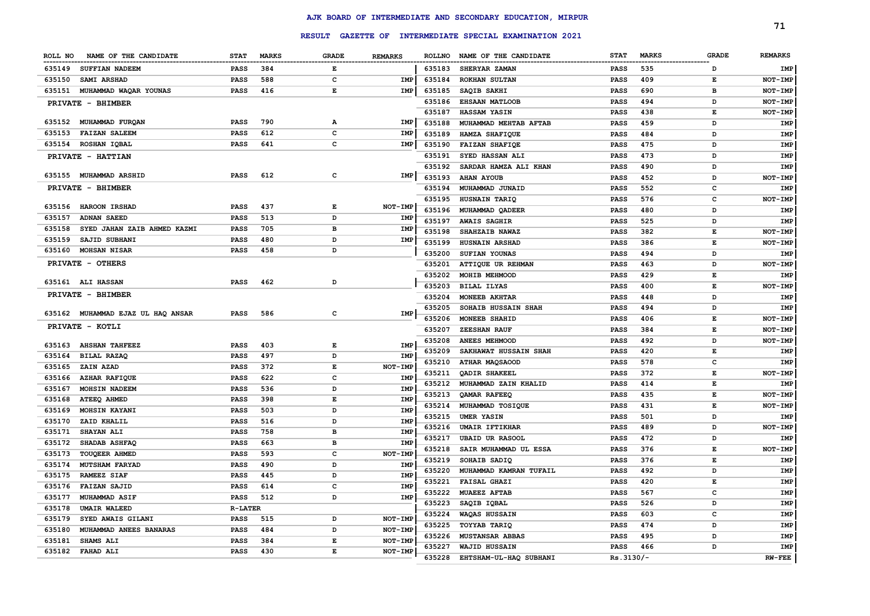|                                       |                |              | <b>RESULT</b>                                                                                  |                |               | GAZETTE OF INTERMEDIATE SPECIAL EXAMINATION 2021 |             |              |              | 71             |
|---------------------------------------|----------------|--------------|------------------------------------------------------------------------------------------------|----------------|---------------|--------------------------------------------------|-------------|--------------|--------------|----------------|
|                                       |                |              |                                                                                                |                |               |                                                  |             |              |              |                |
| NAME OF THE CANDIDATE<br>ROLL NO      | <b>STAT</b>    | <b>MARKS</b> | <b>GRADE</b>                                                                                   | <b>REMARKS</b> | <b>ROLLNO</b> | NAME OF THE CANDIDATE                            | <b>STAT</b> | <b>MARKS</b> | <b>GRADE</b> | <b>REMARKS</b> |
| 635149<br><b>SUFFIAN NADEEM</b>       | <b>PASS</b>    | 384          | Е                                                                                              |                | 635183        | SHERYAR ZAMAN                                    | <b>PASS</b> | 535          | D            | IMP            |
| 635150<br><b>SAMI ARSHAD</b>          | <b>PASS</b>    | 588          | $\mathbf{C}$                                                                                   | <b>IMP</b>     | 635184        | <b>ROKHAN SULTAN</b>                             | <b>PASS</b> | 409          | Е            | NOT-IMP        |
| 635151<br>MUHAMMAD WAQAR YOUNAS       | <b>PASS</b>    | 416          | $\mathbf E$                                                                                    | <b>IMP</b>     | 635185        | SAQIB SAKHI                                      | PASS        | 690          | в            | NOT-IMP        |
| PRIVATE - BHIMBER                     |                |              |                                                                                                |                | 635186        | <b>EHSAAN MATLOOB</b>                            | <b>PASS</b> | 494          | D            | NOT-IMP        |
|                                       |                |              |                                                                                                |                | 635187        | HASSAM YASIN                                     | <b>PASS</b> | 438          | $\mathbf E$  | NOT-IMP        |
| 635152<br>MUHAMMAD FURQAN             | <b>PASS</b>    | 790          | А                                                                                              | IMP            | 635188        | MUHAMMAD MEHTAB AFTAB                            | PASS        | 459          | D            | IMP            |
| 635153<br><b>FAIZAN SALEEM</b>        | <b>PASS</b>    | 612          | C                                                                                              | <b>IMP</b>     | 635189        | HAMZA SHAFIQUE                                   | <b>PASS</b> | 484          | D            | IMP            |
| 635154<br>ROSHAN IQBAL                | <b>PASS</b>    | 641          | C                                                                                              | IMP            | 635190        | <b>FAIZAN SHAFIOE</b>                            | <b>PASS</b> | 475          | D            | IMP            |
| PRIVATE - HATTIAN                     |                |              |                                                                                                |                | 635191        | SYED HASSAN ALI                                  | <b>PASS</b> | 473          | D            | IMP            |
|                                       |                |              |                                                                                                |                | 635192        | SARDAR HAMZA ALI KHAN                            | <b>PASS</b> | 490          | D            | IMP            |
| 635155 MUHAMMAD ARSHID                | PASS           | 612          | $\mathbf{C}$                                                                                   | IMP            | 635193        | <b>AHAN AYOUB</b>                                | <b>PASS</b> | 452          | D            | NOT-IMP        |
| PRIVATE - BHIMBER                     |                |              |                                                                                                |                | 635194        | MUHAMMAD JUNAID                                  | <b>PASS</b> | 552          | c            | IMP            |
|                                       |                |              |                                                                                                |                | 635195        | HUSNAIN TARIQ                                    | PASS        | 576          | c            | NOT-IMP        |
| 635156<br>HAROON IRSHAD               | PASS           | 437          | E                                                                                              | NOT-IMP        | 635196        | MUHAMMAD QADEER                                  | <b>PASS</b> | 480          | D            | IMP            |
| 635157<br><b>ADNAN SAEED</b>          | PASS           | 513          | D                                                                                              | IMP            | 635197        | <b>AWAIS SAGHIR</b>                              | <b>PASS</b> | 525          | D            | <b>IMP</b>     |
| 635158<br>SYED JAHAN ZAIB AHMED KAZMI | <b>PASS</b>    | 705          | $\overline{B}$                                                                                 | IMP            | 635198        | SHAHZAIB NAWAZ                                   | <b>PASS</b> | 382          | E            | NOT-IMP        |
| 635159<br>SAJID SUBHANI               | <b>PASS</b>    | 480          | D                                                                                              | IMP            | 635199        | HUSNAIN ARSHAD                                   | <b>PASS</b> | 386          | E            | NOT-IMP        |
| 635160<br>MOHSAN NISAR                | <b>PASS</b>    | 458          | D                                                                                              |                | 635200        | SUFIAN YOUNAS                                    | <b>PASS</b> | 494          | D            | IMP            |
| PRIVATE - OTHERS                      |                |              |                                                                                                |                | 635201        | <b>ATTIQUE UR REHMAN</b>                         | <b>PASS</b> | 463          | D            | NOT-IMP        |
|                                       |                |              |                                                                                                |                | 635202        | MOHIB MEHMOOD                                    | <b>PASS</b> | 429          | Е            | IMP            |
| 635161 ALI HASSAN                     | PASS           | 462          | <sub>D</sub>                                                                                   |                | 635203        | <b>BILAL ILYAS</b>                               | <b>PASS</b> | 400          | Е            | NOT-IMP        |
| PRIVATE - BHIMBER                     |                |              |                                                                                                |                | 635204        | MONEEB AKHTAR                                    | <b>PASS</b> | 448          | D            | IMP            |
|                                       |                |              |                                                                                                |                | 635205        | SOHAIB HUSSAIN SHAH                              | <b>PASS</b> | 494          | D            | IMP            |
| 635162 MUHAMMAD EJAZ UL HAQ ANSAR     | PASS           | 586          | c                                                                                              | IMP            | 635206        | MONEEB SHAHID                                    | <b>PASS</b> | 406          | Е            | NOT-IMP        |
| PRIVATE - KOTLI                       |                |              |                                                                                                |                | 635207        | <b>ZEESHAN RAUF</b>                              | <b>PASS</b> | 384          | Е            | NOT-IMP        |
| <b>AHSHAN TAHFEEZ</b><br>635163       | <b>PASS</b>    | 403          | $\mathbf{E}% _{t}\left  \mathbf{1}\right\rangle =\mathbf{1}_{t}\left  \mathbf{1}\right\rangle$ | IMP            | 635208        | ANEES MEHMOOD                                    | <b>PASS</b> | 492          | D            | NOT-IMP        |
|                                       |                | 497          | D                                                                                              | <b>IMP</b>     | 635209        | SAKHAWAT HUSSAIN SHAH                            | <b>PASS</b> | 420          | E            | IMP            |
| BILAL RAZAQ<br>635164                 | PASS           | 372          | E                                                                                              | NOT-IMP        | 635210        | <b>ATHAR MAQSAOOD</b>                            | <b>PASS</b> | 578          | c            | IMP            |
| 635165<br>ZAIN AZAD                   | PASS           |              | $\mathbf c$                                                                                    |                | 635211        | <b>OADIR SHAKEEL</b>                             | <b>PASS</b> | 372          | E            | NOT-IMP        |
| 635166<br><b>AZHAR RAFIQUE</b>        | PASS           | 622          | D                                                                                              | IMP            | 635212        | MUHAMMAD ZAIN KHALID                             | <b>PASS</b> | 414          | E            | IMP            |
| MOHSIN NADEEM<br>635167               | <b>PASS</b>    | 536          |                                                                                                | <b>IMP</b>     | 635213        | QAMAR RAFEEQ                                     | <b>PASS</b> | 435          | E            | NOT-IMP        |
| 635168<br>ATEEQ AHMED                 | <b>PASS</b>    | 398          | E                                                                                              | IMP            | 635214        | MUHAMMAD TOSIQUE                                 | <b>PASS</b> | 431          | Е            | NOT-IMP        |
| 635169<br>MOHSIN KAYANI               | <b>PASS</b>    | 503          | D                                                                                              | <b>IMP</b>     | 635215        | <b>UMER YASIN</b>                                | <b>PASS</b> | 501          | D            | IMP            |
| 635170<br>ZAID KHALIL                 | <b>PASS</b>    | 516          | D                                                                                              | <b>IMP</b>     | 635216        | <b>UMAIR IFTIKHAR</b>                            | <b>PASS</b> | 489          | D            | NOT-IMP        |
| 635171<br><b>SHAYAN ALI</b>           | <b>PASS</b>    | 758          | $\mathbf B$                                                                                    | <b>IMP</b>     | 635217        | <b>UBAID UR RASOOL</b>                           | <b>PASS</b> | 472          | D            | IMP            |
| 635172<br>SHADAB ASHFAQ               | <b>PASS</b>    | 663          | $\overline{B}$                                                                                 | <b>IMP</b>     | 635218        | SAIR MUHAMMAD UL ESSA                            | <b>PASS</b> | 376          | Е            | NOT-IMP        |
| TOUQEER AHMED<br>635173               | <b>PASS</b>    | 593          | $\mathbf{C}$                                                                                   | NOT-IMP        | 635219        | SOHAIB SADIQ                                     | <b>PASS</b> | 376          | Е            | IMP            |
| 635174<br><b>MUTSHAM FARYAD</b>       | <b>PASS</b>    | 490          | D                                                                                              | IMP            | 635220        | MUHAMMAD KAMRAN TUFAIL                           | <b>PASS</b> | 492          | D            | IMP            |
| 635175<br><b>RAMEEZ SIAF</b>          | <b>PASS</b>    | 445          | D                                                                                              | IMP            | 635221        | <b>FAISAL GHAZI</b>                              | PASS        | 420          | E            | IMP            |
| 635176<br><b>FAIZAN SAJID</b>         | <b>PASS</b>    | 614          | C                                                                                              | IMP            | 635222        | <b>MUAEEZ AFTAB</b>                              | <b>PASS</b> | 567          | c            | IMP            |
| 635177<br>MUHAMMAD ASIF               | <b>PASS</b>    | 512          | D                                                                                              | IMP            | 635223        | SAQIB IQBAL                                      | <b>PASS</b> | 526          | D            | IMP            |
| 635178<br><b>UMAIR WALEED</b>         | <b>R-LATER</b> |              |                                                                                                |                | 635224        | WAQAS HUSSAIN                                    | <b>PASS</b> | 603          | c            | IMP            |
| 635179<br>SYED AWAIS GILANI           | <b>PASS</b>    | 515          | D                                                                                              | NOT-IMP        | 635225        | TOYYAB TARIQ                                     | <b>PASS</b> | 474          | D            | IMP            |
| 635180<br>MUHAMMAD ANEES BANARAS      | <b>PASS</b>    | 484          | D                                                                                              | NOT-IME        | 635226        | <b>MUSTANSAR ABBAS</b>                           | PASS        | 495          | D            | IMP            |
| 635181<br><b>SHAMS ALI</b>            | <b>PASS</b>    | 384          | E                                                                                              | NOT-IME        | 635227        | WAJID HUSSAIN                                    | <b>PASS</b> | 466          | D            | IMP            |
| 635182<br><b>FAHAD ALI</b>            | <b>PASS</b>    | 430          | E                                                                                              | NOT-IME        | 635228        | EHTSHAM-UL-HAQ SUBHANI                           | $Rs.3130/-$ |              |              | <b>RW-FEE</b>  |
|                                       |                |              |                                                                                                |                |               |                                                  |             |              |              |                |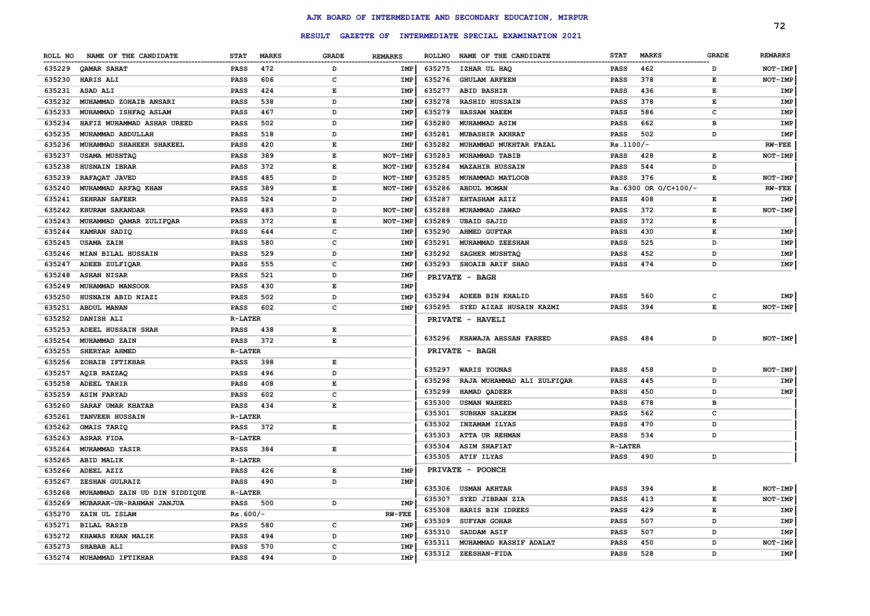|         |                               |                |              |                                                                                                |                |               |                                                  |                |                       |              | 72             |
|---------|-------------------------------|----------------|--------------|------------------------------------------------------------------------------------------------|----------------|---------------|--------------------------------------------------|----------------|-----------------------|--------------|----------------|
|         |                               |                |              | <b>RESULT</b>                                                                                  |                |               | GAZETTE OF INTERMEDIATE SPECIAL EXAMINATION 2021 |                |                       |              |                |
| ROLL NO | NAME OF THE CANDIDATE         | <b>STAT</b>    | <b>MARKS</b> | <b>GRADE</b>                                                                                   | <b>REMARKS</b> | <b>ROLLNO</b> | NAME OF THE CANDIDATE                            | <b>STAT</b>    | <b>MARKS</b>          | <b>GRADE</b> | <b>REMARKS</b> |
| 635229  | QAMAR SAHAT                   | <b>PASS</b>    | 472          | D                                                                                              | IMP            | 635275        | IZHAR UL HAQ                                     | <b>PASS</b>    | 462                   | D            | NOT-IMP        |
| 635230  | <b>HARIS ALI</b>              | <b>PASS</b>    | 606          | $\mathbf{C}$                                                                                   | IMP            | 635276        | <b>GHULAM ARFEEN</b>                             | PASS           | 378                   | E            | NOT-IMP        |
| 635231  | ASAD ALI                      | <b>PASS</b>    | 424          | $\mathbf E$                                                                                    | IMP            | 635277        | <b>ABID BASHIR</b>                               | <b>PASS</b>    | 436                   | Е            | <b>IMP</b>     |
| 635232  | MUHAMMAD ZOHAIB ANSARI        | PASS           | 538          | D                                                                                              | IMP            | 635278        | <b>RASHID HUSSAIN</b>                            | <b>PASS</b>    | 378                   | E            | <b>IMP</b>     |
| 635233  | MUHAMMAD ISHFAQ ASLAM         | <b>PASS</b>    | 467          | D                                                                                              | IMP            | 635279        | <b>HASSAM NAEEM</b>                              | <b>PASS</b>    | 586                   | C            | IMP            |
| 635234  | HAFIZ MUHAMMAD ASHAR UREED    | <b>PASS</b>    | 502          | D                                                                                              | IMP            | 635280        | MUHAMMAD ASIM                                    | <b>PASS</b>    | 662                   | B            | <b>IMP</b>     |
| 635235  | MUHAMMAD ABDULLAH             | <b>PASS</b>    | 518          | D                                                                                              | IMP            | 635281        | <b>MUBASHIR AKHRAT</b>                           | <b>PASS</b>    | 502                   | D            | IMP            |
| 635236  | MUHAMMAD SHAHEER SHAKEEL      | <b>PASS</b>    | 420          | E                                                                                              | IMP            | 635282        | MUHAMMAD MUKHTAR FAZAL                           | Rs.1100/-      |                       |              | <b>RW-FEE</b>  |
| 635237  | <b>USAMA MUSHTAQ</b>          | <b>PASS</b>    | 389          | $\mathbf{E}% _{t}\left  \mathbf{1}\right\rangle =\mathbf{1}_{t}\left  \mathbf{1}\right\rangle$ | NOT-IMP        | 635283        | MUHAMMAD TABIB                                   | <b>PASS</b>    | 428                   | Е            | NOT-IMP        |
| 635238  | HUSNAIN IBRAR                 | <b>PASS</b>    | 372          | E                                                                                              | NOT-IMP        | 635284        | <b>MAZAHIR HUSSAIN</b>                           | <b>PASS</b>    | 544                   | <sub>D</sub> |                |
| 635239  | RAFAQAT JAVED                 | <b>PASS</b>    | 485          | D                                                                                              | NOT-IMP        | 635285        | MUHAMMAD MATLOOB                                 | <b>PASS</b>    | 376                   | Е            | NOT-IMP        |
| 635240  | MUHAMMAD ARFAQ KHAN           | <b>PASS</b>    | 389          | E                                                                                              | NOT-IMP        | 635286        | ABDUL MOMAN                                      |                | Rs. 6300 OR O/C+100/- |              | <b>RW-FEE</b>  |
| 635241  | SEHRAN SAFEER                 | PASS           | 524          | D                                                                                              | IMP            | 635287        | <b>EHTASHAM AZIZ</b>                             | <b>PASS</b>    | 408                   | Е            | IMP            |
| 635242  | KHURAM SAKANDAR               | PASS           | 483          | D                                                                                              | NOT-IMP        | 635288        | MUHAMMAD JAWAD                                   | <b>PASS</b>    | 372                   | Е            | NOT-IMP        |
| 635243  | MUHAMMAD QAMAR ZULIFQAR       | <b>PASS</b>    | 372          | $\mathbf{E}% _{t}\left  \mathbf{1}\right\rangle =\mathbf{1}_{t}\left  \mathbf{1}\right\rangle$ | NOT-IMP        | 635289        | <b>UBAID SAJID</b>                               | <b>PASS</b>    | 372                   | Е            |                |
| 635244  | KAMRAN SADIQ                  | <b>PASS</b>    | 644          | $\mathbf c$                                                                                    | IMP            | 635290        | <b>AHMED GUFTAR</b>                              | <b>PASS</b>    | 430                   | E            | <b>IMP</b>     |
| 635245  | <b>USAMA ZAIN</b>             | <b>PASS</b>    | 580          | $\mathbf c$                                                                                    | IMP            | 635291        | MUHAMMAD ZEESHAN                                 | <b>PASS</b>    | 525                   | D            | IMP            |
| 635246  | MIAN BILAL HUSSAIN            | <b>PASS</b>    | 529          | D                                                                                              | IMP            | 635292        | SAGHER MUSHTAQ                                   | <b>PASS</b>    | 452                   | D            | IMP            |
| 635247  | ADEEB ZULFIQAR                | <b>PASS</b>    | 555          | $\mathbf c$                                                                                    | IMP            | 635293        | SHOAIB ARIF SHAD                                 | <b>PASS</b>    | 474                   | D            | IMP            |
| 635248  | <b>ASHAN NISAR</b>            | <b>PASS</b>    | 521          | D                                                                                              | IMP            |               | <b>PRIVATE - BAGH</b>                            |                |                       |              |                |
| 635249  | MUHAMMAD MANSOOR              | <b>PASS</b>    | 430          | E                                                                                              | IMP            |               |                                                  |                |                       |              |                |
| 635250  | HUSNAIN ABID NIAZI            | <b>PASS</b>    | 502          | D                                                                                              | IMP            | 635294        | ADEEB BIN KHALID                                 | <b>PASS</b>    | 560                   | C            | <b>IMP</b>     |
| 635251  | ABDUL MANAN                   | <b>PASS</b>    | 602          | c                                                                                              | IMP            | 635295        | SYED AIZAZ HUSAIN KAZMI                          | <b>PASS</b>    | 394                   | E            | NOT-IMP        |
| 635252  | DANISH ALI                    | <b>R-LATER</b> |              |                                                                                                |                |               | PRIVATE - HAVELI                                 |                |                       |              |                |
| 635253  | ADEEL HUSSAIN SHAH            | <b>PASS</b>    | 438          | Е                                                                                              |                |               |                                                  |                |                       |              |                |
| 635254  | MUHAMMAD ZAIN                 | <b>PASS</b>    | 372          | $\mathbf E$                                                                                    |                | 635296        | <b>KHAWAJA AHSSAN FAREED</b>                     | <b>PASS</b>    | 484                   | D            | NOT-IMP        |
| 635255  | SHERYAR AHMED                 | <b>R-LATER</b> |              |                                                                                                |                |               | PRIVATE - BAGH                                   |                |                       |              |                |
| 635256  | ZOHAIB IFTIKHAR               | PASS           | 398          | E                                                                                              |                |               |                                                  |                |                       |              |                |
| 635257  | AQIB RAZZAQ                   | PASS           | 496          | D                                                                                              |                | 635297        | <b>WARIS YOUNAS</b>                              | PASS           | 458                   | D            | NOT-IMP        |
| 635258  | ADEEL TAHIR                   | PASS           | 408          | E                                                                                              |                | 635298        | RAJA MUHAMMAD ALI ZULFIQAR                       | PASS           | 445                   | D            | <b>IMP</b>     |
| 635259  | <b>ASIM FARYAD</b>            | PASS           | 602          | c                                                                                              |                | 635299        | HAMAD OADEER                                     | PASS           | 450                   | D            | IMP            |
| 635260  | SARAF UMAR KHATAB             | <b>PASS</b>    | 434          | E                                                                                              |                | 635300        | <b>USMAN WAHEED</b>                              | <b>PASS</b>    | 678                   | в            |                |
| 635261  | <b>TANVEER HUSSAIN</b>        | <b>R-LATER</b> |              |                                                                                                |                | 635301        | <b>SUBHAN SALEEM</b>                             | <b>PASS</b>    | 562                   | $\mathbf{C}$ |                |
| 635262  | OMAIS TARIQ                   | <b>PASS</b>    | 372          | E                                                                                              |                | 635302        | INZAMAM ILYAS                                    | <b>PASS</b>    | 470                   | D            |                |
| 635263  | <b>ASRAR FIDA</b>             | <b>R-LATER</b> |              |                                                                                                |                | 635303        | <b>ATTA UR REHMAN</b>                            | <b>PASS</b>    | 534                   | D            |                |
| 635264  | MUHAMMAD YASIR                | <b>PASS</b>    | 384          | Е                                                                                              |                | 635304        | <b>ASIM SHAFIAT</b>                              | <b>R-LATER</b> |                       |              |                |
| 635265  | <b>ABID MALIK</b>             | <b>R-LATER</b> |              |                                                                                                |                | 635305        | <b>ATIF ILYAS</b>                                | <b>PASS</b>    | 490                   | D            |                |
| 635266  | ADEEL AZIZ                    | PASS           | 426          | Е                                                                                              | <b>IMP</b>     |               | PRIVATE - POONCH                                 |                |                       |              |                |
| 635267  | ZESHAN GULRAIZ                | <b>PASS</b>    | 490          | D                                                                                              | <b>IMP</b>     |               |                                                  |                |                       |              |                |
| 635268  | MUHAMMAD ZAIN UD DIN SIDDIQUE | <b>R-LATER</b> |              |                                                                                                |                | 635306        | <b>USMAN AKHTAR</b>                              | <b>PASS</b>    | 394                   | Е            | NOT-IMP        |
| 635269  | MUBARAK-UR-RAHMAN JANJUA      | <b>PASS</b>    | 500          | D                                                                                              | <b>IMP</b>     | 635307        | SYED JIBRAN ZIA                                  | <b>PASS</b>    | 413                   | Е            | NOT-IMP        |
| 635270  | ZAIN UL ISLAM                 | $Rs.600/-$     |              |                                                                                                | <b>RW-FEE</b>  | 635308        | HARIS BIN IDREES                                 | PASS           | 429                   | E            | IMP            |
| 635271  | <b>BILAL RASIB</b>            | PASS           | 580          | $\mathbf{C}$                                                                                   | IMP            | 635309        | SUFYAN GOHAR                                     | <b>PASS</b>    | 507                   | D            | IMP            |
| 635272  | KHAWAS KHAN MALIK             | PASS           | 494          | D                                                                                              | <b>IMP</b>     | 635310        | SADDAM ASIF                                      | <b>PASS</b>    | 507                   | D            | <b>IMP</b>     |
| 635273  | SHABAB ALI                    | PASS           | 570          | $\mathbf{C}$                                                                                   | <b>IMP</b>     | 635311        | MUHAMMAD KASHIF ADALAT                           | <b>PASS</b>    | 450                   | D            | NOT-IMP        |
| 635274  | MUHAMMAD IFTIKHAR             | PASS           | 494          | D                                                                                              | <b>IMP</b>     | 635312        | ZEESHAN-FIDA                                     | <b>PASS</b>    | 528                   | D            | IMP            |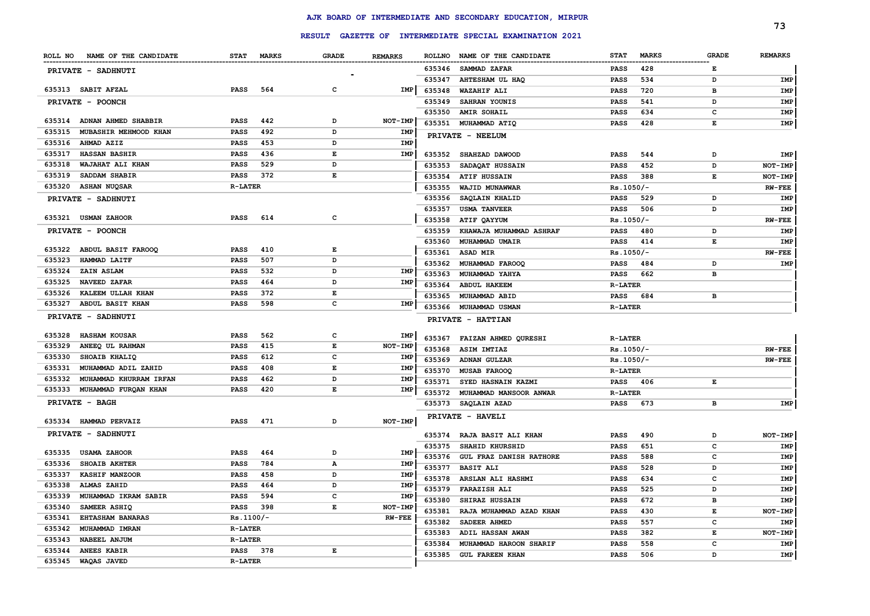|        |                               |                |            |       |                |        |                                                         |                |              |              | 73             |
|--------|-------------------------------|----------------|------------|-------|----------------|--------|---------------------------------------------------------|----------------|--------------|--------------|----------------|
|        |                               |                |            |       |                |        | RESULT GAZETTE OF INTERMEDIATE SPECIAL EXAMINATION 2021 |                |              |              |                |
|        | ROLL NO NAME OF THE CANDIDATE |                | STAT MARKS | GRADE | <b>REMARKS</b> |        | ROLLNO NAME OF THE CANDIDATE                            | <b>STAT</b>    | <b>MARKS</b> | <b>GRADE</b> | <b>REMARKS</b> |
|        | PRIVATE - SADHNUTI            |                |            |       |                | 635346 | <b>SAMMAD ZAFAR</b>                                     | PASS           | 428          | Е            |                |
|        |                               |                |            |       |                | 635347 | AHTESHAM UL HAQ                                         | PASS           | 534          | D            | IMP            |
|        | 635313 SABIT AFZAL            | <b>PASS</b>    | 564        | c     | IMP            | 635348 | WAZAHIF ALI                                             | PASS           | 720          | в            | IMP            |
|        | <b>PRIVATE - POONCH</b>       |                |            |       |                | 635349 | SAHRAN YOUNIS                                           | PASS           | 541          | D            | IMP            |
|        |                               |                |            |       |                | 635350 | <b>AMIR SOHAIL</b>                                      | PASS           | 634          | с            | IMP            |
|        | 635314 ADNAN AHMED SHABBIR    | <b>PASS</b>    | 442        | D     | NOT-IMP        | 635351 | MUHAMMAD ATIQ                                           | PASS           | 428          | Е            | IMP            |
| 635315 | MUBASHIR MEHMOOD KHAN         | <b>PASS</b>    | 492        | D     | IMP            |        | PRIVATE - NEELUM                                        |                |              |              |                |
| 635316 | AHMAD AZIZ                    | <b>PASS</b>    | 453        | D     | IMP            |        |                                                         |                |              |              |                |
| 635317 | <b>HASSAN BASHIR</b>          | <b>PASS</b>    | 436        | E     | IMP            | 635352 | SHAHZAD DAWOOD                                          | <b>PASS</b>    | 544          | D            | IMP            |
| 635318 | WAJAHAT ALI KHAN              | <b>PASS</b>    | 529        | D     |                | 635353 | SADAQAT HUSSAIN                                         | <b>PASS</b>    | 452          | D            | NOT-IMP        |
| 635319 | SADDAM SHABIR                 | PASS           | 372        | E     |                | 635354 | <b>ATIF HUSSAIN</b>                                     | PASS           | 388          | Е            | NOT-IMP        |
|        | 635320 ASHAN NUQSAR           | <b>R-LATER</b> |            |       |                | 635355 | WAJID MUNAWWAR                                          | $Rs.1050/-$    |              |              | <b>RW-FEE</b>  |
|        | PRIVATE - SADHNUTI            |                |            |       |                | 635356 | <b>SAQLAIN KHALID</b>                                   | PASS           | 529          | D            | IMP            |
|        |                               |                |            |       |                | 635357 | <b>USMA TANVEER</b>                                     | PASS           | 506          | D            | IMP            |
|        | 635321 USMAN ZAHOOR           | <b>PASS</b>    | 614        | c     |                | 635358 | ATIF QAYYUM                                             | $Rs.1050/-$    |              |              | $RW-FEE$       |
|        | PRIVATE - POONCH              |                |            |       |                | 635359 | KHAWAJA MUHAMMAD ASHRAF                                 | PASS           | 480          | D            | IMP            |
|        |                               |                |            |       |                | 635360 | MUHAMMAD UMAIR                                          | PASS           | 414          | Е            | IMP            |
| 635322 | ABDUL BASIT FAROOQ            | <b>PASS</b>    | 410        | E     |                | 635361 | ASAD MIR                                                | $Rs.1050/-$    |              |              | <b>RW-FEE</b>  |
| 635323 | HAMMAD LAITF                  | <b>PASS</b>    | 507        | D     |                | 635362 | MUHAMMAD FAROOQ                                         | PASS           | 484          | D            | IMP            |
| 635324 | <b>ZAIN ASLAM</b>             | <b>PASS</b>    | 532        | D     | IMP            | 635363 | MUHAMMAD YAHYA                                          | PASS           | 662          | в            |                |
| 635325 | <b>NAVEED ZAFAR</b>           | <b>PASS</b>    | 464        | D     | IMP            | 635364 | <b>ABDUL HAKEEM</b>                                     | <b>R-LATER</b> |              |              |                |
| 635326 | KALEEM ULLAH KHAN             | <b>PASS</b>    | 372        | E     |                | 635365 | MUHAMMAD ABID                                           | PASS           | 684          | в            |                |
| 635327 | ABDUL BASIT KHAN              | <b>PASS</b>    | 598        | C     | IMP            | 635366 | <b>MUHAMMAD USMAN</b>                                   | <b>R-LATER</b> |              |              |                |
|        | <b>PRIVATE - SADHNUTI</b>     |                |            |       |                |        | PRIVATE - HATTIAN                                       |                |              |              |                |
| 635328 | <b>HASHAM KOUSAR</b>          | <b>PASS</b>    | 562        | c     | IMP            |        |                                                         |                |              |              |                |
| 635329 | ANEEQ UL RAHMAN               | <b>PASS</b>    | 415        | E     | NOT-IMP        |        | 635367 FAIZAN AHMED QURESHI                             | <b>R-LATER</b> |              |              |                |
| 635330 | SHOAIB KHALIQ                 | <b>PASS</b>    | 612        | c     | IMP            | 635368 | <b>ASIM IMTIAZ</b>                                      | $Rs.1050/-$    |              |              | <b>RW-FEE</b>  |
| 635331 | MUHAMMAD ADIL ZAHID           | PASS           | 408        | E     | IMP            | 635369 | <b>ADNAN GULZAR</b>                                     | $Rs.1050/-$    |              |              | <b>RW-FEE</b>  |
| 635332 | MUHAMMAD KHURRAM IRFAN        | <b>PASS</b>    | 462        | D     | IMP            | 635370 | <b>MUSAB FAROOQ</b>                                     | <b>R-LATER</b> |              |              |                |
| 635333 | MUHAMMAD FURQAN KHAN          | <b>PASS</b>    | 420        | E     | IMP            | 635371 | SYED HASNAIN KAZMI                                      | <b>PASS</b>    | 406          | Е            |                |
|        | <b>PRIVATE - BAGH</b>         |                |            |       |                | 635372 | MUHAMMAD MANSOOR ANWAR                                  | <b>R-LATER</b> |              |              |                |
|        |                               |                |            |       |                | 635373 | SAQLAIN AZAD                                            | PASS           | 673          | в            | IMP            |
|        | 635334 HAMMAD PERVAIZ         | <b>PASS</b>    | 471        | D     | NOT-IMP        |        | PRIVATE - HAVELI                                        |                |              |              |                |
|        | PRIVATE - SADHNUTI            |                |            |       |                | 635374 | RAJA BASIT ALI KHAN                                     | PASS           | 490          | D            | NOT-IMP        |
|        |                               |                |            |       |                | 635375 | SHAHID KHURSHID                                         | PASS           | 651          | с            | IMP            |
| 635335 | <b>USAMA ZAHOOR</b>           | <b>PASS</b>    | 464        | D     | IMP            |        | 635376 GUL FRAZ DANISH RATHORE                          | PASS           | 588          | с            | IMP            |
| 635336 | <b>SHOAIB AKHTER</b>          | <b>PASS</b>    | 784        | А     | IMP            | 635377 | <b>BASIT ALI</b>                                        | PASS           | 528          | D            | IMP            |
|        | 635337 KASHIF MANZOOR         | PASS           | 458        | D     | IMP            | 635378 | ARSLAN ALI HASHMI                                       | PASS           | 634          | c            | IMP            |
|        | 635338 ALMAS ZAHID            | PASS           | 464        | D     | IMP            |        | 635379 FARAZISH ALI                                     | PASS           | 525          | D            | IMP            |
|        | 635339 MUHAMMAD IKRAM SABIR   | PASS 594       |            | с     | IMP            | 635380 | <b>SHIRAZ HUSSAIN</b>                                   | PASS           | 672          | в            | IMP            |
|        | 635340 SAMEER ASHIQ           | PASS 398       |            | Е     | NOT-IMP        | 635381 | RAJA MUHAMMAD AZAD KHAN                                 | <b>PASS</b>    | 430          | Е            | NOT-IMP        |
|        | 635341 EHTASHAM BANARAS       | $Rs.1100/-$    |            |       | <b>RW-FEE</b>  | 635382 | SADEER AHMED                                            | PASS           | 557          | с            | IMP            |
|        | 635342 MUHAMMAD IMRAN         | <b>R-LATER</b> |            |       |                |        | 635383 ADIL HASSAN AWAN                                 | PASS           | 382          | Е            | NOT-IMP        |
|        | 635343 NABEEL ANJUM           | <b>R-LATER</b> |            |       |                | 635384 | MUHAMMAD HAROON SHARIF                                  | PASS           | 558          | с            | IMP            |
|        | 635344 ANEES KABIR            | PASS 378       |            | Е     |                |        | 635385 GUL FAREEN KHAN                                  | PASS           | 506          | D            | IMP            |
|        | 635345 WAQAS JAVED            | <b>R-LATER</b> |            |       |                |        |                                                         |                |              |              |                |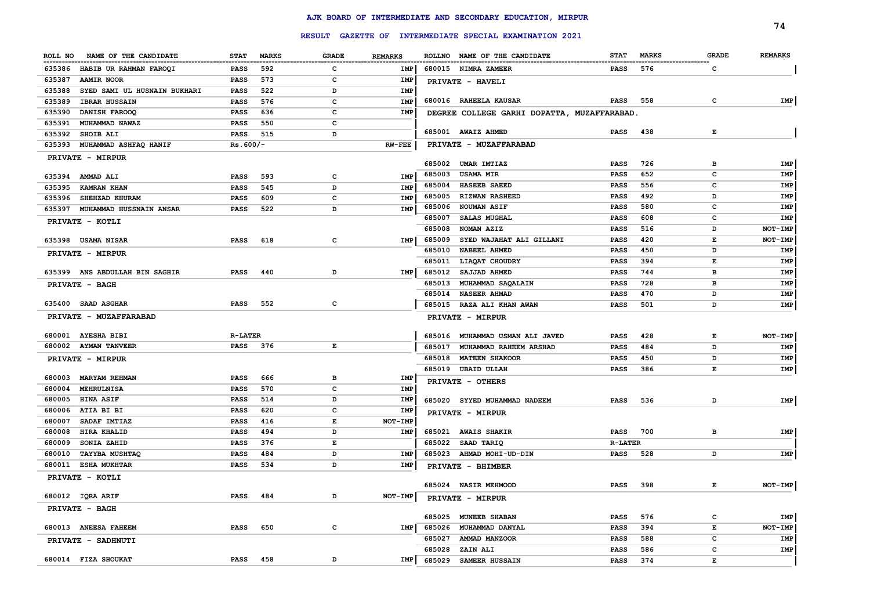|                                        |                |              |       |                |        |                                                         |                 |              |              | 74             |
|----------------------------------------|----------------|--------------|-------|----------------|--------|---------------------------------------------------------|-----------------|--------------|--------------|----------------|
|                                        |                |              |       |                |        | RESULT GAZETTE OF INTERMEDIATE SPECIAL EXAMINATION 2021 |                 |              |              |                |
| ROLL NO NAME OF THE CANDIDATE          | <b>STAT</b>    | <b>MARKS</b> | GRADE | <b>REMARKS</b> |        | ROLLNO NAME OF THE CANDIDATE                            | <b>STAT</b>     | <b>MARKS</b> | <b>GRADE</b> | <b>REMARKS</b> |
| 635386<br>HABIB UR RAHMAN FAROQI       | PASS           | 592          | c     | IMP            |        | 680015 NIMRA ZAMEER                                     | <b>PASS</b>     | 576          | c            |                |
| 635387<br><b>AAMIR NOOR</b>            | PASS           | 573          | c     | <b>IMP</b>     |        | PRIVATE - HAVELI                                        |                 |              |              |                |
| 635388<br>SYED SAMI UL HUSNAIN BUKHARI | PASS           | 522          | D     | IMP            |        |                                                         |                 |              |              |                |
| 635389<br><b>IBRAR HUSSAIN</b>         | PASS           | 576          | c     | IMP            |        | 680016 RAHEELA KAUSAR                                   | <b>PASS</b> 558 |              | c            | IMP            |
| 635390<br>DANISH FAROOQ                | PASS           | 636          | c     | IMP            |        | DEGREE COLLEGE GARHI DOPATTA, MUZAFFARABAD.             |                 |              |              |                |
| 635391<br><b>MUHAMMAD NAWAZ</b>        | PASS           | 550          | c     |                |        |                                                         |                 |              |              |                |
| 635392<br>SHOIB ALI                    | PASS           | 515          | D     |                |        | 685001 AWAIZ AHMED                                      | PASS            | 438          | Е            |                |
| 635393 MUHAMMAD ASHFAQ HANIF           | $Rs.600/-$     |              |       | <b>RW-FEE</b>  |        | PRIVATE - MUZAFFARABAD                                  |                 |              |              |                |
| PRIVATE - MIRPUR                       |                |              |       |                |        |                                                         |                 |              |              |                |
|                                        |                |              |       |                | 685002 | UMAR IMTIAZ                                             | PASS            | 726          | в            | IMP            |
| 635394 AMMAD ALI                       | <b>PASS</b>    | 593          | c     | IMP            | 685003 | <b>USAMA MIR</b>                                        | PASS            | 652          | с            | IMP            |
| 635395<br><b>KAMRAN KHAN</b>           | PASS           | 545          | D     | IMP            | 685004 | <b>HASEEB SAEED</b>                                     | PASS            | 556          | с            | IMP            |
| 635396 SHEHZAD KHURAM                  | PASS           | 609          | c     | IMP            | 685005 | <b>RIZWAN RASHEED</b>                                   | PASS            | 492          | D            | IMP            |
| 635397 MUHAMMAD HUSSNAIN ANSAR         | PASS           | 522          | D     | IMP            |        | 685006 NOUMAN ASIF                                      | PASS            | 580          | с            | IMP            |
| PRIVATE - KOTLI                        |                |              |       |                | 685007 | <b>SALAS MUGHAL</b>                                     | PASS            | 608          | с            | IMP            |
|                                        |                |              |       |                | 685008 | NOMAN AZIZ                                              | PASS            | 516          | D            | NOT-IMP        |
| 635398 USAMA NISAR                     | <b>PASS</b>    | 618          | с     | IMP            | 685009 | SYED WAJAHAT ALI GILLANI                                | PASS            | 420          | Е            | NOT-IMP        |
| PRIVATE - MIRPUR                       |                |              |       |                | 685010 | <b>NABEEL AHMED</b>                                     | PASS            | 450          | D            | IMP            |
|                                        |                |              |       |                | 685011 | LIAQAT CHOUDRY                                          | PASS            | 394          | Е            | IMP            |
| 635399 ANS ABDULLAH BIN SAGHIR         | PASS           | 440          | D     | IMP            | 685012 | <b>SAJJAD AHMED</b>                                     | PASS            | 744          | в            | IMP            |
| <b>PRIVATE - BAGH</b>                  |                |              |       |                |        | 685013 MUHAMMAD SAQALAIN                                | PASS            | 728          | в            | IMP            |
|                                        |                |              |       |                | 685014 | <b>NASEER AHMAD</b>                                     | PASS            | 470          | D            | IMP            |
| 635400 SAAD ASGHAR                     | PASS           | 552          | c     |                |        | 685015 RAZA ALI KHAN AWAN                               | PASS            | 501          | D            | IMP            |
| PRIVATE - MUZAFFARABAD                 |                |              |       |                |        | PRIVATE - MIRPUR                                        |                 |              |              |                |
| 680001 AYESHA BIBI                     | <b>R-LATER</b> |              |       |                |        | 685016 MUHAMMAD USMAN ALI JAVED                         | PASS            | 428          | E            | NOT-IMP        |
| 680002 AYMAN TANVEER                   | PASS 376       |              | Е     |                |        | 685017 MUHAMMAD RAHEEM ARSHAD                           | PASS            | 484          | D            | IMP            |
| PRIVATE - MIRPUR                       |                |              |       |                |        | 685018 MATEEN SHAKOOR                                   | PASS            | 450          | D            | IMP            |
|                                        |                |              |       |                |        | 685019 UBAID ULLAH                                      | PASS            | 386          | Е            | IMP            |
| 680003 MARYAM REHMAN                   | PASS           | 666          | в     | IMP            |        | PRIVATE - OTHERS                                        |                 |              |              |                |
| 680004 MEHRULNISA                      | PASS           | 570          | c     | IMP            |        |                                                         |                 |              |              |                |
| <b>HINA ASIF</b><br>680005             | PASS           | 514          | D     | IMP            |        | 685020 SYYED MUHAMMAD NADEEM                            | PASS            | 536          | D            | <b>IMP</b>     |
| ATIA BI BI<br>680006                   | PASS           | 620          | c     | IMP            |        | PRIVATE - MIRPUR                                        |                 |              |              |                |
| 680007<br><b>SADAF IMTIAZ</b>          | PASS           | 416          | Е     | NOT-IMP        |        |                                                         |                 |              |              |                |
| HIRA KHALID<br>680008                  | PASS           | 494          | D     | IMP            |        | 685021 AWAIS SHAKIR                                     | <b>PASS</b> 700 |              | в            | IMP            |
| 680009<br>SONIA ZAHID                  | PASS           | 376          | Е     |                | 685022 | SAAD TARIQ                                              | <b>R-LATER</b>  |              |              |                |
| <b>TAYYBA MUSHTAQ</b><br>680010        | PASS           | 484          | D     | IMP            |        | 685023 AHMAD MOHI-UD-DIN                                | <b>PASS</b> 528 |              | D            | IMP            |
| 680011 ESHA MUKHTAR                    | <b>PASS</b>    | 534          | D     | IMP            |        | PRIVATE - BHIMBER                                       |                 |              |              |                |
| PRIVATE - KOTLI                        |                |              |       |                |        |                                                         |                 |              |              |                |
|                                        |                |              |       |                |        | 685024 NASIR MEHMOOD                                    | PASS 398        |              | E.           | $NOT$ -IMP     |
| 680012 IQRA ARIF                       | PASS 484       |              | D     | NOT-IMP        |        | PRIVATE - MIRPUR                                        |                 |              |              |                |
| <b>PRIVATE - BAGH</b>                  |                |              |       |                |        | 685025 MUNEEB SHABAN                                    | PASS            | 576          | C            | IMP            |
| 680013 ANEESA FAHEEM                   | PASS 650       |              | C     | <b>IMP</b>     |        | 685026 MUHAMMAD DANYAL                                  | PASS            | 394          | E            | NOT-IMP        |
| PRIVATE - SADHNUTI                     |                |              |       |                |        | 685027 AMMAD MANZOOR                                    | PASS            | 588          | с            | IMP            |
|                                        |                |              |       |                | 685028 | ZAIN ALI                                                | PASS            | 586          | с            | IMP            |
| 680014 FIZA SHOUKAT                    | PASS 458       |              | D     | <b>IMP</b>     | 685029 | SAMEER HUSSAIN                                          | <b>PASS</b>     | 374          | E            |                |
|                                        |                |              |       |                |        |                                                         |                 |              |              |                |

## **AJK BOARD OF INTERMEDIATE AND SECONDARY EDUCATION, MIRPUR**